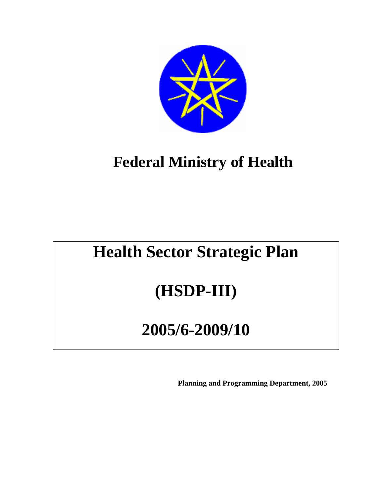

# **Federal Ministry of Health**

# **Health Sector Strategic Plan**

# **(HSDP-III)**

# **2005/6-2009/10**

**Planning and Programming Department, 2005**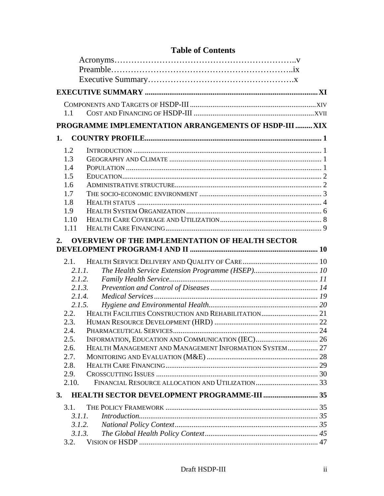| 1.1          |                                                        |  |
|--------------|--------------------------------------------------------|--|
|              | PROGRAMME IMPLEMENTATION ARRANGEMENTS OF HSDP-III  XIX |  |
| 1.           |                                                        |  |
| 1.2          |                                                        |  |
| 1.3          |                                                        |  |
| 1.4          |                                                        |  |
| 1.5          |                                                        |  |
| 1.6          |                                                        |  |
| 1.7          |                                                        |  |
| 1.8          |                                                        |  |
| 1.9          |                                                        |  |
| 1.10         |                                                        |  |
| 1.11         |                                                        |  |
| 2.           | <b>OVERVIEW OF THE IMPLEMENTATION OF HEALTH SECTOR</b> |  |
| 2.1.         |                                                        |  |
|              | 2.1.1.                                                 |  |
|              | 2.1.2.                                                 |  |
|              | 2.1.3.                                                 |  |
|              | 2.1.4.                                                 |  |
|              | 2.1.5.                                                 |  |
| 2.2.         |                                                        |  |
| 2.3.         |                                                        |  |
| 2.4.         |                                                        |  |
| 2.5.         |                                                        |  |
| 2.6.<br>2.7. | HEALTH MANAGEMENT AND MANAGEMENT INFORMATION SYSTEM 27 |  |
|              |                                                        |  |
| 2.8.<br>2.9. |                                                        |  |
| 2.10.        |                                                        |  |
|              |                                                        |  |
| 3.           | HEALTH SECTOR DEVELOPMENT PROGRAMME-III  35            |  |
| 3.1.         |                                                        |  |
|              | 3.1.1.                                                 |  |
|              | 3.1.2.                                                 |  |
|              | 3.1.3.                                                 |  |
| 3.2.         |                                                        |  |

## **Table of Contents**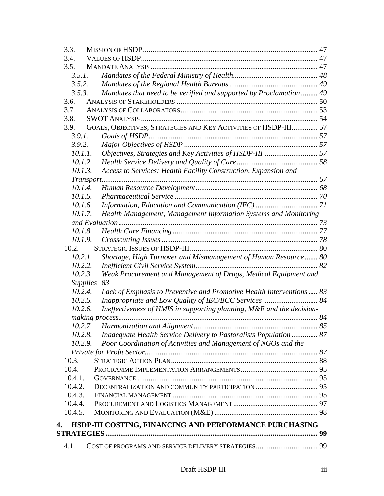|    | 3.3.               |                                                                       |  |  |  |  |
|----|--------------------|-----------------------------------------------------------------------|--|--|--|--|
|    | 3.4.               |                                                                       |  |  |  |  |
|    | 3.5.               |                                                                       |  |  |  |  |
|    | 3.5.1.             |                                                                       |  |  |  |  |
|    | 3.5.2.             |                                                                       |  |  |  |  |
|    | 3.5.3.             | Mandates that need to be verified and supported by Proclamation 49    |  |  |  |  |
|    | 3.6.               |                                                                       |  |  |  |  |
|    | 3.7.               |                                                                       |  |  |  |  |
|    | 3.8.               |                                                                       |  |  |  |  |
|    | 3.9.               | GOALS, OBJECTIVES, STRATEGIES AND KEY ACTIVITIES OF HSDP-III 57       |  |  |  |  |
|    | 3.9.1.             |                                                                       |  |  |  |  |
|    | 3.9.2.             |                                                                       |  |  |  |  |
|    | 10.1.1.            |                                                                       |  |  |  |  |
|    | 10.1.2.            |                                                                       |  |  |  |  |
|    | 10.1.3.            | Access to Services: Health Facility Construction, Expansion and       |  |  |  |  |
|    |                    |                                                                       |  |  |  |  |
|    | 10.1.4.            |                                                                       |  |  |  |  |
|    | 10.1.5.            |                                                                       |  |  |  |  |
|    | 10.1.6.            |                                                                       |  |  |  |  |
|    | 10.1.7.            | Health Management, Management Information Systems and Monitoring      |  |  |  |  |
|    |                    |                                                                       |  |  |  |  |
|    | 10.1.8.<br>10.1.9. |                                                                       |  |  |  |  |
|    | 10.2.              |                                                                       |  |  |  |  |
|    | 10.2.1.            | Shortage, High Turnover and Mismanagement of Human Resource 80        |  |  |  |  |
|    | 10.2.2.            |                                                                       |  |  |  |  |
|    | 10.2.3.            | Weak Procurement and Management of Drugs, Medical Equipment and       |  |  |  |  |
|    | <b>Supplies</b>    | 83                                                                    |  |  |  |  |
|    | 10.2.4.            | Lack of Emphasis to Preventive and Promotive Health Interventions 83  |  |  |  |  |
|    | 10.2.5.            |                                                                       |  |  |  |  |
|    | 10.2.6.            | Ineffectiveness of HMIS in supporting planning, M&E and the decision- |  |  |  |  |
|    |                    |                                                                       |  |  |  |  |
|    |                    | 10.2.7. Harmonization and Alignment                                   |  |  |  |  |
|    | 10.2.8.            | Inadequate Health Service Delivery to Pastoralists Population 87      |  |  |  |  |
|    | 10.2.9.            | Poor Coordination of Activities and Management of NGOs and the        |  |  |  |  |
|    |                    |                                                                       |  |  |  |  |
|    | 10.3.              |                                                                       |  |  |  |  |
|    | 10.4.              |                                                                       |  |  |  |  |
|    | 10.4.1.            |                                                                       |  |  |  |  |
|    | 10.4.2.            |                                                                       |  |  |  |  |
|    | 10.4.3.            |                                                                       |  |  |  |  |
|    | 10.4.4.            |                                                                       |  |  |  |  |
|    | 10.4.5.            |                                                                       |  |  |  |  |
| 4. |                    | HSDP-III COSTING, FINANCING AND PERFORMANCE PURCHASING                |  |  |  |  |
|    |                    |                                                                       |  |  |  |  |
|    |                    |                                                                       |  |  |  |  |
|    | 4.1.               |                                                                       |  |  |  |  |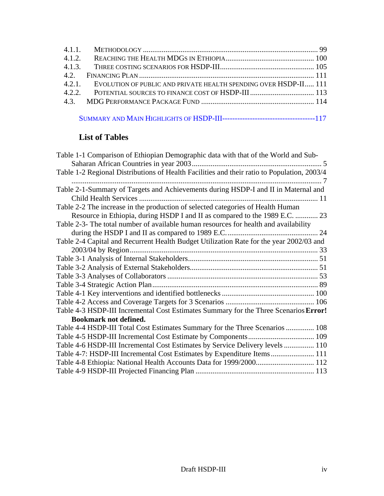| 4.2.1. EVOLUTION OF PUBLIC AND PRIVATE HEALTH SPENDING OVER HSDP-II 111 |  |
|-------------------------------------------------------------------------|--|
|                                                                         |  |
|                                                                         |  |
|                                                                         |  |

|--|--|--|--|--|--|

## **List of Tables**

| Table 1-1 Comparison of Ethiopian Demographic data with that of the World and Sub-          |
|---------------------------------------------------------------------------------------------|
|                                                                                             |
| Table 1-2 Regional Distributions of Health Facilities and their ratio to Population, 2003/4 |
|                                                                                             |
| Table 2-1-Summary of Targets and Achievements during HSDP-I and II in Maternal and          |
|                                                                                             |
| Table 2-2 The increase in the production of selected categories of Health Human             |
| Resource in Ethiopia, during HSDP I and II as compared to the 1989 E.C.  23                 |
| Table 2-3- The total number of available human resources for health and availability        |
|                                                                                             |
| Table 2-4 Capital and Recurrent Health Budget Utilization Rate for the year 2002/03 and     |
|                                                                                             |
|                                                                                             |
|                                                                                             |
|                                                                                             |
|                                                                                             |
|                                                                                             |
|                                                                                             |
| Table 4-3 HSDP-III Incremental Cost Estimates Summary for the Three Scenarios Error!        |
| <b>Bookmark not defined.</b>                                                                |
| Table 4-4 HSDP-III Total Cost Estimates Summary for the Three Scenarios  108                |
|                                                                                             |
| Table 4-6 HSDP-III Incremental Cost Estimates by Service Delivery levels  110               |
| Table 4-7: HSDP-III Incremental Cost Estimates by Expenditure Items 111                     |
| Table 4-8 Ethiopia: National Health Accounts Data for 1999/2000 112                         |
|                                                                                             |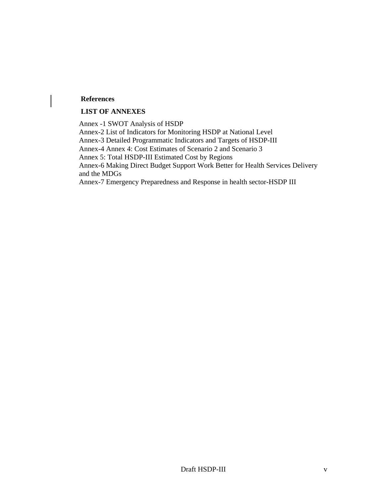#### **References**

#### **LIST OF ANNEXES**

Annex -1 SWOT Analysis of HSDP Annex-2 List of Indicators for Monitoring HSDP at National Level Annex-3 Detailed Programmatic Indicators and Targets of HSDP-III Annex-4 Annex 4: Cost Estimates of Scenario 2 and Scenario 3 Annex 5: Total HSDP-III Estimated Cost by Regions Annex-6 Making Direct Budget Support Work Better for Health Services Delivery and the MDGs Annex-7 Emergency Preparedness and Response in health sector-HSDP III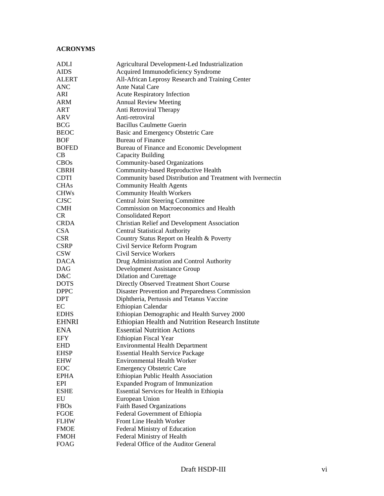#### **ACRONYMS**

| <b>ADLI</b>  | Agricultural Development-Led Industrialization             |
|--------------|------------------------------------------------------------|
| AIDS         | Acquired Immunodeficiency Syndrome                         |
| ALERT        | All-African Leprosy Research and Training Center           |
| ANC          | <b>Ante Natal Care</b>                                     |
| ARI          | <b>Acute Respiratory Infection</b>                         |
| ARM          | <b>Annual Review Meeting</b>                               |
| ART          | Anti Retroviral Therapy                                    |
| ARV          | Anti-retroviral                                            |
| <b>BCG</b>   | <b>Bacillus Caulmette Guerin</b>                           |
| <b>BEOC</b>  | Basic and Emergency Obstetric Care                         |
| <b>BOF</b>   | <b>Bureau of Finance</b>                                   |
| <b>BOFED</b> | Bureau of Finance and Economic Development                 |
| CB           | Capacity Building                                          |
| <b>CBOs</b>  | Community-based Organizations                              |
| <b>CBRH</b>  | Community-based Reproductive Health                        |
| <b>CDTI</b>  | Community based Distribution and Treatment with Ivermectin |
| <b>CHAs</b>  | <b>Community Health Agents</b>                             |
| <b>CHWs</b>  | <b>Community Health Workers</b>                            |
| <b>CJSC</b>  | <b>Central Joint Steering Committee</b>                    |
| <b>CMH</b>   | Commission on Macroeconomics and Health                    |
| <b>CR</b>    | <b>Consolidated Report</b>                                 |
| <b>CRDA</b>  | <b>Christian Relief and Development Association</b>        |
| <b>CSA</b>   | <b>Central Statistical Authority</b>                       |
| <b>CSR</b>   | Country Status Report on Health & Poverty                  |
| <b>CSRP</b>  | Civil Service Reform Program                               |
| <b>CSW</b>   | Civil Service Workers                                      |
| <b>DACA</b>  | Drug Administration and Control Authority                  |
| <b>DAG</b>   | <b>Development Assistance Group</b>                        |
| D&C          | <b>Dilation and Curettage</b>                              |
| <b>DOTS</b>  | Directly Observed Treatment Short Course                   |
| <b>DPPC</b>  | Disaster Prevention and Preparedness Commission            |
| <b>DPT</b>   | Diphtheria, Pertussis and Tetanus Vaccine                  |
| EC           | Ethiopian Calendar                                         |
| <b>EDHS</b>  | Ethiopian Demographic and Health Survey 2000               |
| <b>EHNRI</b> | Ethiopian Health and Nutrition Research Institute          |
| <b>ENA</b>   | <b>Essential Nutrition Actions</b>                         |
| <b>EFY</b>   | Ethiopian Fiscal Year                                      |
| <b>EHD</b>   | <b>Environmental Health Department</b>                     |
| <b>EHSP</b>  | <b>Essential Health Service Package</b>                    |
| <b>EHW</b>   | <b>Environmental Health Worker</b>                         |
| EOC          | <b>Emergency Obstetric Care</b>                            |
| <b>EPHA</b>  | Ethiopian Public Health Association                        |
| EPI          | <b>Expanded Program of Immunization</b>                    |
| <b>ESHE</b>  | Essential Services for Health in Ethiopia                  |
| EU           | European Union                                             |
| <b>FBOs</b>  | <b>Faith Based Organizations</b>                           |
| <b>FGOE</b>  | Federal Government of Ethiopia                             |
| <b>FLHW</b>  | Front Line Health Worker                                   |
| <b>FMOE</b>  | Federal Ministry of Education                              |
| <b>FMOH</b>  | Federal Ministry of Health                                 |
| <b>FOAG</b>  | Federal Office of the Auditor General                      |
|              |                                                            |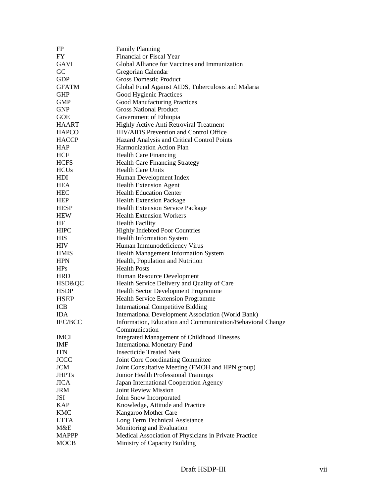| FP             | <b>Family Planning</b>                                     |
|----------------|------------------------------------------------------------|
| FY             | Financial or Fiscal Year                                   |
| <b>GAVI</b>    | Global Alliance for Vaccines and Immunization              |
| GC             | Gregorian Calendar                                         |
| <b>GDP</b>     | <b>Gross Domestic Product</b>                              |
| <b>GFATM</b>   | Global Fund Against AIDS, Tuberculosis and Malaria         |
| <b>GHP</b>     | Good Hygienic Practices                                    |
| <b>GMP</b>     | <b>Good Manufacturing Practices</b>                        |
| <b>GNP</b>     | <b>Gross National Product</b>                              |
| <b>GOE</b>     | Government of Ethiopia                                     |
| HAART          | Highly Active Anti Retroviral Treatment                    |
| <b>HAPCO</b>   | HIV/AIDS Prevention and Control Office                     |
| <b>HACCP</b>   | Hazard Analysis and Critical Control Points                |
| <b>HAP</b>     | Harmonization Action Plan                                  |
| HCF            | <b>Health Care Financing</b>                               |
| <b>HCFS</b>    | <b>Health Care Financing Strategy</b>                      |
| <b>HCUs</b>    | <b>Health Care Units</b>                                   |
|                |                                                            |
| HDI            | Human Development Index                                    |
| <b>HEA</b>     | <b>Health Extension Agent</b>                              |
| <b>HEC</b>     | <b>Health Education Center</b>                             |
| <b>HEP</b>     | Health Extension Package                                   |
| <b>HESP</b>    | <b>Health Extension Service Package</b>                    |
| <b>HEW</b>     | <b>Health Extension Workers</b>                            |
| HF             | <b>Health Facility</b>                                     |
| <b>HIPC</b>    | <b>Highly Indebted Poor Countries</b>                      |
| HIS            | <b>Health Information System</b>                           |
| HIV            | Human Immunodeficiency Virus                               |
| <b>HMIS</b>    | Health Management Information System                       |
| <b>HPN</b>     | Health, Population and Nutrition                           |
| HPs            | <b>Health Posts</b>                                        |
| <b>HRD</b>     | Human Resource Development                                 |
| HSD&QC         | Health Service Delivery and Quality of Care                |
| <b>HSDP</b>    | Health Sector Development Programme                        |
| <b>HSEP</b>    | Health Service Extension Programme                         |
| <b>ICB</b>     | <b>International Competitive Bidding</b>                   |
| <b>IDA</b>     | <b>International Development Association (World Bank)</b>  |
| <b>IEC/BCC</b> | Information, Education and Communication/Behavioral Change |
|                | Communication                                              |
| <b>IMCI</b>    | <b>Integrated Management of Childhood Illnesses</b>        |
| IMF            | <b>International Monetary Fund</b>                         |
| <b>ITN</b>     | <b>Insecticide Treated Nets</b>                            |
| <b>JCCC</b>    | Joint Core Coordinating Committee                          |
| <b>JCM</b>     | Joint Consultative Meeting (FMOH and HPN group)            |
| <b>JHPTs</b>   | Junior Health Professional Trainings                       |
| <b>JICA</b>    | Japan International Cooperation Agency                     |
| <b>JRM</b>     | <b>Joint Review Mission</b>                                |
| <b>JSI</b>     | John Snow Incorporated                                     |
| <b>KAP</b>     | Knowledge, Attitude and Practice                           |
| <b>KMC</b>     | Kangaroo Mother Care                                       |
| <b>LTTA</b>    | Long Term Technical Assistance                             |
| M&E            | Monitoring and Evaluation                                  |
| <b>MAPPP</b>   | Medical Association of Physicians in Private Practice      |
| <b>MOCB</b>    | Ministry of Capacity Building                              |
|                |                                                            |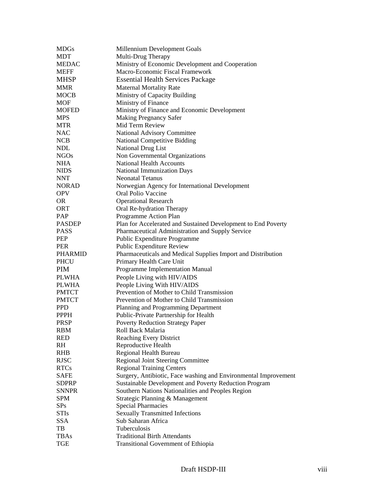| <b>MDGs</b>    | Millennium Development Goals                                    |
|----------------|-----------------------------------------------------------------|
| <b>MDT</b>     | Multi-Drug Therapy                                              |
| <b>MEDAC</b>   | Ministry of Economic Development and Cooperation                |
| <b>MEFF</b>    | Macro-Economic Fiscal Framework                                 |
| <b>MHSP</b>    | <b>Essential Health Services Package</b>                        |
| <b>MMR</b>     | <b>Maternal Mortality Rate</b>                                  |
| <b>MOCB</b>    | Ministry of Capacity Building                                   |
| MOF            | Ministry of Finance                                             |
| <b>MOFED</b>   | Ministry of Finance and Economic Development                    |
| <b>MPS</b>     | <b>Making Pregnancy Safer</b>                                   |
| <b>MTR</b>     | Mid Term Review                                                 |
| <b>NAC</b>     | National Advisory Committee                                     |
| <b>NCB</b>     | <b>National Competitive Bidding</b>                             |
| <b>NDL</b>     | National Drug List                                              |
| <b>NGOs</b>    | Non Governmental Organizations                                  |
|                | <b>National Health Accounts</b>                                 |
| <b>NHA</b>     |                                                                 |
| <b>NIDS</b>    | National Immunization Days                                      |
| <b>NNT</b>     | <b>Neonatal Tetanus</b>                                         |
| <b>NORAD</b>   | Norwegian Agency for International Development                  |
| <b>OPV</b>     | Oral Polio Vaccine                                              |
| OR.            | <b>Operational Research</b>                                     |
| ORT            | Oral Re-hydration Therapy                                       |
| PAP            | Programme Action Plan                                           |
| <b>PASDEP</b>  | Plan for Accelerated and Sustained Development to End Poverty   |
| <b>PASS</b>    | Pharmaceutical Administration and Supply Service                |
| PEP            | Public Expenditure Programme                                    |
| <b>PER</b>     | Public Expenditure Review                                       |
| <b>PHARMID</b> | Pharmaceuticals and Medical Supplies Import and Distribution    |
| <b>PHCU</b>    | Primary Health Care Unit                                        |
| <b>PIM</b>     | Programme Implementation Manual                                 |
| <b>PLWHA</b>   | People Living with HIV/AIDS                                     |
| <b>PLWHA</b>   | People Living With HIV/AIDS                                     |
| <b>PMTCT</b>   | Prevention of Mother to Child Transmission                      |
| <b>PMTCT</b>   | Prevention of Mother to Child Transmission                      |
| <b>PPD</b>     | Planning and Programming Department                             |
| <b>PPPH</b>    | Public-Private Partnership for Health                           |
| <b>PRSP</b>    | <b>Poverty Reduction Strategy Paper</b>                         |
| <b>RBM</b>     | Roll Back Malaria                                               |
| <b>RED</b>     | <b>Reaching Every District</b>                                  |
| RH             | Reproductive Health                                             |
| <b>RHB</b>     | Regional Health Bureau                                          |
| <b>RJSC</b>    | <b>Regional Joint Steering Committee</b>                        |
| <b>RTCs</b>    | <b>Regional Training Centers</b>                                |
| <b>SAFE</b>    | Surgery, Antibiotic, Face washing and Environmental Improvement |
| <b>SDPRP</b>   | Sustainable Development and Poverty Reduction Program           |
| <b>SNNPR</b>   | Southern Nations Nationalities and Peoples Region               |
| <b>SPM</b>     | Strategic Planning & Management                                 |
| SPs            |                                                                 |
|                | <b>Special Pharmacies</b>                                       |
| <b>STIs</b>    | <b>Sexually Transmitted Infections</b><br>Sub Saharan Africa    |
| <b>SSA</b>     |                                                                 |
| TB             | Tuberculosis                                                    |
| <b>TBAs</b>    | <b>Traditional Birth Attendants</b>                             |
| <b>TGE</b>     | <b>Transitional Government of Ethiopia</b>                      |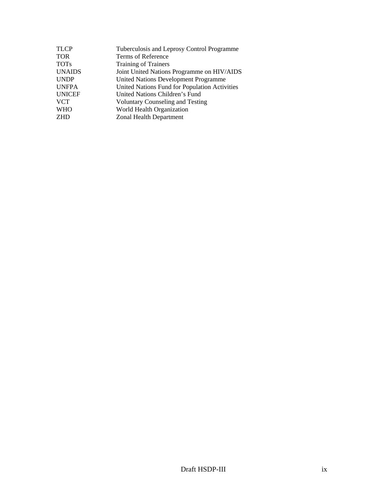| <b>TLCP</b>   | Tuberculosis and Leprosy Control Programme    |
|---------------|-----------------------------------------------|
| TOR           | Terms of Reference                            |
| <b>TOTs</b>   | <b>Training of Trainers</b>                   |
| <b>UNAIDS</b> | Joint United Nations Programme on HIV/AIDS    |
| <b>UNDP</b>   | <b>United Nations Development Programme</b>   |
| <b>UNFPA</b>  | United Nations Fund for Population Activities |
| <b>UNICEF</b> | United Nations Children's Fund                |
| <b>VCT</b>    | <b>Voluntary Counseling and Testing</b>       |
| <b>WHO</b>    | World Health Organization                     |
| ZHD           | Zonal Health Department                       |
|               |                                               |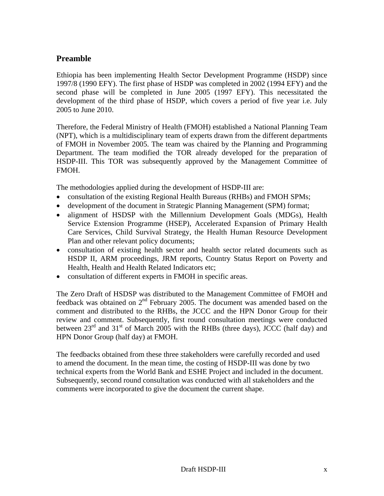## **Preamble**

Ethiopia has been implementing Health Sector Development Programme (HSDP) since 1997/8 (1990 EFY). The first phase of HSDP was completed in 2002 (1994 EFY) and the second phase will be completed in June 2005 (1997 EFY). This necessitated the development of the third phase of HSDP, which covers a period of five year i.e. July 2005 to June 2010.

Therefore, the Federal Ministry of Health (FMOH) established a National Planning Team (NPT), which is a multidisciplinary team of experts drawn from the different departments of FMOH in November 2005. The team was chaired by the Planning and Programming Department. The team modified the TOR already developed for the preparation of HSDP-III. This TOR was subsequently approved by the Management Committee of FMOH.

The methodologies applied during the development of HSDP-III are:

- consultation of the existing Regional Health Bureaus (RHBs) and FMOH SPMs;
- development of the document in Strategic Planning Management (SPM) format;
- alignment of HSDSP with the Millennium Development Goals (MDGs), Health Service Extension Programme (HSEP), Accelerated Expansion of Primary Health Care Services, Child Survival Strategy, the Health Human Resource Development Plan and other relevant policy documents;
- consultation of existing health sector and health sector related documents such as HSDP II, ARM proceedings, JRM reports, Country Status Report on Poverty and Health, Health and Health Related Indicators etc;
- consultation of different experts in FMOH in specific areas.

The Zero Draft of HSDSP was distributed to the Management Committee of FMOH and feedback was obtained on  $2<sup>nd</sup>$  February 2005. The document was amended based on the comment and distributed to the RHBs, the JCCC and the HPN Donor Group for their review and comment. Subsequently, first round consultation meetings were conducted between  $23^{rd}$  and  $31^{st}$  of March 2005 with the RHBs (three days), JCCC (half day) and HPN Donor Group (half day) at FMOH.

The feedbacks obtained from these three stakeholders were carefully recorded and used to amend the document. In the mean time, the costing of HSDP-III was done by two technical experts from the World Bank and ESHE Project and included in the document. Subsequently, second round consultation was conducted with all stakeholders and the comments were incorporated to give the document the current shape.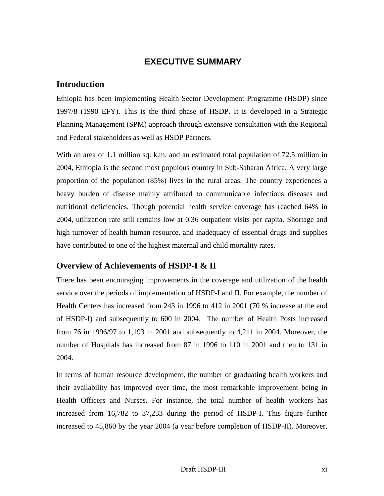## **EXECUTIVE SUMMARY**

#### <span id="page-10-0"></span>**Introduction**

Ethiopia has been implementing Health Sector Development Programme (HSDP) since 1997/8 (1990 EFY). This is the third phase of HSDP. It is developed in a Strategic Planning Management (SPM) approach through extensive consultation with the Regional and Federal stakeholders as well as HSDP Partners.

With an area of 1.1 million sq. k.m. and an estimated total population of 72.5 million in 2004, Ethiopia is the second most populous country in Sub-Saharan Africa. A very large proportion of the population (85%) lives in the rural areas. The country experiences a heavy burden of disease mainly attributed to communicable infectious diseases and nutritional deficiencies. Though potential health service coverage has reached 64% in 2004, utilization rate still remains low at 0.36 outpatient visits per capita. Shortage and high turnover of health human resource, and inadequacy of essential drugs and supplies have contributed to one of the highest maternal and child mortality rates.

#### **Overview of Achievements of HSDP-I & II**

There has been encouraging improvements in the coverage and utilization of the health service over the periods of implementation of HSDP-I and II. For example, the number of Health Centers has increased from 243 in 1996 to 412 in 2001 (70 % increase at the end of HSDP-I) and subsequently to 600 in 2004. The number of Health Posts increased from 76 in 1996/97 to 1,193 in 2001 and subsequently to 4,211 in 2004. Moreover, the number of Hospitals has increased from 87 in 1996 to 110 in 2001 and then to 131 in 2004.

In terms of human resource development, the number of graduating health workers and their availability has improved over time, the most remarkable improvement being in Health Officers and Nurses. For instance, the total number of health workers has increased from 16,782 to 37,233 during the period of HSDP-I. This figure further increased to 45,860 by the year 2004 (a year before completion of HSDP-II). Moreover,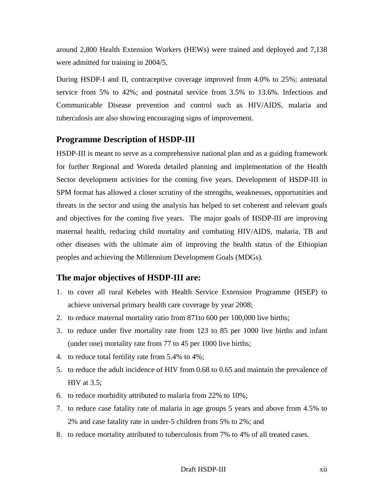around 2,800 Health Extension Workers (HEWs) were trained and deployed and 7,138 were admitted for training in 2004/5.

During HSDP-I and II, contraceptive coverage improved from 4.0% to 25%; antenatal service from 5% to 42%; and postnatal service from 3.5% to 13.6%. Infectious and Communicable Disease prevention and control such as HIV/AIDS, malaria and tuberculosis are also showing encouraging signs of improvement.

#### **Programme Description of HSDP-III**

HSDP-III is meant to serve as a comprehensive national plan and as a guiding framework for further Regional and Woreda detailed planning and implementation of the Health Sector development activities for the coming five years. Development of HSDP-III in SPM format has allowed a closer scrutiny of the strengths, weaknesses, opportunities and threats in the sector and using the analysis has helped to set coherent and relevant goals and objectives for the coming five years. The major goals of HSDP-III are improving maternal health, reducing child mortality and combating HIV/AIDS, malaria, TB and other diseases with the ultimate aim of improving the health status of the Ethiopian peoples and achieving the Millennium Development Goals (MDGs).

#### **The major objectives of HSDP-III are:**

- 1. to cover all rural Kebeles with Health Service Extension Programme (HSEP) to achieve universal primary health care coverage by year 2008;
- 2. to reduce maternal mortality ratio from 871to 600 per 100,000 live births;
- 3. to reduce under five mortality rate from 123 to 85 per 1000 live births and infant (under one) mortality rate from 77 to 45 per 1000 live births;
- 4. to reduce total fertility rate from 5.4% to 4%;
- 5. to reduce the adult incidence of HIV from 0.68 to 0.65 and maintain the prevalence of HIV at 3.5;
- 6. to reduce morbidity attributed to malaria from 22% to 10%;
- 7. to reduce case fatality rate of malaria in age groups 5 years and above from 4.5% to 2% and case fatality rate in under-5 children from 5% to 2%; and
- 8. to reduce mortality attributed to tuberculosis from 7% to 4% of all treated cases.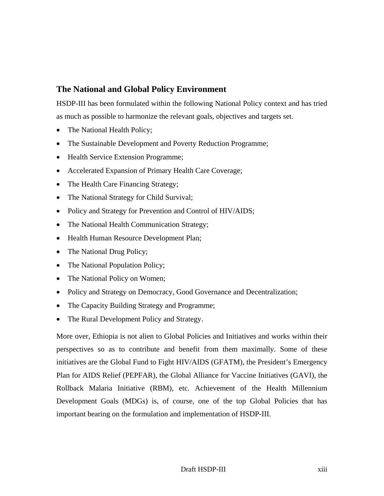## **The National and Global Policy Environment**

HSDP-III has been formulated within the following National Policy context and has tried as much as possible to harmonize the relevant goals, objectives and targets set.

- The National Health Policy;
- The Sustainable Development and Poverty Reduction Programme;
- Health Service Extension Programme;
- Accelerated Expansion of Primary Health Care Coverage;
- The Health Care Financing Strategy;
- The National Strategy for Child Survival;
- Policy and Strategy for Prevention and Control of HIV/AIDS;
- The National Health Communication Strategy;
- Health Human Resource Development Plan;
- The National Drug Policy;
- The National Population Policy;
- The National Policy on Women;
- Policy and Strategy on Democracy, Good Governance and Decentralization;
- The Capacity Building Strategy and Programme;
- The Rural Development Policy and Strategy.

More over, Ethiopia is not alien to Global Policies and Initiatives and works within their perspectives so as to contribute and benefit from them maximally. Some of these initiatives are the Global Fund to Fight HIV/AIDS (GFATM), the President's Emergency Plan for AIDS Relief (PEPFAR), the Global Alliance for Vaccine Initiatives (GAVI), the Rollback Malaria Initiative (RBM), etc. Achievement of the Health Millennium Development Goals (MDGs) is, of course, one of the top Global Policies that has important bearing on the formulation and implementation of HSDP-III.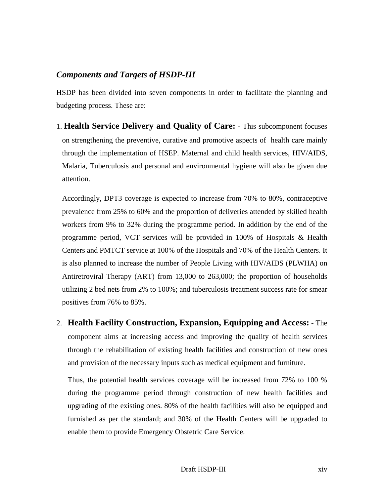## <span id="page-13-0"></span>*Components and Targets of HSDP-III*

HSDP has been divided into seven components in order to facilitate the planning and budgeting process. These are:

1. **Health Service Delivery and Quality of Care: -** This subcomponent focuses on strengthening the preventive, curative and promotive aspects of health care mainly through the implementation of HSEP. Maternal and child health services, HIV/AIDS, Malaria, Tuberculosis and personal and environmental hygiene will also be given due attention.

Accordingly, DPT3 coverage is expected to increase from 70% to 80%, contraceptive prevalence from 25% to 60% and the proportion of deliveries attended by skilled health workers from 9% to 32% during the programme period. In addition by the end of the programme period, VCT services will be provided in 100% of Hospitals & Health Centers and PMTCT service at 100% of the Hospitals and 70% of the Health Centers. It is also planned to increase the number of People Living with HIV/AIDS (PLWHA) on Antiretroviral Therapy (ART) from 13,000 to 263,000; the proportion of households utilizing 2 bed nets from 2% to 100%; and tuberculosis treatment success rate for smear positives from 76% to 85%.

2. **Health Facility Construction, Expansion, Equipping and Access:** - The component aims at increasing access and improving the quality of health services through the rehabilitation of existing health facilities and construction of new ones and provision of the necessary inputs such as medical equipment and furniture.

Thus, the potential health services coverage will be increased from 72% to 100 % during the programme period through construction of new health facilities and upgrading of the existing ones. 80% of the health facilities will also be equipped and furnished as per the standard; and 30% of the Health Centers will be upgraded to enable them to provide Emergency Obstetric Care Service.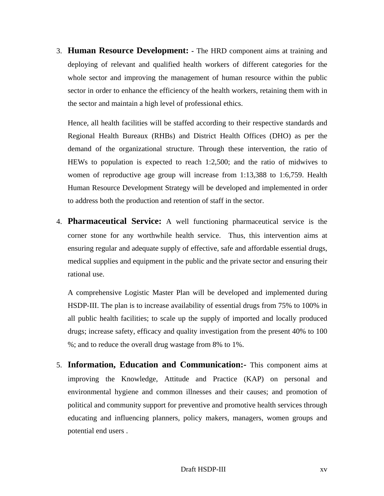3. **Human Resource Development: -** The HRD component aims at training and deploying of relevant and qualified health workers of different categories for the whole sector and improving the management of human resource within the public sector in order to enhance the efficiency of the health workers, retaining them with in the sector and maintain a high level of professional ethics.

Hence, all health facilities will be staffed according to their respective standards and Regional Health Bureaux (RHBs) and District Health Offices (DHO) as per the demand of the organizational structure. Through these intervention, the ratio of HEWs to population is expected to reach 1:2,500; and the ratio of midwives to women of reproductive age group will increase from 1:13,388 to 1:6,759. Health Human Resource Development Strategy will be developed and implemented in order to address both the production and retention of staff in the sector.

4. **Pharmaceutical Service:** A well functioning pharmaceutical service is the corner stone for any worthwhile health service. Thus, this intervention aims at ensuring regular and adequate supply of effective, safe and affordable essential drugs, medical supplies and equipment in the public and the private sector and ensuring their rational use.

A comprehensive Logistic Master Plan will be developed and implemented during HSDP-III. The plan is to increase availability of essential drugs from 75% to 100% in all public health facilities; to scale up the supply of imported and locally produced drugs; increase safety, efficacy and quality investigation from the present 40% to 100 %; and to reduce the overall drug wastage from 8% to 1%.

5. **Information, Education and Communication:-** This component aims at improving the Knowledge, Attitude and Practice (KAP) on personal and environmental hygiene and common illnesses and their causes; and promotion of political and community support for preventive and promotive health services through educating and influencing planners, policy makers, managers, women groups and potential end users .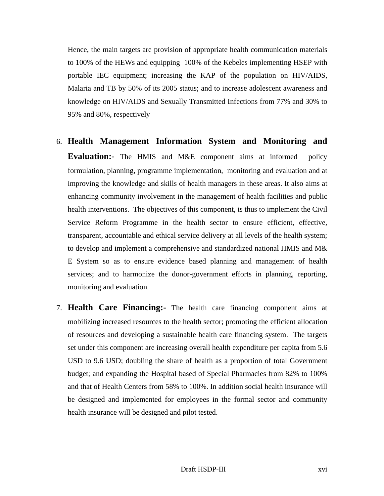Hence, the main targets are provision of appropriate health communication materials to 100% of the HEWs and equipping 100% of the Kebeles implementing HSEP with portable IEC equipment; increasing the KAP of the population on HIV/AIDS, Malaria and TB by 50% of its 2005 status; and to increase adolescent awareness and knowledge on HIV/AIDS and Sexually Transmitted Infections from 77% and 30% to 95% and 80%, respectively

- 6. **Health Management Information System and Monitoring and Evaluation:-** The HMIS and M&E component aims at informed policy formulation, planning, programme implementation, monitoring and evaluation and at improving the knowledge and skills of health managers in these areas. It also aims at enhancing community involvement in the management of health facilities and public health interventions. The objectives of this component, is thus to implement the Civil Service Reform Programme in the health sector to ensure efficient, effective, transparent, accountable and ethical service delivery at all levels of the health system; to develop and implement a comprehensive and standardized national HMIS and M& E System so as to ensure evidence based planning and management of health services; and to harmonize the donor-government efforts in planning, reporting, monitoring and evaluation.
- 7. **Health Care Financing:-** The health care financing component aims at mobilizing increased resources to the health sector; promoting the efficient allocation of resources and developing a sustainable health care financing system. The targets set under this component are increasing overall health expenditure per capita from 5.6 USD to 9.6 USD; doubling the share of health as a proportion of total Government budget; and expanding the Hospital based of Special Pharmacies from 82% to 100% and that of Health Centers from 58% to 100%. In addition social health insurance will be designed and implemented for employees in the formal sector and community health insurance will be designed and pilot tested.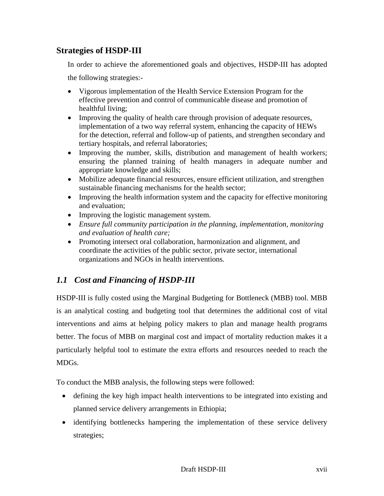## <span id="page-16-0"></span>**Strategies of HSDP-III**

 In order to achieve the aforementioned goals and objectives, HSDP-III has adopted the following strategies:-

- Vigorous implementation of the Health Service Extension Program for the effective prevention and control of communicable disease and promotion of healthful living;
- Improving the quality of health care through provision of adequate resources, implementation of a two way referral system, enhancing the capacity of HEWs for the detection, referral and follow-up of patients, and strengthen secondary and tertiary hospitals, and referral laboratories;
- Improving the number, skills, distribution and management of health workers; ensuring the planned training of health managers in adequate number and appropriate knowledge and skills;
- Mobilize adequate financial resources, ensure efficient utilization, and strengthen sustainable financing mechanisms for the health sector;
- Improving the health information system and the capacity for effective monitoring and evaluation;
- Improving the logistic management system.
- *Ensure full community participation in the planning, implementation, monitoring and evaluation of health care;*
- Promoting intersect oral collaboration, harmonization and alignment, and coordinate the activities of the public sector, private sector, international organizations and NGOs in health interventions.

## *1.1 Cost and Financing of HSDP-III*

HSDP-III is fully costed using the Marginal Budgeting for Bottleneck (MBB) tool. MBB is an analytical costing and budgeting tool that determines the additional cost of vital interventions and aims at helping policy makers to plan and manage health programs better. The focus of MBB on marginal cost and impact of mortality reduction makes it a particularly helpful tool to estimate the extra efforts and resources needed to reach the MDGs.

To conduct the MBB analysis, the following steps were followed:

- defining the key high impact health interventions to be integrated into existing and planned service delivery arrangements in Ethiopia;
- identifying bottlenecks hampering the implementation of these service delivery strategies;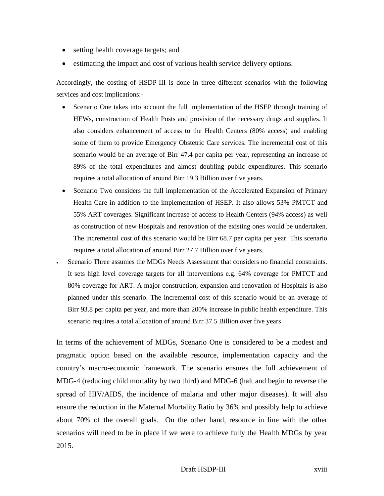- setting health coverage targets; and
- estimating the impact and cost of various health service delivery options.

Accordingly, the costing of HSDP-III is done in three different scenarios with the following services and cost implications:-

- Scenario One takes into account the full implementation of the HSEP through training of HEWs, construction of Health Posts and provision of the necessary drugs and supplies. It also considers enhancement of access to the Health Centers (80% access) and enabling some of them to provide Emergency Obstetric Care services. The incremental cost of this scenario would be an average of Birr 47.4 per capita per year, representing an increase of 89% of the total expenditures and almost doubling public expenditures. This scenario requires a total allocation of around Birr 19.3 Billion over five years.
- Scenario Two considers the full implementation of the Accelerated Expansion of Primary Health Care in addition to the implementation of HSEP. It also allows 53% PMTCT and 55% ART coverages. Significant increase of access to Health Centers (94% access) as well as construction of new Hospitals and renovation of the existing ones would be undertaken. The incremental cost of this scenario would be Birr 68.7 per capita per year. This scenario requires a total allocation of around Birr 27.7 Billion over five years.
- Scenario Three assumes the MDGs Needs Assessment that considers no financial constraints. It sets high level coverage targets for all interventions e.g. 64% coverage for PMTCT and 80% coverage for ART. A major construction, expansion and renovation of Hospitals is also planned under this scenario. The incremental cost of this scenario would be an average of Birr 93.8 per capita per year, and more than 200% increase in public health expenditure. This scenario requires a total allocation of around Birr 37.5 Billion over five years

In terms of the achievement of MDGs, Scenario One is considered to be a modest and pragmatic option based on the available resource, implementation capacity and the country's macro-economic framework. The scenario ensures the full achievement of MDG-4 (reducing child mortality by two third) and MDG-6 (halt and begin to reverse the spread of HIV/AIDS, the incidence of malaria and other major diseases). It will also ensure the reduction in the Maternal Mortality Ratio by 36% and possibly help to achieve about 70% of the overall goals. On the other hand, resource in line with the other scenarios will need to be in place if we were to achieve fully the Health MDGs by year 2015.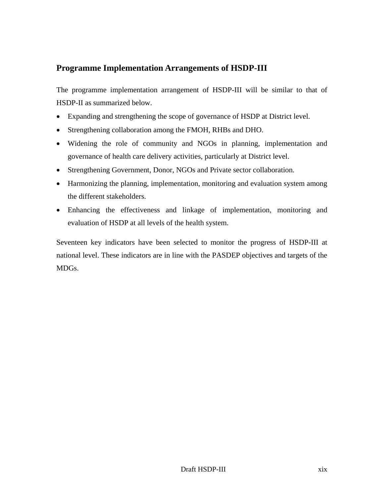## <span id="page-18-0"></span>**Programme Implementation Arrangements of HSDP-III**

The programme implementation arrangement of HSDP-III will be similar to that of HSDP-II as summarized below.

- Expanding and strengthening the scope of governance of HSDP at District level.
- Strengthening collaboration among the FMOH, RHBs and DHO.
- Widening the role of community and NGOs in planning, implementation and governance of health care delivery activities, particularly at District level.
- Strengthening Government, Donor, NGOs and Private sector collaboration.
- Harmonizing the planning, implementation, monitoring and evaluation system among the different stakeholders.
- Enhancing the effectiveness and linkage of implementation, monitoring and evaluation of HSDP at all levels of the health system.

Seventeen key indicators have been selected to monitor the progress of HSDP-III at national level. These indicators are in line with the PASDEP objectives and targets of the MDGs.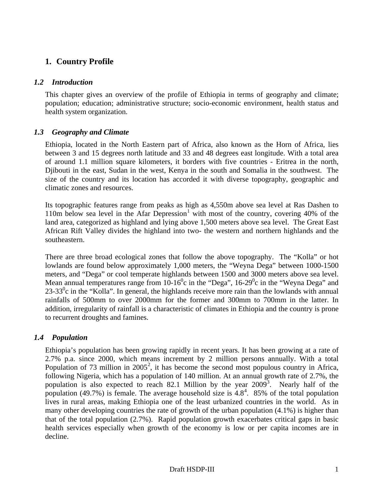## <span id="page-19-0"></span>**1. Country Profile**

#### *1.2 Introduction*

This chapter gives an overview of the profile of Ethiopia in terms of geography and climate; population; education; administrative structure; socio-economic environment, health status and health system organization.

### *1.3 Geography and Climate*

Ethiopia, located in the North Eastern part of Africa, also known as the Horn of Africa, lies between 3 and 15 degrees north latitude and 33 and 48 degrees east longitude. With a total area of around 1.1 million square kilometers, it borders with five countries - Eritrea in the north, Djibouti in the east, Sudan in the west, Kenya in the south and Somalia in the southwest. The size of the country and its location has accorded it with diverse topography, geographic and climatic zones and resources.

Its topographic features range from peaks as high as 4,550m above sea level at Ras Dashen to 110m below sea level in the Afar Depression<sup>1</sup> with most of the country, covering 40% of the land area, categorized as highland and lying above 1,500 meters above sea level. The Great East African Rift Valley divides the highland into two- the western and northern highlands and the southeastern.

There are three broad ecological zones that follow the above topography. The "Kolla" or hot lowlands are found below approximately 1,000 meters, the "Weyna Dega" between 1000-1500 meters, and "Dega" or cool temperate highlands between 1500 and 3000 meters above sea level. Mean annual temperatures range from  $10-16^{\circ}$ c in the "Dega",  $16-29^{\circ}$ c in the "Weyna Dega" and  $23-33^\circ$ c in the "Kolla". In general, the highlands receive more rain than the lowlands with annual rainfalls of 500mm to over 2000mm for the former and 300mm to 700mm in the latter. In addition, irregularity of rainfall is a characteristic of climates in Ethiopia and the country is prone to recurrent droughts and famines.

### *1.4 Population*

Ethiopia's population has been growing rapidly in recent years. It has been growing at a rate of 2.7% p.a. since 2000, which means increment by 2 million persons annually. With a total Population of 73 million in  $2005^2$ , it has become the second most populous country in Africa, following Nigeria, which has a population of 140 million. At an annual growth rate of 2.7%, the population is also expected to reach 82.1 Million by the year  $2009^3$ . Nearly half of the population (49.7%) is female. The average household size is  $4.8<sup>4</sup>$ . 85% of the total population lives in rural areas, making Ethiopia one of the least urbanized countries in the world. As in many other developing countries the rate of growth of the urban population (4.1%) is higher than that of the total population (2.7%). Rapid population growth exacerbates critical gaps in basic health services especially when growth of the economy is low or per capita incomes are in decline.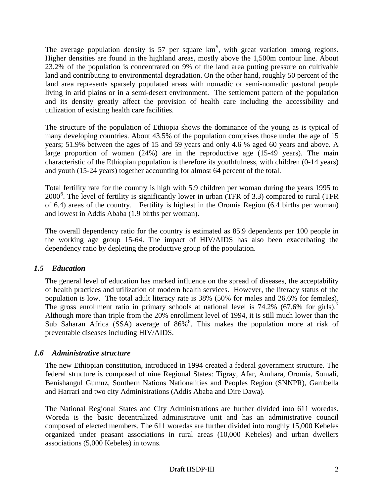<span id="page-20-0"></span>The average population density is 57 per square  $km<sup>5</sup>$ , with great variation among regions. Higher densities are found in the highland areas, mostly above the 1,500m contour line. About 23.2% of the population is concentrated on 9% of the land area putting pressure on cultivable land and contributing to environmental degradation. On the other hand, roughly 50 percent of the land area represents sparsely populated areas with nomadic or semi-nomadic pastoral people living in arid plains or in a semi-desert environment. The settlement pattern of the population and its density greatly affect the provision of health care including the accessibility and utilization of existing health care facilities.

The structure of the population of Ethiopia shows the dominance of the young as is typical of many developing countries. About 43.5% of the population comprises those under the age of 15 years; 51.9% between the ages of 15 and 59 years and only 4.6 % aged 60 years and above. A large proportion of women (24%) are in the reproductive age (15-49 years). The main characteristic of the Ethiopian population is therefore its youthfulness, with children (0-14 years) and youth (15-24 years) together accounting for almost 64 percent of the total.

Total fertility rate for the country is high with 5.9 children per woman during the years 1995 to 2000<sup>6</sup>. The level of fertility is significantly lower in urban (TFR of 3.3) compared to rural (TFR of 6.4) areas of the country. Fertility is highest in the Oromia Region (6.4 births per woman) and lowest in Addis Ababa (1.9 births per woman).

The overall dependency ratio for the country is estimated as 85.9 dependents per 100 people in the working age group 15-64. The impact of HIV/AIDS has also been exacerbating the dependency ratio by depleting the productive group of the population.

#### *1.5 Education*

The general level of education has marked influence on the spread of diseases, the acceptability of health practices and utilization of modern health services. However, the literacy status of the population is low. The total adult literacy rate is 38% (50% for males and 26.6% for females). The gross enrollment ratio in primary schools at national level is  $74.2\%$  (67.6% for girls).<sup>7</sup> Although more than triple from the 20% enrollment level of 1994, it is still much lower than the Sub Saharan Africa (SSA) average of 86%<sup>8</sup>. This makes the population more at risk of preventable diseases including HIV/AIDS.

#### *1.6 Administrative structure*

The new Ethiopian constitution, introduced in 1994 created a federal government structure. The federal structure is composed of nine Regional States: Tigray, Afar, Amhara, Oromia, Somali, Benishangul Gumuz, Southern Nations Nationalities and Peoples Region (SNNPR), Gambella and Harrari and two city Administrations (Addis Ababa and Dire Dawa).

The National Regional States and City Administrations are further divided into 611 woredas. Woreda is the basic decentralized administrative unit and has an administrative council composed of elected members. The 611 woredas are further divided into roughly 15,000 Kebeles organized under peasant associations in rural areas (10,000 Kebeles) and urban dwellers associations (5,000 Kebeles) in towns.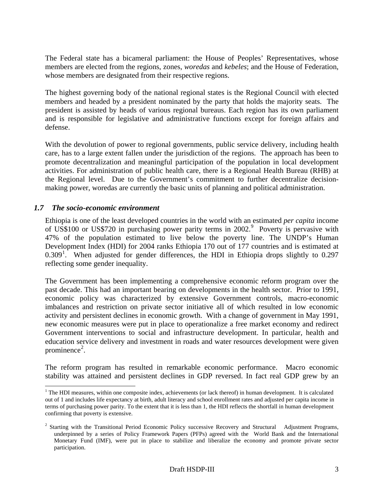<span id="page-21-0"></span>The Federal state has a bicameral parliament: the House of Peoples' Representatives, whose members are elected from the regions, zones, *woredas* and *kebeles*; and the House of Federation, whose members are designated from their respective regions.

The highest governing body of the national regional states is the Regional Council with elected members and headed by a president nominated by the party that holds the majority seats. The president is assisted by heads of various regional bureaus. Each region has its own parliament and is responsible for legislative and administrative functions except for foreign affairs and defense.

With the devolution of power to regional governments, public service delivery, including health care, has to a large extent fallen under the jurisdiction of the regions. The approach has been to promote decentralization and meaningful participation of the population in local development activities. For administration of public health care, there is a Regional Health Bureau (RHB) at the Regional level. Due to the Government's commitment to further decentralize decisionmaking power, woredas are currently the basic units of planning and political administration.

#### *1.7 The socio-economic environment*

 $\overline{\phantom{a}}$ 

Ethiopia is one of the least developed countries in the world with an estimated *per capita* income of US\$100 or US\$720 in purchasing power parity terms in 2002.<sup>9</sup> Poverty is pervasive with 47% of the population estimated to live below the poverty line. The UNDP's Human Development Index (HDI) for 2004 ranks Ethiopia 170 out of 177 countries and is estimated at  $0.309<sup>1</sup>$ . When adjusted for gender differences, the HDI in Ethiopia drops slightly to 0.297 reflecting some gender inequality.

The Government has been implementing a comprehensive economic reform program over the past decade. This had an important bearing on developments in the health sector. Prior to 1991, economic policy was characterized by extensive Government controls, macro-economic imbalances and restriction on private sector initiative all of which resulted in low economic activity and persistent declines in economic growth. With a change of government in May 1991, new economic measures were put in place to operationalize a free market economy and redirect Government interventions to social and infrastructure development. In particular, health and education service delivery and investment in roads and water resources development were given prominence<sup>2</sup>.

The reform program has resulted in remarkable economic performance. Macro economic stability was attained and persistent declines in GDP reversed. In fact real GDP grew by an

 $1$ <sup>1</sup> The HDI measures, within one composite index, achievements (or lack thereof) in human development. It is calculated out of 1 and includes life expectancy at birth, adult literacy and school enrollment rates and adjusted per capita income in terms of purchasing power parity. To the extent that it is less than 1, the HDI reflects the shortfall in human development confirming that poverty is extensive.

 $2$  Starting with the Transitional Period Economic Policy successive Recovery and Structural Adjustment Programs, underpinned by a series of Policy Framework Papers (PFPs) agreed with the World Bank and the International Monetary Fund (IMF), were put in place to stabilize and liberalize the economy and promote private sector participation.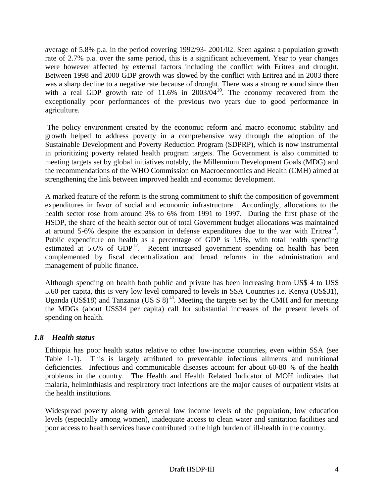<span id="page-22-0"></span>average of 5.8% p.a. in the period covering 1992/93- 2001/02. Seen against a population growth rate of 2.7% p.a. over the same period, this is a significant achievement. Year to year changes were however affected by external factors including the conflict with Eritrea and drought. Between 1998 and 2000 GDP growth was slowed by the conflict with Eritrea and in 2003 there was a sharp decline to a negative rate because of drought. There was a strong rebound since then with a real GDP growth rate of  $11.6\%$  in  $2003/04^{10}$ . The economy recovered from the exceptionally poor performances of the previous two years due to good performance in agriculture.

 The policy environment created by the economic reform and macro economic stability and growth helped to address poverty in a comprehensive way through the adoption of the Sustainable Development and Poverty Reduction Program (SDPRP), which is now instrumental in prioritizing poverty related health program targets. The Government is also committed to meeting targets set by global initiatives notably, the Millennium Development Goals (MDG) and the recommendations of the WHO Commission on Macroeconomics and Health (CMH) aimed at strengthening the link between improved health and economic development.

A marked feature of the reform is the strong commitment to shift the composition of government expenditures in favor of social and economic infrastructure. Accordingly, allocations to the health sector rose from around 3% to 6% from 1991 to 1997. During the first phase of the HSDP, the share of the health sector out of total Government budget allocations was maintained at around 5-6% despite the expansion in defense expenditures due to the war with Eritrea<sup>11</sup>. Public expenditure on health as a percentage of GDP is 1.9%, with total health spending estimated at  $5.6\%$  of  $GDP<sup>12</sup>$ . Recent increased government spending on health has been complemented by fiscal decentralization and broad reforms in the administration and management of public finance.

Although spending on health both public and private has been increasing from US\$ 4 to US\$ 5.60 per capita, this is very low level compared to levels in SSA Countries i.e. Kenya (US\$31), Uganda (US\$18) and Tanzania (US\$8)<sup>13</sup>. Meeting the targets set by the CMH and for meeting the MDGs (about US\$34 per capita) call for substantial increases of the present levels of spending on health.

### *1.8 Health status*

Ethiopia has poor health status relative to other low-income countries, even within SSA (see Table 1-1). This is largely attributed to preventable infectious ailments and nutritional deficiencies. Infectious and communicable diseases account for about 60-80 % of the health problems in the country. The Health and Health Related Indicator of MOH indicates that malaria, helminthiasis and respiratory tract infections are the major causes of outpatient visits at the health institutions.

Widespread poverty along with general low income levels of the population, low education levels (especially among women), inadequate access to clean water and sanitation facilities and poor access to health services have contributed to the high burden of ill-health in the country.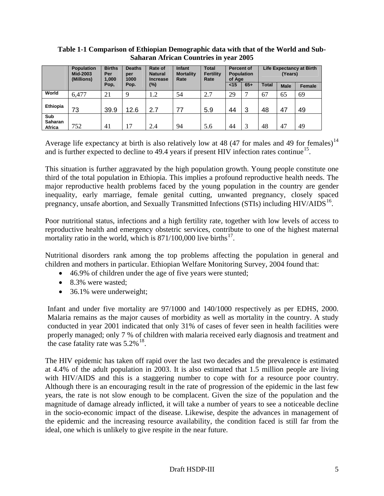|                                 | <b>Population</b><br>Mid-2003<br>(Millions) | <b>Births</b><br>Per<br>1,000 | <b>Deaths</b><br>per<br>1000 | Rate of<br><b>Natural</b><br><b>Increase</b> | <b>Infant</b><br><b>Mortality</b><br>Rate | <b>Total</b><br><b>Fertility</b><br>Rate | <b>Percent of</b><br>of Age | <b>Population</b> |              | (Years)     | <b>Life Expectancy at Birth</b> |
|---------------------------------|---------------------------------------------|-------------------------------|------------------------------|----------------------------------------------|-------------------------------------------|------------------------------------------|-----------------------------|-------------------|--------------|-------------|---------------------------------|
|                                 |                                             | Pop,                          | Pop.                         | $(\%)$                                       |                                           |                                          | < 15                        | $65+$             | <b>Total</b> | <b>Male</b> | Female                          |
| World                           | 6,477                                       | 21                            | $\mathbf Q$                  | 1.2                                          | 54                                        | 2.7                                      | 29                          | ⇁                 | 67           | 65          | 69                              |
| Ethiopia                        | 73                                          | 39.9                          | 12.6                         | 2.7                                          | 77                                        | 5.9                                      | 44                          | 3                 | 48           | 47          | 49                              |
| Sub<br><b>Saharan</b><br>Africa | 752                                         | 41                            | 17                           | 2.4                                          | 94                                        | 5.6                                      | 44                          | 3                 | 48           | 47          | 49                              |

**Table 1-1 Comparison of Ethiopian Demographic data with that of the World and Sub-Saharan African Countries in year 2005** 

Average life expectancy at birth is also relatively low at 48 (47 for males and 49 for females)<sup>14</sup> and is further expected to decline to 49.4 years if present HIV infection rates continue<sup>15</sup>.

This situation is further aggravated by the high population growth. Young people constitute one third of the total population in Ethiopia. This implies a profound reproductive health needs. The major reproductive health problems faced by the young population in the country are gender inequality, early marriage, female genital cutting, unwanted pregnancy, closely spaced pregnancy, unsafe abortion, and Sexually Transmitted Infections (STIs) including  $HIV/ALDS<sup>16</sup>$ .

Poor nutritional status, infections and a high fertility rate, together with low levels of access to reproductive health and emergency obstetric services, contribute to one of the highest maternal mortality ratio in the world, which is  $871/100,000$  live births<sup>17</sup>.

Nutritional disorders rank among the top problems affecting the population in general and children and mothers in particular. Ethiopian Welfare Monitoring Survey, 2004 found that:

- 46.9% of children under the age of five years were stunted;
- 8.3% were wasted;
- 36.1% were underweight;

Infant and under five mortality are 97/1000 and 140/1000 respectively as per EDHS, 2000. Malaria remains as the major causes of morbidity as well as mortality in the country. A study conducted in year 2001 indicated that only 31% of cases of fever seen in health facilities were properly managed; only 7 % of children with malaria received early diagnosis and treatment and the case fatality rate was  $5.2\%$ <sup>18</sup>.

The HIV epidemic has taken off rapid over the last two decades and the prevalence is estimated at 4.4% of the adult population in 2003. It is also estimated that 1.5 million people are living with HIV/AIDS and this is a staggering number to cope with for a resource poor country. Although there is an encouraging result in the rate of progression of the epidemic in the last few years, the rate is not slow enough to be complacent. Given the size of the population and the magnitude of damage already inflicted, it will take a number of years to see a noticeable decline in the socio-economic impact of the disease. Likewise, despite the advances in management of the epidemic and the increasing resource availability, the condition faced is still far from the ideal, one which is unlikely to give respite in the near future.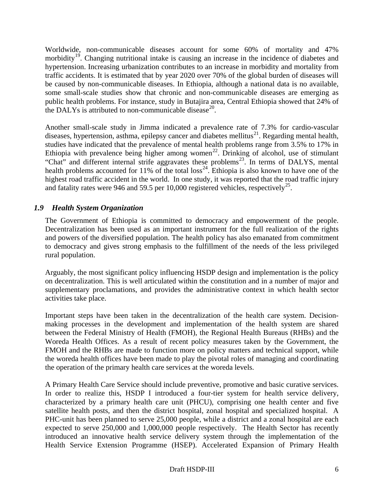<span id="page-24-0"></span>Worldwide, non-communicable diseases account for some 60% of mortality and 47% morbidity<sup>19</sup>. Changing nutritional intake is causing an increase in the incidence of diabetes and hypertension. Increasing urbanization contributes to an increase in morbidity and mortality from traffic accidents. It is estimated that by year 2020 over 70% of the global burden of diseases will be caused by non-communicable diseases. In Ethiopia, although a national data is no available, some small-scale studies show that chronic and non-communicable diseases are emerging as public health problems. For instance, study in Butajira area, Central Ethiopia showed that 24% of the DALYs is attributed to non-communicable disease<sup>20</sup>.

Another small-scale study in Jimma indicated a prevalence rate of 7.3% for cardio-vascular diseases, hypertension, asthma, epilepsy cancer and diabetes mellitus<sup>21</sup>. Regarding mental health, studies have indicated that the prevalence of mental health problems range from 3.5% to 17% in Ethiopia with prevalence being higher among women<sup>22</sup>. Drinking of alcohol, use of stimulant "Chat" and different internal strife aggravates these problems<sup>23</sup>. In terms of DALYS, mental health problems accounted for 11% of the total loss<sup>24</sup>. Ethiopia is also known to have one of the highest road traffic accident in the world. In one study, it was reported that the road traffic injury and fatality rates were 946 and 59.5 per 10,000 registered vehicles, respectively<sup>25</sup>.

### *1.9 Health System Organization*

The Government of Ethiopia is committed to democracy and empowerment of the people. Decentralization has been used as an important instrument for the full realization of the rights and powers of the diversified population. The health policy has also emanated from commitment to democracy and gives strong emphasis to the fulfillment of the needs of the less privileged rural population.

Arguably, the most significant policy influencing HSDP design and implementation is the policy on decentralization. This is well articulated within the constitution and in a number of major and supplementary proclamations, and provides the administrative context in which health sector activities take place.

Important steps have been taken in the decentralization of the health care system. Decisionmaking processes in the development and implementation of the health system are shared between the Federal Ministry of Health (FMOH), the Regional Health Bureaus (RHBs) and the Woreda Health Offices. As a result of recent policy measures taken by the Government, the FMOH and the RHBs are made to function more on policy matters and technical support, while the woreda health offices have been made to play the pivotal roles of managing and coordinating the operation of the primary health care services at the woreda levels.

A Primary Health Care Service should include preventive, promotive and basic curative services. In order to realize this, HSDP I introduced a four-tier system for health service delivery, characterized by a primary health care unit (PHCU), comprising one health center and five satellite health posts, and then the district hospital, zonal hospital and specialized hospital. A PHC-unit has been planned to serve 25,000 people, while a district and a zonal hospital are each expected to serve 250,000 and 1,000,000 people respectively. The Health Sector has recently introduced an innovative health service delivery system through the implementation of the Health Service Extension Programme (HSEP). Accelerated Expansion of Primary Health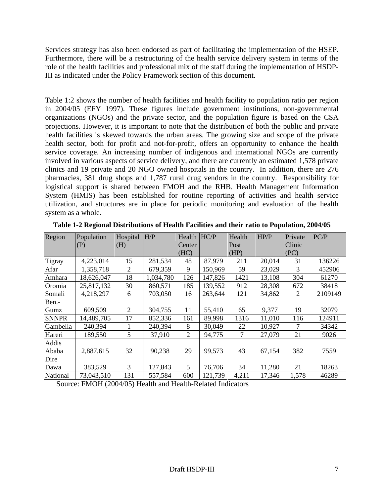Services strategy has also been endorsed as part of facilitating the implementation of the HSEP. Furthermore, there will be a restructuring of the health service delivery system in terms of the role of the health facilities and professional mix of the staff during the implementation of HSDP-III as indicated under the Policy Framework section of this document.

Table 1:2 shows the number of health facilities and health facility to population ratio per region in 2004/05 (EFY 1997). These figures include government institutions, non-governmental organizations (NGOs) and the private sector, and the population figure is based on the CSA projections. However, it is important to note that the distribution of both the public and private health facilities is skewed towards the urban areas. The growing size and scope of the private health sector, both for profit and not-for-profit, offers an opportunity to enhance the health service coverage. An increasing number of indigenous and international NGOs are currently involved in various aspects of service delivery, and there are currently an estimated 1,578 private clinics and 19 private and 20 NGO owned hospitals in the country. In addition, there are 276 pharmacies, 381 drug shops and 1,787 rural drug vendors in the country. Responsibility for logistical support is shared between FMOH and the RHB. Health Management Information System (HMIS) has been established for routine reporting of activities and health service utilization, and structures are in place for periodic monitoring and evaluation of the health system as a whole.

| Region       | Population | Hospital | H/P       | Health $H C/P$ |         | Health | HP/P   | Private | PC/P    |
|--------------|------------|----------|-----------|----------------|---------|--------|--------|---------|---------|
|              | (P)        | (H)      |           | Center         |         | Post   |        | Clinic  |         |
|              |            |          |           | (HC)           |         | (HP)   |        | (PC)    |         |
| Tigray       | 4,223,014  | 15       | 281,534   | 48             | 87,979  | 211    | 20,014 | 31      | 136226  |
| Afar         | 1,358,718  | 2        | 679,359   | 9              | 150,969 | 59     | 23,029 | 3       | 452906  |
| Amhara       | 18,626,047 | 18       | 1,034,780 | 126            | 147,826 | 1421   | 13,108 | 304     | 61270   |
| Oromia       | 25,817,132 | 30       | 860,571   | 185            | 139,552 | 912    | 28,308 | 672     | 38418   |
| Somali       | 4,218,297  | 6        | 703,050   | 16             | 263,644 | 121    | 34,862 | 2       | 2109149 |
| Ben.-        |            |          |           |                |         |        |        |         |         |
| Gumz         | 609,509    | 2        | 304,755   | 11             | 55,410  | 65     | 9,377  | 19      | 32079   |
| <b>SNNPR</b> | 14,489,705 | 17       | 852,336   | 161            | 89,998  | 1316   | 11,010 | 116     | 124911  |
| Gambella     | 240,394    |          | 240,394   | 8              | 30,049  | 22     | 10,927 |         | 34342   |
| Hareri       | 189,550    | 5        | 37,910    | 2              | 94,775  | 7      | 27,079 | 21      | 9026    |
| Addis        |            |          |           |                |         |        |        |         |         |
| Ababa        | 2,887,615  | 32       | 90,238    | 29             | 99,573  | 43     | 67,154 | 382     | 7559    |
| Dire         |            |          |           |                |         |        |        |         |         |
| Dawa         | 383,529    | 3        | 127,843   | 5              | 76,706  | 34     | 11,280 | 21      | 18263   |
| National     | 73,043,510 | 131      | 557,584   | 600            | 121,739 | 4,211  | 17,346 | 1,578   | 46289   |

**Table 1-2 Regional Distributions of Health Facilities and their ratio to Population, 2004/05** 

Source: FMOH (2004/05) Health and Health-Related Indicators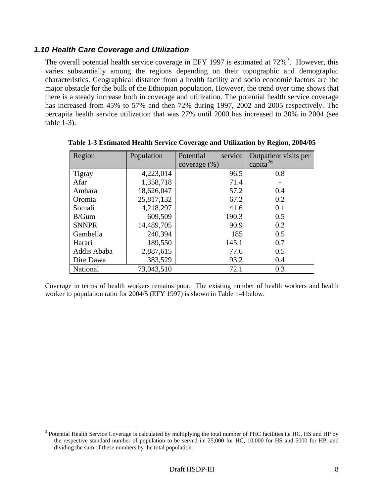#### <span id="page-26-0"></span>*1.10 Health Care Coverage and Utilization*

The overall potential health service coverage in EFY 1997 is estimated at  $72\%$ <sup>3</sup>. However, this varies substantially among the regions depending on their topographic and demographic characteristics. Geographical distance from a health facility and socio economic factors are the major obstacle for the bulk of the Ethiopian population. However, the trend over time shows that there is a steady increase both in coverage and utilization. The potential health service coverage has increased from 45% to 57% and then 72% during 1997, 2002 and 2005 respectively. The percapita health service utilization that was 27% until 2000 has increased to 30% in 2004 (see table 1-3).

| Region        | Population | service<br>Potential | Outpatient visits per |
|---------------|------------|----------------------|-----------------------|
|               |            | coverage $(\%)$      | capita <sup>26</sup>  |
| <b>Tigray</b> | 4,223,014  | 96.5                 | 0.8                   |
| Afar          | 1,358,718  | 71.4                 |                       |
| Amhara        | 18,626,047 | 57.2                 | 0.4                   |
| Oromia        | 25,817,132 | 67.2                 | 0.2                   |
| Somali        | 4,218,297  | 41.6                 | 0.1                   |
| B/Gum         | 609,509    | 190.3                | 0.5                   |
| <b>SNNPR</b>  | 14,489,705 | 90.9                 | 0.2                   |
| Gambella      | 240,394    | 185                  | 0.5                   |
| Harari        | 189,550    | 145.1                | 0.7                   |
| Addis Ababa   | 2,887,615  | 77.6                 | 0.5                   |
| Dire Dawa     | 383,529    | 93.2                 | 0.4                   |
| National      | 73,043,510 | 72.1                 | 0.3                   |

**Table 1-3 Estimated Health Service Coverage and Utilization by Region, 2004/05** 

Coverage in terms of health workers remains poor. The existing number of health workers and health worker to population ratio for 2004/5 (EFY 1997) is shown in Table 1-4 below.

 $3$  Potential Health Service Coverage is calculated by multiplying the total number of PHC facilities i.e HC, HS and HP by the respective standard number of population to be served i.e 25,000 for HC, 10,000 for HS and 5000 for HP, and dividing the sum of these numbers by the total population.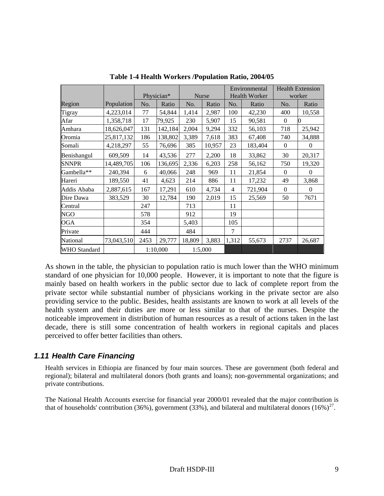<span id="page-27-0"></span>

|              |            |          |            |         |              | Environmental        |         | <b>Health Extension</b> |          |
|--------------|------------|----------|------------|---------|--------------|----------------------|---------|-------------------------|----------|
|              |            |          | Physician* |         | <b>Nurse</b> | <b>Health Worker</b> |         | worker                  |          |
| Region       | Population | No.      | Ratio      | No.     | Ratio        | No.                  | Ratio   | No.                     | Ratio    |
| Tigray       | 4,223,014  | 77       | 54,844     | 1,414   | 2,987        | 100                  | 42,230  | 400                     | 10,558   |
| Afar         | 1,358,718  | 17       | 79,925     | 230     | 5,907        | 15                   | 90,581  | $\mathbf{0}$            | 0        |
| Amhara       | 18,626,047 | 131      | 142,184    | 2,004   | 9,294        | 332                  | 56,103  | 718                     | 25,942   |
| Oromia       | 25,817,132 | 186      | 138,802    | 3,389   | 7,618        | 383                  | 67,408  | 740                     | 34,888   |
| Somali       | 4,218,297  | 55       | 76,696     | 385     | 10,957       | 23                   | 183,404 | $\Omega$                | $\Omega$ |
| Benishangul  | 609,509    | 14       | 43,536     | 277     | 2,200        | 18                   | 33,862  | 30                      | 20,317   |
| <b>SNNPR</b> | 14,489,705 | 106      | 136,695    | 2,336   | 6,203        | 258                  | 56,162  | 750                     | 19,320   |
| Gambella**   | 240,394    | 6        | 40,066     | 248     | 969          | 11                   | 21,854  | $\Omega$                | $\Omega$ |
| Hareri       | 189,550    | 41       | 4,623      | 214     | 886          | 11                   | 17,232  | 49                      | 3,868    |
| Addis Ababa  | 2,887,615  | 167      | 17,291     | 610     | 4,734        | $\overline{4}$       | 721,904 | $\mathbf{0}$            | $\theta$ |
| Dire Dawa    | 383,529    | 30       | 12,784     | 190     | 2,019        | 15                   | 25,569  | 50                      | 7671     |
| Central      |            | 247      |            | 713     |              | 11                   |         |                         |          |
| <b>NGO</b>   |            | 578      |            | 912     |              | 19                   |         |                         |          |
| OGA          |            | 354      |            | 5,403   |              | 105                  |         |                         |          |
| Private      |            | 444      |            | 484     |              | 7                    |         |                         |          |
| National     | 73,043,510 | 2453     | 29,777     | 18,809  | 3,883        | 1,312                | 55,673  | 2737                    | 26,687   |
| WHO Standard |            | 1:10,000 |            | 1:5,000 |              |                      |         |                         |          |

**Table 1-4 Health Workers /Population Ratio, 2004/05** 

As shown in the table, the physician to population ratio is much lower than the WHO minimum standard of one physician for 10,000 people. However, it is important to note that the figure is mainly based on health workers in the public sector due to lack of complete report from the private sector while substantial number of physicians working in the private sector are also providing service to the public. Besides, health assistants are known to work at all levels of the health system and their duties are more or less similar to that of the nurses. Despite the noticeable improvement in distribution of human resources as a result of actions taken in the last decade, there is still some concentration of health workers in regional capitals and places perceived to offer better facilities than others.

#### *1.11 Health Care Financing*

Health services in Ethiopia are financed by four main sources. These are government (both federal and regional); bilateral and multilateral donors (both grants and loans); non-governmental organizations; and private contributions.

The National Health Accounts exercise for financial year 2000/01 revealed that the major contribution is that of households' contribution (36%), government (33%), and bilateral and multilateral donors (16%)<sup>27</sup>.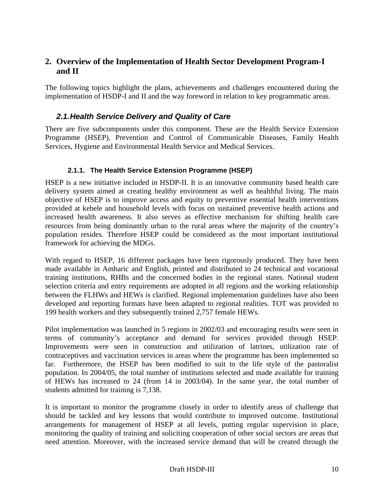### <span id="page-28-0"></span>**2. Overview of the Implementation of Health Sector Development Program-I and II**

The following topics highlight the plans, achievements and challenges encountered during the implementation of HSDP-I and II and the way foreword in relation to key programmatic areas.

### *2.1. Health Service Delivery and Quality of Care*

There are five subcomponents under this component. These are the Health Service Extension Programme (HSEP), Prevention and Control of Communicable Diseases, Family Health Services, Hygiene and Environmental Health Service and Medical Services.

#### **2.1.1. The Health Service Extension Programme (HSEP)**

HSEP is a new initiative included in HSDP-II. It is an innovative community based health care delivery system aimed at creating healthy environment as well as healthful living. The main objective of HSEP is to improve access and equity to preventive essential health interventions provided at kebele and household levels with focus on sustained preventive health actions and increased health awareness. It also serves as effective mechanism for shifting health care resources from being dominantly urban to the rural areas where the majority of the country's population resides. Therefore HSEP could be considered as the most important institutional framework for achieving the MDGs.

With regard to HSEP, 16 different packages have been rigorously produced. They have been made available in Amharic and English, printed and distributed to 24 technical and vocational training institutions, RHBs and the concerned bodies in the regional states. National student selection criteria and entry requirements are adopted in all regions and the working relationship between the FLHWs and HEWs is clarified. Regional implementation guidelines have also been developed and reporting formats have been adapted to regional realities. TOT was provided to 199 health workers and they subsequently trained 2,757 female HEWs.

Pilot implementation was launched in 5 regions in 2002/03 and encouraging results were seen in terms of community's acceptance and demand for services provided through HSEP. Improvements were seen in construction and utilization of latrines, utilization rate of contraceptives and vaccination services in areas where the programme has been implemented so far. Furthermore, the HSEP has been modified to suit to the life style of the pastoralist population. In 2004/05, the total number of institutions selected and made available for training of HEWs has increased to 24 (from 14 in 2003/04). In the same year, the total number of students admitted for training is 7,138.

It is important to monitor the programme closely in order to identify areas of challenge that should be tackled and key lessons that would contribute to improved outcome. Institutional arrangements for management of HSEP at all levels, putting regular supervision in place, monitoring the quality of training and soliciting cooperation of other social sectors are areas that need attention. Moreover, with the increased service demand that will be created through the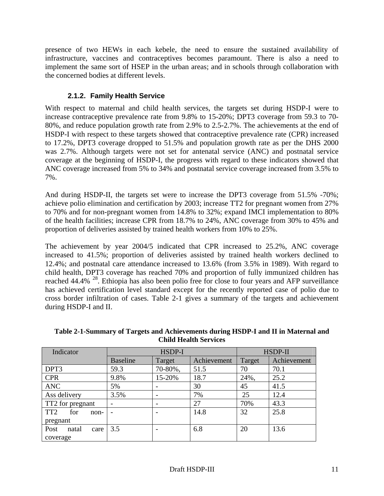<span id="page-29-0"></span>presence of two HEWs in each kebele, the need to ensure the sustained availability of infrastructure, vaccines and contraceptives becomes paramount. There is also a need to implement the same sort of HSEP in the urban areas; and in schools through collaboration with the concerned bodies at different levels.

#### **2.1.2. Family Health Service**

With respect to maternal and child health services, the targets set during HSDP-I were to increase contraceptive prevalence rate from 9.8% to 15-20%; DPT3 coverage from 59.3 to 70- 80%, and reduce population growth rate from 2.9% to 2.5-2.7%. The achievements at the end of HSDP-I with respect to these targets showed that contraceptive prevalence rate (CPR) increased to 17.2%, DPT3 coverage dropped to 51.5% and population growth rate as per the DHS 2000 was 2.7%. Although targets were not set for antenatal service (ANC) and postnatal service coverage at the beginning of HSDP-I, the progress with regard to these indicators showed that ANC coverage increased from 5% to 34% and postnatal service coverage increased from 3.5% to 7%.

And during HSDP-II, the targets set were to increase the DPT3 coverage from 51.5% -70%; achieve polio elimination and certification by 2003; increase TT2 for pregnant women from 27% to 70% and for non-pregnant women from 14.8% to 32%; expand IMCI implementation to 80% of the health facilities; increase CPR from 18.7% to 24%, ANC coverage from 30% to 45% and proportion of deliveries assisted by trained health workers from 10% to 25%.

The achievement by year 2004/5 indicated that CPR increased to 25.2%, ANC coverage increased to 41.5%; proportion of deliveries assisted by trained health workers declined to 12.4%; and postnatal care attendance increased to 13.6% (from 3.5% in 1989). With regard to child health, DPT3 coverage has reached 70% and proportion of fully immunized children has reached 44.4% <sup>28</sup>. Ethiopia has also been polio free for close to four years and AFP surveillance has achieved certification level standard except for the recently reported case of polio due to cross border infiltration of cases. Table 2-1 gives a summary of the targets and achievement during HSDP-I and II.

| Indicator                      |                 | HSDP-I  | HSDP-II     |        |             |
|--------------------------------|-----------------|---------|-------------|--------|-------------|
|                                | <b>Baseline</b> | Target  | Achievement | Target | Achievement |
| DPT3                           | 59.3            | 70-80%, | 51.5        | 70     | 70.1        |
| <b>CPR</b>                     | 9.8%            | 15-20%  | 18.7        | 24%,   | 25.2        |
| <b>ANC</b>                     | 5%              |         | 30          | 45     | 41.5        |
| Ass delivery                   | 3.5%            |         | 7%          | 25     | 12.4        |
| TT2 for pregnant               |                 |         | 27          | 70%    | 43.3        |
| TT <sub>2</sub><br>for<br>non- |                 |         | 14.8        | 32     | 25.8        |
| pregnant                       |                 |         |             |        |             |
| Post<br>natal<br>care          | 3.5             |         | 6.8         | 20     | 13.6        |
| coverage                       |                 |         |             |        |             |

**Table 2-1-Summary of Targets and Achievements during HSDP-I and II in Maternal and Child Health Services**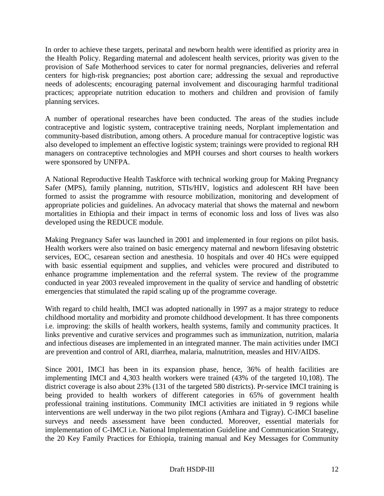In order to achieve these targets, perinatal and newborn health were identified as priority area in the Health Policy. Regarding maternal and adolescent health services, priority was given to the provision of Safe Motherhood services to cater for normal pregnancies, deliveries and referral centers for high-risk pregnancies; post abortion care; addressing the sexual and reproductive needs of adolescents; encouraging paternal involvement and discouraging harmful traditional practices; appropriate nutrition education to mothers and children and provision of family planning services.

A number of operational researches have been conducted. The areas of the studies include contraceptive and logistic system, contraceptive training needs, Norplant implementation and community-based distribution, among others. A procedure manual for contraceptive logistic was also developed to implement an effective logistic system; trainings were provided to regional RH managers on contraceptive technologies and MPH courses and short courses to health workers were sponsored by UNFPA.

A National Reproductive Health Taskforce with technical working group for Making Pregnancy Safer (MPS), family planning, nutrition, STIs/HIV, logistics and adolescent RH have been formed to assist the programme with resource mobilization, monitoring and development of appropriate policies and guidelines. An advocacy material that shows the maternal and newborn mortalities in Ethiopia and their impact in terms of economic loss and loss of lives was also developed using the REDUCE module.

Making Pregnancy Safer was launched in 2001 and implemented in four regions on pilot basis. Health workers were also trained on basic emergency maternal and newborn lifesaving obstetric services, EOC, cesarean section and anesthesia. 10 hospitals and over 40 HCs were equipped with basic essential equipment and supplies, and vehicles were procured and distributed to enhance programme implementation and the referral system. The review of the programme conducted in year 2003 revealed improvement in the quality of service and handling of obstetric emergencies that stimulated the rapid scaling up of the programme coverage.

With regard to child health, IMCI was adopted nationally in 1997 as a major strategy to reduce childhood mortality and morbidity and promote childhood development. It has three components i.e. improving: the skills of health workers, health systems, family and community practices. It links preventive and curative services and programmes such as immunization, nutrition, malaria and infectious diseases are implemented in an integrated manner. The main activities under IMCI are prevention and control of ARI, diarrhea, malaria, malnutrition, measles and HIV/AIDS.

Since 2001, IMCI has been in its expansion phase, hence, 36% of health facilities are implementing IMCI and 4,303 health workers were trained (43% of the targeted 10,108). The district coverage is also about 23% (131 of the targeted 580 districts). Pr-service IMCI training is being provided to health workers of different categories in 65% of government health professional training institutions. Community IMCI activities are initiated in 9 regions while interventions are well underway in the two pilot regions (Amhara and Tigray). C-IMCI baseline surveys and needs assessment have been conducted. Moreover, essential materials for implementation of C-IMCI i.e. National Implementation Guideline and Communication Strategy, the 20 Key Family Practices for Ethiopia, training manual and Key Messages for Community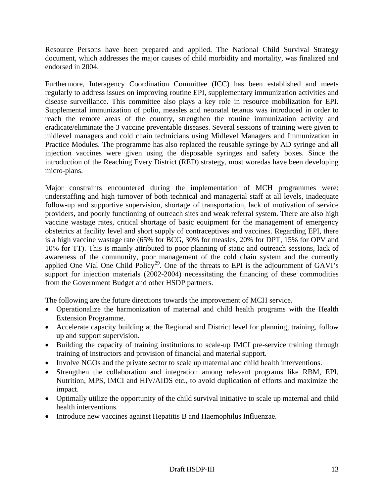Resource Persons have been prepared and applied. The National Child Survival Strategy document, which addresses the major causes of child morbidity and mortality, was finalized and endorsed in 2004.

Furthermore, Interagency Coordination Committee (ICC) has been established and meets regularly to address issues on improving routine EPI, supplementary immunization activities and disease surveillance. This committee also plays a key role in resource mobilization for EPI. Supplemental immunization of polio, measles and neonatal tetanus was introduced in order to reach the remote areas of the country, strengthen the routine immunization activity and eradicate/eliminate the 3 vaccine preventable diseases. Several sessions of training were given to midlevel managers and cold chain technicians using Midlevel Managers and Immunization in Practice Modules. The programme has also replaced the reusable syringe by AD syringe and all injection vaccines were given using the disposable syringes and safety boxes. Since the introduction of the Reaching Every District (RED) strategy, most woredas have been developing micro-plans.

Major constraints encountered during the implementation of MCH programmes were: understaffing and high turnover of both technical and managerial staff at all levels, inadequate follow-up and supportive supervision, shortage of transportation, lack of motivation of service providers, and poorly functioning of outreach sites and weak referral system. There are also high vaccine wastage rates, critical shortage of basic equipment for the management of emergency obstetrics at facility level and short supply of contraceptives and vaccines. Regarding EPI, there is a high vaccine wastage rate (65% for BCG, 30% for measles, 20% for DPT, 15% for OPV and 10% for TT). This is mainly attributed to poor planning of static and outreach sessions, lack of awareness of the community, poor management of the cold chain system and the currently applied One Vial One Child Policy<sup>29</sup>. One of the threats to EPI is the adjournment of GAVI's support for injection materials (2002-2004) necessitating the financing of these commodities from the Government Budget and other HSDP partners.

The following are the future directions towards the improvement of MCH service.

- Operationalize the harmonization of maternal and child health programs with the Health Extension Programme.
- Accelerate capacity building at the Regional and District level for planning, training, follow up and support supervision.
- Building the capacity of training institutions to scale-up IMCI pre-service training through training of instructors and provision of financial and material support.
- Involve NGOs and the private sector to scale up maternal and child health interventions.
- Strengthen the collaboration and integration among relevant programs like RBM, EPI, Nutrition, MPS, IMCI and HIV/AIDS etc., to avoid duplication of efforts and maximize the impact.
- Optimally utilize the opportunity of the child survival initiative to scale up maternal and child health interventions.
- Introduce new vaccines against Hepatitis B and Haemophilus Influenzae.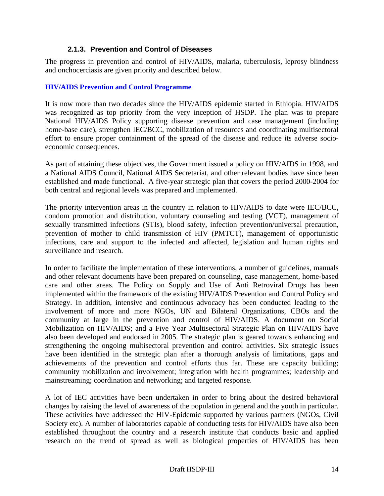#### **2.1.3. Prevention and Control of Diseases**

<span id="page-32-0"></span>The progress in prevention and control of HIV/AIDS, malaria, tuberculosis, leprosy blindness and onchocerciasis are given priority and described below.

#### **HIV/AIDS Prevention and Control Programme**

It is now more than two decades since the HIV/AIDS epidemic started in Ethiopia. HIV/AIDS was recognized as top priority from the very inception of HSDP. The plan was to prepare National HIV/AIDS Policy supporting disease prevention and case management (including home-base care), strengthen IEC/BCC, mobilization of resources and coordinating multisectoral effort to ensure proper containment of the spread of the disease and reduce its adverse socioeconomic consequences.

As part of attaining these objectives, the Government issued a policy on HIV/AIDS in 1998, and a National AIDS Council, National AIDS Secretariat, and other relevant bodies have since been established and made functional. A five-year strategic plan that covers the period 2000-2004 for both central and regional levels was prepared and implemented.

The priority intervention areas in the country in relation to HIV/AIDS to date were IEC/BCC, condom promotion and distribution, voluntary counseling and testing (VCT), management of sexually transmitted infections (STIs), blood safety, infection prevention/universal precaution, prevention of mother to child transmission of HIV (PMTCT), management of opportunistic infections, care and support to the infected and affected, legislation and human rights and surveillance and research.

In order to facilitate the implementation of these interventions, a number of guidelines, manuals and other relevant documents have been prepared on counseling, case management, home-based care and other areas. The Policy on Supply and Use of Anti Retroviral Drugs has been implemented within the framework of the existing HIV/AIDS Prevention and Control Policy and Strategy. In addition, intensive and continuous advocacy has been conducted leading to the involvement of more and more NGOs, UN and Bilateral Organizations, CBOs and the community at large in the prevention and control of HIV/AIDS. A document on Social Mobilization on HIV/AIDS; and a Five Year Multisectoral Strategic Plan on HIV/AIDS have also been developed and endorsed in 2005. The strategic plan is geared towards enhancing and strengthening the ongoing multisectoral prevention and control activities. Six strategic issues have been identified in the strategic plan after a thorough analysis of limitations, gaps and achievements of the prevention and control efforts thus far. These are capacity building; community mobilization and involvement; integration with health programmes; leadership and mainstreaming; coordination and networking; and targeted response.

A lot of IEC activities have been undertaken in order to bring about the desired behavioral changes by raising the level of awareness of the population in general and the youth in particular. These activities have addressed the HIV-Epidemic supported by various partners (NGOs, Civil Society etc). A number of laboratories capable of conducting tests for HIV/AIDS have also been established throughout the country and a research institute that conducts basic and applied research on the trend of spread as well as biological properties of HIV/AIDS has been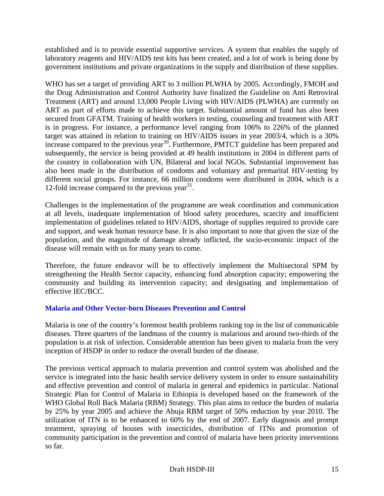established and is to provide essential supportive services. A system that enables the supply of laboratory reagents and HIV/AIDS test kits has been created, and a lot of work is being done by government institutions and private organizations in the supply and distribution of these supplies.

WHO has set a target of providing ART to 3 million PLWHA by 2005. Accordingly, FMOH and the Drug Administration and Control Authority have finalized the Guideline on Anti Retroviral Treatment (ART) and around 13,000 People Living with HIV/AIDS (PLWHA) are currently on ART as part of efforts made to achieve this target. Substantial amount of fund has also been secured from GFATM. Training of health workers in testing, counseling and treatment with ART is in progress. For instance, a performance level ranging from 106% to 226% of the planned target was attained in relation to training on HIV/AIDS issues in year 2003/4, which is a 30% increase compared to the previous year<sup>30</sup>. Furthermore, PMTCT guideline has been prepared and subsequently, the service is being provided at 49 health institutions in 2004 in different parts of the country in collaboration with UN, Bilateral and local NGOs. Substantial improvement has also been made in the distribution of condoms and voluntary and premarital HIV-testing by different social groups. For instance, 66 million condoms were distributed in 2004, which is a 12-fold increase compared to the previous year<sup>31</sup>.

Challenges in the implementation of the programme are weak coordination and communication at all levels, inadequate implementation of blood safety procedures, scarcity and insufficient implementation of guidelines related to HIV/AIDS, shortage of supplies required to provide care and support, and weak human resource base. It is also important to note that given the size of the population, and the magnitude of damage already inflicted, the socio-economic impact of the disease will remain with us for many years to come.

Therefore, the future endeavor will be to effectively implement the Multisectoral SPM by strengthening the Health Sector capacity, enhancing fund absorption capacity; empowering the community and building its intervention capacity; and designating and implementation of effective IEC/BCC.

#### **Malaria and Other Vector-born Diseases Prevention and Control**

Malaria is one of the country's foremost health problems ranking top in the list of communicable diseases. Three quarters of the landmass of the country is malarious and around two-thirds of the population is at risk of infection. Considerable attention has been given to malaria from the very inception of HSDP in order to reduce the overall burden of the disease.

The previous vertical approach to malaria prevention and control system was abolished and the service is integrated into the basic health service delivery system in order to ensure sustainability and effective prevention and control of malaria in general and epidemics in particular. National Strategic Plan for Control of Malaria in Ethiopia is developed based on the framework of the WHO Global Roll Back Malaria (RBM) Strategy. This plan aims to reduce the burden of malaria by 25% by year 2005 and achieve the Abuja RBM target of 50% reduction by year 2010. The utilization of ITN is to be enhanced to 60% by the end of 2007. Early diagnosis and prompt treatment, spraying of houses with insecticides, distribution of ITNs and promotion of community participation in the prevention and control of malaria have been priority interventions so far.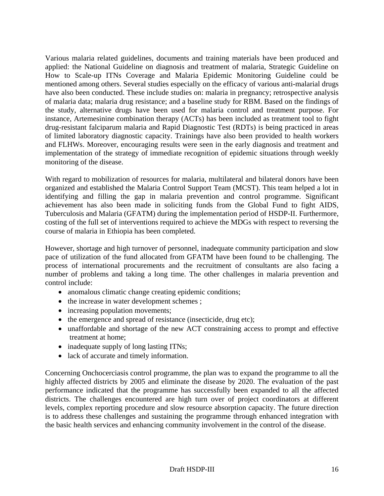Various malaria related guidelines, documents and training materials have been produced and applied: the National Guideline on diagnosis and treatment of malaria, Strategic Guideline on How to Scale-up ITNs Coverage and Malaria Epidemic Monitoring Guideline could be mentioned among others. Several studies especially on the efficacy of various anti-malarial drugs have also been conducted. These include studies on: malaria in pregnancy; retrospective analysis of malaria data; malaria drug resistance; and a baseline study for RBM. Based on the findings of the study, alternative drugs have been used for malaria control and treatment purpose. For instance, Artemesinine combination therapy (ACTs) has been included as treatment tool to fight drug-resistant falciparum malaria and Rapid Diagnostic Test (RDTs) is being practiced in areas of limited laboratory diagnostic capacity. Trainings have also been provided to health workers and FLHWs. Moreover, encouraging results were seen in the early diagnosis and treatment and implementation of the strategy of immediate recognition of epidemic situations through weekly monitoring of the disease.

With regard to mobilization of resources for malaria, multilateral and bilateral donors have been organized and established the Malaria Control Support Team (MCST). This team helped a lot in identifying and filling the gap in malaria prevention and control programme. Significant achievement has also been made in soliciting funds from the Global Fund to fight AIDS, Tuberculosis and Malaria (GFATM) during the implementation period of HSDP-II. Furthermore, costing of the full set of interventions required to achieve the MDGs with respect to reversing the course of malaria in Ethiopia has been completed.

However, shortage and high turnover of personnel, inadequate community participation and slow pace of utilization of the fund allocated from GFATM have been found to be challenging. The process of international procurements and the recruitment of consultants are also facing a number of problems and taking a long time. The other challenges in malaria prevention and control include:

- anomalous climatic change creating epidemic conditions;
- the increase in water development schemes;
- increasing population movements;
- the emergence and spread of resistance (insecticide, drug etc);
- unaffordable and shortage of the new ACT constraining access to prompt and effective treatment at home;
- inadequate supply of long lasting ITNs;
- lack of accurate and timely information.

Concerning Onchocerciasis control programme, the plan was to expand the programme to all the highly affected districts by 2005 and eliminate the disease by 2020. The evaluation of the past performance indicated that the programme has successfully been expanded to all the affected districts. The challenges encountered are high turn over of project coordinators at different levels, complex reporting procedure and slow resource absorption capacity. The future direction is to address these challenges and sustaining the programme through enhanced integration with the basic health services and enhancing community involvement in the control of the disease.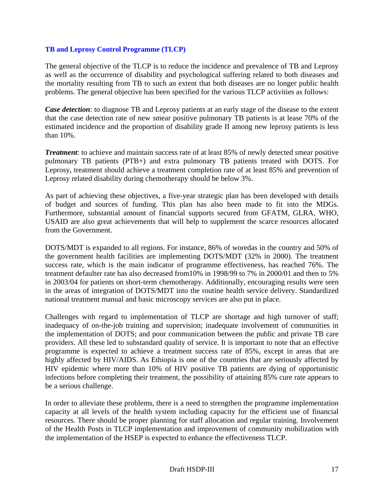#### **TB and Leprosy Control Programme (TLCP)**

The general objective of the TLCP is to reduce the incidence and prevalence of TB and Leprosy as well as the occurrence of disability and psychological suffering related to both diseases and the mortality resulting from TB to such an extent that both diseases are no longer public health problems. The general objective has been specified for the various TLCP activities as follows:

*Case detection*: to diagnose TB and Leprosy patients at an early stage of the disease to the extent that the case detection rate of new smear positive pulmonary TB patients is at lease 70% of the estimated incidence and the proportion of disability grade II among new leprosy patients is less than 10%.

*Treatment*: to achieve and maintain success rate of at least 85% of newly detected smear positive pulmonary TB patients (PTB+) and extra pulmonary TB patients treated with DOTS. For Leprosy, treatment should achieve a treatment completion rate of at least 85% and prevention of Leprosy related disability during chemotherapy should be below 3%.

As part of achieving these objectives, a five-year strategic plan has been developed with details of budget and sources of funding. This plan has also been made to fit into the MDGs. Furthermore, substantial amount of financial supports secured from GFATM, GLRA, WHO, USAID are also great achievements that will help to supplement the scarce resources allocated from the Government.

DOTS/MDT is expanded to all regions. For instance, 86% of woredas in the country and 50% of the government health facilities are implementing DOTS/MDT (32% in 2000). The treatment success rate, which is the main indicator of programme effectiveness, has reached 76%. The treatment defaulter rate has also decreased from10% in 1998/99 to 7% in 2000/01 and then to 5% in 2003/04 for patients on short-term chemotherapy. Additionally, encouraging results were seen in the areas of integration of DOTS/MDT into the routine health service delivery. Standardized national treatment manual and basic microscopy services are also put in place.

Challenges with regard to implementation of TLCP are shortage and high turnover of staff; inadequacy of on-the-job training and supervision; inadequate involvement of communities in the implementation of DOTS; and poor communication between the public and private TB care providers. All these led to substandard quality of service. It is important to note that an effective programme is expected to achieve a treatment success rate of 85%, except in areas that are highly affected by HIV/AIDS. As Ethiopia is one of the countries that are seriously affected by HIV epidemic where more than 10% of HIV positive TB patients are dying of opportunistic infections before completing their treatment, the possibility of attaining 85% cure rate appears to be a serious challenge.

In order to alleviate these problems, there is a need to strengthen the programme implementation capacity at all levels of the health system including capacity for the efficient use of financial resources. There should be proper planning for staff allocation and regular training. Involvement of the Health Posts in TLCP implementation and improvement of community mobilization with the implementation of the HSEP is expected to enhance the effectiveness TLCP.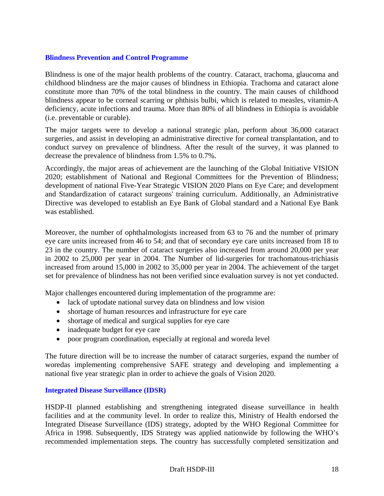#### **Blindness Prevention and Control Programme**

Blindness is one of the major health problems of the country. Cataract, trachoma, glaucoma and childhood blindness are the major causes of blindness in Ethiopia. Trachoma and cataract alone constitute more than 70% of the total blindness in the country. The main causes of childhood blindness appear to be corneal scarring or phthisis bulbi, which is related to measles, vitamin-A deficiency, acute infections and trauma. More than 80% of all blindness in Ethiopia is avoidable (i.e. preventable or curable).

The major targets were to develop a national strategic plan, perform about 36,000 cataract surgeries, and assist in developing an administrative directive for corneal transplantation, and to conduct survey on prevalence of blindness. After the result of the survey, it was planned to decrease the prevalence of blindness from 1.5% to 0.7%.

Accordingly, the major areas of achievement are the launching of the Global Initiative VISION 2020; establishment of National and Regional Committees for the Prevention of Blindness; development of national Five-Year Strategic VISION 2020 Plans on Eye Care; and development and Standardization of cataract surgeons' training curriculum. Additionally, an Administrative Directive was developed to establish an Eye Bank of Global standard and a National Eye Bank was established.

Moreover, the number of ophthalmologists increased from 63 to 76 and the number of primary eye care units increased from 46 to 54; and that of secondary eye care units increased from 18 to 23 in the country. The number of cataract surgeries also increased from around 20,000 per year in 2002 to 25,000 per year in 2004. The Number of lid-surgeries for trachomatous-trichiasis increased from around 15,000 in 2002 to 35,000 per year in 2004. The achievement of the target set for prevalence of blindness has not been verified since evaluation survey is not yet conducted.

Major challenges encountered during implementation of the programme are:

- lack of uptodate national survey data on blindness and low vision
- shortage of human resources and infrastructure for eye care
- shortage of medical and surgical supplies for eye care
- inadequate budget for eye care
- poor program coordination, especially at regional and woreda level

The future direction will be to increase the number of cataract surgeries, expand the number of woredas implementing comprehensive SAFE strategy and developing and implementing a national five year strategic plan in order to achieve the goals of Vision 2020.

#### **Integrated Disease Surveillance (IDSR)**

HSDP-II planned establishing and strengthening integrated disease surveillance in health facilities and at the community level. In order to realize this, Ministry of Health endorsed the Integrated Disease Surveillance (IDS) strategy, adopted by the WHO Regional Committee for Africa in 1998. Subsequently, IDS Strategy was applied nationwide by following the WHO's recommended implementation steps. The country has successfully completed sensitization and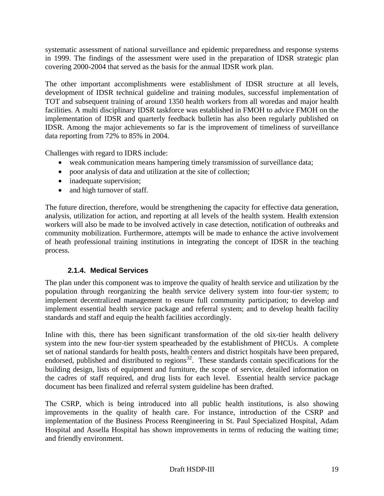systematic assessment of national surveillance and epidemic preparedness and response systems in 1999. The findings of the assessment were used in the preparation of IDSR strategic plan covering 2000-2004 that served as the basis for the annual IDSR work plan.

The other important accomplishments were establishment of IDSR structure at all levels, development of IDSR technical guideline and training modules, successful implementation of TOT and subsequent training of around 1350 health workers from all woredas and major health facilities. A multi disciplinary IDSR taskforce was established in FMOH to advice FMOH on the implementation of IDSR and quarterly feedback bulletin has also been regularly published on IDSR. Among the major achievements so far is the improvement of timeliness of surveillance data reporting from 72% to 85% in 2004.

Challenges with regard to IDRS include:

- weak communication means hampering timely transmission of surveillance data;
- poor analysis of data and utilization at the site of collection;
- inadequate supervision;
- and high turnover of staff.

The future direction, therefore, would be strengthening the capacity for effective data generation, analysis, utilization for action, and reporting at all levels of the health system. Health extension workers will also be made to be involved actively in case detection, notification of outbreaks and community mobilization. Furthermore, attempts will be made to enhance the active involvement of heath professional training institutions in integrating the concept of IDSR in the teaching process.

## **2.1.4. Medical Services**

The plan under this component was to improve the quality of health service and utilization by the population through reorganizing the health service delivery system into four-tier system; to implement decentralized management to ensure full community participation; to develop and implement essential health service package and referral system; and to develop health facility standards and staff and equip the health facilities accordingly.

Inline with this, there has been significant transformation of the old six-tier health delivery system into the new four-tier system spearheaded by the establishment of PHCUs. A complete set of national standards for health posts, health centers and district hospitals have been prepared, endorsed, published and distributed to regions<sup>32</sup>. These standards contain specifications for the building design, lists of equipment and furniture, the scope of service, detailed information on the cadres of staff required, and drug lists for each level. Essential health service package document has been finalized and referral system guideline has been drafted.

The CSRP, which is being introduced into all public health institutions, is also showing improvements in the quality of health care. For instance, introduction of the CSRP and implementation of the Business Process Reengineering in St. Paul Specialized Hospital, Adam Hospital and Assella Hospital has shown improvements in terms of reducing the waiting time; and friendly environment.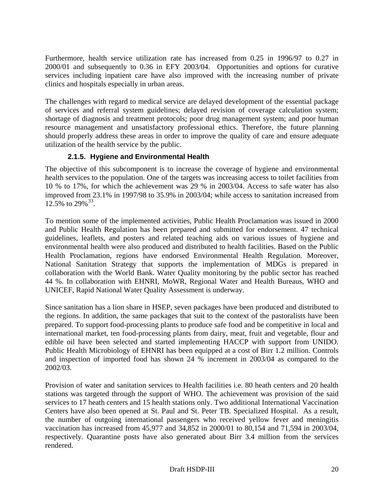Furthermore, health service utilization rate has increased from 0.25 in 1996/97 to 0.27 in 2000/01 and subsequently to 0.36 in EFY 2003/04. Opportunities and options for curative services including inpatient care have also improved with the increasing number of private clinics and hospitals especially in urban areas.

The challenges with regard to medical service are delayed development of the essential package of services and referral system guidelines; delayed revision of coverage calculation system; shortage of diagnosis and treatment protocols; poor drug management system; and poor human resource management and unsatisfactory professional ethics. Therefore, the future planning should properly address these areas in order to improve the quality of care and ensure adequate utilization of the health service by the public.

# **2.1.5. Hygiene and Environmental Health**

The objective of this subcomponent is to increase the coverage of hygiene and environmental health services to the population. One of the targets was increasing access to toilet facilities from 10 % to 17%, for which the achievement was 29 % in 2003/04. Access to safe water has also improved from 23.1% in 1997/98 to 35.9% in 2003/04; while access to sanitation increased from  $12.5\%$  to  $29\%$ <sup>33</sup>.

To mention some of the implemented activities, Public Health Proclamation was issued in 2000 and Public Health Regulation has been prepared and submitted for endorsement. 47 technical guidelines, leaflets, and posters and related teaching aids on various issues of hygiene and environmental health were also produced and distributed to health facilities. Based on the Public Health Proclamation, regions have endorsed Environmental Health Regulation. Moreover, National Sanitation Strategy that supports the implementation of MDGs is prepared in collaboration with the World Bank. Water Quality monitoring by the public sector has reached 44 %. In collaboration with EHNRI, MoWR, Regional Water and Health Bureaus, WHO and UNICEF, Rapid National Water Quality Assessment is underway.

Since sanitation has a lion share in HSEP, seven packages have been produced and distributed to the regions. In addition, the same packages that suit to the context of the pastoralists have been prepared. To support food-processing plants to produce safe food and be competitive in local and international market, ten food-processing plants from dairy, meat, fruit and vegetable, flour and edible oil have been selected and started implementing HACCP with support from UNIDO. Public Health Microbiology of EHNRI has been equipped at a cost of Birr 1.2 million. Controls and inspection of imported food has shown 24 % increment in 2003/04 as compared to the 2002/03.

Provision of water and sanitation services to Health facilities i.e. 80 heath centers and 20 health stations was targeted through the support of WHO. The achievement was provision of the said services to 17 heath centers and 15 health stations only. Two additional International Vaccination Centers have also been opened at St. Paul and St. Peter TB. Specialized Hospital. As a result, the number of outgoing international passengers who received yellow fever and meningitis vaccination has increased from 45,977 and 34,852 in 2000/01 to 80,154 and 71,594 in 2003/04, respectively. Quarantine posts have also generated about Birr 3.4 million from the services rendered.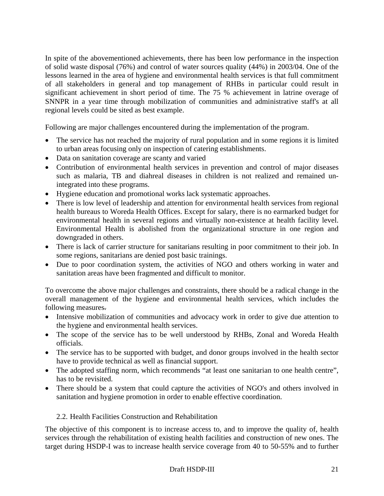In spite of the abovementioned achievements, there has been low performance in the inspection of solid waste disposal (76%) and control of water sources quality (44%) in 2003/04. One of the lessons learned in the area of hygiene and environmental health services is that full commitment of all stakeholders in general and top management of RHBs in particular could result in significant achievement in short period of time. The 75 % achievement in latrine overage of SNNPR in a year time through mobilization of communities and administrative staff's at all regional levels could be sited as best example.

Following are major challenges encountered during the implementation of the program.

- The service has not reached the majority of rural population and in some regions it is limited to urban areas focusing only on inspection of catering establishments.
- Data on sanitation coverage are scanty and varied
- Contribution of environmental health services in prevention and control of major diseases such as malaria, TB and diahreal diseases in children is not realized and remained unintegrated into these programs.
- Hygiene education and promotional works lack systematic approaches.
- There is low level of leadership and attention for environmental health services from regional health bureaus to Woreda Health Offices. Except for salary, there is no earmarked budget for environmental health in several regions and virtually non-existence at health facility level. Environmental Health is abolished from the organizational structure in one region and downgraded in others.
- There is lack of carrier structure for sanitarians resulting in poor commitment to their job. In some regions, sanitarians are denied post basic trainings.
- Due to poor coordination system, the activities of NGO and others working in water and sanitation areas have been fragmented and difficult to monitor.

To overcome the above major challenges and constraints, there should be a radical change in the overall management of the hygiene and environmental health services, which includes the following measures.

- Intensive mobilization of communities and advocacy work in order to give due attention to the hygiene and environmental health services.
- The scope of the service has to be well understood by RHBs, Zonal and Woreda Health officials.
- The service has to be supported with budget, and donor groups involved in the health sector have to provide technical as well as financial support.
- The adopted staffing norm, which recommends "at least one sanitarian to one health centre", has to be revisited.
- There should be a system that could capture the activities of NGO's and others involved in sanitation and hygiene promotion in order to enable effective coordination.

#### 2.2. Health Facilities Construction and Rehabilitation

The objective of this component is to increase access to, and to improve the quality of, health services through the rehabilitation of existing health facilities and construction of new ones. The target during HSDP-I was to increase health service coverage from 40 to 50-55% and to further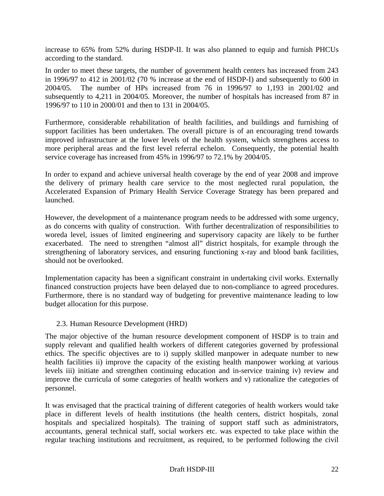increase to 65% from 52% during HSDP-II. It was also planned to equip and furnish PHCUs according to the standard.

In order to meet these targets, the number of government health centers has increased from 243 in 1996/97 to 412 in 2001/02 (70 % increase at the end of HSDP-I) and subsequently to 600 in 2004/05. The number of HPs increased from 76 in 1996/97 to 1,193 in 2001/02 and subsequently to 4,211 in 2004/05. Moreover, the number of hospitals has increased from 87 in 1996/97 to 110 in 2000/01 and then to 131 in 2004/05.

Furthermore, considerable rehabilitation of health facilities, and buildings and furnishing of support facilities has been undertaken. The overall picture is of an encouraging trend towards improved infrastructure at the lower levels of the health system, which strengthens access to more peripheral areas and the first level referral echelon. Consequently, the potential health service coverage has increased from 45% in 1996/97 to 72.1% by 2004/05.

In order to expand and achieve universal health coverage by the end of year 2008 and improve the delivery of primary health care service to the most neglected rural population, the Accelerated Expansion of Primary Health Service Coverage Strategy has been prepared and launched.

However, the development of a maintenance program needs to be addressed with some urgency, as do concerns with quality of construction. With further decentralization of responsibilities to woreda level, issues of limited engineering and supervisory capacity are likely to be further exacerbated. The need to strengthen "almost all" district hospitals, for example through the strengthening of laboratory services, and ensuring functioning x-ray and blood bank facilities, should not be overlooked.

Implementation capacity has been a significant constraint in undertaking civil works. Externally financed construction projects have been delayed due to non-compliance to agreed procedures. Furthermore, there is no standard way of budgeting for preventive maintenance leading to low budget allocation for this purpose.

#### 2.3. Human Resource Development (HRD)

The major objective of the human resource development component of HSDP is to train and supply relevant and qualified health workers of different categories governed by professional ethics. The specific objectives are to i) supply skilled manpower in adequate number to new health facilities ii) improve the capacity of the existing health manpower working at various levels iii) initiate and strengthen continuing education and in-service training iv) review and improve the curricula of some categories of health workers and v) rationalize the categories of personnel.

It was envisaged that the practical training of different categories of health workers would take place in different levels of health institutions (the health centers, district hospitals, zonal hospitals and specialized hospitals). The training of support staff such as administrators, accountants, general technical staff, social workers etc. was expected to take place within the regular teaching institutions and recruitment, as required, to be performed following the civil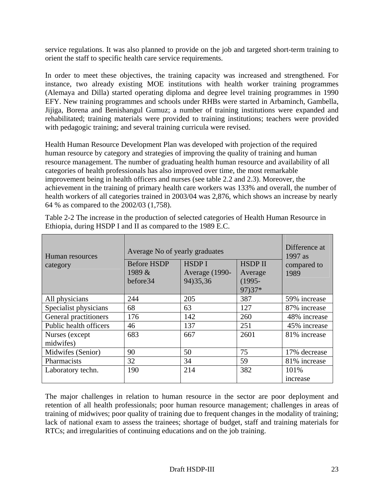service regulations. It was also planned to provide on the job and targeted short-term training to orient the staff to specific health care service requirements.

In order to meet these objectives, the training capacity was increased and strengthened. For instance, two already existing MOE institutions with health worker training programmes (Alemaya and Dilla) started operating diploma and degree level training programmes in 1990 EFY. New training programmes and schools under RHBs were started in Arbaminch, Gambella, Jijiga, Borena and Benishangul Gumuz; a number of training institutions were expanded and rehabilitated; training materials were provided to training institutions; teachers were provided with pedagogic training; and several training curricula were revised.

Health Human Resource Development Plan was developed with projection of the required human resource by category and strategies of improving the quality of training and human resource management. The number of graduating health human resource and availability of all categories of health professionals has also improved over time, the most remarkable improvement being in health officers and nurses (see table 2.2 and 2.3). Moreover, the achievement in the training of primary health care workers was 133% and overall, the number of health workers of all categories trained in 2003/04 was 2,876, which shows an increase by nearly 64 % as compared to the 2002/03 (1,758).

| Human resources<br>category | Average No of yearly graduates<br><b>Before HSDP</b><br>1989 &<br>before34 | Difference at<br>$1997$ as<br>compared to<br>1989 |                |                  |
|-----------------------------|----------------------------------------------------------------------------|---------------------------------------------------|----------------|------------------|
| All physicians              | 244                                                                        | 205                                               | 97) 37*<br>387 | 59% increase     |
| Specialist physicians       | 68                                                                         | 63                                                | 127            | 87% increase     |
| General practitioners       | 176                                                                        | 142                                               | 260            | 48% increase     |
| Public health officers      | 46                                                                         | 137                                               | 251            | 45% increase     |
| Nurses (except<br>midwifes) | 683                                                                        | 667                                               | 2601           | 81% increase     |
| Midwifes (Senior)           | 90                                                                         | 50                                                | 75             | 17% decrease     |
| Pharmacists                 | 32                                                                         | 34                                                | 59             | 81% increase     |
| Laboratory techn.           | 190                                                                        | 214                                               | 382            | 101%<br>increase |

Table 2-2 The increase in the production of selected categories of Health Human Resource in Ethiopia, during HSDP I and II as compared to the 1989 E.C.

The major challenges in relation to human resource in the sector are poor deployment and retention of all health professionals; poor human resource management; challenges in areas of training of midwives; poor quality of training due to frequent changes in the modality of training; lack of national exam to assess the trainees; shortage of budget, staff and training materials for RTCs; and irregularities of continuing educations and on the job training.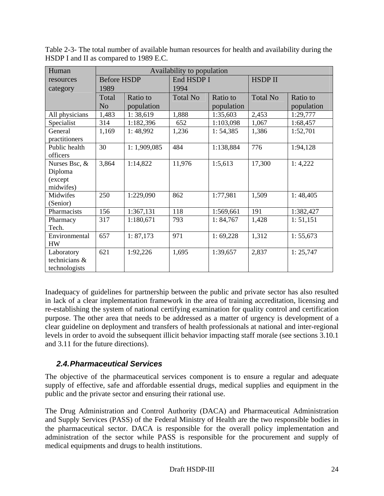| Human          | Availability to population |             |                 |            |                 |            |
|----------------|----------------------------|-------------|-----------------|------------|-----------------|------------|
| resources      | <b>Before HSDP</b>         |             | End HSDP I      |            | <b>HSDP II</b>  |            |
| category       | 1989                       |             | 1994            |            |                 |            |
|                | Total                      | Ratio to    | <b>Total No</b> | Ratio to   | <b>Total No</b> | Ratio to   |
|                | N <sub>o</sub>             | population  |                 | population |                 | population |
| All physicians | 1,483                      | 1:38,619    | 1,888           | 1:35,603   | 2,453           | 1:29,777   |
| Specialist     | 314                        | 1:182,396   | 652             | 1:103,098  | 1,067           | 1:68,457   |
| General        | 1,169                      | 1:48,992    | 1,236           | 1: 54,385  | 1,386           | 1:52,701   |
| practitioners  |                            |             |                 |            |                 |            |
| Public health  | 30                         | 1:1,909,085 | 484             | 1:138,884  | 776             | 1:94,128   |
| officers       |                            |             |                 |            |                 |            |
| Nurses Bsc, &  | 3,864                      | 1:14,822    | 11,976          | 1:5,613    | 17,300          | 1:4,222    |
| Diploma        |                            |             |                 |            |                 |            |
| (except        |                            |             |                 |            |                 |            |
| midwifes)      |                            |             |                 |            |                 |            |
| Midwifes       | 250                        | 1:229,090   | 862             | 1:77,981   | 1,509           | 1:48,405   |
| (Senior)       |                            |             |                 |            |                 |            |
| Pharmacists    | 156                        | 1:367,131   | 118             | 1:569,661  | 191             | 1:382,427  |
| Pharmacy       | 317                        | 1:180,671   | 793             | 1: 84,767  | 1,428           | 1: 51,151  |
| Tech.          |                            |             |                 |            |                 |            |
| Environmental  | 657                        | 1: 87,173   | 971             | 1:69,228   | 1,312           | 1: 55,673  |
| <b>HW</b>      |                            |             |                 |            |                 |            |
| Laboratory     | 621                        | 1:92,226    | 1,695           | 1:39,657   | 2,837           | 1: 25,747  |
| technicians &  |                            |             |                 |            |                 |            |
| technologists  |                            |             |                 |            |                 |            |

Table 2-3- The total number of available human resources for health and availability during the HSDP I and II as compared to 1989 E.C.

Inadequacy of guidelines for partnership between the public and private sector has also resulted in lack of a clear implementation framework in the area of training accreditation, licensing and re-establishing the system of national certifying examination for quality control and certification purpose. The other area that needs to be addressed as a matter of urgency is development of a clear guideline on deployment and transfers of health professionals at national and inter-regional levels in order to avoid the subsequent illicit behavior impacting staff morale (see sections 3.10.1 and 3.11 for the future directions).

# *2.4. Pharmaceutical Services*

The objective of the pharmaceutical services component is to ensure a regular and adequate supply of effective, safe and affordable essential drugs, medical supplies and equipment in the public and the private sector and ensuring their rational use.

The Drug Administration and Control Authority (DACA) and Pharmaceutical Administration and Supply Services (PASS) of the Federal Ministry of Health are the two responsible bodies in the pharmaceutical sector. DACA is responsible for the overall policy implementation and administration of the sector while PASS is responsible for the procurement and supply of medical equipments and drugs to health institutions.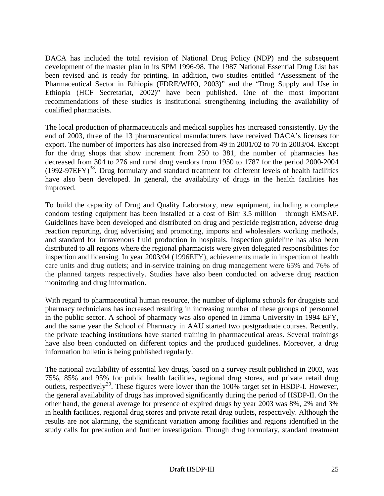DACA has included the total revision of National Drug Policy (NDP) and the subsequent development of the master plan in its SPM 1996-98. The 1987 National Essential Drug List has been revised and is ready for printing. In addition, two studies entitled "Assessment of the Pharmaceutical Sector in Ethiopia (FDRE/WHO, 2003)" and the "Drug Supply and Use in Ethiopia (HCF Secretariat, 2002)" have been published. One of the most important recommendations of these studies is institutional strengthening including the availability of qualified pharmacists.

The local production of pharmaceuticals and medical supplies has increased consistently. By the end of 2003, three of the 13 pharmaceutical manufacturers have received DACA's licenses for export. The number of importers has also increased from 49 in 2001/02 to 70 in 2003/04. Except for the drug shops that show increment from 250 to 381, the number of pharmacies has decreased from 304 to 276 and rural drug vendors from 1950 to 1787 for the period 2000-2004  $(1992-97EFY)^{38}$ . Drug formulary and standard treatment for different levels of health facilities have also been developed. In general, the availability of drugs in the health facilities has improved.

To build the capacity of Drug and Quality Laboratory, new equipment, including a complete condom testing equipment has been installed at a cost of Birr 3.5 million through EMSAP. Guidelines have been developed and distributed on drug and pesticide registration, adverse drug reaction reporting, drug advertising and promoting, imports and wholesalers working methods, and standard for intravenous fluid production in hospitals. Inspection guideline has also been distributed to all regions where the regional pharmacists were given delegated responsibilities for inspection and licensing. In year 2003/04 (1996EFY), achievements made in inspection of health care units and drug outlets; and in-service training on drug management were 65% and 76% of the planned targets respectively. Studies have also been conducted on adverse drug reaction monitoring and drug information.

With regard to pharmaceutical human resource, the number of diploma schools for druggists and pharmacy technicians has increased resulting in increasing number of these groups of personnel in the public sector. A school of pharmacy was also opened in Jimma University in 1994 EFY, and the same year the School of Pharmacy in AAU started two postgraduate courses. Recently, the private teaching institutions have started training in pharmaceutical areas. Several trainings have also been conducted on different topics and the produced guidelines. Moreover, a drug information bulletin is being published regularly.

The national availability of essential key drugs, based on a survey result published in 2003, was 75%, 85% and 95% for public health facilities, regional drug stores, and private retail drug outlets, respectively<sup>39</sup>. These figures were lower than the  $100\%$  target set in HSDP-I. However, the general availability of drugs has improved significantly during the period of HSDP-II. On the other hand, the general average for presence of expired drugs by year 2003 was 8%, 2% and 3% in health facilities, regional drug stores and private retail drug outlets, respectively. Although the results are not alarming, the significant variation among facilities and regions identified in the study calls for precaution and further investigation. Though drug formulary, standard treatment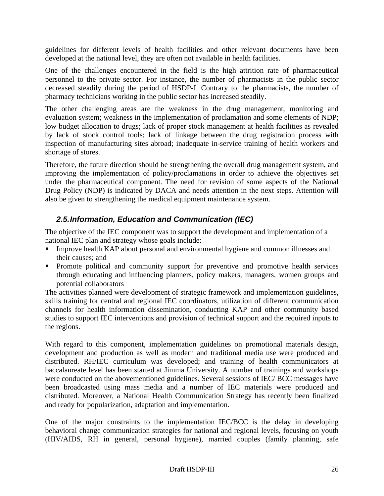guidelines for different levels of health facilities and other relevant documents have been developed at the national level, they are often not available in health facilities.

One of the challenges encountered in the field is the high attrition rate of pharmaceutical personnel to the private sector. For instance, the number of pharmacists in the public sector decreased steadily during the period of HSDP-I. Contrary to the pharmacists, the number of pharmacy technicians working in the public sector has increased steadily.

The other challenging areas are the weakness in the drug management, monitoring and evaluation system; weakness in the implementation of proclamation and some elements of NDP; low budget allocation to drugs; lack of proper stock management at health facilities as revealed by lack of stock control tools; lack of linkage between the drug registration process with inspection of manufacturing sites abroad; inadequate in-service training of health workers and shortage of stores.

Therefore, the future direction should be strengthening the overall drug management system, and improving the implementation of policy/proclamations in order to achieve the objectives set under the pharmaceutical component. The need for revision of some aspects of the National Drug Policy (NDP) is indicated by DACA and needs attention in the next steps. Attention will also be given to strengthening the medical equipment maintenance system.

# *2.5. Information, Education and Communication (IEC)*

The objective of the IEC component was to support the development and implementation of a national IEC plan and strategy whose goals include:

- Improve health KAP about personal and environmental hygiene and common illnesses and their causes; and
- **Promote political and community support for preventive and promotive health services** through educating and influencing planners, policy makers, managers, women groups and potential collaborators

The activities planned were development of strategic framework and implementation guidelines, skills training for central and regional IEC coordinators, utilization of different communication channels for health information dissemination, conducting KAP and other community based studies to support IEC interventions and provision of technical support and the required inputs to the regions.

With regard to this component, implementation guidelines on promotional materials design, development and production as well as modern and traditional media use were produced and distributed. RH/IEC curriculum was developed; and training of health communicators at baccalaureate level has been started at Jimma University. A number of trainings and workshops were conducted on the abovementioned guidelines. Several sessions of IEC/ BCC messages have been broadcasted using mass media and a number of IEC materials were produced and distributed. Moreover, a National Health Communication Strategy has recently been finalized and ready for popularization, adaptation and implementation.

One of the major constraints to the implementation IEC/BCC is the delay in developing behavioral change communication strategies for national and regional levels, focusing on youth (HIV/AIDS, RH in general, personal hygiene), married couples (family planning, safe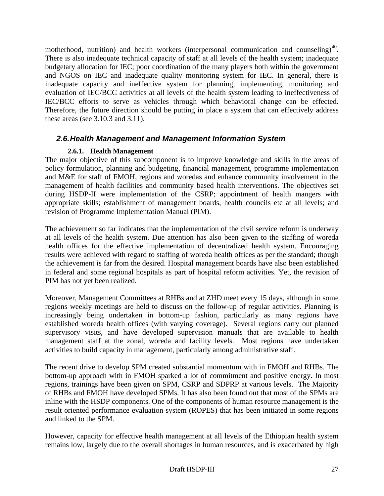motherhood, nutrition) and health workers (interpersonal communication and counseling)<sup>40</sup>. There is also inadequate technical capacity of staff at all levels of the health system; inadequate budgetary allocation for IEC; poor coordination of the many players both within the government and NGOS on IEC and inadequate quality monitoring system for IEC. In general, there is inadequate capacity and ineffective system for planning, implementing, monitoring and evaluation of IEC/BCC activities at all levels of the health system leading to ineffectiveness of IEC/BCC efforts to serve as vehicles through which behavioral change can be effected. Therefore, the future direction should be putting in place a system that can effectively address these areas (see 3.10.3 and 3.11).

# *2.6. Health Management and Management Information System*

### **2.6.1. Health Management**

The major objective of this subcomponent is to improve knowledge and skills in the areas of policy formulation, planning and budgeting, financial management, programme implementation and M&E for staff of FMOH, regions and woredas and enhance community involvement in the management of health facilities and community based health interventions. The objectives set during HSDP-II were implementation of the CSRP; appointment of health mangers with appropriate skills; establishment of management boards, health councils etc at all levels; and revision of Programme Implementation Manual (PIM).

The achievement so far indicates that the implementation of the civil service reform is underway at all levels of the health system. Due attention has also been given to the staffing of woreda health offices for the effective implementation of decentralized health system. Encouraging results were achieved with regard to staffing of woreda health offices as per the standard; though the achievement is far from the desired. Hospital management boards have also been established in federal and some regional hospitals as part of hospital reform activities. Yet, the revision of PIM has not yet been realized.

Moreover, Management Committees at RHBs and at ZHD meet every 15 days, although in some regions weekly meetings are held to discuss on the follow-up of regular activities. Planning is increasingly being undertaken in bottom-up fashion, particularly as many regions have established woreda health offices (with varying coverage). Several regions carry out planned supervisory visits, and have developed supervision manuals that are available to health management staff at the zonal, woreda and facility levels. Most regions have undertaken activities to build capacity in management, particularly among administrative staff.

The recent drive to develop SPM created substantial momentum with in FMOH and RHBs. The bottom-up approach with in FMOH sparked a lot of commitment and positive energy. In most regions, trainings have been given on SPM, CSRP and SDPRP at various levels. The Majority of RHBs and FMOH have developed SPMs. It has also been found out that most of the SPMs are inline with the HSDP components. One of the components of human resource management is the result oriented performance evaluation system (ROPES) that has been initiated in some regions and linked to the SPM.

However, capacity for effective health management at all levels of the Ethiopian health system remains low, largely due to the overall shortages in human resources, and is exacerbated by high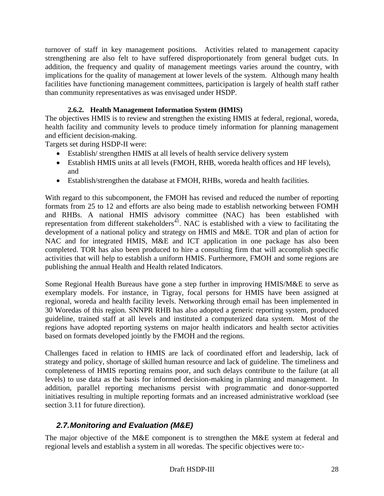turnover of staff in key management positions. Activities related to management capacity strengthening are also felt to have suffered disproportionately from general budget cuts. In addition, the frequency and quality of management meetings varies around the country, with implications for the quality of management at lower levels of the system. Although many health facilities have functioning management committees, participation is largely of health staff rather than community representatives as was envisaged under HSDP.

# **2.6.2. Health Management Information System (HMIS)**

The objectives HMIS is to review and strengthen the existing HMIS at federal, regional, woreda, health facility and community levels to produce timely information for planning management and efficient decision-making.

Targets set during HSDP-II were:

- Establish/ strengthen HMIS at all levels of health service delivery system
- Establish HMIS units at all levels (FMOH, RHB, woreda health offices and HF levels), and
- Establish/strengthen the database at FMOH, RHBs, woreda and health facilities.

With regard to this subcomponent, the FMOH has revised and reduced the number of reporting formats from 25 to 12 and efforts are also being made to establish networking between FOMH and RHBs. A national HMIS advisory committee (NAC) has been established with representation from different stakeholders<sup>41</sup>. NAC is established with a view to facilitating the development of a national policy and strategy on HMIS and M&E. TOR and plan of action for NAC and for integrated HMIS, M&E and ICT application in one package has also been completed. TOR has also been produced to hire a consulting firm that will accomplish specific activities that will help to establish a uniform HMIS. Furthermore, FMOH and some regions are publishing the annual Health and Health related Indicators.

Some Regional Health Bureaus have gone a step further in improving HMIS/M&E to serve as exemplary models. For instance, in Tigray, focal persons for HMIS have been assigned at regional, woreda and health facility levels. Networking through email has been implemented in 30 Woredas of this region. SNNPR RHB has also adopted a generic reporting system, produced guideline, trained staff at all levels and instituted a computerized data system. Most of the regions have adopted reporting systems on major health indicators and health sector activities based on formats developed jointly by the FMOH and the regions.

Challenges faced in relation to HMIS are lack of coordinated effort and leadership, lack of strategy and policy, shortage of skilled human resource and lack of guideline. The timeliness and completeness of HMIS reporting remains poor, and such delays contribute to the failure (at all levels) to use data as the basis for informed decision-making in planning and management. In addition, parallel reporting mechanisms persist with programmatic and donor-supported initiatives resulting in multiple reporting formats and an increased administrative workload (see section 3.11 for future direction).

# *2.7. Monitoring and Evaluation (M&E)*

The major objective of the M&E component is to strengthen the M&E system at federal and regional levels and establish a system in all woredas. The specific objectives were to:-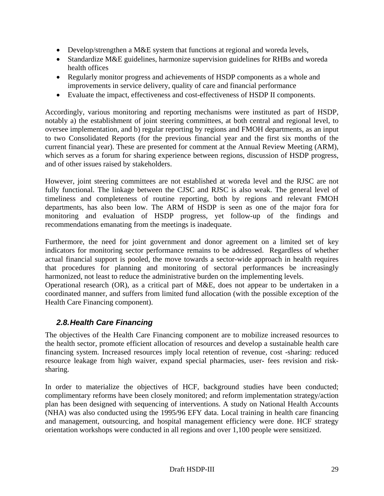- Develop/strengthen a M&E system that functions at regional and woreda levels,
- Standardize M&E guidelines, harmonize supervision guidelines for RHBs and woreda health offices
- Regularly monitor progress and achievements of HSDP components as a whole and improvements in service delivery, quality of care and financial performance
- Evaluate the impact, effectiveness and cost-effectiveness of HSDP II components.

Accordingly, various monitoring and reporting mechanisms were instituted as part of HSDP, notably a) the establishment of joint steering committees, at both central and regional level, to oversee implementation, and b) regular reporting by regions and FMOH departments, as an input to two Consolidated Reports (for the previous financial year and the first six months of the current financial year). These are presented for comment at the Annual Review Meeting (ARM), which serves as a forum for sharing experience between regions, discussion of HSDP progress, and of other issues raised by stakeholders.

However, joint steering committees are not established at woreda level and the RJSC are not fully functional. The linkage between the CJSC and RJSC is also weak. The general level of timeliness and completeness of routine reporting, both by regions and relevant FMOH departments, has also been low. The ARM of HSDP is seen as one of the major fora for monitoring and evaluation of HSDP progress, yet follow-up of the findings and recommendations emanating from the meetings is inadequate.

Furthermore, the need for joint government and donor agreement on a limited set of key indicators for monitoring sector performance remains to be addressed. Regardless of whether actual financial support is pooled, the move towards a sector-wide approach in health requires that procedures for planning and monitoring of sectoral performances be increasingly harmonized, not least to reduce the administrative burden on the implementing levels.

Operational research (OR), as a critical part of M&E, does not appear to be undertaken in a coordinated manner, and suffers from limited fund allocation (with the possible exception of the Health Care Financing component).

# *2.8. Health Care Financing*

The objectives of the Health Care Financing component are to mobilize increased resources to the health sector, promote efficient allocation of resources and develop a sustainable health care financing system. Increased resources imply local retention of revenue, cost -sharing: reduced resource leakage from high waiver, expand special pharmacies, user- fees revision and risksharing.

In order to materialize the objectives of HCF, background studies have been conducted; complimentary reforms have been closely monitored; and reform implementation strategy/action plan has been designed with sequencing of interventions. A study on National Health Accounts (NHA) was also conducted using the 1995/96 EFY data. Local training in health care financing and management, outsourcing, and hospital management efficiency were done. HCF strategy orientation workshops were conducted in all regions and over 1,100 people were sensitized.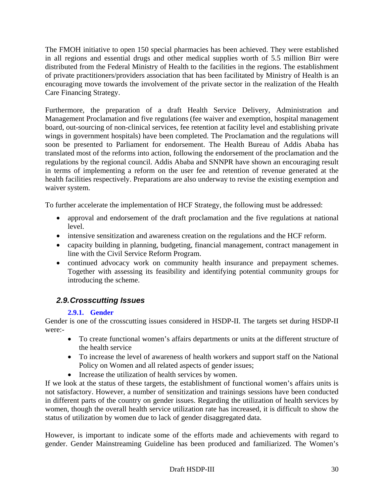The FMOH initiative to open 150 special pharmacies has been achieved. They were established in all regions and essential drugs and other medical supplies worth of 5.5 million Birr were distributed from the Federal Ministry of Health to the facilities in the regions. The establishment of private practitioners/providers association that has been facilitated by Ministry of Health is an encouraging move towards the involvement of the private sector in the realization of the Health Care Financing Strategy.

Furthermore, the preparation of a draft Health Service Delivery, Administration and Management Proclamation and five regulations (fee waiver and exemption, hospital management board, out-sourcing of non-clinical services, fee retention at facility level and establishing private wings in government hospitals) have been completed. The Proclamation and the regulations will soon be presented to Parliament for endorsement. The Health Bureau of Addis Ababa has translated most of the reforms into action, following the endorsement of the proclamation and the regulations by the regional council. Addis Ababa and SNNPR have shown an encouraging result in terms of implementing a reform on the user fee and retention of revenue generated at the health facilities respectively. Preparations are also underway to revise the existing exemption and waiver system.

To further accelerate the implementation of HCF Strategy, the following must be addressed:

- approval and endorsement of the draft proclamation and the five regulations at national level.
- intensive sensitization and awareness creation on the regulations and the HCF reform.
- capacity building in planning, budgeting, financial management, contract management in line with the Civil Service Reform Program.
- continued advocacy work on community health insurance and prepayment schemes. Together with assessing its feasibility and identifying potential community groups for introducing the scheme.

# *2.9. Crosscutting Issues*

# **2.9.1. Gender**

Gender is one of the crosscutting issues considered in HSDP-II. The targets set during HSDP-II were:-

- To create functional women's affairs departments or units at the different structure of the health service
- To increase the level of awareness of health workers and support staff on the National Policy on Women and all related aspects of gender issues;
- Increase the utilization of health services by women.

If we look at the status of these targets, the establishment of functional women's affairs units is not satisfactory. However, a number of sensitization and trainings sessions have been conducted in different parts of the country on gender issues. Regarding the utilization of health services by women, though the overall health service utilization rate has increased, it is difficult to show the status of utilization by women due to lack of gender disaggregated data.

However, is important to indicate some of the efforts made and achievements with regard to gender. Gender Mainstreaming Guideline has been produced and familiarized. The Women's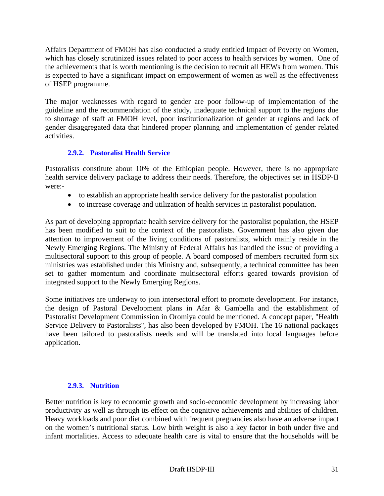Affairs Department of FMOH has also conducted a study entitled Impact of Poverty on Women, which has closely scrutinized issues related to poor access to health services by women. One of the achievements that is worth mentioning is the decision to recruit all HEWs from women. This is expected to have a significant impact on empowerment of women as well as the effectiveness of HSEP programme.

The major weaknesses with regard to gender are poor follow-up of implementation of the guideline and the recommendation of the study, inadequate technical support to the regions due to shortage of staff at FMOH level, poor institutionalization of gender at regions and lack of gender disaggregated data that hindered proper planning and implementation of gender related activities.

## **2.9.2. Pastoralist Health Service**

Pastoralists constitute about 10% of the Ethiopian people. However, there is no appropriate health service delivery package to address their needs. Therefore, the objectives set in HSDP-II were:-

- to establish an appropriate health service delivery for the pastoralist population
- to increase coverage and utilization of health services in pastoralist population.

As part of developing appropriate health service delivery for the pastoralist population, the HSEP has been modified to suit to the context of the pastoralists. Government has also given due attention to improvement of the living conditions of pastoralists, which mainly reside in the Newly Emerging Regions. The Ministry of Federal Affairs has handled the issue of providing a multisectoral support to this group of people. A board composed of members recruited form six ministries was established under this Ministry and, subsequently, a technical committee has been set to gather momentum and coordinate multisectoral efforts geared towards provision of integrated support to the Newly Emerging Regions.

Some initiatives are underway to join intersectoral effort to promote development. For instance, the design of Pastoral Development plans in Afar & Gambella and the establishment of Pastoralist Development Commission in Oromiya could be mentioned. A concept paper, "Health Service Delivery to Pastoralists", has also been developed by FMOH. The 16 national packages have been tailored to pastoralists needs and will be translated into local languages before application.

## **2.9.3. Nutrition**

Better nutrition is key to economic growth and socio-economic development by increasing labor productivity as well as through its effect on the cognitive achievements and abilities of children. Heavy workloads and poor diet combined with frequent pregnancies also have an adverse impact on the women's nutritional status. Low birth weight is also a key factor in both under five and infant mortalities. Access to adequate health care is vital to ensure that the households will be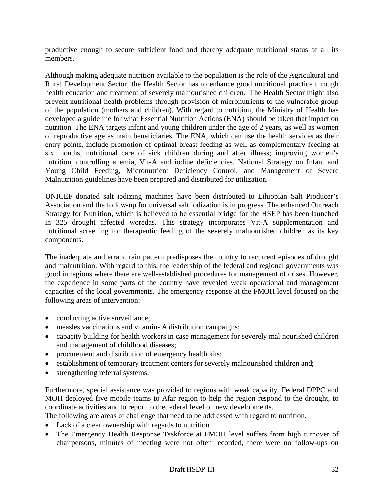productive enough to secure sufficient food and thereby adequate nutritional status of all its members.

Although making adequate nutrition available to the population is the role of the Agricultural and Rural Development Sector, the Health Sector has to enhance good nutritional practice through health education and treatment of severely malnourished children. The Health Sector might also prevent nutritional health problems through provision of micronutrients to the vulnerable group of the population (mothers and children). With regard to nutrition, the Ministry of Health has developed a guideline for what Essential Nutrition Actions (ENA) should be taken that impact on nutrition. The ENA targets infant and young children under the age of 2 years, as well as women of reproductive age as main beneficiaries. The ENA, which can use the health services as their entry points, include promotion of optimal breast feeding as well as complementary feeding at six months, nutritional care of sick children during and after illness; improving women's nutrition, controlling anemia, Vit-A and iodine deficiencies. National Strategy on Infant and Young Child Feeding, Micronutrient Deficiency Control, and Management of Severe Malnutrition guidelines have been prepared and distributed for utilization.

UNICEF donated salt iodizing machines have been distributed to Ethiopian Salt Producer's Association and the follow-up for universal salt iodization is in progress. The enhanced Outreach Strategy for Nutrition, which is believed to be essential bridge for the HSEP has been launched in 325 drought affected woredas. This strategy incorporates Vit-A supplementation and nutritional screening for therapeutic feeding of the severely malnourished children as its key components.

The inadequate and erratic rain pattern predisposes the country to recurrent episodes of drought and malnutrition. With regard to this, the leadership of the federal and regional governments was good in regions where there are well-established procedures for management of crises. However, the experience in some parts of the country have revealed weak operational and management capacities of the local governments. The emergency response at the FMOH level focused on the following areas of intervention:

- conducting active surveillance;
- measles vaccinations and vitamin- A distribution campaigns;
- capacity building for health workers in case management for severely mal nourished children and management of childhood diseases;
- procurement and distribution of emergency health kits;
- establishment of temporary treatment centers for severely malnourished children and;
- strengthening referral systems.

Furthermore, special assistance was provided to regions with weak capacity. Federal DPPC and MOH deployed five mobile teams to Afar region to help the region respond to the drought, to coordinate activities and to report to the federal level on new developments.

The following are areas of challenge that need to be addressed with regard to nutrition.

- Lack of a clear ownership with regards to nutrition
- The Emergency Health Response Taskforce at FMOH level suffers from high turnover of chairpersons, minutes of meeting were not often recorded, there were no follow-ups on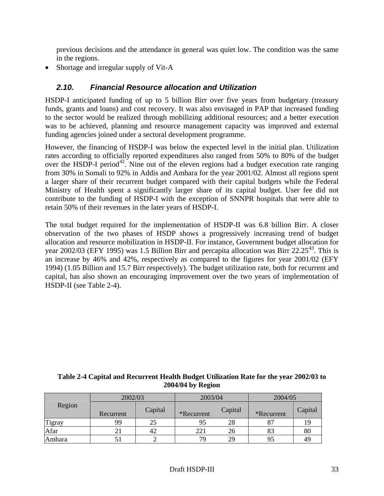previous decisions and the attendance in general was quiet low. The condition was the same in the regions.

• Shortage and irregular supply of Vit-A

# *2.10. Financial Resource allocation and Utilization*

HSDP-I anticipated funding of up to 5 billion Birr over five years from budgetary (treasury funds, grants and loans) and cost recovery. It was also envisaged in PAP that increased funding to the sector would be realized through mobilizing additional resources; and a better execution was to be achieved, planning and resource management capacity was improved and external funding agencies joined under a sectoral development programme.

However, the financing of HSDP-I was below the expected level in the initial plan. Utilization rates according to officially reported expenditures also ranged from 50% to 80% of the budget over the HSDP-I period<sup>42</sup>. Nine out of the eleven regions had a budget execution rate ranging from 30% in Somali to 92% in Addis and Amhara for the year 2001/02. Almost all regions spent a larger share of their recurrent budget compared with their capital budgets while the Federal Ministry of Health spent a significantly larger share of its capital budget. User fee did not contribute to the funding of HSDP-I with the exception of SNNPR hospitals that were able to retain 50% of their revenues in the later years of HSDP-I.

The total budget required for the implementation of HSDP-II was 6.8 billion Birr. A closer observation of the two phases of HSDP shows a progressively increasing trend of budget allocation and resource mobilization in HSDP-II. For instance, Government budget allocation for year 2002/03 (EFY 1995) was 1.5 Billion Birr and percapita allocation was Birr  $22.25^{43}$ . This is an increase by 46% and 42%, respectively as compared to the figures for year 2001/02 (EFY 1994) (1.05 Billion and 15.7 Birr respectively). The budget utilization rate, both for recurrent and capital, has also shown an encouraging improvement over the two years of implementation of HSDP-II (see Table 2-4).

### **Table 2-4 Capital and Recurrent Health Budget Utilization Rate for the year 2002/03 to 2004/04 by Region**

|        | 2002/03   |         | 2003/04    |         | 2004/05    |         |
|--------|-----------|---------|------------|---------|------------|---------|
| Region | Recurrent | Capital | *Recurrent | Capital | *Recurrent | Capital |
| Tigray | 99        |         | 95         | 28      |            | 19      |
| Afar   |           | 42      | 221        | 26      | 83         | 80      |
| Amhara |           |         | 79         | 29      | 95         | 49      |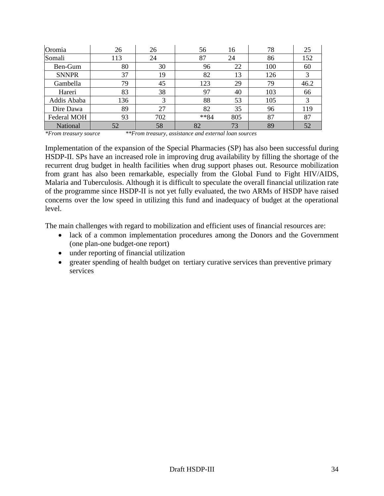| Oromia       | 26  | 26  | 56      | 16  | 78  | 25   |
|--------------|-----|-----|---------|-----|-----|------|
| Somali       | 113 | 24  | 87      | 24  | 86  | 152  |
| Ben-Gum      | 80  | 30  | 96      | 22  | 100 | 60   |
| <b>SNNPR</b> | 37  | 19  | 82      | 13  | 126 | 3    |
| Gambella     | 79  | 45  | 123     | 29  | 79  | 46.2 |
| Hareri       | 83  | 38  | 97      | 40  | 103 | 66   |
| Addis Ababa  | 136 | 3   | 88      | 53  | 105 | 3    |
| Dire Dawa    | 89  | 27  | 82      | 35  | 96  | 119  |
| Federal MOH  | 93  | 702 | $***84$ | 805 | 87  | 87   |
| National     | 52  | 58  | 82      | 73  | 89  | 52   |

Implementation of the expansion of the Special Pharmacies (SP) has also been successful during HSDP-II. SPs have an increased role in improving drug availability by filling the shortage of the recurrent drug budget in health facilities when drug support phases out. Resource mobilization from grant has also been remarkable, especially from the Global Fund to Fight HIV/AIDS, Malaria and Tuberculosis. Although it is difficult to speculate the overall financial utilization rate of the programme since HSDP-II is not yet fully evaluated, the two ARMs of HSDP have raised concerns over the low speed in utilizing this fund and inadequacy of budget at the operational level.

The main challenges with regard to mobilization and efficient uses of financial resources are:

- lack of a common implementation procedures among the Donors and the Government (one plan-one budget-one report)
- under reporting of financial utilization
- greater spending of health budget on tertiary curative services than preventive primary services

*<sup>\*</sup>From treasury source \*\*From treasury, assistance and external loan sources*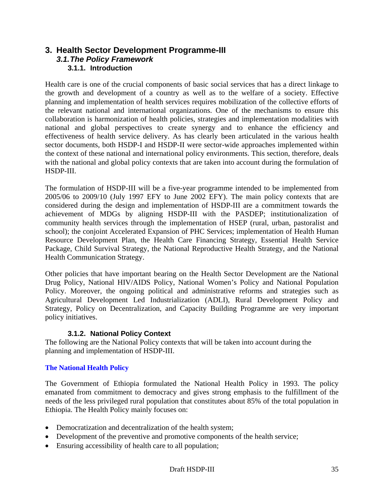# **3. Health Sector Development Programme-III**  *3.1. The Policy Framework*  **3.1.1. Introduction**

Health care is one of the crucial components of basic social services that has a direct linkage to the growth and development of a country as well as to the welfare of a society. Effective planning and implementation of health services requires mobilization of the collective efforts of the relevant national and international organizations. One of the mechanisms to ensure this collaboration is harmonization of health policies, strategies and implementation modalities with national and global perspectives to create synergy and to enhance the efficiency and effectiveness of health service delivery. As has clearly been articulated in the various health sector documents, both HSDP-I and HSDP-II were sector-wide approaches implemented within the context of these national and international policy environments. This section, therefore, deals with the national and global policy contexts that are taken into account during the formulation of HSDP-III.

The formulation of HSDP-III will be a five-year programme intended to be implemented from 2005/06 to 2009/10 (July 1997 EFY to June 2002 EFY). The main policy contexts that are considered during the design and implementation of HSDP-III are a commitment towards the achievement of MDGs by aligning HSDP-III with the PASDEP; institutionalization of community health services through the implementation of HSEP (rural, urban, pastoralist and school); the conjoint Accelerated Expansion of PHC Services; implementation of Health Human Resource Development Plan, the Health Care Financing Strategy, Essential Health Service Package, Child Survival Strategy, the National Reproductive Health Strategy, and the National Health Communication Strategy.

Other policies that have important bearing on the Health Sector Development are the National Drug Policy, National HIV/AIDS Policy, National Women's Policy and National Population Policy. Moreover, the ongoing political and administrative reforms and strategies such as Agricultural Development Led Industrialization (ADLI), Rural Development Policy and Strategy, Policy on Decentralization, and Capacity Building Programme are very important policy initiatives.

## **3.1.2. National Policy Context**

The following are the National Policy contexts that will be taken into account during the planning and implementation of HSDP-III.

## **The National Health Policy**

The Government of Ethiopia formulated the National Health Policy in 1993. The policy emanated from commitment to democracy and gives strong emphasis to the fulfillment of the needs of the less privileged rural population that constitutes about 85% of the total population in Ethiopia. The Health Policy mainly focuses on:

- Democratization and decentralization of the health system;
- Development of the preventive and promotive components of the health service;
- Ensuring accessibility of health care to all population;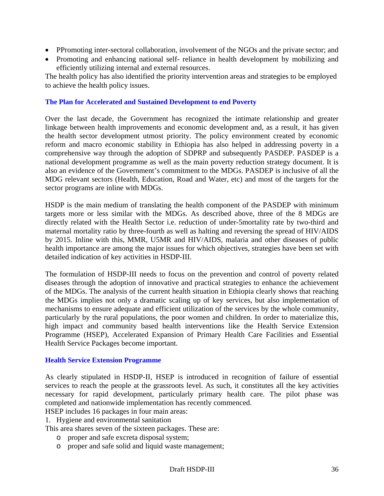- PPromoting inter-sectoral collaboration, involvement of the NGOs and the private sector; and
- Promoting and enhancing national self- reliance in health development by mobilizing and efficiently utilizing internal and external resources.

The health policy has also identified the priority intervention areas and strategies to be employed to achieve the health policy issues.

#### **The Plan for Accelerated and Sustained Development to end Poverty**

Over the last decade, the Government has recognized the intimate relationship and greater linkage between health improvements and economic development and, as a result, it has given the health sector development utmost priority. The policy environment created by economic reform and macro economic stability in Ethiopia has also helped in addressing poverty in a comprehensive way through the adoption of SDPRP and subsequently PASDEP. PASDEP is a national development programme as well as the main poverty reduction strategy document. It is also an evidence of the Government's commitment to the MDGs. PASDEP is inclusive of all the MDG relevant sectors (Health, Education, Road and Water, etc) and most of the targets for the sector programs are inline with MDGs.

HSDP is the main medium of translating the health component of the PASDEP with minimum targets more or less similar with the MDGs. As described above, three of the 8 MDGs are directly related with the Health Sector i.e. reduction of under-5mortality rate by two-third and maternal mortality ratio by three-fourth as well as halting and reversing the spread of HIV/AIDS by 2015. Inline with this, MMR, U5MR and HIV/AIDS, malaria and other diseases of public health importance are among the major issues for which objectives, strategies have been set with detailed indication of key activities in HSDP-III.

The formulation of HSDP-III needs to focus on the prevention and control of poverty related diseases through the adoption of innovative and practical strategies to enhance the achievement of the MDGs. The analysis of the current health situation in Ethiopia clearly shows that reaching the MDGs implies not only a dramatic scaling up of key services, but also implementation of mechanisms to ensure adequate and efficient utilization of the services by the whole community, particularly by the rural populations, the poor women and children. In order to materialize this, high impact and community based health interventions like the Health Service Extension Programme (HSEP), Accelerated Expansion of Primary Health Care Facilities and Essential Health Service Packages become important.

#### **Health Service Extension Programme**

As clearly stipulated in HSDP-II, HSEP is introduced in recognition of failure of essential services to reach the people at the grassroots level. As such, it constitutes all the key activities necessary for rapid development, particularly primary health care. The pilot phase was completed and nationwide implementation has recently commenced.

HSEP includes 16 packages in four main areas:

1. Hygiene and environmental sanitation

This area shares seven of the sixteen packages. These are:

- o proper and safe excreta disposal system;
- o proper and safe solid and liquid waste management;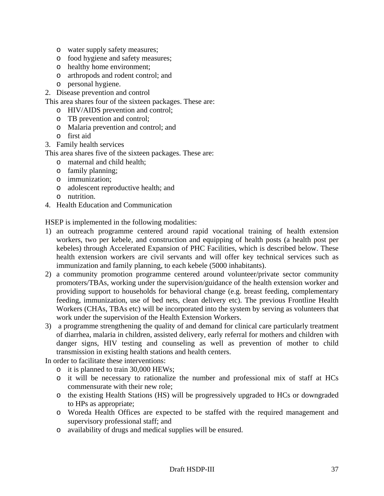- o water supply safety measures;
- o food hygiene and safety measures;
- o healthy home environment;
- o arthropods and rodent control; and
- o personal hygiene.
- 2. Disease prevention and control
- This area shares four of the sixteen packages. These are:
	- o HIV/AIDS prevention and control;
	- o TB prevention and control;
	- o Malaria prevention and control; and
	- o first aid
- 3. Family health services
- This area shares five of the sixteen packages. These are:
	- o maternal and child health;
	- o family planning;
	- o immunization;
	- o adolescent reproductive health; and
	- o nutrition.
- 4. Health Education and Communication

HSEP is implemented in the following modalities:

- 1) an outreach programme centered around rapid vocational training of health extension workers, two per kebele, and construction and equipping of health posts (a health post per kebeles) through Accelerated Expansion of PHC Facilities, which is described below. These health extension workers are civil servants and will offer key technical services such as immunization and family planning, to each kebele (5000 inhabitants).
- 2) a community promotion programme centered around volunteer/private sector community promoters/TBAs, working under the supervision/guidance of the health extension worker and providing support to households for behavioral change (e.g. breast feeding, complementary feeding, immunization, use of bed nets, clean delivery etc). The previous Frontline Health Workers (CHAs, TBAs etc) will be incorporated into the system by serving as volunteers that work under the supervision of the Health Extension Workers.
- 3) a programme strengthening the quality of and demand for clinical care particularly treatment of diarrhea, malaria in children, assisted delivery, early referral for mothers and children with danger signs, HIV testing and counseling as well as prevention of mother to child transmission in existing health stations and health centers.

In order to facilitate these interventions:

- o it is planned to train 30,000 HEWs;
- o it will be necessary to rationalize the number and professional mix of staff at HCs commensurate with their new role;
- o the existing Health Stations (HS) will be progressively upgraded to HCs or downgraded to HPs as appropriate;
- o Woreda Health Offices are expected to be staffed with the required management and supervisory professional staff; and
- o availability of drugs and medical supplies will be ensured.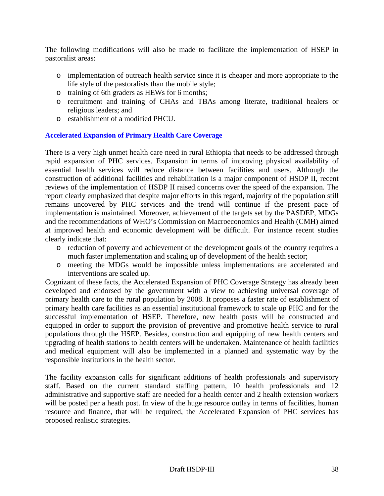The following modifications will also be made to facilitate the implementation of HSEP in pastoralist areas:

- o implementation of outreach health service since it is cheaper and more appropriate to the life style of the pastoralists than the mobile style;
- o training of 6th graders as HEWs for 6 months;
- o recruitment and training of CHAs and TBAs among literate, traditional healers or religious leaders; and
- o establishment of a modified PHCU.

### **Accelerated Expansion of Primary Health Care Coverage**

There is a very high unmet health care need in rural Ethiopia that needs to be addressed through rapid expansion of PHC services. Expansion in terms of improving physical availability of essential health services will reduce distance between facilities and users. Although the construction of additional facilities and rehabilitation is a major component of HSDP II, recent reviews of the implementation of HSDP II raised concerns over the speed of the expansion. The report clearly emphasized that despite major efforts in this regard, majority of the population still remains uncovered by PHC services and the trend will continue if the present pace of implementation is maintained. Moreover, achievement of the targets set by the PASDEP, MDGs and the recommendations of WHO's Commission on Macroeconomics and Health (CMH) aimed at improved health and economic development will be difficult. For instance recent studies clearly indicate that:

- o reduction of poverty and achievement of the development goals of the country requires a much faster implementation and scaling up of development of the health sector;
- o meeting the MDGs would be impossible unless implementations are accelerated and interventions are scaled up.

Cognizant of these facts, the Accelerated Expansion of PHC Coverage Strategy has already been developed and endorsed by the government with a view to achieving universal coverage of primary health care to the rural population by 2008. It proposes a faster rate of establishment of primary health care facilities as an essential institutional framework to scale up PHC and for the successful implementation of HSEP. Therefore, new health posts will be constructed and equipped in order to support the provision of preventive and promotive health service to rural populations through the HSEP. Besides, construction and equipping of new health centers and upgrading of health stations to health centers will be undertaken. Maintenance of health facilities and medical equipment will also be implemented in a planned and systematic way by the responsible institutions in the health sector.

The facility expansion calls for significant additions of health professionals and supervisory staff. Based on the current standard staffing pattern, 10 health professionals and 12 administrative and supportive staff are needed for a health center and 2 health extension workers will be posted per a heath post. In view of the huge resource outlay in terms of facilities, human resource and finance, that will be required, the Accelerated Expansion of PHC services has proposed realistic strategies.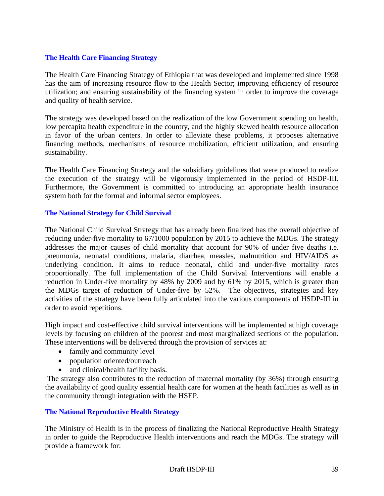### **The Health Care Financing Strategy**

The Health Care Financing Strategy of Ethiopia that was developed and implemented since 1998 has the aim of increasing resource flow to the Health Sector; improving efficiency of resource utilization; and ensuring sustainability of the financing system in order to improve the coverage and quality of health service.

The strategy was developed based on the realization of the low Government spending on health, low percapita health expenditure in the country, and the highly skewed health resource allocation in favor of the urban centers. In order to alleviate these problems, it proposes alternative financing methods, mechanisms of resource mobilization, efficient utilization, and ensuring sustainability.

The Health Care Financing Strategy and the subsidiary guidelines that were produced to realize the execution of the strategy will be vigorously implemented in the period of HSDP-III. Furthermore, the Government is committed to introducing an appropriate health insurance system both for the formal and informal sector employees.

### **The National Strategy for Child Survival**

The National Child Survival Strategy that has already been finalized has the overall objective of reducing under-five mortality to 67/1000 population by 2015 to achieve the MDGs. The strategy addresses the major causes of child mortality that account for 90% of under five deaths i.e. pneumonia, neonatal conditions, malaria, diarrhea, measles, malnutrition and HIV/AIDS as underlying condition. It aims to reduce neonatal, child and under-five mortality rates proportionally. The full implementation of the Child Survival Interventions will enable a reduction in Under-five mortality by 48% by 2009 and by 61% by 2015, which is greater than the MDGs target of reduction of Under-five by 52%. The objectives, strategies and key activities of the strategy have been fully articulated into the various components of HSDP-III in order to avoid repetitions.

High impact and cost-effective child survival interventions will be implemented at high coverage levels by focusing on children of the poorest and most marginalized sections of the population. These interventions will be delivered through the provision of services at:

- family and community level
- population oriented/outreach
- and clinical/health facility basis.

 The strategy also contributes to the reduction of maternal mortality (by 36%) through ensuring the availability of good quality essential health care for women at the heath facilities as well as in the community through integration with the HSEP.

#### **The National Reproductive Health Strategy**

The Ministry of Health is in the process of finalizing the National Reproductive Health Strategy in order to guide the Reproductive Health interventions and reach the MDGs. The strategy will provide a framework for: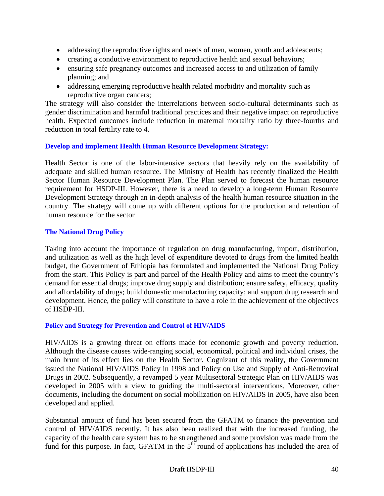- addressing the reproductive rights and needs of men, women, youth and adolescents;
- creating a conducive environment to reproductive health and sexual behaviors;
- ensuring safe pregnancy outcomes and increased access to and utilization of family planning; and
- addressing emerging reproductive health related morbidity and mortality such as reproductive organ cancers;

The strategy will also consider the interrelations between socio-cultural determinants such as gender discrimination and harmful traditional practices and their negative impact on reproductive health. Expected outcomes include reduction in maternal mortality ratio by three-fourths and reduction in total fertility rate to 4.

### **Develop and implement Health Human Resource Development Strategy:**

Health Sector is one of the labor-intensive sectors that heavily rely on the availability of adequate and skilled human resource. The Ministry of Health has recently finalized the Health Sector Human Resource Development Plan. The Plan served to forecast the human resource requirement for HSDP-III. However, there is a need to develop a long-term Human Resource Development Strategy through an in-depth analysis of the health human resource situation in the country. The strategy will come up with different options for the production and retention of human resource for the sector

#### **The National Drug Policy**

Taking into account the importance of regulation on drug manufacturing, import, distribution, and utilization as well as the high level of expenditure devoted to drugs from the limited health budget, the Government of Ethiopia has formulated and implemented the National Drug Policy from the start. This Policy is part and parcel of the Health Policy and aims to meet the country's demand for essential drugs; improve drug supply and distribution; ensure safety, efficacy, quality and affordability of drugs; build domestic manufacturing capacity; and support drug research and development. Hence, the policy will constitute to have a role in the achievement of the objectives of HSDP-III.

#### **Policy and Strategy for Prevention and Control of HIV/AIDS**

HIV/AIDS is a growing threat on efforts made for economic growth and poverty reduction. Although the disease causes wide-ranging social, economical, political and individual crises, the main brunt of its effect lies on the Health Sector. Cognizant of this reality, the Government issued the National HIV/AIDS Policy in 1998 and Policy on Use and Supply of Anti-Retroviral Drugs in 2002. Subsequently, a revamped 5 year Multisectoral Strategic Plan on HIV/AIDS was developed in 2005 with a view to guiding the multi-sectoral interventions. Moreover, other documents, including the document on social mobilization on HIV/AIDS in 2005, have also been developed and applied.

Substantial amount of fund has been secured from the GFATM to finance the prevention and control of HIV/AIDS recently. It has also been realized that with the increased funding, the capacity of the health care system has to be strengthened and some provision was made from the fund for this purpose. In fact, GFATM in the  $5<sup>th</sup>$  round of applications has included the area of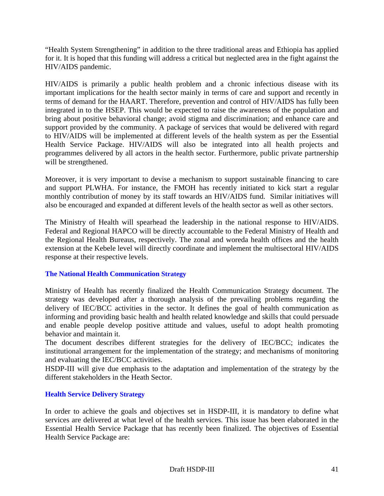"Health System Strengthening" in addition to the three traditional areas and Ethiopia has applied for it. It is hoped that this funding will address a critical but neglected area in the fight against the HIV/AIDS pandemic.

HIV/AIDS is primarily a public health problem and a chronic infectious disease with its important implications for the health sector mainly in terms of care and support and recently in terms of demand for the HAART. Therefore, prevention and control of HIV/AIDS has fully been integrated in to the HSEP. This would be expected to raise the awareness of the population and bring about positive behavioral change; avoid stigma and discrimination; and enhance care and support provided by the community. A package of services that would be delivered with regard to HIV/AIDS will be implemented at different levels of the health system as per the Essential Health Service Package. HIV/AIDS will also be integrated into all health projects and programmes delivered by all actors in the health sector. Furthermore, public private partnership will be strengthened.

Moreover, it is very important to devise a mechanism to support sustainable financing to care and support PLWHA. For instance, the FMOH has recently initiated to kick start a regular monthly contribution of money by its staff towards an HIV/AIDS fund. Similar initiatives will also be encouraged and expanded at different levels of the health sector as well as other sectors.

The Ministry of Health will spearhead the leadership in the national response to HIV/AIDS. Federal and Regional HAPCO will be directly accountable to the Federal Ministry of Health and the Regional Health Bureaus, respectively. The zonal and woreda health offices and the health extension at the Kebele level will directly coordinate and implement the multisectoral HIV/AIDS response at their respective levels.

## **The National Health Communication Strategy**

Ministry of Health has recently finalized the Health Communication Strategy document. The strategy was developed after a thorough analysis of the prevailing problems regarding the delivery of IEC/BCC activities in the sector. It defines the goal of health communication as informing and providing basic health and health related knowledge and skills that could persuade and enable people develop positive attitude and values, useful to adopt health promoting behavior and maintain it.

The document describes different strategies for the delivery of IEC/BCC; indicates the institutional arrangement for the implementation of the strategy; and mechanisms of monitoring and evaluating the IEC/BCC activities.

HSDP-III will give due emphasis to the adaptation and implementation of the strategy by the different stakeholders in the Heath Sector.

## **Health Service Delivery Strategy**

In order to achieve the goals and objectives set in HSDP-III, it is mandatory to define what services are delivered at what level of the health services. This issue has been elaborated in the Essential Health Service Package that has recently been finalized. The objectives of Essential Health Service Package are: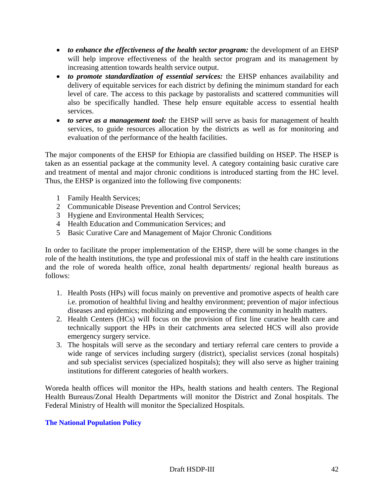- *to enhance the effectiveness of the health sector program:* the development of an EHSP will help improve effectiveness of the health sector program and its management by increasing attention towards health service output.
- *to promote standardization of essential services:* the EHSP enhances availability and delivery of equitable services for each district by defining the minimum standard for each level of care. The access to this package by pastoralists and scattered communities will also be specifically handled. These help ensure equitable access to essential health services.
- *to serve as a management tool:* the EHSP will serve as basis for management of health services, to guide resources allocation by the districts as well as for monitoring and evaluation of the performance of the health facilities.

The major components of the EHSP for Ethiopia are classified building on HSEP. The HSEP is taken as an essential package at the community level. A category containing basic curative care and treatment of mental and major chronic conditions is introduced starting from the HC level. Thus, the EHSP is organized into the following five components:

- 1 Family Health Services;
- 2 Communicable Disease Prevention and Control Services;
- 3 Hygiene and Environmental Health Services;
- 4 Health Education and Communication Services; and
- 5 Basic Curative Care and Management of Major Chronic Conditions

In order to facilitate the proper implementation of the EHSP, there will be some changes in the role of the health institutions, the type and professional mix of staff in the health care institutions and the role of woreda health office, zonal health departments/ regional health bureaus as follows:

- 1. Health Posts (HPs) will focus mainly on preventive and promotive aspects of health care i.e. promotion of healthful living and healthy environment; prevention of major infectious diseases and epidemics; mobilizing and empowering the community in health matters.
- 2. Health Centers (HCs) will focus on the provision of first line curative health care and technically support the HPs in their catchments area selected HCS will also provide emergency surgery service.
- 3. The hospitals will serve as the secondary and tertiary referral care centers to provide a wide range of services including surgery (district), specialist services (zonal hospitals) and sub specialist services (specialized hospitals); they will also serve as higher training institutions for different categories of health workers.

Woreda health offices will monitor the HPs, health stations and health centers. The Regional Health Bureaus/Zonal Health Departments will monitor the District and Zonal hospitals. The Federal Ministry of Health will monitor the Specialized Hospitals.

## **The National Population Policy**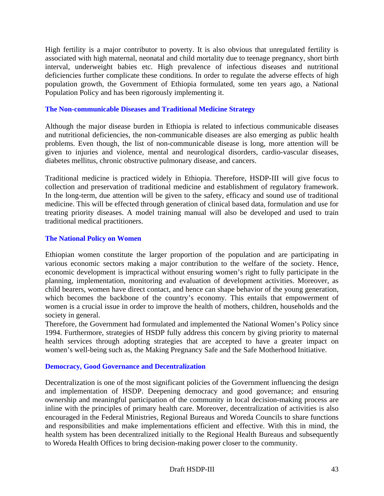High fertility is a major contributor to poverty. It is also obvious that unregulated fertility is associated with high maternal, neonatal and child mortality due to teenage pregnancy, short birth interval, underweight babies etc. High prevalence of infectious diseases and nutritional deficiencies further complicate these conditions. In order to regulate the adverse effects of high population growth, the Government of Ethiopia formulated, some ten years ago, a National Population Policy and has been rigorously implementing it.

#### **The Non-communicable Diseases and Traditional Medicine Strategy**

Although the major disease burden in Ethiopia is related to infectious communicable diseases and nutritional deficiencies, the non-communicable diseases are also emerging as public health problems. Even though, the list of non-communicable disease is long, more attention will be given to injuries and violence, mental and neurological disorders, cardio-vascular diseases, diabetes mellitus, chronic obstructive pulmonary disease, and cancers.

Traditional medicine is practiced widely in Ethiopia. Therefore, HSDP-III will give focus to collection and preservation of traditional medicine and establishment of regulatory framework. In the long-term, due attention will be given to the safety, efficacy and sound use of traditional medicine. This will be effected through generation of clinical based data, formulation and use for treating priority diseases. A model training manual will also be developed and used to train traditional medical practitioners.

#### **The National Policy on Women**

Ethiopian women constitute the larger proportion of the population and are participating in various economic sectors making a major contribution to the welfare of the society. Hence, economic development is impractical without ensuring women's right to fully participate in the planning, implementation, monitoring and evaluation of development activities. Moreover, as child bearers, women have direct contact, and hence can shape behavior of the young generation, which becomes the backbone of the country's economy. This entails that empowerment of women is a crucial issue in order to improve the health of mothers, children, households and the society in general.

Therefore, the Government had formulated and implemented the National Women's Policy since 1994. Furthermore, strategies of HSDP fully address this concern by giving priority to maternal health services through adopting strategies that are accepted to have a greater impact on women's well-being such as, the Making Pregnancy Safe and the Safe Motherhood Initiative.

#### **Democracy, Good Governance and Decentralization**

Decentralization is one of the most significant policies of the Government influencing the design and implementation of HSDP. Deepening democracy and good governance; and ensuring ownership and meaningful participation of the community in local decision-making process are inline with the principles of primary health care. Moreover, decentralization of activities is also encouraged in the Federal Ministries, Regional Bureaus and Woreda Councils to share functions and responsibilities and make implementations efficient and effective. With this in mind, the health system has been decentralized initially to the Regional Health Bureaus and subsequently to Woreda Health Offices to bring decision-making power closer to the community.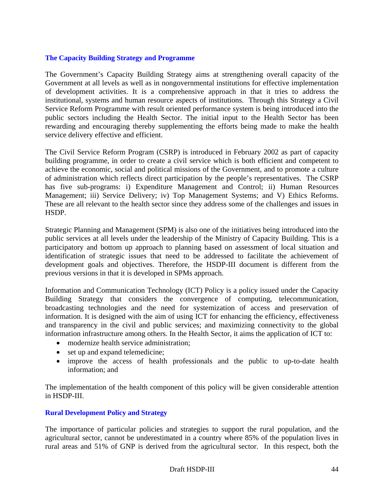#### **The Capacity Building Strategy and Programme**

The Government's Capacity Building Strategy aims at strengthening overall capacity of the Government at all levels as well as in nongovernmental institutions for effective implementation of development activities. It is a comprehensive approach in that it tries to address the institutional, systems and human resource aspects of institutions. Through this Strategy a Civil Service Reform Programme with result oriented performance system is being introduced into the public sectors including the Health Sector. The initial input to the Health Sector has been rewarding and encouraging thereby supplementing the efforts being made to make the health service delivery effective and efficient.

The Civil Service Reform Program (CSRP) is introduced in February 2002 as part of capacity building programme, in order to create a civil service which is both efficient and competent to achieve the economic, social and political missions of the Government, and to promote a culture of administration which reflects direct participation by the people's representatives. The CSRP has five sub-programs: i) Expenditure Management and Control; ii) Human Resources Management; iii) Service Delivery; iv) Top Management Systems; and V) Ethics Reforms. These are all relevant to the health sector since they address some of the challenges and issues in HSDP.

Strategic Planning and Management (SPM) is also one of the initiatives being introduced into the public services at all levels under the leadership of the Ministry of Capacity Building. This is a participatory and bottom up approach to planning based on assessment of local situation and identification of strategic issues that need to be addressed to facilitate the achievement of development goals and objectives. Therefore, the HSDP-III document is different from the previous versions in that it is developed in SPMs approach.

Information and Communication Technology (ICT) Policy is a policy issued under the Capacity Building Strategy that considers the convergence of computing, telecommunication, broadcasting technologies and the need for systemization of access and preservation of information. It is designed with the aim of using ICT for enhancing the efficiency, effectiveness and transparency in the civil and public services; and maximizing connectivity to the global information infrastructure among others. In the Health Sector, it aims the application of ICT to:

- modernize health service administration;
- set up and expand telemedicine;
- improve the access of health professionals and the public to up-to-date health information; and

The implementation of the health component of this policy will be given considerable attention in HSDP-III.

#### **Rural Development Policy and Strategy**

The importance of particular policies and strategies to support the rural population, and the agricultural sector, cannot be underestimated in a country where 85% of the population lives in rural areas and 51% of GNP is derived from the agricultural sector. In this respect, both the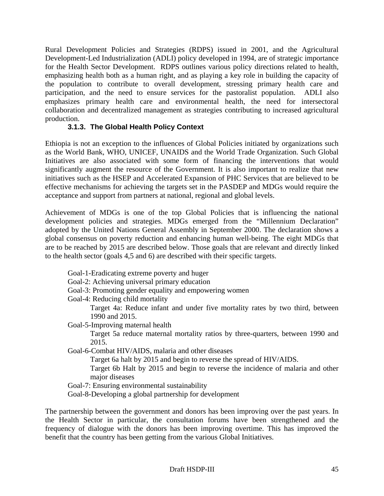Rural Development Policies and Strategies (RDPS) issued in 2001, and the Agricultural Development-Led Industrialization (ADLI) policy developed in 1994, are of strategic importance for the Health Sector Development. RDPS outlines various policy directions related to health, emphasizing health both as a human right, and as playing a key role in building the capacity of the population to contribute to overall development, stressing primary health care and participation, and the need to ensure services for the pastoralist population. ADLI also emphasizes primary health care and environmental health, the need for intersectoral collaboration and decentralized management as strategies contributing to increased agricultural production.

# **3.1.3. The Global Health Policy Context**

Ethiopia is not an exception to the influences of Global Policies initiated by organizations such as the World Bank, WHO, UNICEF, UNAIDS and the World Trade Organization. Such Global Initiatives are also associated with some form of financing the interventions that would significantly augment the resource of the Government. It is also important to realize that new initiatives such as the HSEP and Accelerated Expansion of PHC Services that are believed to be effective mechanisms for achieving the targets set in the PASDEP and MDGs would require the acceptance and support from partners at national, regional and global levels.

Achievement of MDGs is one of the top Global Policies that is influencing the national development policies and strategies. MDGs emerged from the "Millennium Declaration" adopted by the United Nations General Assembly in September 2000. The declaration shows a global consensus on poverty reduction and enhancing human well-being. The eight MDGs that are to be reached by 2015 are described below. Those goals that are relevant and directly linked to the health sector (goals 4,5 and 6) are described with their specific targets.

- Goal-1-Eradicating extreme poverty and huger
- Goal-2: Achieving universal primary education
- Goal-3: Promoting gender equality and empowering women

Goal-4: Reducing child mortality

Target 4a: Reduce infant and under five mortality rates by two third, between 1990 and 2015.

Goal-5-Improving maternal health

Target 5a reduce maternal mortality ratios by three-quarters, between 1990 and 2015.

Goal-6-Combat HIV/AIDS, malaria and other diseases

Target 6a halt by 2015 and begin to reverse the spread of HIV/AIDS.

Target 6b Halt by 2015 and begin to reverse the incidence of malaria and other major diseases

Goal-7: Ensuring environmental sustainability

Goal-8-Developing a global partnership for development

The partnership between the government and donors has been improving over the past years. In the Health Sector in particular, the consultation forums have been strengthened and the frequency of dialogue with the donors has been improving overtime. This has improved the benefit that the country has been getting from the various Global Initiatives.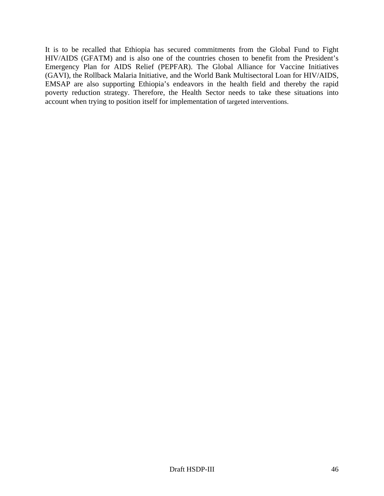It is to be recalled that Ethiopia has secured commitments from the Global Fund to Fight HIV/AIDS (GFATM) and is also one of the countries chosen to benefit from the President's Emergency Plan for AIDS Relief (PEPFAR). The Global Alliance for Vaccine Initiatives (GAVI), the Rollback Malaria Initiative, and the World Bank Multisectoral Loan for HIV/AIDS, EMSAP are also supporting Ethiopia's endeavors in the health field and thereby the rapid poverty reduction strategy. Therefore, the Health Sector needs to take these situations into account when trying to position itself for implementation of targeted interventions.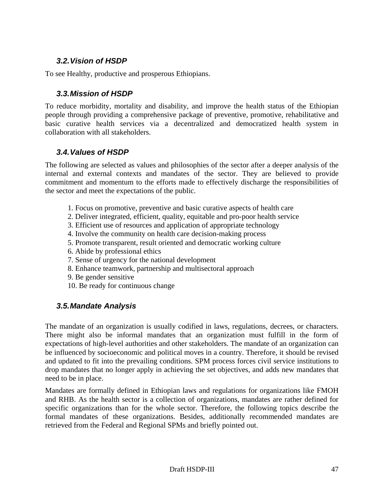# *3.2. Vision of HSDP*

To see Healthy, productive and prosperous Ethiopians.

# *3.3. Mission of HSDP*

To reduce morbidity, mortality and disability, and improve the health status of the Ethiopian people through providing a comprehensive package of preventive, promotive, rehabilitative and basic curative health services via a decentralized and democratized health system in collaboration with all stakeholders.

# *3.4. Values of HSDP*

The following are selected as values and philosophies of the sector after a deeper analysis of the internal and external contexts and mandates of the sector. They are believed to provide commitment and momentum to the efforts made to effectively discharge the responsibilities of the sector and meet the expectations of the public.

- 1. Focus on promotive, preventive and basic curative aspects of health care
- 2. Deliver integrated, efficient, quality, equitable and pro-poor health service
- 3. Efficient use of resources and application of appropriate technology
- 4. Involve the community on health care decision-making process
- 5. Promote transparent, result oriented and democratic working culture
- 6. Abide by professional ethics
- 7. Sense of urgency for the national development
- 8. Enhance teamwork, partnership and multisectoral approach
- 9. Be gender sensitive
- 10. Be ready for continuous change

# *3.5. Mandate Analysis*

The mandate of an organization is usually codified in laws, regulations, decrees, or characters. There might also be informal mandates that an organization must fulfill in the form of expectations of high-level authorities and other stakeholders. The mandate of an organization can be influenced by socioeconomic and political moves in a country. Therefore, it should be revised and updated to fit into the prevailing conditions. SPM process forces civil service institutions to drop mandates that no longer apply in achieving the set objectives, and adds new mandates that need to be in place.

Mandates are formally defined in Ethiopian laws and regulations for organizations like FMOH and RHB. As the health sector is a collection of organizations, mandates are rather defined for specific organizations than for the whole sector. Therefore, the following topics describe the formal mandates of these organizations. Besides, additionally recommended mandates are retrieved from the Federal and Regional SPMs and briefly pointed out.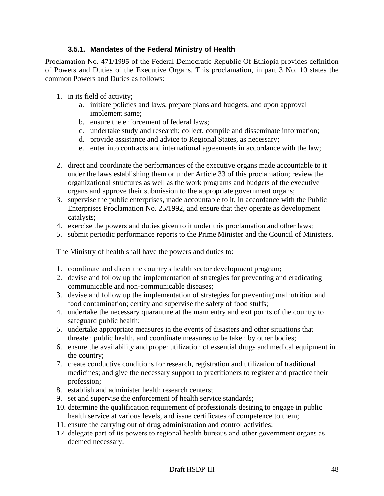## **3.5.1. Mandates of the Federal Ministry of Health**

Proclamation No. 471/1995 of the Federal Democratic Republic Of Ethiopia provides definition of Powers and Duties of the Executive Organs. This proclamation, in part 3 No. 10 states the common Powers and Duties as follows:

- 1. in its field of activity;
	- a. initiate policies and laws, prepare plans and budgets, and upon approval implement same;
	- b. ensure the enforcement of federal laws;
	- c. undertake study and research; collect, compile and disseminate information;
	- d. provide assistance and advice to Regional States, as necessary;
	- e. enter into contracts and international agreements in accordance with the law;
- 2. direct and coordinate the performances of the executive organs made accountable to it under the laws establishing them or under Article 33 of this proclamation; review the organizational structures as well as the work programs and budgets of the executive organs and approve their submission to the appropriate government organs;
- 3. supervise the public enterprises, made accountable to it, in accordance with the Public Enterprises Proclamation No. 25/1992, and ensure that they operate as development catalysts;
- 4. exercise the powers and duties given to it under this proclamation and other laws;
- 5. submit periodic performance reports to the Prime Minister and the Council of Ministers.

The Ministry of health shall have the powers and duties to:

- 1. coordinate and direct the country's health sector development program;
- 2. devise and follow up the implementation of strategies for preventing and eradicating communicable and non-communicable diseases;
- 3. devise and follow up the implementation of strategies for preventing malnutrition and food contamination; certify and supervise the safety of food stuffs;
- 4. undertake the necessary quarantine at the main entry and exit points of the country to safeguard public health;
- 5. undertake appropriate measures in the events of disasters and other situations that threaten public health, and coordinate measures to be taken by other bodies;
- 6. ensure the availability and proper utilization of essential drugs and medical equipment in the country;
- 7. create conductive conditions for research, registration and utilization of traditional medicines; and give the necessary support to practitioners to register and practice their profession;
- 8. establish and administer health research centers;
- 9. set and supervise the enforcement of health service standards;
- 10. determine the qualification requirement of professionals desiring to engage in public health service at various levels, and issue certificates of competence to them;
- 11. ensure the carrying out of drug administration and control activities;
- 12. delegate part of its powers to regional health bureaus and other government organs as deemed necessary.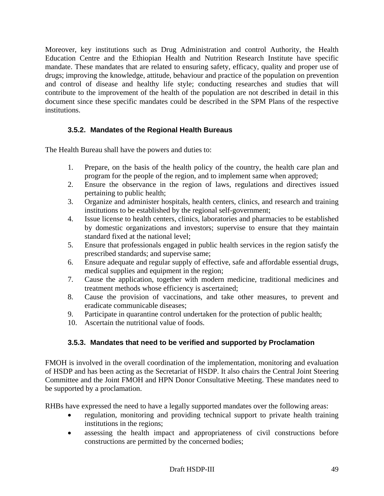Moreover, key institutions such as Drug Administration and control Authority, the Health Education Centre and the Ethiopian Health and Nutrition Research Institute have specific mandate. These mandates that are related to ensuring safety, efficacy, quality and proper use of drugs; improving the knowledge, attitude, behaviour and practice of the population on prevention and control of disease and healthy life style; conducting researches and studies that will contribute to the improvement of the health of the population are not described in detail in this document since these specific mandates could be described in the SPM Plans of the respective institutions.

# **3.5.2. Mandates of the Regional Health Bureaus**

The Health Bureau shall have the powers and duties to:

- 1. Prepare, on the basis of the health policy of the country, the health care plan and program for the people of the region, and to implement same when approved;
- 2. Ensure the observance in the region of laws, regulations and directives issued pertaining to public health;
- 3. Organize and administer hospitals, health centers, clinics, and research and training institutions to be established by the regional self-government;
- 4. Issue license to health centers, clinics, laboratories and pharmacies to be established by domestic organizations and investors; supervise to ensure that they maintain standard fixed at the national level;
- 5. Ensure that professionals engaged in public health services in the region satisfy the prescribed standards; and supervise same;
- 6. Ensure adequate and regular supply of effective, safe and affordable essential drugs, medical supplies and equipment in the region;
- 7. Cause the application, together with modern medicine, traditional medicines and treatment methods whose efficiency is ascertained;
- 8. Cause the provision of vaccinations, and take other measures, to prevent and eradicate communicable diseases;
- 9. Participate in quarantine control undertaken for the protection of public health;
- 10. Ascertain the nutritional value of foods.

## **3.5.3. Mandates that need to be verified and supported by Proclamation**

FMOH is involved in the overall coordination of the implementation, monitoring and evaluation of HSDP and has been acting as the Secretariat of HSDP. It also chairs the Central Joint Steering Committee and the Joint FMOH and HPN Donor Consultative Meeting. These mandates need to be supported by a proclamation.

RHBs have expressed the need to have a legally supported mandates over the following areas:

- regulation, monitoring and providing technical support to private health training institutions in the regions;
- assessing the health impact and appropriateness of civil constructions before constructions are permitted by the concerned bodies;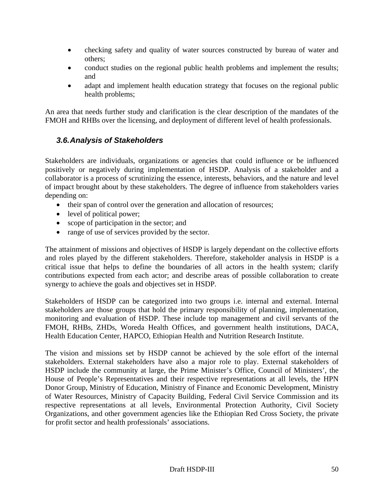- checking safety and quality of water sources constructed by bureau of water and others;
- conduct studies on the regional public health problems and implement the results; and
- adapt and implement health education strategy that focuses on the regional public health problems;

An area that needs further study and clarification is the clear description of the mandates of the FMOH and RHBs over the licensing, and deployment of different level of health professionals.

# *3.6. Analysis of Stakeholders*

Stakeholders are individuals, organizations or agencies that could influence or be influenced positively or negatively during implementation of HSDP. Analysis of a stakeholder and a collaborator is a process of scrutinizing the essence, interests, behaviors, and the nature and level of impact brought about by these stakeholders. The degree of influence from stakeholders varies depending on:

- their span of control over the generation and allocation of resources;
- level of political power;
- scope of participation in the sector; and
- range of use of services provided by the sector.

The attainment of missions and objectives of HSDP is largely dependant on the collective efforts and roles played by the different stakeholders. Therefore, stakeholder analysis in HSDP is a critical issue that helps to define the boundaries of all actors in the health system; clarify contributions expected from each actor; and describe areas of possible collaboration to create synergy to achieve the goals and objectives set in HSDP.

Stakeholders of HSDP can be categorized into two groups i.e. internal and external. Internal stakeholders are those groups that hold the primary responsibility of planning, implementation, monitoring and evaluation of HSDP. These include top management and civil servants of the FMOH, RHBs, ZHDs, Woreda Health Offices, and government health institutions, DACA, Health Education Center, HAPCO, Ethiopian Health and Nutrition Research Institute.

The vision and missions set by HSDP cannot be achieved by the sole effort of the internal stakeholders. External stakeholders have also a major role to play. External stakeholders of HSDP include the community at large, the Prime Minister's Office, Council of Ministers', the House of People's Representatives and their respective representations at all levels, the HPN Donor Group, Ministry of Education, Ministry of Finance and Economic Development, Ministry of Water Resources, Ministry of Capacity Building, Federal Civil Service Commission and its respective representations at all levels, Environmental Protection Authority, Civil Society Organizations, and other government agencies like the Ethiopian Red Cross Society, the private for profit sector and health professionals' associations.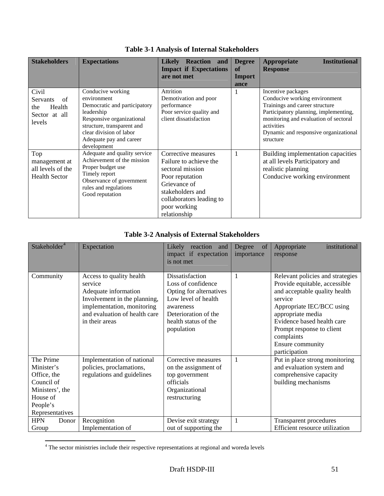| <b>Stakeholders</b>                                                 | <b>Expectations</b>                                                                                                                                                                                            | Reaction and<br><b>Likelv</b><br><b>Impact if Expectations</b><br>are not met                                                                                                        | <b>Degree</b><br>of<br>Import<br>ance | <b>Institutional</b><br><b>Appropriate</b><br><b>Response</b>                                                                                                                                                                               |
|---------------------------------------------------------------------|----------------------------------------------------------------------------------------------------------------------------------------------------------------------------------------------------------------|--------------------------------------------------------------------------------------------------------------------------------------------------------------------------------------|---------------------------------------|---------------------------------------------------------------------------------------------------------------------------------------------------------------------------------------------------------------------------------------------|
| Civil<br>Servants<br>of<br>Health<br>the<br>Sector at all<br>levels | Conducive working<br>environment<br>Democratic and participatory<br>leadership<br>Responsive organizational<br>structure, transparent and<br>clear division of labor<br>Adequate pay and career<br>development | <b>Attrition</b><br>Demotivation and poor<br>performance<br>Poor service quality and<br>client dissatisfaction                                                                       |                                       | Incentive packages<br>Conducive working environment<br>Trainings and career structure<br>Participatory planning, implementing,<br>monitoring and evaluation of sectoral<br>activities<br>Dynamic and responsive organizational<br>structure |
| Top<br>management at<br>all levels of the<br><b>Health Sector</b>   | Adequate and quality service<br>Achievement of the mission<br>Proper budget use<br>Timely report<br>Observance of government<br>rules and regulations<br>Good reputation                                       | Corrective measures<br>Failure to achieve the<br>sectoral mission<br>Poor reputation<br>Grievance of<br>stakeholders and<br>collaborators leading to<br>poor working<br>relationship | $\mathbf{1}$                          | Building implementation capacities<br>at all levels Participatory and<br>realistic planning<br>Conducive working environment                                                                                                                |

**Table 3-1 Analysis of Internal Stakeholders** 

# **Table 3-2 Analysis of External Stakeholders**

| Stakeholder <sup>4</sup>                                                                                           | Expectation                                                                                                                                                                  | Likely<br>reaction<br>and<br>impact if expectation<br>is not met                                                                                                   | Degree<br>of<br>importance | institutional<br>Appropriate<br>response                                                                                                                                                                                                                                      |
|--------------------------------------------------------------------------------------------------------------------|------------------------------------------------------------------------------------------------------------------------------------------------------------------------------|--------------------------------------------------------------------------------------------------------------------------------------------------------------------|----------------------------|-------------------------------------------------------------------------------------------------------------------------------------------------------------------------------------------------------------------------------------------------------------------------------|
| Community                                                                                                          | Access to quality health<br>service<br>Adequate information<br>Involvement in the planning,<br>implementation, monitoring<br>and evaluation of health care<br>in their areas | Dissatisfaction<br>Loss of confidence<br>Opting for alternatives<br>Low level of health<br>awareness<br>Deterioration of the<br>health status of the<br>population | $\mathbf{1}$               | Relevant policies and strategies<br>Provide equitable, accessible<br>and acceptable quality health<br>service<br>Appropriate IEC/BCC using<br>appropriate media<br>Evidence based health care<br>Prompt response to client<br>complaints<br>Ensure community<br>participation |
| The Prime<br>Minister's<br>Office, the<br>Council of<br>Ministers', the<br>House of<br>People's<br>Representatives | Implementation of national<br>policies, proclamations,<br>regulations and guidelines                                                                                         | Corrective measures<br>on the assignment of<br>top government<br>officials<br>Organizational<br>restructuring                                                      | $\mathbf{1}$               | Put in place strong monitoring<br>and evaluation system and<br>comprehensive capacity<br>building mechanisms                                                                                                                                                                  |
| <b>HPN</b><br>Donor<br>Group                                                                                       | Recognition<br>Implementation of                                                                                                                                             | Devise exit strategy<br>out of supporting the                                                                                                                      | $\mathbf{1}$               | Transparent procedures<br><b>Efficient resource utilization</b>                                                                                                                                                                                                               |

 4 The sector ministries include their respective representations at regional and woreda levels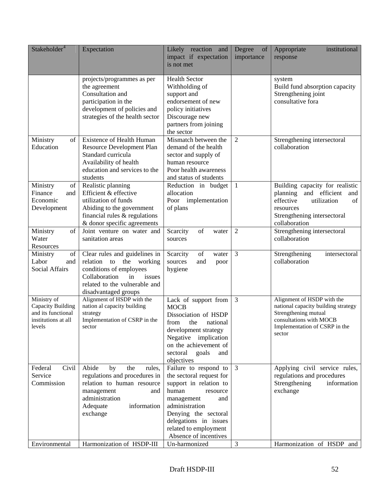| Stakeholder <sup>4</sup>                                                                | Expectation                                                                                                                                                                      | Likely reaction and<br>impact if expectation<br>is not met                                                                                                                                                                                 | Degree<br>of<br>importance | institutional<br>Appropriate<br>response                                                                                                                        |
|-----------------------------------------------------------------------------------------|----------------------------------------------------------------------------------------------------------------------------------------------------------------------------------|--------------------------------------------------------------------------------------------------------------------------------------------------------------------------------------------------------------------------------------------|----------------------------|-----------------------------------------------------------------------------------------------------------------------------------------------------------------|
|                                                                                         | projects/programmes as per<br>the agreement<br>Consultation and<br>participation in the<br>development of policies and<br>strategies of the health sector                        | <b>Health Sector</b><br>Withholding of<br>support and<br>endorsement of new<br>policy initiatives<br>Discourage new<br>partners from joining<br>the sector                                                                                 |                            | system<br>Build fund absorption capacity<br>Strengthening joint<br>consultative fora                                                                            |
| Ministry<br>of<br>Education                                                             | <b>Existence of Health Human</b><br><b>Resource Development Plan</b><br>Standard curricula<br>Availability of health<br>education and services to the<br>students                | Mismatch between the<br>demand of the health<br>sector and supply of<br>human resource<br>Poor health awareness<br>and status of students                                                                                                  | 2                          | Strengthening intersectoral<br>collaboration                                                                                                                    |
| Ministry<br>of<br>Finance<br>and<br>Economic<br>Development                             | Realistic planning<br>Efficient & effective<br>utilization of funds<br>Abiding to the government<br>financial rules $&$ regulations<br>& donor specific agreements               | Reduction in budget<br>allocation<br>Poor implementation<br>of plans                                                                                                                                                                       | $\mathbf{1}$               | Building capacity for realistic<br>planning and efficient<br>and<br>effective<br>utilization<br>of<br>resources<br>Strengthening intersectoral<br>collaboration |
| Ministry<br>of<br>Water<br>Resources                                                    | Joint venture on water and<br>sanitation areas                                                                                                                                   | Scarcity<br>of<br>water<br>sources                                                                                                                                                                                                         | 2                          | Strengthening intersectoral<br>collaboration                                                                                                                    |
| Ministry<br>of<br>Labor<br>and<br>Social Affairs                                        | Clear rules and guidelines in<br>relation to the<br>working<br>conditions of employees<br>Collaboration<br>in<br>issues<br>related to the vulnerable and<br>disadvantaged groups | of<br>Scarcity<br>water<br>sources<br>and<br>poor<br>hygiene                                                                                                                                                                               | 3                          | Strengthening<br>intersectoral<br>collaboration                                                                                                                 |
| Ministry of<br>Capacity Building<br>and its functional<br>institutions at all<br>levels | Alignment of HSDP with the<br>nation al capacity building<br>strategy<br>Implementation of CSRP in the<br>sector                                                                 | Lack of support from<br><b>MOCB</b><br>Dissociation of HSDP<br>the<br>national<br>from<br>development strategy<br>Negative implication<br>on the achievement of<br>sectoral<br>goals<br>and<br>objectives                                  | 3                          | Alignment of HSDP with the<br>national capacity building strategy<br>Strengthening mutual<br>consultations with MOCB<br>Implementation of CSRP in the<br>sector |
| Civil<br>Federal<br>Service<br>Commission                                               | Abide<br>by<br>the<br>rules,<br>regulations and procedures in<br>relation to human resource<br>management<br>and<br>administration<br>information<br>Adequate<br>exchange        | Failure to respond to<br>the sectoral request for<br>support in relation to<br>human<br>resource<br>management<br>and<br>administration<br>Denying the sectoral<br>delegations in issues<br>related to employment<br>Absence of incentives | $\overline{3}$             | Applying civil service rules,<br>regulations and procedures<br>Strengthening<br>information<br>exchange                                                         |
| Environmental                                                                           | Harmonization of HSDP-III                                                                                                                                                        | Un-harmonized                                                                                                                                                                                                                              | 3                          | Harmonization of HSDP and                                                                                                                                       |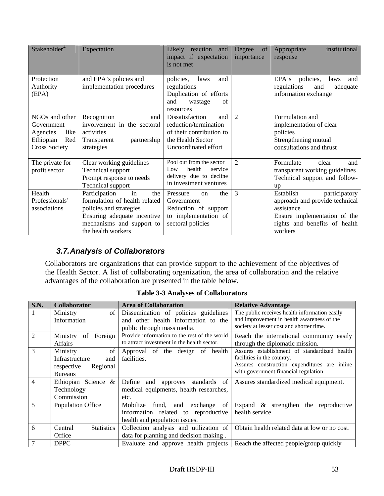| Stakeholder <sup>4</sup>                                                                     | Expectation                                                                                                                                                              | Likely<br>reaction<br>and<br>impact if expectation<br>is not met                                                         | of<br>Degree<br>importance  | institutional<br>Appropriate<br>response                                                                                                               |
|----------------------------------------------------------------------------------------------|--------------------------------------------------------------------------------------------------------------------------------------------------------------------------|--------------------------------------------------------------------------------------------------------------------------|-----------------------------|--------------------------------------------------------------------------------------------------------------------------------------------------------|
| Protection<br>Authority<br>(EPA)                                                             | and EPA's policies and<br>implementation procedures                                                                                                                      | policies,<br>laws<br>and<br>regulations<br>Duplication of efforts<br>and<br>of<br>wastage<br>resources                   |                             | EPA's policies,<br>laws<br>and<br>regulations<br>and<br>adequate<br>information exchange                                                               |
| NGOs and other<br>Government<br>like<br>Agencies<br>Ethiopian<br>Red<br><b>Cross Society</b> | Recognition<br>and<br>involvement in the sectoral<br>activities<br>partnership<br>Transparent<br>strategies                                                              | Dissatisfaction<br>and<br>reduction/termination<br>of their contribution to<br>the Health Sector<br>Uncoordinated effort | $\mathcal{D}_{\mathcal{L}}$ | Formulation and<br>implementation of clear<br>policies<br>Strengthening mutual<br>consultations and thrust                                             |
| The private for<br>profit sector                                                             | Clear working guidelines<br>Technical support<br>Prompt response to needs<br>Technical support                                                                           | Pool out from the sector<br>health<br>Low<br>service<br>delivery due to decline<br>in investment ventures                | $\mathcal{D}_{\mathcal{L}}$ | Formulate<br>clear<br>and<br>transparent working guidelines<br>Technical support and follow-<br><b>up</b>                                              |
| Health<br>Professionals'<br>associations                                                     | Participation<br>in<br>the<br>formulation of health related<br>policies and strategies<br>Ensuring adequate incentive<br>mechanisms and support to<br>the health workers | Pressure<br>the<br>$\alpha$<br>Government<br>Reduction of support<br>to implementation of<br>sectoral policies           | 3                           | Establish<br>participatory<br>approach and provide technical<br>assistance<br>Ensure implementation of the<br>rights and benefits of health<br>workers |

# *3.7. Analysis of Collaborators*

Collaborators are organizations that can provide support to the achievement of the objectives of the Health Sector. A list of collaborating organization, the area of collaboration and the relative advantages of the collaboration are presented in the table below.

| <b>S.N.</b>    | <b>Collaborator</b>          | <b>Area of Collaboration</b>                 | <b>Relative Advantage</b>                     |
|----------------|------------------------------|----------------------------------------------|-----------------------------------------------|
| 1              | Ministry                     | of Dissemination of policies guidelines      | The public receives health information easily |
|                | Information                  | and other health information to the          | and improvement in health awareness of the    |
|                |                              | public through mass media.                   | society at lesser cost and shorter time.      |
| $\overline{2}$ | of<br>Foreign<br>Ministry    | Provide information to the rest of the world | Reach the international community easily      |
|                | Affairs                      | to attract investment in the health sector.  | through the diplomatic mission.               |
| 3              | Ministry<br>of               | Approval of the design of health             | Assures establishment of standardized health  |
|                | Infrastructure<br>and        | facilities.                                  | facilities in the country.                    |
|                | respective<br>Regional       |                                              | Assures construction expenditures are inline  |
|                | <b>Bureaus</b>               |                                              | with government financial regulation          |
| 4              | Ethiopian Science &          | Define and approves<br>standards of          | Assures standardized medical equipment.       |
|                | Technology                   | medical equipments, health researches,       |                                               |
|                | Commission                   | etc.                                         |                                               |
| 5              | <b>Population Office</b>     | Mobilize<br>fund, and exchange<br>of         | Expand $\&$ strengthen the reproductive       |
|                |                              | information related to reproductive          | health service.                               |
|                |                              | health and population issues.                |                                               |
| 6              | <b>Statistics</b><br>Central | Collection analysis and utilization of       | Obtain health related data at low or no cost. |
|                | Office                       | data for planning and decision making.       |                                               |
|                | <b>DPPC</b>                  | Evaluate and approve health projects         | Reach the affected people/group quickly       |

**Table 3-3 Analyses of Collaborators**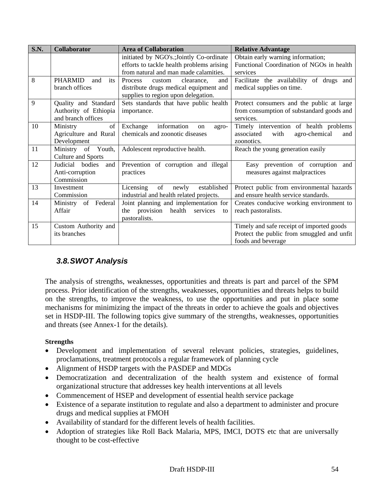| <b>S.N.</b> | Collaborator                                                        | <b>Area of Collaboration</b>                                                                                                   | <b>Relative Advantage</b>                                                                                     |  |
|-------------|---------------------------------------------------------------------|--------------------------------------------------------------------------------------------------------------------------------|---------------------------------------------------------------------------------------------------------------|--|
|             |                                                                     | initiated by NGO's.; Jointly Co-ordinate<br>efforts to tackle health problems arising<br>from natural and man made calamities. | Obtain early warning information;<br>Functional Coordination of NGOs in health<br>services                    |  |
| 8           | <b>PHARMID</b><br>and<br>its<br>branch offices                      | <b>Process</b><br>clearance.<br>and<br>custom<br>distribute drugs medical equipment and<br>supplies to region upon delegation. | Facilitate the availability of drugs and<br>medical supplies on time.                                         |  |
| 9           | Quality and Standard<br>Authority of Ethiopia<br>and branch offices | Sets standards that have public health<br>importance.                                                                          | Protect consumers and the public at large<br>from consumption of substandard goods and<br>services.           |  |
| 10          | of<br>Ministry<br>Agriculture and Rural<br>Development              | information<br>Exchange<br>on<br>agro-<br>chemicals and zoonotic diseases                                                      | Timely intervention of health problems<br>agro-chemical<br>associated<br>with<br>and<br>zoonotics.            |  |
| 11          | Ministry of Youth,<br><b>Culture and Sports</b>                     | Adolescent reproductive health.                                                                                                | Reach the young generation easily                                                                             |  |
| 12          | Judicial bodies<br>and<br>Anti-corruption<br>Commission             | Prevention of corruption and illegal<br>practices                                                                              | Easy prevention of corruption<br>and<br>measures against malpractices                                         |  |
| 13          | Investment<br>Commission                                            | of<br>established<br>Licensing<br>newly<br>industrial and health related projects.                                             | Protect public from environmental hazards<br>and ensure health service standards.                             |  |
| 14          | Ministry<br>of Federal<br>Affair                                    | Joint planning and implementation for<br>provision health<br>services<br>the<br>to<br>pastoralists.                            | Creates conducive working environment to<br>reach pastoralists.                                               |  |
| 15          | Custom Authority and<br>its branches                                |                                                                                                                                | Timely and safe receipt of imported goods<br>Protect the public from smuggled and unfit<br>foods and beverage |  |

# *3.8. SWOT Analysis*

The analysis of strengths, weaknesses, opportunities and threats is part and parcel of the SPM process. Prior identification of the strengths, weaknesses, opportunities and threats helps to build on the strengths, to improve the weakness, to use the opportunities and put in place some mechanisms for minimizing the impact of the threats in order to achieve the goals and objectives set in HSDP-III. The following topics give summary of the strengths, weaknesses, opportunities and threats (see Annex-1 for the details).

### **Strengths**

- Development and implementation of several relevant policies, strategies, guidelines, proclamations, treatment protocols a regular framework of planning cycle
- Alignment of HSDP targets with the PASDEP and MDGs
- Democratization and decentralization of the health system and existence of formal organizational structure that addresses key health interventions at all levels
- Commencement of HSEP and development of essential health service package
- Existence of a separate institution to regulate and also a department to administer and procure drugs and medical supplies at FMOH
- Availability of standard for the different levels of health facilities.
- Adoption of strategies like Roll Back Malaria, MPS, IMCI, DOTS etc that are universally thought to be cost-effective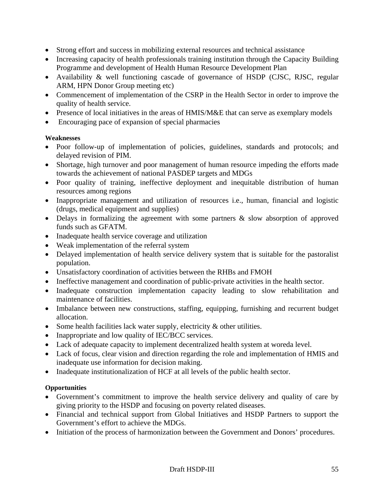- Strong effort and success in mobilizing external resources and technical assistance
- Increasing capacity of health professionals training institution through the Capacity Building Programme and development of Health Human Resource Development Plan
- Availability & well functioning cascade of governance of HSDP (CJSC, RJSC, regular ARM, HPN Donor Group meeting etc)
- Commencement of implementation of the CSRP in the Health Sector in order to improve the quality of health service.
- Presence of local initiatives in the areas of HMIS/M&E that can serve as exemplary models
- Encouraging pace of expansion of special pharmacies

#### **Weaknesses**

- Poor follow-up of implementation of policies, guidelines, standards and protocols; and delayed revision of PIM.
- Shortage, high turnover and poor management of human resource impeding the efforts made towards the achievement of national PASDEP targets and MDGs
- Poor quality of training, ineffective deployment and inequitable distribution of human resources among regions
- Inappropriate management and utilization of resources i.e., human, financial and logistic (drugs, medical equipment and supplies)
- Delays in formalizing the agreement with some partners & slow absorption of approved funds such as GFATM.
- Inadequate health service coverage and utilization
- Weak implementation of the referral system
- Delayed implementation of health service delivery system that is suitable for the pastoralist population.
- Unsatisfactory coordination of activities between the RHBs and FMOH
- Ineffective management and coordination of public-private activities in the health sector.
- Inadequate construction implementation capacity leading to slow rehabilitation and maintenance of facilities.
- Imbalance between new constructions, staffing, equipping, furnishing and recurrent budget allocation.
- Some health facilities lack water supply, electricity & other utilities.
- Inappropriate and low quality of IEC/BCC services.
- Lack of adequate capacity to implement decentralized health system at woreda level.
- Lack of focus, clear vision and direction regarding the role and implementation of HMIS and inadequate use information for decision making.
- Inadequate institutionalization of HCF at all levels of the public health sector.

### **Opportunities**

- Government's commitment to improve the health service delivery and quality of care by giving priority to the HSDP and focusing on poverty related diseases.
- Financial and technical support from Global Initiatives and HSDP Partners to support the Government's effort to achieve the MDGs.
- Initiation of the process of harmonization between the Government and Donors' procedures.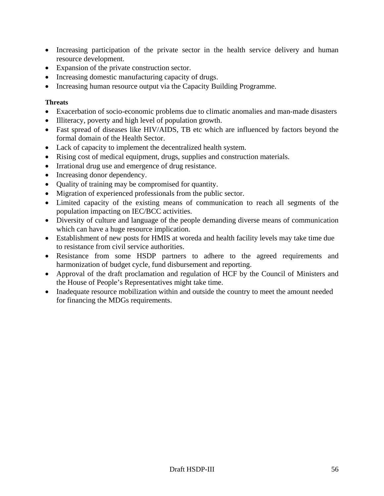- Increasing participation of the private sector in the health service delivery and human resource development.
- Expansion of the private construction sector.
- Increasing domestic manufacturing capacity of drugs.
- Increasing human resource output via the Capacity Building Programme.

#### **Threats**

- Exacerbation of socio-economic problems due to climatic anomalies and man-made disasters
- Illiteracy, poverty and high level of population growth.
- Fast spread of diseases like HIV/AIDS, TB etc which are influenced by factors beyond the formal domain of the Health Sector.
- Lack of capacity to implement the decentralized health system.
- Rising cost of medical equipment, drugs, supplies and construction materials.
- Irrational drug use and emergence of drug resistance.
- Increasing donor dependency.
- Quality of training may be compromised for quantity.
- Migration of experienced professionals from the public sector.
- Limited capacity of the existing means of communication to reach all segments of the population impacting on IEC/BCC activities.
- Diversity of culture and language of the people demanding diverse means of communication which can have a huge resource implication.
- Establishment of new posts for HMIS at woreda and health facility levels may take time due to resistance from civil service authorities.
- Resistance from some HSDP partners to adhere to the agreed requirements and harmonization of budget cycle, fund disbursement and reporting.
- Approval of the draft proclamation and regulation of HCF by the Council of Ministers and the House of People's Representatives might take time.
- Inadequate resource mobilization within and outside the country to meet the amount needed for financing the MDGs requirements.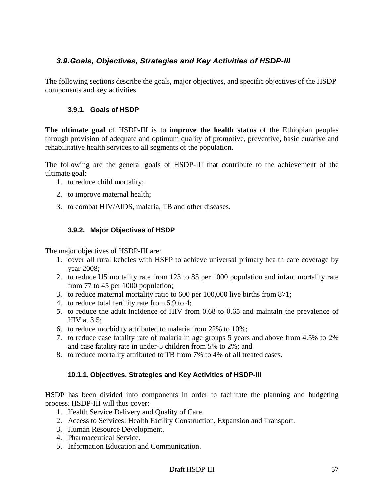# *3.9. Goals, Objectives, Strategies and Key Activities of HSDP-III*

The following sections describe the goals, major objectives, and specific objectives of the HSDP components and key activities.

### **3.9.1. Goals of HSDP**

**The ultimate goal** of HSDP-III is to **improve the health status** of the Ethiopian peoples through provision of adequate and optimum quality of promotive, preventive, basic curative and rehabilitative health services to all segments of the population.

The following are the general goals of HSDP-III that contribute to the achievement of the ultimate goal:

- 1. to reduce child mortality;
- 2. to improve maternal health;
- 3. to combat HIV/AIDS, malaria, TB and other diseases.

## **3.9.2. Major Objectives of HSDP**

The major objectives of HSDP-III are:

- 1. cover all rural kebeles with HSEP to achieve universal primary health care coverage by year 2008;
- 2. to reduce U5 mortality rate from 123 to 85 per 1000 population and infant mortality rate from 77 to 45 per 1000 population;
- 3. to reduce maternal mortality ratio to 600 per 100,000 live births from 871;
- 4. to reduce total fertility rate from 5.9 to 4;
- 5. to reduce the adult incidence of HIV from 0.68 to 0.65 and maintain the prevalence of HIV at 3.5;
- 6. to reduce morbidity attributed to malaria from 22% to 10%;
- 7. to reduce case fatality rate of malaria in age groups 5 years and above from 4.5% to 2% and case fatality rate in under-5 children from 5% to 2%; and
- 8. to reduce mortality attributed to TB from 7% to 4% of all treated cases.

# **10.1.1. Objectives, Strategies and Key Activities of HSDP-III**

HSDP has been divided into components in order to facilitate the planning and budgeting process. HSDP-III will thus cover:

- 1. Health Service Delivery and Quality of Care.
- 2. Access to Services: Health Facility Construction, Expansion and Transport.
- 3. Human Resource Development.
- 4. Pharmaceutical Service.
- 5. Information Education and Communication.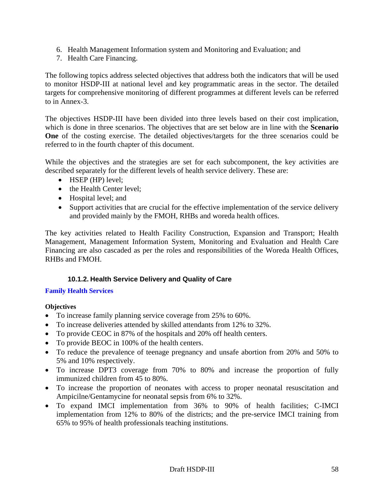- 6. Health Management Information system and Monitoring and Evaluation; and
- 7. Health Care Financing.

The following topics address selected objectives that address both the indicators that will be used to monitor HSDP-III at national level and key programmatic areas in the sector. The detailed targets for comprehensive monitoring of different programmes at different levels can be referred to in Annex-3.

The objectives HSDP-III have been divided into three levels based on their cost implication, which is done in three scenarios. The objectives that are set below are in line with the **Scenario One** of the costing exercise. The detailed objectives/targets for the three scenarios could be referred to in the fourth chapter of this document.

While the objectives and the strategies are set for each subcomponent, the key activities are described separately for the different levels of health service delivery. These are:

- HSEP (HP) level:
- the Health Center level:
- Hospital level; and
- Support activities that are crucial for the effective implementation of the service delivery and provided mainly by the FMOH, RHBs and woreda health offices.

The key activities related to Health Facility Construction, Expansion and Transport; Health Management, Management Information System, Monitoring and Evaluation and Health Care Financing are also cascaded as per the roles and responsibilities of the Woreda Health Offices, RHBs and FMOH.

### **10.1.2. Health Service Delivery and Quality of Care**

### **Family Health Services**

### **Objectives**

- To increase family planning service coverage from 25% to 60%.
- To increase deliveries attended by skilled attendants from 12% to 32%.
- To provide CEOC in 87% of the hospitals and 20% off health centers.
- To provide BEOC in 100% of the health centers.
- To reduce the prevalence of teenage pregnancy and unsafe abortion from 20% and 50% to 5% and 10% respectively.
- To increase DPT3 coverage from 70% to 80% and increase the proportion of fully immunized children from 45 to 80%.
- To increase the proportion of neonates with access to proper neonatal resuscitation and Ampicilne/Gentamycine for neonatal sepsis from 6% to 32%.
- To expand IMCI implementation from 36% to 90% of health facilities; C-IMCI implementation from 12% to 80% of the districts; and the pre-service IMCI training from 65% to 95% of health professionals teaching institutions.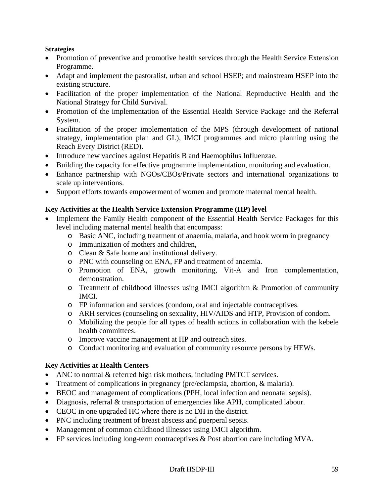#### **Strategies**

- Promotion of preventive and promotive health services through the Health Service Extension Programme.
- Adapt and implement the pastoralist, urban and school HSEP; and mainstream HSEP into the existing structure.
- Facilitation of the proper implementation of the National Reproductive Health and the National Strategy for Child Survival.
- Promotion of the implementation of the Essential Health Service Package and the Referral System.
- Facilitation of the proper implementation of the MPS (through development of national strategy, implementation plan and GL), IMCI programmes and micro planning using the Reach Every District (RED).
- Introduce new vaccines against Hepatitis B and Haemophilus Influenzae.
- Building the capacity for effective programme implementation, monitoring and evaluation.
- Enhance partnership with NGOs/CBOs/Private sectors and international organizations to scale up interventions.
- Support efforts towards empowerment of women and promote maternal mental health.

## **Key Activities at the Health Service Extension Programme (HP) level**

- Implement the Family Health component of the Essential Health Service Packages for this level including maternal mental health that encompass:
	- o Basic ANC, including treatment of anaemia, malaria, and hook worm in pregnancy
	- o Immunization of mothers and children,
	- o Clean & Safe home and institutional delivery.
	- o PNC with counseling on ENA, FP and treatment of anaemia.
	- o Promotion of ENA, growth monitoring, Vit-A and Iron complementation, demonstration.
	- o Treatment of childhood illnesses using IMCI algorithm & Promotion of community IMCI.
	- o FP information and services (condom, oral and injectable contraceptives.
	- o ARH services (counseling on sexuality, HIV/AIDS and HTP, Provision of condom.
	- o Mobilizing the people for all types of health actions in collaboration with the kebele health committees.
	- o Improve vaccine management at HP and outreach sites.
	- o Conduct monitoring and evaluation of community resource persons by HEWs.

# **Key Activities at Health Centers**

- ANC to normal & referred high risk mothers, including PMTCT services.
- Treatment of complications in pregnancy (pre/eclampsia, abortion, & malaria).
- BEOC and management of complications (PPH, local infection and neonatal sepsis).
- Diagnosis, referral & transportation of emergencies like APH, complicated labour.
- CEOC in one upgraded HC where there is no DH in the district.
- PNC including treatment of breast abscess and puerperal sepsis.
- Management of common childhood illnesses using IMCI algorithm.
- FP services including long-term contraceptives & Post abortion care including MVA.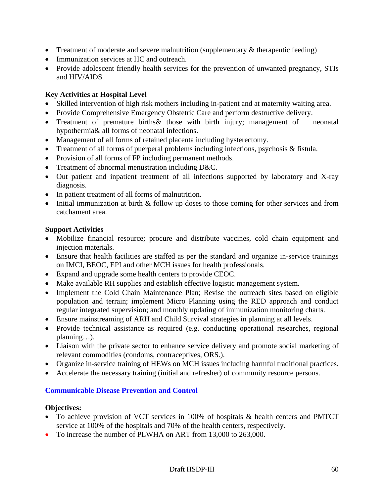- Treatment of moderate and severe malnutrition (supplementary  $\&$  therapeutic feeding)
- Immunization services at HC and outreach.
- Provide adolescent friendly health services for the prevention of unwanted pregnancy, STIs and HIV/AIDS.

## **Key Activities at Hospital Level**

- Skilled intervention of high risk mothers including in-patient and at maternity waiting area.
- Provide Comprehensive Emergency Obstetric Care and perform destructive delivery.
- Treatment of premature births & those with birth injury; management of neonatal hypothermia& all forms of neonatal infections.
- Management of all forms of retained placenta including hysterectomy.
- Treatment of all forms of puerperal problems including infections, psychosis & fistula.
- Provision of all forms of FP including permanent methods.
- Treatment of abnormal menustration including D&C.
- Out patient and inpatient treatment of all infections supported by laboratory and X-ray diagnosis.
- In patient treatment of all forms of malnutrition.
- Initial immunization at birth & follow up doses to those coming for other services and from catchament area.

### **Support Activities**

- Mobilize financial resource; procure and distribute vaccines, cold chain equipment and injection materials.
- Ensure that health facilities are staffed as per the standard and organize in-service trainings on IMCI, BEOC, EPI and other MCH issues for health professionals.
- Expand and upgrade some health centers to provide CEOC.
- Make available RH supplies and establish effective logistic management system.
- Implement the Cold Chain Maintenance Plan; Revise the outreach sites based on eligible population and terrain; implement Micro Planning using the RED approach and conduct regular integrated supervision; and monthly updating of immunization monitoring charts.
- Ensure mainstreaming of ARH and Child Survival strategies in planning at all levels.
- Provide technical assistance as required (e.g. conducting operational researches, regional planning…).
- Liaison with the private sector to enhance service delivery and promote social marketing of relevant commodities (condoms, contraceptives, ORS.).
- Organize in-service training of HEWs on MCH issues including harmful traditional practices.
- Accelerate the necessary training (initial and refresher) of community resource persons.

# **Communicable Disease Prevention and Control**

### **Objectives:**

- To achieve provision of VCT services in 100% of hospitals & health centers and PMTCT service at 100% of the hospitals and 70% of the health centers, respectively.
- To increase the number of PLWHA on ART from 13,000 to 263,000.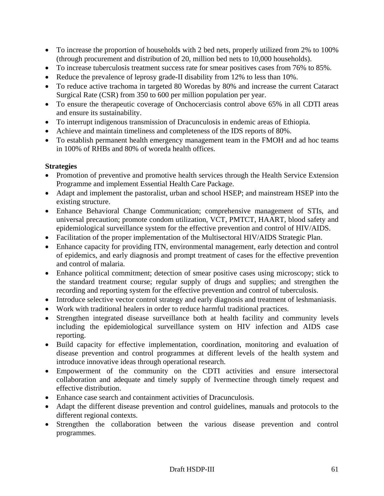- To increase the proportion of households with 2 bed nets, properly utilized from 2% to 100% (through procurement and distribution of 20, million bed nets to 10,000 households).
- To increase tuberculosis treatment success rate for smear positives cases from 76% to 85%.
- Reduce the prevalence of leprosy grade-II disability from 12% to less than 10%.
- To reduce active trachoma in targeted 80 Woredas by 80% and increase the current Cataract Surgical Rate (CSR) from 350 to 600 per million population per year.
- To ensure the therapeutic coverage of Onchocerciasis control above 65% in all CDTI areas and ensure its sustainability.
- To interrupt indigenous transmission of Dracunculosis in endemic areas of Ethiopia.
- Achieve and maintain timeliness and completeness of the IDS reports of 80%.
- To establish permanent health emergency management team in the FMOH and ad hoc teams in 100% of RHBs and 80% of woreda health offices.

### **Strategies**

- Promotion of preventive and promotive health services through the Health Service Extension Programme and implement Essential Health Care Package.
- Adapt and implement the pastoralist, urban and school HSEP; and mainstream HSEP into the existing structure.
- Enhance Behavioral Change Communication; comprehensive management of STIs, and universal precaution; promote condom utilization, VCT, PMTCT, HAART, blood safety and epidemiological surveillance system for the effective prevention and control of HIV/AIDS.
- Facilitation of the proper implementation of the Multisectoral HIV/AIDS Strategic Plan.
- Enhance capacity for providing ITN, environmental management, early detection and control of epidemics, and early diagnosis and prompt treatment of cases for the effective prevention and control of malaria.
- Enhance political commitment; detection of smear positive cases using microscopy; stick to the standard treatment course; regular supply of drugs and supplies; and strengthen the recording and reporting system for the effective prevention and control of tuberculosis.
- Introduce selective vector control strategy and early diagnosis and treatment of leshmaniasis.
- Work with traditional healers in order to reduce harmful traditional practices.
- Strengthen integrated disease surveillance both at health facility and community levels including the epidemiological surveillance system on HIV infection and AIDS case reporting.
- Build capacity for effective implementation, coordination, monitoring and evaluation of disease prevention and control programmes at different levels of the health system and introduce innovative ideas through operational research.
- Empowerment of the community on the CDTI activities and ensure intersectoral collaboration and adequate and timely supply of Ivermectine through timely request and effective distribution.
- Enhance case search and containment activities of Dracunculosis.
- Adapt the different disease prevention and control guidelines, manuals and protocols to the different regional contexts.
- Strengthen the collaboration between the various disease prevention and control programmes.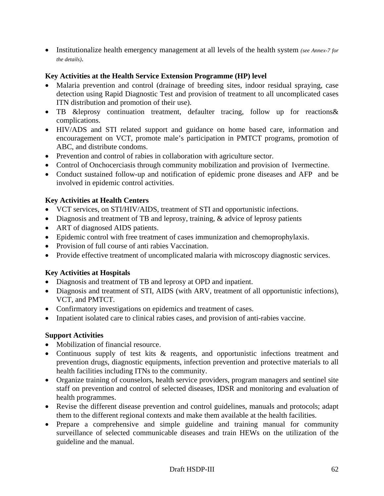• Institutionalize health emergency management at all levels of the health system *(see Annex-7 for the details)*.

## **Key Activities at the Health Service Extension Programme (HP) level**

- Malaria prevention and control (drainage of breeding sites, indoor residual spraying, case detection using Rapid Diagnostic Test and provision of treatment to all uncomplicated cases ITN distribution and promotion of their use).
- TB &leprosy continuation treatment, defaulter tracing, follow up for reactions& complications.
- HIV/ADS and STI related support and guidance on home based care, information and encouragement on VCT, promote male's participation in PMTCT programs, promotion of ABC, and distribute condoms.
- Prevention and control of rabies in collaboration with agriculture sector.
- Control of Onchocerciasis through community mobilization and provision of Ivermectine.
- Conduct sustained follow-up and notification of epidemic prone diseases and AFP and be involved in epidemic control activities.

## **Key Activities at Health Centers**

- VCT services, on STI/HIV/AIDS, treatment of STI and opportunistic infections.
- Diagnosis and treatment of TB and leprosy, training, & advice of leprosy patients
- ART of diagnosed AIDS patients.
- Epidemic control with free treatment of cases immunization and chemoprophylaxis.
- Provision of full course of anti rabies Vaccination.
- Provide effective treatment of uncomplicated malaria with microscopy diagnostic services.

# **Key Activities at Hospitals**

- Diagnosis and treatment of TB and leprosy at OPD and inpatient.
- Diagnosis and treatment of STI, AIDS (with ARV, treatment of all opportunistic infections), VCT, and PMTCT.
- Confirmatory investigations on epidemics and treatment of cases.
- Inpatient isolated care to clinical rabies cases, and provision of anti-rabies vaccine.

### **Support Activities**

- Mobilization of financial resource.
- Continuous supply of test kits & reagents, and opportunistic infections treatment and prevention drugs, diagnostic equipments, infection prevention and protective materials to all health facilities including ITNs to the community.
- Organize training of counselors, health service providers, program managers and sentinel site staff on prevention and control of selected diseases, IDSR and monitoring and evaluation of health programmes.
- Revise the different disease prevention and control guidelines, manuals and protocols; adapt them to the different regional contexts and make them available at the health facilities.
- Prepare a comprehensive and simple guideline and training manual for community surveillance of selected communicable diseases and train HEWs on the utilization of the guideline and the manual.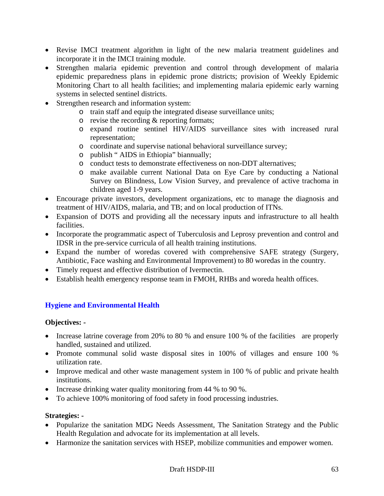- Revise IMCI treatment algorithm in light of the new malaria treatment guidelines and incorporate it in the IMCI training module.
- Strengthen malaria epidemic prevention and control through development of malaria epidemic preparedness plans in epidemic prone districts; provision of Weekly Epidemic Monitoring Chart to all health facilities; and implementing malaria epidemic early warning systems in selected sentinel districts.
- Strengthen research and information system:
	- o train staff and equip the integrated disease surveillance units;
	- o revise the recording & reporting formats;
	- o expand routine sentinel HIV/AIDS surveillance sites with increased rural representation;
	- o coordinate and supervise national behavioral surveillance survey;
	- o publish " AIDS in Ethiopia" biannually;
	- o conduct tests to demonstrate effectiveness on non-DDT alternatives;
	- o make available current National Data on Eye Care by conducting a National Survey on Blindness, Low Vision Survey, and prevalence of active trachoma in children aged 1-9 years.
- Encourage private investors, development organizations, etc to manage the diagnosis and treatment of HIV/AIDS, malaria, and TB; and on local production of ITNs.
- Expansion of DOTS and providing all the necessary inputs and infrastructure to all health facilities.
- Incorporate the programmatic aspect of Tuberculosis and Leprosy prevention and control and IDSR in the pre-service curricula of all health training institutions.
- Expand the number of woredas covered with comprehensive SAFE strategy (Surgery, Antibiotic, Face washing and Environmental Improvement) to 80 woredas in the country.
- Timely request and effective distribution of Ivermectin.
- Establish health emergency response team in FMOH, RHBs and woreda health offices.

# **Hygiene and Environmental Health**

### **Objectives: -**

- Increase latrine coverage from 20% to 80 % and ensure 100 % of the facilities are properly handled, sustained and utilized.
- Promote communal solid waste disposal sites in 100% of villages and ensure 100 % utilization rate.
- Improve medical and other waste management system in 100 % of public and private health institutions.
- Increase drinking water quality monitoring from 44 % to 90 %.
- To achieve 100% monitoring of food safety in food processing industries.

### **Strategies: -**

- Popularize the sanitation MDG Needs Assessment, The Sanitation Strategy and the Public Health Regulation and advocate for its implementation at all levels.
- Harmonize the sanitation services with HSEP, mobilize communities and empower women.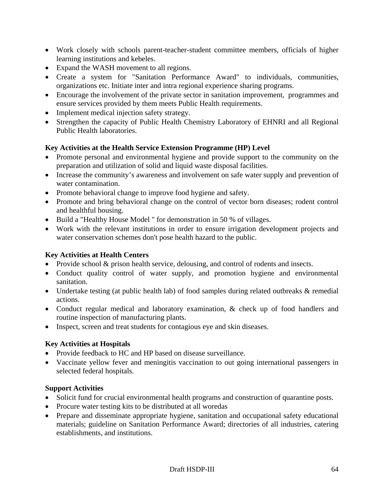- Work closely with schools parent-teacher-student committee members, officials of higher learning institutions and kebeles.
- Expand the WASH movement to all regions.
- Create a system for "Sanitation Performance Award" to individuals, communities, organizations etc. Initiate inter and intra regional experience sharing programs.
- Encourage the involvement of the private sector in sanitation improvement, programmes and ensure services provided by them meets Public Health requirements.
- Implement medical injection safety strategy.
- Strengthen the capacity of Public Health Chemistry Laboratory of EHNRI and all Regional Public Health laboratories.

## **Key Activities at the Health Service Extension Programme (HP) Level**

- Promote personal and environmental hygiene and provide support to the community on the preparation and utilization of solid and liquid waste disposal facilities.
- Increase the community's awareness and involvement on safe water supply and prevention of water contamination.
- Promote behavioral change to improve food hygiene and safety.
- Promote and bring behavioral change on the control of vector born diseases; rodent control and healthful housing.
- Build a "Healthy House Model " for demonstration in 50 % of villages.
- Work with the relevant institutions in order to ensure irrigation development projects and water conservation schemes don't pose health hazard to the public.

### **Key Activities at Health Centers**

- Provide school & prison health service, delousing, and control of rodents and insects.
- Conduct quality control of water supply, and promotion hygiene and environmental sanitation.
- Undertake testing (at public health lab) of food samples during related outbreaks & remedial actions.
- Conduct regular medical and laboratory examination, & check up of food handlers and routine inspection of manufacturing plants.
- Inspect, screen and treat students for contagious eye and skin diseases.

### **Key Activities at Hospitals**

- Provide feedback to HC and HP based on disease surveillance.
- Vaccinate yellow fever and meningitis vaccination to out going international passengers in selected federal hospitals.

### **Support Activities**

- Solicit fund for crucial environmental health programs and construction of quarantine posts.
- Procure water testing kits to be distributed at all woredas
- Prepare and disseminate appropriate hygiene, sanitation and occupational safety educational materials; guideline on Sanitation Performance Award; directories of all industries, catering establishments, and institutions.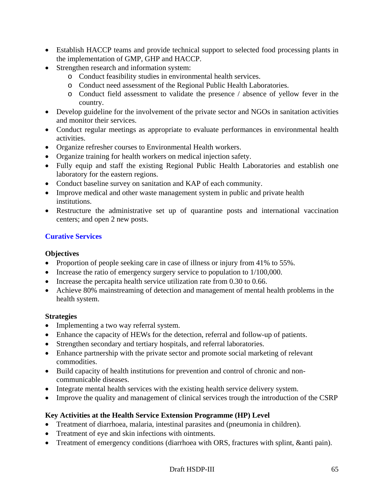- Establish HACCP teams and provide technical support to selected food processing plants in the implementation of GMP, GHP and HACCP.
- Strengthen research and information system:
	- o Conduct feasibility studies in environmental health services.
	- o Conduct need assessment of the Regional Public Health Laboratories.
	- o Conduct field assessment to validate the presence / absence of yellow fever in the country.
- Develop guideline for the involvement of the private sector and NGOs in sanitation activities and monitor their services.
- Conduct regular meetings as appropriate to evaluate performances in environmental health activities.
- Organize refresher courses to Environmental Health workers.
- Organize training for health workers on medical injection safety.
- Fully equip and staff the existing Regional Public Health Laboratories and establish one laboratory for the eastern regions.
- Conduct baseline survey on sanitation and KAP of each community.
- Improve medical and other waste management system in public and private health institutions.
- Restructure the administrative set up of quarantine posts and international vaccination centers; and open 2 new posts.

# **Curative Services**

### **Objectives**

- Proportion of people seeking care in case of illness or injury from 41% to 55%.
- Increase the ratio of emergency surgery service to population to  $1/100,000$ .
- Increase the percapita health service utilization rate from 0.30 to 0.66.
- Achieve 80% mainstreaming of detection and management of mental health problems in the health system.

### **Strategies**

- Implementing a two way referral system.
- Enhance the capacity of HEWs for the detection, referral and follow-up of patients.
- Strengthen secondary and tertiary hospitals, and referral laboratories.
- Enhance partnership with the private sector and promote social marketing of relevant commodities.
- Build capacity of health institutions for prevention and control of chronic and noncommunicable diseases.
- Integrate mental health services with the existing health service delivery system.
- Improve the quality and management of clinical services trough the introduction of the CSRP

# **Key Activities at the Health Service Extension Programme (HP) Level**

- Treatment of diarrhoea, malaria, intestinal parasites and (pneumonia in children).
- Treatment of eye and skin infections with ointments.
- Treatment of emergency conditions (diarrhoea with ORS, fractures with splint, &anti pain).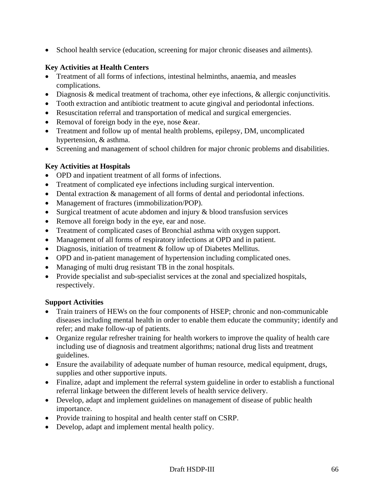• School health service (education, screening for major chronic diseases and ailments).

## **Key Activities at Health Centers**

- Treatment of all forms of infections, intestinal helminths, anaemia, and measles complications.
- Diagnosis & medical treatment of trachoma, other eye infections, & allergic conjunctivitis.
- Tooth extraction and antibiotic treatment to acute gingival and periodontal infections.
- Resuscitation referral and transportation of medical and surgical emergencies.
- Removal of foreign body in the eye, nose &ear.
- Treatment and follow up of mental health problems, epilepsy, DM, uncomplicated hypertension, & asthma.
- Screening and management of school children for major chronic problems and disabilities.

## **Key Activities at Hospitals**

- OPD and inpatient treatment of all forms of infections.
- Treatment of complicated eye infections including surgical intervention.
- Dental extraction & management of all forms of dental and periodontal infections.
- Management of fractures (immobilization/POP).
- Surgical treatment of acute abdomen and injury & blood transfusion services
- Remove all foreign body in the eye, ear and nose.
- Treatment of complicated cases of Bronchial asthma with oxygen support.
- Management of all forms of respiratory infections at OPD and in patient.
- Diagnosis, initiation of treatment & follow up of Diabetes Mellitus.
- OPD and in-patient management of hypertension including complicated ones.
- Managing of multi drug resistant TB in the zonal hospitals.
- Provide specialist and sub-specialist services at the zonal and specialized hospitals, respectively.

### **Support Activities**

- Train trainers of HEWs on the four components of HSEP; chronic and non-communicable diseases including mental health in order to enable them educate the community; identify and refer; and make follow-up of patients.
- Organize regular refresher training for health workers to improve the quality of health care including use of diagnosis and treatment algorithms; national drug lists and treatment guidelines.
- Ensure the availability of adequate number of human resource, medical equipment, drugs, supplies and other supportive inputs.
- Finalize, adapt and implement the referral system guideline in order to establish a functional referral linkage between the different levels of health service delivery.
- Develop, adapt and implement guidelines on management of disease of public health importance.
- Provide training to hospital and health center staff on CSRP.
- Develop, adapt and implement mental health policy.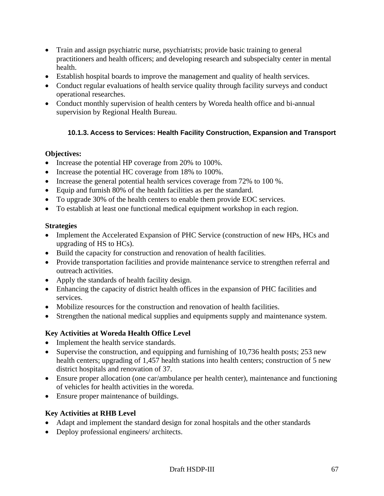- Train and assign psychiatric nurse, psychiatrists; provide basic training to general practitioners and health officers; and developing research and subspecialty center in mental health.
- Establish hospital boards to improve the management and quality of health services.
- Conduct regular evaluations of health service quality through facility surveys and conduct operational researches.
- Conduct monthly supervision of health centers by Woreda health office and bi-annual supervision by Regional Health Bureau.

# **10.1.3. Access to Services: Health Facility Construction, Expansion and Transport**

## **Objectives:**

- Increase the potential HP coverage from 20% to 100%.
- Increase the potential HC coverage from 18% to 100%.
- Increase the general potential health services coverage from 72% to 100 %.
- Equip and furnish 80% of the health facilities as per the standard.
- To upgrade 30% of the health centers to enable them provide EOC services.
- To establish at least one functional medical equipment workshop in each region.

## **Strategies**

- Implement the Accelerated Expansion of PHC Service (construction of new HPs, HCs and upgrading of HS to HCs).
- Build the capacity for construction and renovation of health facilities.
- Provide transportation facilities and provide maintenance service to strengthen referral and outreach activities.
- Apply the standards of health facility design.
- Enhancing the capacity of district health offices in the expansion of PHC facilities and services.
- Mobilize resources for the construction and renovation of health facilities.
- Strengthen the national medical supplies and equipments supply and maintenance system.

# **Key Activities at Woreda Health Office Level**

- Implement the health service standards.
- Supervise the construction, and equipping and furnishing of 10,736 health posts; 253 new health centers; upgrading of 1,457 health stations into health centers; construction of 5 new district hospitals and renovation of 37.
- Ensure proper allocation (one car/ambulance per health center), maintenance and functioning of vehicles for health activities in the woreda.
- Ensure proper maintenance of buildings.

# **Key Activities at RHB Level**

- Adapt and implement the standard design for zonal hospitals and the other standards
- Deploy professional engineers/ architects.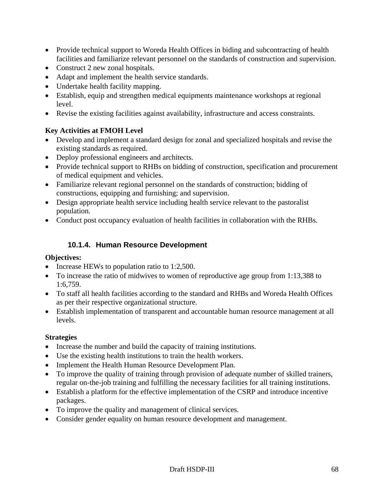- Provide technical support to Woreda Health Offices in biding and subcontracting of health facilities and familiarize relevant personnel on the standards of construction and supervision.
- Construct 2 new zonal hospitals.
- Adapt and implement the health service standards.
- Undertake health facility mapping.
- Establish, equip and strengthen medical equipments maintenance workshops at regional level.
- Revise the existing facilities against availability, infrastructure and access constraints.

## **Key Activities at FMOH Level**

- Develop and implement a standard design for zonal and specialized hospitals and revise the existing standards as required.
- Deploy professional engineers and architects.
- Provide technical support to RHBs on bidding of construction, specification and procurement of medical equipment and vehicles.
- Familiarize relevant regional personnel on the standards of construction; bidding of constructions, equipping and furnishing; and supervision.
- Design appropriate health service including health service relevant to the pastoralist population.
- Conduct post occupancy evaluation of health facilities in collaboration with the RHBs.

# **10.1.4. Human Resource Development**

### **Objectives:**

- Increase HEWs to population ratio to 1:2,500.
- To increase the ratio of midwives to women of reproductive age group from 1:13,388 to 1:6,759.
- To staff all health facilities according to the standard and RHBs and Woreda Health Offices as per their respective organizational structure.
- Establish implementation of transparent and accountable human resource management at all levels.

### **Strategies**

- Increase the number and build the capacity of training institutions.
- Use the existing health institutions to train the health workers.
- Implement the Health Human Resource Development Plan.
- To improve the quality of training through provision of adequate number of skilled trainers, regular on-the-job training and fulfilling the necessary facilities for all training institutions.
- Establish a platform for the effective implementation of the CSRP and introduce incentive packages.
- To improve the quality and management of clinical services.
- Consider gender equality on human resource development and management.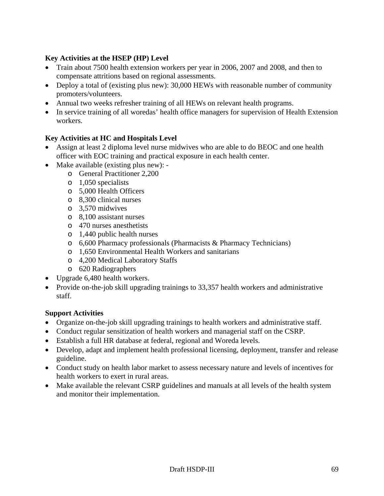## **Key Activities at the HSEP (HP) Level**

- Train about 7500 health extension workers per year in 2006, 2007 and 2008, and then to compensate attritions based on regional assessments.
- Deploy a total of (existing plus new): 30,000 HEWs with reasonable number of community promoters/volunteers.
- Annual two weeks refresher training of all HEWs on relevant health programs.
- In service training of all woredas' health office managers for supervision of Health Extension workers.

## **Key Activities at HC and Hospitals Level**

- Assign at least 2 diploma level nurse midwives who are able to do BEOC and one health officer with EOC training and practical exposure in each health center.
- Make available (existing plus new):
	- o General Practitioner 2,200
	- o 1,050 specialists
	- o 5,000 Health Officers
	- o 8,300 clinical nurses
	- o 3,570 midwives
	- o 8,100 assistant nurses
	- o 470 nurses anesthetists
	- o 1,440 public health nurses
	- o 6,600 Pharmacy professionals (Pharmacists & Pharmacy Technicians)
	- o 1,650 Environmental Health Workers and sanitarians
	- o 4,200 Medical Laboratory Staffs
	- o 620 Radiographers
- Upgrade 6,480 health workers.
- Provide on-the-job skill upgrading trainings to 33,357 health workers and administrative staff.

### **Support Activities**

- Organize on-the-job skill upgrading trainings to health workers and administrative staff.
- Conduct regular sensitization of health workers and managerial staff on the CSRP.
- Establish a full HR database at federal, regional and Woreda levels.
- Develop, adapt and implement health professional licensing, deployment, transfer and release guideline.
- Conduct study on health labor market to assess necessary nature and levels of incentives for health workers to exert in rural areas.
- Make available the relevant CSRP guidelines and manuals at all levels of the health system and monitor their implementation.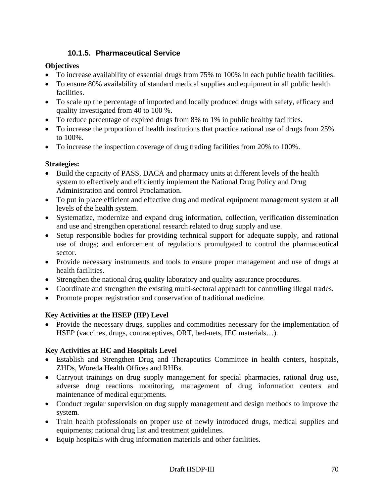# **10.1.5. Pharmaceutical Service**

## **Objectives**

- To increase availability of essential drugs from 75% to 100% in each public health facilities.
- To ensure 80% availability of standard medical supplies and equipment in all public health facilities.
- To scale up the percentage of imported and locally produced drugs with safety, efficacy and quality investigated from 40 to 100 %.
- To reduce percentage of expired drugs from 8% to 1% in public healthy facilities.
- To increase the proportion of health institutions that practice rational use of drugs from 25% to 100%.
- To increase the inspection coverage of drug trading facilities from 20% to 100%.

# **Strategies:**

- Build the capacity of PASS, DACA and pharmacy units at different levels of the health system to effectively and efficiently implement the National Drug Policy and Drug Administration and control Proclamation.
- To put in place efficient and effective drug and medical equipment management system at all levels of the health system.
- Systematize, modernize and expand drug information, collection, verification dissemination and use and strengthen operational research related to drug supply and use.
- Setup responsible bodies for providing technical support for adequate supply, and rational use of drugs; and enforcement of regulations promulgated to control the pharmaceutical sector.
- Provide necessary instruments and tools to ensure proper management and use of drugs at health facilities.
- Strengthen the national drug quality laboratory and quality assurance procedures.
- Coordinate and strengthen the existing multi-sectoral approach for controlling illegal trades.
- Promote proper registration and conservation of traditional medicine.

# **Key Activities at the HSEP (HP) Level**

• Provide the necessary drugs, supplies and commodities necessary for the implementation of HSEP (vaccines, drugs, contraceptives, ORT, bed-nets, IEC materials…).

# **Key Activities at HC and Hospitals Level**

- Establish and Strengthen Drug and Therapeutics Committee in health centers, hospitals, ZHDs, Woreda Health Offices and RHBs.
- Carryout trainings on drug supply management for special pharmacies, rational drug use, adverse drug reactions monitoring, management of drug information centers and maintenance of medical equipments.
- Conduct regular supervision on dug supply management and design methods to improve the system.
- Train health professionals on proper use of newly introduced drugs, medical supplies and equipments; national drug list and treatment guidelines.
- Equip hospitals with drug information materials and other facilities.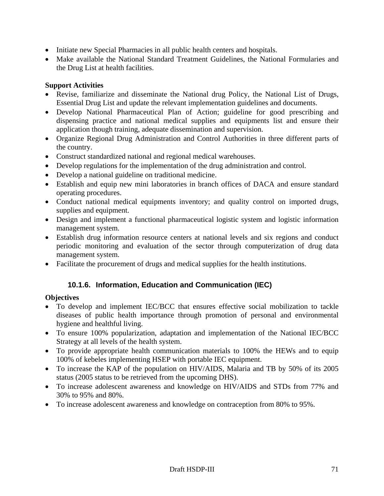- Initiate new Special Pharmacies in all public health centers and hospitals.
- Make available the National Standard Treatment Guidelines, the National Formularies and the Drug List at health facilities.

## **Support Activities**

- Revise, familiarize and disseminate the National drug Policy, the National List of Drugs, Essential Drug List and update the relevant implementation guidelines and documents.
- Develop National Pharmaceutical Plan of Action; guideline for good prescribing and dispensing practice and national medical supplies and equipments list and ensure their application though training, adequate dissemination and supervision.
- Organize Regional Drug Administration and Control Authorities in three different parts of the country.
- Construct standardized national and regional medical warehouses.
- Develop regulations for the implementation of the drug administration and control.
- Develop a national guideline on traditional medicine.
- Establish and equip new mini laboratories in branch offices of DACA and ensure standard operating procedures.
- Conduct national medical equipments inventory; and quality control on imported drugs, supplies and equipment.
- Design and implement a functional pharmaceutical logistic system and logistic information management system.
- Establish drug information resource centers at national levels and six regions and conduct periodic monitoring and evaluation of the sector through computerization of drug data management system.
- Facilitate the procurement of drugs and medical supplies for the health institutions.

# **10.1.6. Information, Education and Communication (IEC)**

### **Objectives**

- To develop and implement IEC/BCC that ensures effective social mobilization to tackle diseases of public health importance through promotion of personal and environmental hygiene and healthful living.
- To ensure 100% popularization, adaptation and implementation of the National IEC/BCC Strategy at all levels of the health system.
- To provide appropriate health communication materials to 100% the HEWs and to equip 100% of kebeles implementing HSEP with portable IEC equipment.
- To increase the KAP of the population on HIV/AIDS, Malaria and TB by 50% of its 2005 status (2005 status to be retrieved from the upcoming DHS).
- To increase adolescent awareness and knowledge on HIV/AIDS and STDs from 77% and 30% to 95% and 80%.
- To increase adolescent awareness and knowledge on contraception from 80% to 95%.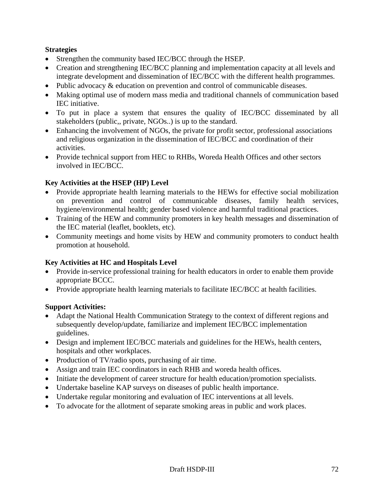## **Strategies**

- Strengthen the community based IEC/BCC through the HSEP.
- Creation and strengthening IEC/BCC planning and implementation capacity at all levels and integrate development and dissemination of IEC/BCC with the different health programmes.
- Public advocacy & education on prevention and control of communicable diseases.
- Making optimal use of modern mass media and traditional channels of communication based IEC initiative.
- To put in place a system that ensures the quality of IEC/BCC disseminated by all stakeholders (public,, private, NGOs..) is up to the standard.
- Enhancing the involvement of NGOs, the private for profit sector, professional associations and religious organization in the dissemination of IEC/BCC and coordination of their activities.
- Provide technical support from HEC to RHBs, Woreda Health Offices and other sectors involved in IEC/BCC.

## **Key Activities at the HSEP (HP) Level**

- Provide appropriate health learning materials to the HEWs for effective social mobilization on prevention and control of communicable diseases, family health services, hygiene/environmental health; gender based violence and harmful traditional practices.
- Training of the HEW and community promoters in key health messages and dissemination of the IEC material (leaflet, booklets, etc).
- Community meetings and home visits by HEW and community promoters to conduct health promotion at household.

### **Key Activities at HC and Hospitals Level**

- Provide in-service professional training for health educators in order to enable them provide appropriate BCCC.
- Provide appropriate health learning materials to facilitate IEC/BCC at health facilities.

### **Support Activities:**

- Adapt the National Health Communication Strategy to the context of different regions and subsequently develop/update, familiarize and implement IEC/BCC implementation guidelines.
- Design and implement IEC/BCC materials and guidelines for the HEWs, health centers, hospitals and other workplaces.
- Production of TV/radio spots, purchasing of air time.
- Assign and train IEC coordinators in each RHB and woreda health offices.
- Initiate the development of career structure for health education/promotion specialists.
- Undertake baseline KAP surveys on diseases of public health importance.
- Undertake regular monitoring and evaluation of IEC interventions at all levels.
- To advocate for the allotment of separate smoking areas in public and work places.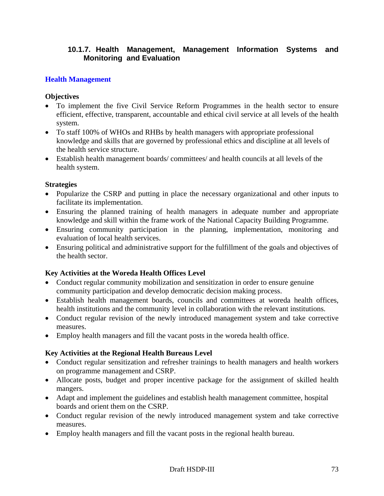## **10.1.7. Health Management, Management Information Systems and Monitoring and Evaluation**

## **Health Management**

#### **Objectives**

- To implement the five Civil Service Reform Programmes in the health sector to ensure efficient, effective, transparent, accountable and ethical civil service at all levels of the health system.
- To staff 100% of WHOs and RHBs by health managers with appropriate professional knowledge and skills that are governed by professional ethics and discipline at all levels of the health service structure.
- Establish health management boards/ committees/ and health councils at all levels of the health system.

#### **Strategies**

- Popularize the CSRP and putting in place the necessary organizational and other inputs to facilitate its implementation.
- Ensuring the planned training of health managers in adequate number and appropriate knowledge and skill within the frame work of the National Capacity Building Programme.
- Ensuring community participation in the planning, implementation, monitoring and evaluation of local health services.
- Ensuring political and administrative support for the fulfillment of the goals and objectives of the health sector.

### **Key Activities at the Woreda Health Offices Level**

- Conduct regular community mobilization and sensitization in order to ensure genuine community participation and develop democratic decision making process.
- Establish health management boards, councils and committees at woreda health offices, health institutions and the community level in collaboration with the relevant institutions.
- Conduct regular revision of the newly introduced management system and take corrective measures.
- Employ health managers and fill the vacant posts in the woreda health office.

### **Key Activities at the Regional Health Bureaus Level**

- Conduct regular sensitization and refresher trainings to health managers and health workers on programme management and CSRP.
- Allocate posts, budget and proper incentive package for the assignment of skilled health mangers.
- Adapt and implement the guidelines and establish health management committee, hospital boards and orient them on the CSRP.
- Conduct regular revision of the newly introduced management system and take corrective measures.
- Employ health managers and fill the vacant posts in the regional health bureau.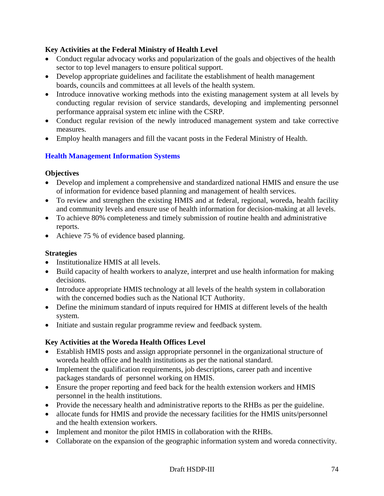# **Key Activities at the Federal Ministry of Health Level**

- Conduct regular advocacy works and popularization of the goals and objectives of the health sector to top level managers to ensure political support.
- Develop appropriate guidelines and facilitate the establishment of health management boards, councils and committees at all levels of the health system.
- Introduce innovative working methods into the existing management system at all levels by conducting regular revision of service standards, developing and implementing personnel performance appraisal system etc inline with the CSRP.
- Conduct regular revision of the newly introduced management system and take corrective measures.
- Employ health managers and fill the vacant posts in the Federal Ministry of Health.

# **Health Management Information Systems**

## **Objectives**

- Develop and implement a comprehensive and standardized national HMIS and ensure the use of information for evidence based planning and management of health services.
- To review and strengthen the existing HMIS and at federal, regional, woreda, health facility and community levels and ensure use of health information for decision-making at all levels.
- To achieve 80% completeness and timely submission of routine health and administrative reports.
- Achieve 75 % of evidence based planning.

# **Strategies**

- Institutionalize HMIS at all levels.
- Build capacity of health workers to analyze, interpret and use health information for making decisions.
- Introduce appropriate HMIS technology at all levels of the health system in collaboration with the concerned bodies such as the National ICT Authority.
- Define the minimum standard of inputs required for HMIS at different levels of the health system.
- Initiate and sustain regular programme review and feedback system.

# **Key Activities at the Woreda Health Offices Level**

- Establish HMIS posts and assign appropriate personnel in the organizational structure of woreda health office and health institutions as per the national standard.
- Implement the qualification requirements, job descriptions, career path and incentive packages standards of personnel working on HMIS.
- Ensure the proper reporting and feed back for the health extension workers and HMIS personnel in the health institutions.
- Provide the necessary health and administrative reports to the RHBs as per the guideline.
- allocate funds for HMIS and provide the necessary facilities for the HMIS units/personnel and the health extension workers.
- Implement and monitor the pilot HMIS in collaboration with the RHBs.
- Collaborate on the expansion of the geographic information system and woreda connectivity.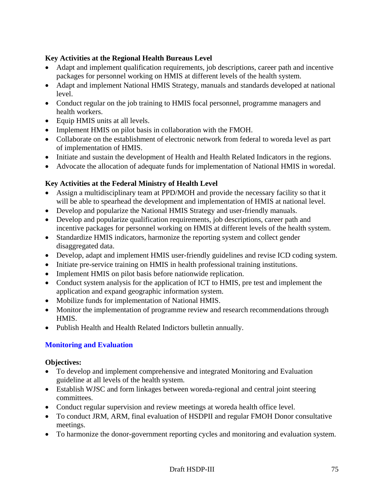## **Key Activities at the Regional Health Bureaus Level**

- Adapt and implement qualification requirements, job descriptions, career path and incentive packages for personnel working on HMIS at different levels of the health system.
- Adapt and implement National HMIS Strategy, manuals and standards developed at national level.
- Conduct regular on the job training to HMIS focal personnel, programme managers and health workers.
- Equip HMIS units at all levels.
- Implement HMIS on pilot basis in collaboration with the FMOH.
- Collaborate on the establishment of electronic network from federal to woreda level as part of implementation of HMIS.
- Initiate and sustain the development of Health and Health Related Indicators in the regions.
- Advocate the allocation of adequate funds for implementation of National HMIS in woredal.

# **Key Activities at the Federal Ministry of Health Level**

- Assign a multidisciplinary team at PPD/MOH and provide the necessary facility so that it will be able to spearhead the development and implementation of HMIS at national level.
- Develop and popularize the National HMIS Strategy and user-friendly manuals.
- Develop and popularize qualification requirements, job descriptions, career path and incentive packages for personnel working on HMIS at different levels of the health system.
- Standardize HMIS indicators, harmonize the reporting system and collect gender disaggregated data.
- Develop, adapt and implement HMIS user-friendly guidelines and revise ICD coding system.
- Initiate pre-service training on HMIS in health professional training institutions.
- Implement HMIS on pilot basis before nationwide replication.
- Conduct system analysis for the application of ICT to HMIS, pre test and implement the application and expand geographic information system.
- Mobilize funds for implementation of National HMIS.
- Monitor the implementation of programme review and research recommendations through HMIS.
- Publish Health and Health Related Indictors bulletin annually.

# **Monitoring and Evaluation**

### **Objectives:**

- To develop and implement comprehensive and integrated Monitoring and Evaluation guideline at all levels of the health system.
- Establish WJSC and form linkages between woreda-regional and central joint steering committees.
- Conduct regular supervision and review meetings at woreda health office level.
- To conduct JRM, ARM, final evaluation of HSDPII and regular FMOH Donor consultative meetings.
- To harmonize the donor-government reporting cycles and monitoring and evaluation system.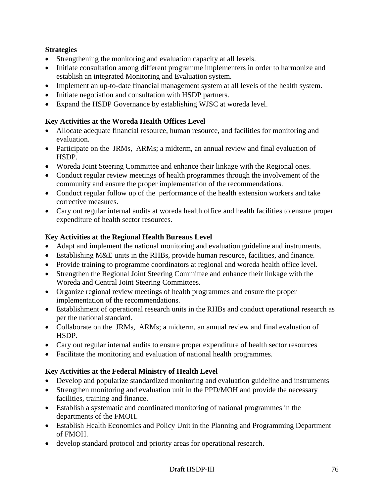## **Strategies**

- Strengthening the monitoring and evaluation capacity at all levels.
- Initiate consultation among different programme implementers in order to harmonize and establish an integrated Monitoring and Evaluation system.
- Implement an up-to-date financial management system at all levels of the health system.
- Initiate negotiation and consultation with HSDP partners.
- Expand the HSDP Governance by establishing WJSC at woreda level.

# **Key Activities at the Woreda Health Offices Level**

- Allocate adequate financial resource, human resource, and facilities for monitoring and evaluation.
- Participate on the JRMs, ARMs; a midterm, an annual review and final evaluation of HSDP.
- Woreda Joint Steering Committee and enhance their linkage with the Regional ones.
- Conduct regular review meetings of health programmes through the involvement of the community and ensure the proper implementation of the recommendations.
- Conduct regular follow up of the performance of the health extension workers and take corrective measures.
- Cary out regular internal audits at woreda health office and health facilities to ensure proper expenditure of health sector resources.

## **Key Activities at the Regional Health Bureaus Level**

- Adapt and implement the national monitoring and evaluation guideline and instruments.
- Establishing M&E units in the RHBs, provide human resource, facilities, and finance.
- Provide training to programme coordinators at regional and woreda health office level.
- Strengthen the Regional Joint Steering Committee and enhance their linkage with the Woreda and Central Joint Steering Committees.
- Organize regional review meetings of health programmes and ensure the proper implementation of the recommendations.
- Establishment of operational research units in the RHBs and conduct operational research as per the national standard.
- Collaborate on the JRMs, ARMs; a midterm, an annual review and final evaluation of HSDP.
- Cary out regular internal audits to ensure proper expenditure of health sector resources
- Facilitate the monitoring and evaluation of national health programmes.

# **Key Activities at the Federal Ministry of Health Level**

- Develop and popularize standardized monitoring and evaluation guideline and instruments
- Strengthen monitoring and evaluation unit in the PPD/MOH and provide the necessary facilities, training and finance.
- Establish a systematic and coordinated monitoring of national programmes in the departments of the FMOH.
- Establish Health Economics and Policy Unit in the Planning and Programming Department of FMOH.
- develop standard protocol and priority areas for operational research.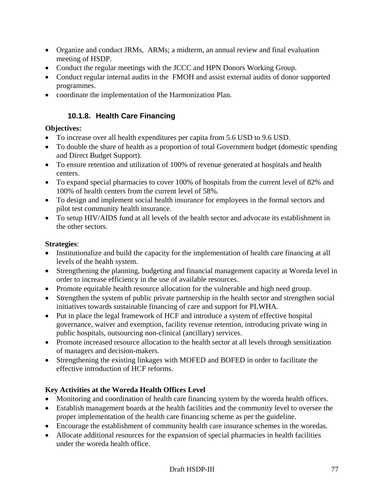- Organize and conduct JRMs, ARMs; a midterm, an annual review and final evaluation meeting of HSDP.
- Conduct the regular meetings with the JCCC and HPN Donors Working Group.
- Conduct regular internal audits in the FMOH and assist external audits of donor supported programmes.
- coordinate the implementation of the Harmonization Plan.

# **10.1.8. Health Care Financing**

# **Objectives:**

- To increase over all health expenditures per capita from 5.6 USD to 9.6 USD.
- To double the share of health as a proportion of total Government budget (domestic spending and Direct Budget Support).
- To ensure retention and utilization of 100% of revenue generated at hospitals and health centers.
- To expand special pharmacies to cover 100% of hospitals from the current level of 82% and 100% of health centers from the current level of 58%.
- To design and implement social health insurance for employees in the formal sectors and pilot test community health insurance.
- To setup HIV/AIDS fund at all levels of the health sector and advocate its establishment in the other sectors.

# **Strategies**:

- Institutionalize and build the capacity for the implementation of health care financing at all levels of the health system.
- Strengthening the planning, budgeting and financial management capacity at Woreda level in order to increase efficiency in the use of available resources.
- Promote equitable health resource allocation for the vulnerable and high need group.
- Strengthen the system of public private partnership in the health sector and strengthen social initiatives towards sustainable financing of care and support for PLWHA.
- Put in place the legal framework of HCF and introduce a system of effective hospital governance, waiver and exemption, facility revenue retention, introducing private wing in public hospitals, outsourcing non-clinical (ancillary) services.
- Promote increased resource allocation to the health sector at all levels through sensitization of managers and decision-makers.
- Strengthening the existing linkages with MOFED and BOFED in order to facilitate the effective introduction of HCF reforms.

# **Key Activities at the Woreda Health Offices Level**

- Monitoring and coordination of health care financing system by the woreda health offices.
- Establish management boards at the health facilities and the community level to oversee the proper implementation of the health care financing scheme as per the guideline.
- Encourage the establishment of community health care insurance schemes in the woredas.
- Allocate additional resources for the expansion of special pharmacies in health facilities under the woreda health office.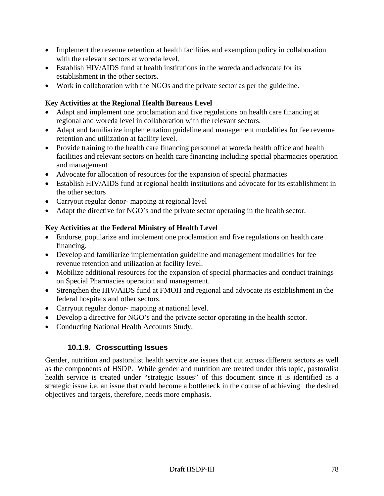- Implement the revenue retention at health facilities and exemption policy in collaboration with the relevant sectors at woreda level.
- Establish HIV/AIDS fund at health institutions in the woreda and advocate for its establishment in the other sectors.
- Work in collaboration with the NGOs and the private sector as per the guideline.

# **Key Activities at the Regional Health Bureaus Level**

- Adapt and implement one proclamation and five regulations on health care financing at regional and woreda level in collaboration with the relevant sectors.
- Adapt and familiarize implementation guideline and management modalities for fee revenue retention and utilization at facility level.
- Provide training to the health care financing personnel at woreda health office and health facilities and relevant sectors on health care financing including special pharmacies operation and management
- Advocate for allocation of resources for the expansion of special pharmacies
- Establish HIV/AIDS fund at regional health institutions and advocate for its establishment in the other sectors
- Carryout regular donor-mapping at regional level
- Adapt the directive for NGO's and the private sector operating in the health sector.

# **Key Activities at the Federal Ministry of Health Level**

- Endorse, popularize and implement one proclamation and five regulations on health care financing.
- Develop and familiarize implementation guideline and management modalities for fee revenue retention and utilization at facility level.
- Mobilize additional resources for the expansion of special pharmacies and conduct trainings on Special Pharmacies operation and management.
- Strengthen the HIV/AIDS fund at FMOH and regional and advocate its establishment in the federal hospitals and other sectors.
- Carryout regular donor- mapping at national level.
- Develop a directive for NGO's and the private sector operating in the health sector.
- Conducting National Health Accounts Study.

# **10.1.9. Crosscutting Issues**

Gender, nutrition and pastoralist health service are issues that cut across different sectors as well as the components of HSDP. While gender and nutrition are treated under this topic, pastoralist health service is treated under "strategic Issues" of this document since it is identified as a strategic issue i.e. an issue that could become a bottleneck in the course of achieving the desired objectives and targets, therefore, needs more emphasis.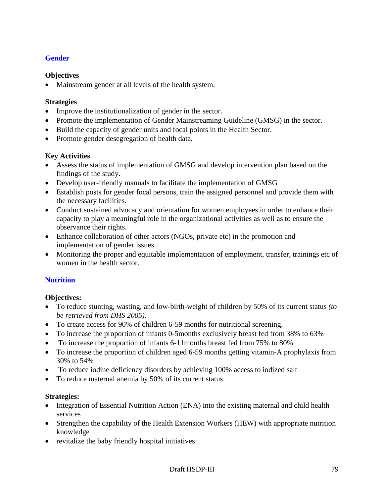## **Gender**

### **Objectives**

• Mainstream gender at all levels of the health system.

## **Strategies**

- Improve the institutionalization of gender in the sector.
- Promote the implementation of Gender Mainstreaming Guideline (GMSG) in the sector.
- Build the capacity of gender units and focal points in the Health Sector.
- Promote gender desegregation of health data.

## **Key Activities**

- Assess the status of implementation of GMSG and develop intervention plan based on the findings of the study.
- Develop user-friendly manuals to facilitate the implementation of GMSG
- Establish posts for gender focal persons, train the assigned personnel and provide them with the necessary facilities.
- Conduct sustained advocacy and orientation for women employees in order to enhance their capacity to play a meaningful role in the organizational activities as well as to ensure the observance their rights.
- Enhance collaboration of other actors (NGOs, private etc) in the promotion and implementation of gender issues.
- Monitoring the proper and equitable implementation of employment, transfer, trainings etc of women in the health sector.

# **Nutrition**

# **Objectives:**

- To reduce stunting, wasting, and low-birth-weight of children by 50% of its current status *(to be retrieved from DHS 2005).*
- To create access for 90% of children 6-59 months for nutritional screening.
- To increase the proportion of infants 0-5months exclusively breast fed from 38% to 63%
- To increase the proportion of infants 6-11months breast fed from 75% to 80%
- To increase the proportion of children aged 6-59 months getting vitamin-A prophylaxis from 30% to 54%
- To reduce iodine deficiency disorders by achieving 100% access to iodized salt
- To reduce maternal anemia by 50% of its current status

# **Strategies:**

- Integration of Essential Nutrition Action (ENA) into the existing maternal and child health services
- Strengthen the capability of the Health Extension Workers (HEW) with appropriate nutrition knowledge
- revitalize the baby friendly hospital initiatives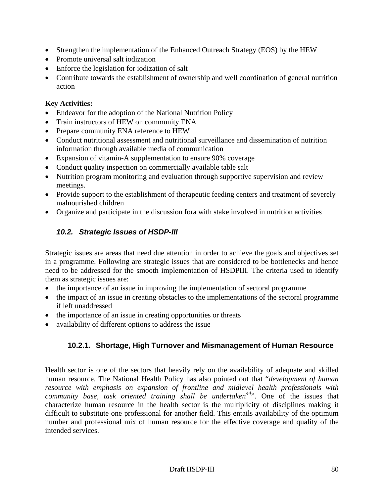- Strengthen the implementation of the Enhanced Outreach Strategy (EOS) by the HEW
- Promote universal salt iodization
- Enforce the legislation for iodization of salt
- Contribute towards the establishment of ownership and well coordination of general nutrition action

## **Key Activities:**

- Endeavor for the adoption of the National Nutrition Policy
- Train instructors of HEW on community ENA
- Prepare community ENA reference to HEW
- Conduct nutritional assessment and nutritional surveillance and dissemination of nutrition information through available media of communication
- Expansion of vitamin-A supplementation to ensure 90% coverage
- Conduct quality inspection on commercially available table salt
- Nutrition program monitoring and evaluation through supportive supervision and review meetings.
- Provide support to the establishment of therapeutic feeding centers and treatment of severely malnourished children
- Organize and participate in the discussion fora with stake involved in nutrition activities

# *10.2. Strategic Issues of HSDP-III*

Strategic issues are areas that need due attention in order to achieve the goals and objectives set in a programme. Following are strategic issues that are considered to be bottlenecks and hence need to be addressed for the smooth implementation of HSDPIII. The criteria used to identify them as strategic issues are:

- the importance of an issue in improving the implementation of sectoral programme
- the impact of an issue in creating obstacles to the implementations of the sectoral programme if left unaddressed
- the importance of an issue in creating opportunities or threats
- availability of different options to address the issue

# **10.2.1. Shortage, High Turnover and Mismanagement of Human Resource**

Health sector is one of the sectors that heavily rely on the availability of adequate and skilled human resource. The National Health Policy has also pointed out that "*development of human resource with emphasis on expansion of frontline and midlevel health professionals with community base, task oriented training shall be undertaken<sup>44</sup>*". One of the issues that characterize human resource in the health sector is the multiplicity of disciplines making it difficult to substitute one professional for another field. This entails availability of the optimum number and professional mix of human resource for the effective coverage and quality of the intended services.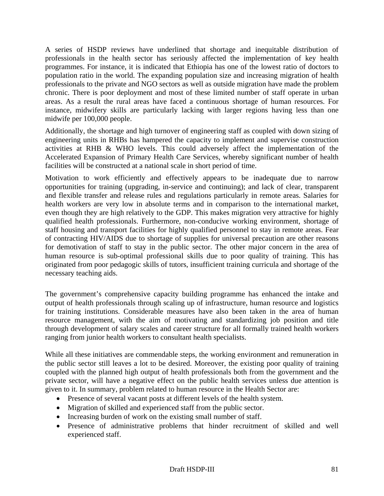A series of HSDP reviews have underlined that shortage and inequitable distribution of professionals in the health sector has seriously affected the implementation of key health programmes. For instance, it is indicated that Ethiopia has one of the lowest ratio of doctors to population ratio in the world. The expanding population size and increasing migration of health professionals to the private and NGO sectors as well as outside migration have made the problem chronic. There is poor deployment and most of these limited number of staff operate in urban areas. As a result the rural areas have faced a continuous shortage of human resources. For instance, midwifery skills are particularly lacking with larger regions having less than one midwife per 100,000 people.

Additionally, the shortage and high turnover of engineering staff as coupled with down sizing of engineering units in RHBs has hampered the capacity to implement and supervise construction activities at RHB & WHO levels. This could adversely affect the implementation of the Accelerated Expansion of Primary Health Care Services, whereby significant number of health facilities will be constructed at a national scale in short period of time.

Motivation to work efficiently and effectively appears to be inadequate due to narrow opportunities for training (upgrading, in-service and continuing); and lack of clear, transparent and flexible transfer and release rules and regulations particularly in remote areas. Salaries for health workers are very low in absolute terms and in comparison to the international market, even though they are high relatively to the GDP. This makes migration very attractive for highly qualified health professionals. Furthermore, non-conducive working environment, shortage of staff housing and transport facilities for highly qualified personnel to stay in remote areas. Fear of contracting HIV/AIDS due to shortage of supplies for universal precaution are other reasons for demotivation of staff to stay in the public sector. The other major concern in the area of human resource is sub-optimal professional skills due to poor quality of training. This has originated from poor pedagogic skills of tutors, insufficient training curricula and shortage of the necessary teaching aids.

The government's comprehensive capacity building programme has enhanced the intake and output of health professionals through scaling up of infrastructure, human resource and logistics for training institutions. Considerable measures have also been taken in the area of human resource management, with the aim of motivating and standardizing job position and title through development of salary scales and career structure for all formally trained health workers ranging from junior health workers to consultant health specialists.

While all these initiatives are commendable steps, the working environment and remuneration in the public sector still leaves a lot to be desired. Moreover, the existing poor quality of training coupled with the planned high output of health professionals both from the government and the private sector, will have a negative effect on the public health services unless due attention is given to it. In summary, problem related to human resource in the Health Sector are:

- Presence of several vacant posts at different levels of the health system.
- Migration of skilled and experienced staff from the public sector.
- Increasing burden of work on the existing small number of staff.
- Presence of administrative problems that hinder recruitment of skilled and well experienced staff.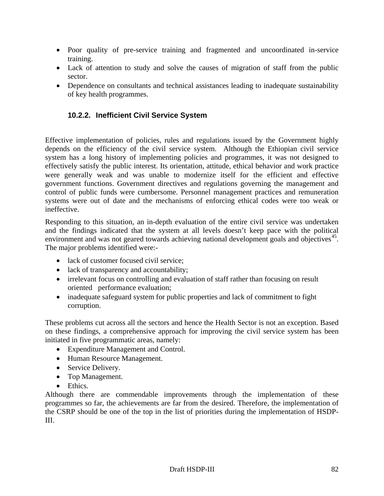- Poor quality of pre-service training and fragmented and uncoordinated in-service training.
- Lack of attention to study and solve the causes of migration of staff from the public sector.
- Dependence on consultants and technical assistances leading to inadequate sustainability of key health programmes.

# **10.2.2. Inefficient Civil Service System**

Effective implementation of policies, rules and regulations issued by the Government highly depends on the efficiency of the civil service system. Although the Ethiopian civil service system has a long history of implementing policies and programmes, it was not designed to effectively satisfy the public interest. Its orientation, attitude, ethical behavior and work practice were generally weak and was unable to modernize itself for the efficient and effective government functions. Government directives and regulations governing the management and control of public funds were cumbersome. Personnel management practices and remuneration systems were out of date and the mechanisms of enforcing ethical codes were too weak or ineffective.

Responding to this situation, an in-depth evaluation of the entire civil service was undertaken and the findings indicated that the system at all levels doesn't keep pace with the political environment and was not geared towards achieving national development goals and objectives<sup>45</sup>. The major problems identified were:-

- lack of customer focused civil service;
- lack of transparency and accountability;
- irrelevant focus on controlling and evaluation of staff rather than focusing on result oriented performance evaluation;
- inadequate safeguard system for public properties and lack of commitment to fight corruption.

These problems cut across all the sectors and hence the Health Sector is not an exception. Based on these findings, a comprehensive approach for improving the civil service system has been initiated in five programmatic areas, namely:

- Expenditure Management and Control.
- Human Resource Management.
- Service Delivery.
- Top Management.
- Ethics.

Although there are commendable improvements through the implementation of these programmes so far, the achievements are far from the desired. Therefore, the implementation of the CSRP should be one of the top in the list of priorities during the implementation of HSDP-III.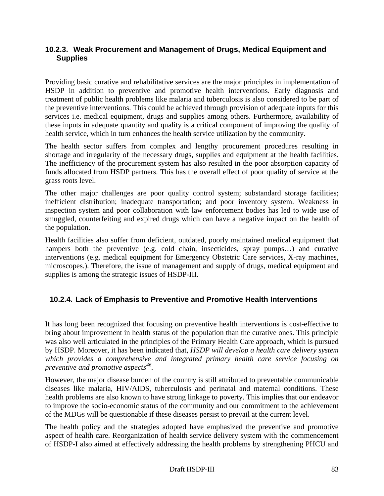## **10.2.3. Weak Procurement and Management of Drugs, Medical Equipment and Supplies**

Providing basic curative and rehabilitative services are the major principles in implementation of HSDP in addition to preventive and promotive health interventions. Early diagnosis and treatment of public health problems like malaria and tuberculosis is also considered to be part of the preventive interventions. This could be achieved through provision of adequate inputs for this services i.e. medical equipment, drugs and supplies among others. Furthermore, availability of these inputs in adequate quantity and quality is a critical component of improving the quality of health service, which in turn enhances the health service utilization by the community.

The health sector suffers from complex and lengthy procurement procedures resulting in shortage and irregularity of the necessary drugs, supplies and equipment at the health facilities. The inefficiency of the procurement system has also resulted in the poor absorption capacity of funds allocated from HSDP partners. This has the overall effect of poor quality of service at the grass roots level.

The other major challenges are poor quality control system; substandard storage facilities; inefficient distribution; inadequate transportation; and poor inventory system. Weakness in inspection system and poor collaboration with law enforcement bodies has led to wide use of smuggled, counterfeiting and expired drugs which can have a negative impact on the health of the population.

Health facilities also suffer from deficient, outdated, poorly maintained medical equipment that hampers both the preventive (e.g. cold chain, insecticides, spray pumps...) and curative interventions (e.g. medical equipment for Emergency Obstetric Care services, X-ray machines, microscopes.). Therefore, the issue of management and supply of drugs, medical equipment and supplies is among the strategic issues of HSDP-III.

# **10.2.4. Lack of Emphasis to Preventive and Promotive Health Interventions**

It has long been recognized that focusing on preventive health interventions is cost-effective to bring about improvement in health status of the population than the curative ones. This principle was also well articulated in the principles of the Primary Health Care approach, which is pursued by HSDP. Moreover, it has been indicated that, *HSDP will develop a health care delivery system which provides a comprehensive and integrated primary health care service focusing on preventive and promotive aspects46.* 

However, the major disease burden of the country is still attributed to preventable communicable diseases like malaria, HIV/AIDS, tuberculosis and perinatal and maternal conditions. These health problems are also known to have strong linkage to poverty. This implies that our endeavor to improve the socio-economic status of the community and our commitment to the achievement of the MDGs will be questionable if these diseases persist to prevail at the current level.

The health policy and the strategies adopted have emphasized the preventive and promotive aspect of health care. Reorganization of health service delivery system with the commencement of HSDP-I also aimed at effectively addressing the health problems by strengthening PHCU and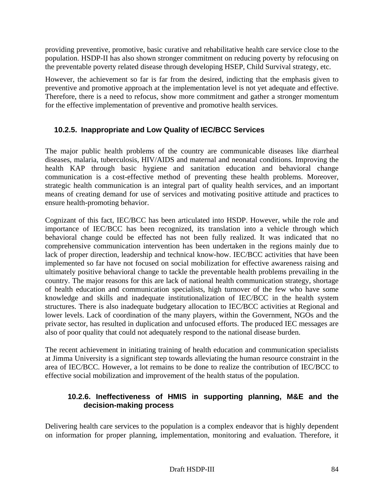providing preventive, promotive, basic curative and rehabilitative health care service close to the population. HSDP-II has also shown stronger commitment on reducing poverty by refocusing on the preventable poverty related disease through developing HSEP, Child Survival strategy, etc.

However, the achievement so far is far from the desired, indicting that the emphasis given to preventive and promotive approach at the implementation level is not yet adequate and effective. Therefore, there is a need to refocus, show more commitment and gather a stronger momentum for the effective implementation of preventive and promotive health services.

# **10.2.5. Inappropriate and Low Quality of IEC/BCC Services**

The major public health problems of the country are communicable diseases like diarrheal diseases, malaria, tuberculosis, HIV/AIDS and maternal and neonatal conditions. Improving the health KAP through basic hygiene and sanitation education and behavioral change communication is a cost-effective method of preventing these health problems. Moreover, strategic health communication is an integral part of quality health services, and an important means of creating demand for use of services and motivating positive attitude and practices to ensure health-promoting behavior.

Cognizant of this fact, IEC/BCC has been articulated into HSDP. However, while the role and importance of IEC/BCC has been recognized, its translation into a vehicle through which behavioral change could be effected has not been fully realized. It was indicated that no comprehensive communication intervention has been undertaken in the regions mainly due to lack of proper direction, leadership and technical know-how. IEC/BCC activities that have been implemented so far have not focused on social mobilization for effective awareness raising and ultimately positive behavioral change to tackle the preventable health problems prevailing in the country. The major reasons for this are lack of national health communication strategy, shortage of health education and communication specialists, high turnover of the few who have some knowledge and skills and inadequate institutionalization of IEC/BCC in the health system structures. There is also inadequate budgetary allocation to IEC/BCC activities at Regional and lower levels. Lack of coordination of the many players, within the Government, NGOs and the private sector, has resulted in duplication and unfocused efforts. The produced IEC messages are also of poor quality that could not adequately respond to the national disease burden.

The recent achievement in initiating training of health education and communication specialists at Jimma University is a significant step towards alleviating the human resource constraint in the area of IEC/BCC. However, a lot remains to be done to realize the contribution of IEC/BCC to effective social mobilization and improvement of the health status of the population.

# **10.2.6. Ineffectiveness of HMIS in supporting planning, M&E and the decision-making process**

Delivering health care services to the population is a complex endeavor that is highly dependent on information for proper planning, implementation, monitoring and evaluation. Therefore, it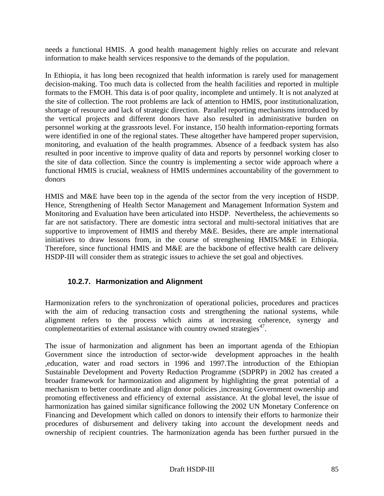needs a functional HMIS. A good health management highly relies on accurate and relevant information to make health services responsive to the demands of the population.

In Ethiopia, it has long been recognized that health information is rarely used for management decision-making. Too much data is collected from the health facilities and reported in multiple formats to the FMOH. This data is of poor quality, incomplete and untimely. It is not analyzed at the site of collection. The root problems are lack of attention to HMIS, poor institutionalization, shortage of resource and lack of strategic direction. Parallel reporting mechanisms introduced by the vertical projects and different donors have also resulted in administrative burden on personnel working at the grassroots level. For instance, 150 health information-reporting formats were identified in one of the regional states. These altogether have hampered proper supervision, monitoring, and evaluation of the health programmes. Absence of a feedback system has also resulted in poor incentive to improve quality of data and reports by personnel working closer to the site of data collection. Since the country is implementing a sector wide approach where a functional HMIS is crucial, weakness of HMIS undermines accountability of the government to donors

HMIS and M&E have been top in the agenda of the sector from the very inception of HSDP. Hence, Strengthening of Health Sector Management and Management Information System and Monitoring and Evaluation have been articulated into HSDP. Nevertheless, the achievements so far are not satisfactory. There are domestic intra sectoral and multi-sectoral initiatives that are supportive to improvement of HMIS and thereby M&E. Besides, there are ample international initiatives to draw lessons from, in the course of strengthening HMIS/M&E in Ethiopia. Therefore, since functional HMIS and M&E are the backbone of effective health care delivery HSDP-III will consider them as strategic issues to achieve the set goal and objectives.

# **10.2.7. Harmonization and Alignment**

Harmonization refers to the synchronization of operational policies, procedures and practices with the aim of reducing transaction costs and strengthening the national systems, while alignment refers to the process which aims at increasing coherence, synergy and complementarities of external assistance with country owned strategies<sup> $47$ </sup>.

The issue of harmonization and alignment has been an important agenda of the Ethiopian Government since the introduction of sector-wide development approaches in the health ,education, water and road sectors in 1996 and 1997.The introduction of the Ethiopian Sustainable Development and Poverty Reduction Programme (SDPRP) in 2002 has created a broader framework for harmonization and alignment by highlighting the great potential of a mechanism to better coordinate and align donor policies ,increasing Government ownership and promoting effectiveness and efficiency of external assistance. At the global level, the issue of harmonization has gained similar significance following the 2002 UN Monetary Conference on Financing and Development which called on donors to intensify their efforts to harmonize their procedures of disbursement and delivery taking into account the development needs and ownership of recipient countries. The harmonization agenda has been further pursued in the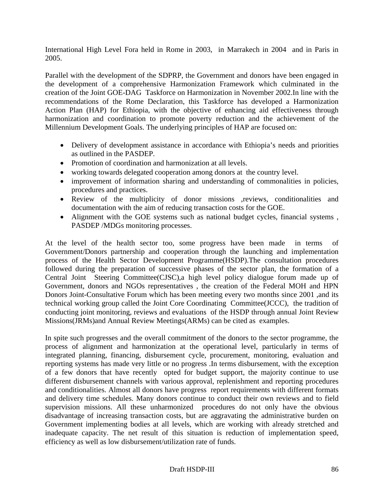International High Level Fora held in Rome in 2003, in Marrakech in 2004 and in Paris in 2005.

Parallel with the development of the SDPRP, the Government and donors have been engaged in the development of a comprehensive Harmonization Framework which culminated in the creation of the Joint GOE-DAG Taskforce on Harmonization in November 2002.In line with the recommendations of the Rome Declaration, this Taskforce has developed a Harmonization Action Plan (HAP) for Ethiopia, with the objective of enhancing aid effectiveness through harmonization and coordination to promote poverty reduction and the achievement of the Millennium Development Goals. The underlying principles of HAP are focused on:

- Delivery of development assistance in accordance with Ethiopia's needs and priorities as outlined in the PASDEP.
- Promotion of coordination and harmonization at all levels.
- working towards delegated cooperation among donors at the country level.
- improvement of information sharing and understanding of commonalities in policies, procedures and practices.
- Review of the multiplicity of donor missions ,reviews, conditionalities and documentation with the aim of reducing transaction costs for the GOE.
- Alignment with the GOE systems such as national budget cycles, financial systems , PASDEP /MDGs monitoring processes.

At the level of the health sector too, some progress have been made in terms of Government/Donors partnership and cooperation through the launching and implementation process of the Health Sector Development Programme(HSDP).The consultation procedures followed during the preparation of successive phases of the sector plan, the formation of a Central Joint Steering Committee(CJSC),a high level policy dialogue forum made up of Government, donors and NGOs representatives , the creation of the Federal MOH and HPN Donors Joint-Consultative Forum which has been meeting every two months since 2001 ,and its technical working group called the Joint Core Coordinating Committee(JCCC), the tradition of conducting joint monitoring, reviews and evaluations of the HSDP through annual Joint Review Missions(JRMs)and Annual Review Meetings(ARMs) can be cited as examples.

In spite such progresses and the overall commitment of the donors to the sector programme, the process of alignment and harmonization at the operational level, particularly in terms of integrated planning, financing, disbursement cycle, procurement, monitoring, evaluation and reporting systems has made very little or no progress .In terms disbursement, with the exception of a few donors that have recently opted for budget support, the majority continue to use different disbursement channels with various approval, replenishment and reporting procedures and conditionalities. Almost all donors have progress report requirements with different formats and delivery time schedules. Many donors continue to conduct their own reviews and to field supervision missions. All these unharmonized procedures do not only have the obvious disadvantage of increasing transaction costs, but are aggravating the administrative burden on Government implementing bodies at all levels, which are working with already stretched and inadequate capacity. The net result of this situation is reduction of implementation speed, efficiency as well as low disbursement/utilization rate of funds.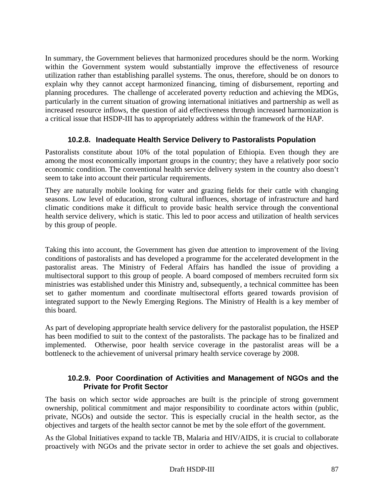In summary, the Government believes that harmonized procedures should be the norm. Working within the Government system would substantially improve the effectiveness of resource utilization rather than establishing parallel systems. The onus, therefore, should be on donors to explain why they cannot accept harmonized financing, timing of disbursement, reporting and planning procedures. The challenge of accelerated poverty reduction and achieving the MDGs, particularly in the current situation of growing international initiatives and partnership as well as increased resource inflows, the question of aid effectiveness through increased harmonization is a critical issue that HSDP-III has to appropriately address within the framework of the HAP.

## **10.2.8. Inadequate Health Service Delivery to Pastoralists Population**

Pastoralists constitute about 10% of the total population of Ethiopia. Even though they are among the most economically important groups in the country; they have a relatively poor socio economic condition. The conventional health service delivery system in the country also doesn't seem to take into account their particular requirements.

They are naturally mobile looking for water and grazing fields for their cattle with changing seasons. Low level of education, strong cultural influences, shortage of infrastructure and hard climatic conditions make it difficult to provide basic health service through the conventional health service delivery, which is static. This led to poor access and utilization of health services by this group of people.

Taking this into account, the Government has given due attention to improvement of the living conditions of pastoralists and has developed a programme for the accelerated development in the pastoralist areas. The Ministry of Federal Affairs has handled the issue of providing a multisectoral support to this group of people. A board composed of members recruited form six ministries was established under this Ministry and, subsequently, a technical committee has been set to gather momentum and coordinate multisectoral efforts geared towards provision of integrated support to the Newly Emerging Regions. The Ministry of Health is a key member of this board.

As part of developing appropriate health service delivery for the pastoralist population, the HSEP has been modified to suit to the context of the pastoralists. The package has to be finalized and implemented. Otherwise, poor health service coverage in the pastoralist areas will be a bottleneck to the achievement of universal primary health service coverage by 2008.

## **10.2.9. Poor Coordination of Activities and Management of NGOs and the Private for Profit Sector**

The basis on which sector wide approaches are built is the principle of strong government ownership, political commitment and major responsibility to coordinate actors within (public, private, NGOs) and outside the sector. This is especially crucial in the health sector, as the objectives and targets of the health sector cannot be met by the sole effort of the government.

As the Global Initiatives expand to tackle TB, Malaria and HIV/AIDS, it is crucial to collaborate proactively with NGOs and the private sector in order to achieve the set goals and objectives.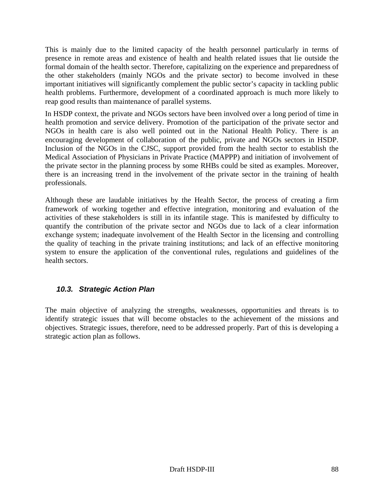This is mainly due to the limited capacity of the health personnel particularly in terms of presence in remote areas and existence of health and health related issues that lie outside the formal domain of the health sector. Therefore, capitalizing on the experience and preparedness of the other stakeholders (mainly NGOs and the private sector) to become involved in these important initiatives will significantly complement the public sector's capacity in tackling public health problems. Furthermore, development of a coordinated approach is much more likely to reap good results than maintenance of parallel systems.

In HSDP context, the private and NGOs sectors have been involved over a long period of time in health promotion and service delivery. Promotion of the participation of the private sector and NGOs in health care is also well pointed out in the National Health Policy. There is an encouraging development of collaboration of the public, private and NGOs sectors in HSDP. Inclusion of the NGOs in the CJSC, support provided from the health sector to establish the Medical Association of Physicians in Private Practice (MAPPP) and initiation of involvement of the private sector in the planning process by some RHBs could be sited as examples. Moreover, there is an increasing trend in the involvement of the private sector in the training of health professionals.

Although these are laudable initiatives by the Health Sector, the process of creating a firm framework of working together and effective integration, monitoring and evaluation of the activities of these stakeholders is still in its infantile stage. This is manifested by difficulty to quantify the contribution of the private sector and NGOs due to lack of a clear information exchange system; inadequate involvement of the Health Sector in the licensing and controlling the quality of teaching in the private training institutions; and lack of an effective monitoring system to ensure the application of the conventional rules, regulations and guidelines of the health sectors.

# *10.3. Strategic Action Plan*

The main objective of analyzing the strengths, weaknesses, opportunities and threats is to identify strategic issues that will become obstacles to the achievement of the missions and objectives. Strategic issues, therefore, need to be addressed properly. Part of this is developing a strategic action plan as follows.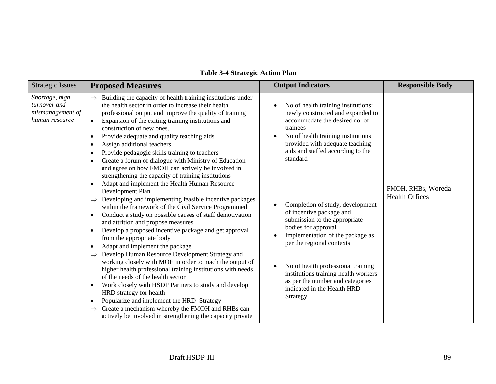| <b>Strategic Issues</b>                                              | <b>Proposed Measures</b>                                                                                                                                                                                                                                                                                                                                                                                                                                                                                                                                                                                                                                                                                                                                                                                                                                                                                                                                                                                                                                                                                                                                                                                                                                                                                                                                                                                                                                                                                                                                                                                         | <b>Output Indicators</b>                                                                                                                                                                                                                                                                                                                                                                                                                                                                                                                                                                               | <b>Responsible Body</b>                     |
|----------------------------------------------------------------------|------------------------------------------------------------------------------------------------------------------------------------------------------------------------------------------------------------------------------------------------------------------------------------------------------------------------------------------------------------------------------------------------------------------------------------------------------------------------------------------------------------------------------------------------------------------------------------------------------------------------------------------------------------------------------------------------------------------------------------------------------------------------------------------------------------------------------------------------------------------------------------------------------------------------------------------------------------------------------------------------------------------------------------------------------------------------------------------------------------------------------------------------------------------------------------------------------------------------------------------------------------------------------------------------------------------------------------------------------------------------------------------------------------------------------------------------------------------------------------------------------------------------------------------------------------------------------------------------------------------|--------------------------------------------------------------------------------------------------------------------------------------------------------------------------------------------------------------------------------------------------------------------------------------------------------------------------------------------------------------------------------------------------------------------------------------------------------------------------------------------------------------------------------------------------------------------------------------------------------|---------------------------------------------|
| Shortage, high<br>turnover and<br>mismanagement of<br>human resource | Building the capacity of health training institutions under<br>$\Rightarrow$<br>the health sector in order to increase their health<br>professional output and improve the quality of training<br>Expansion of the exiting training institutions and<br>$\bullet$<br>construction of new ones.<br>Provide adequate and quality teaching aids<br>$\bullet$<br>Assign additional teachers<br>$\bullet$<br>Provide pedagogic skills training to teachers<br>$\bullet$<br>Create a forum of dialogue with Ministry of Education<br>$\bullet$<br>and agree on how FMOH can actively be involved in<br>strengthening the capacity of training institutions<br>Adapt and implement the Health Human Resource<br>$\bullet$<br>Development Plan<br>Developing and implementing feasible incentive packages<br>within the framework of the Civil Service Programmed<br>Conduct a study on possible causes of staff demotivation<br>$\bullet$<br>and attrition and propose measures<br>Develop a proposed incentive package and get approval<br>from the appropriate body<br>Adapt and implement the package<br>Develop Human Resource Development Strategy and<br>$\Rightarrow$<br>working closely with MOE in order to mach the output of<br>higher health professional training institutions with needs<br>of the needs of the health sector<br>Work closely with HSDP Partners to study and develop<br>$\bullet$<br>HRD strategy for health<br>Popularize and implement the HRD Strategy<br>$\bullet$<br>Create a mechanism whereby the FMOH and RHBs can<br>actively be involved in strengthening the capacity private | No of health training institutions:<br>newly constructed and expanded to<br>accommodate the desired no. of<br>trainees<br>No of health training institutions<br>provided with adequate teaching<br>aids and staffed according to the<br>standard<br>Completion of study, development<br>of incentive package and<br>submission to the appropriate<br>bodies for approval<br>Implementation of the package as<br>per the regional contexts<br>No of health professional training<br>institutions training health workers<br>as per the number and categories<br>indicated in the Health HRD<br>Strategy | FMOH, RHBs, Woreda<br><b>Health Offices</b> |

# **Table 3-4 Strategic Action Plan**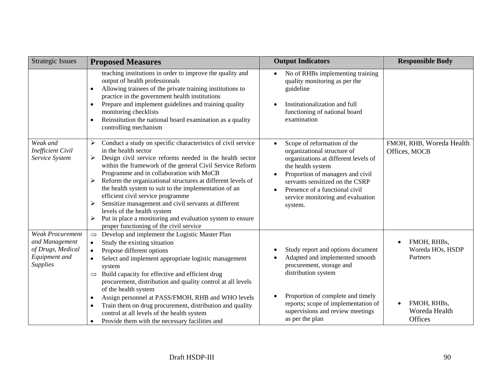| <b>Strategic Issues</b>                                                                            | <b>Proposed Measures</b>                                                                                                                                                                                                                                                                                                                                                                                                                                                                                                                                                                                                                 | <b>Output Indicators</b>                                                                                                                                                                                                                                                                                                | <b>Responsible Body</b>                     |
|----------------------------------------------------------------------------------------------------|------------------------------------------------------------------------------------------------------------------------------------------------------------------------------------------------------------------------------------------------------------------------------------------------------------------------------------------------------------------------------------------------------------------------------------------------------------------------------------------------------------------------------------------------------------------------------------------------------------------------------------------|-------------------------------------------------------------------------------------------------------------------------------------------------------------------------------------------------------------------------------------------------------------------------------------------------------------------------|---------------------------------------------|
|                                                                                                    | teaching institutions in order to improve the quality and<br>output of health professionals<br>Allowing trainees of the private training institutions to<br>$\bullet$<br>practice in the government health institutions<br>Prepare and implement guidelines and training quality<br>$\bullet$<br>monitoring checklists<br>Reinstitution the national board examination as a quality<br>۰<br>controlling mechanism                                                                                                                                                                                                                        | No of RHBs implementing training<br>quality monitoring as per the<br>guideline<br>Institutionalization and full<br>functioning of national board<br>examination                                                                                                                                                         |                                             |
| Weak and<br><b>Inefficient Civil</b><br>Service System                                             | Conduct a study on specific characteristics of civil service<br>➤<br>in the health sector<br>Design civil service reforms needed in the health sector<br>➤<br>within the framework of the general Civil Service Reform<br>Programme and in collaboration with MoCB<br>Reform the organizational structures at different levels of<br>the health system to suit to the implementation of an<br>efficient civil service programme<br>Sensitize management and civil servants at different<br>➤<br>levels of the health system<br>Put in place a monitoring and evaluation system to ensure<br>➤<br>proper functioning of the civil service | Scope of reformation of the<br>$\bullet$<br>organizational structure of<br>organizations at different levels of<br>the health system<br>Proportion of managers and civil<br>$\bullet$<br>servants sensitized on the CSRP<br>Presence of a functional civil<br>$\bullet$<br>service monitoring and evaluation<br>system. | FMOH, RHB, Woreda Health<br>Offices, MOCB   |
| <b>Weak Procurement</b><br>and Management<br>of Drugs, Medical<br>Equipment and<br><b>Supplies</b> | Develop and implement the Logistic Master Plan<br>$\Rightarrow$<br>Study the existing situation<br>$\bullet$<br>Propose different options<br>$\bullet$<br>Select and implement appropriate logistic management<br>system<br>Build capacity for effective and efficient drug<br>$\Rightarrow$<br>procurement, distribution and quality control at all levels<br>of the health system                                                                                                                                                                                                                                                      | Study report and options document<br>Adapted and implemented smooth<br>procurement, storage and<br>distribution system                                                                                                                                                                                                  | FMOH, RHBs,<br>Woreda HOs, HSDP<br>Partners |
|                                                                                                    | Assign personnel at PASS/FMOH, RHB and WHO levels<br>$\bullet$<br>Train them on drug procurement, distribution and quality<br>$\bullet$<br>control at all levels of the health system<br>Provide them with the necessary facilities and                                                                                                                                                                                                                                                                                                                                                                                                  | Proportion of complete and timely<br>reports; scope of implementation of<br>supervisions and review meetings<br>as per the plan                                                                                                                                                                                         | FMOH, RHBs,<br>Woreda Health<br>Offices     |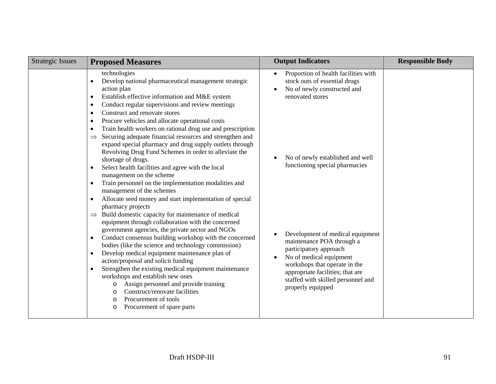| <b>Strategic Issues</b> | <b>Proposed Measures</b>                                                                                                                                                                                                                                                                                                                                                                                                                                                                                                                                                                                                                                                                                  | <b>Output Indicators</b>                                                                                                                                                                                                                                        | <b>Responsible Body</b> |
|-------------------------|-----------------------------------------------------------------------------------------------------------------------------------------------------------------------------------------------------------------------------------------------------------------------------------------------------------------------------------------------------------------------------------------------------------------------------------------------------------------------------------------------------------------------------------------------------------------------------------------------------------------------------------------------------------------------------------------------------------|-----------------------------------------------------------------------------------------------------------------------------------------------------------------------------------------------------------------------------------------------------------------|-------------------------|
|                         | technologies<br>Develop national pharmaceutical management strategic<br>$\bullet$<br>action plan<br>Establish effective information and M&E system<br>$\bullet$<br>Conduct regular supervisions and review meetings<br>$\bullet$                                                                                                                                                                                                                                                                                                                                                                                                                                                                          | Proportion of health facilities with<br>$\bullet$<br>stock outs of essential drugs<br>No of newly constructed and<br>renovated stores                                                                                                                           |                         |
|                         | Construct and renovate stores<br>$\bullet$<br>Procure vehicles and allocate operational costs<br>$\bullet$<br>Train health workers on rational drug use and prescription<br>$\bullet$<br>Securing adequate financial resources and strengthen and<br>$\Rightarrow$<br>expand special pharmacy and drug supply outlets through<br>Revolving Drug Fund Schemes in order to alleviate the<br>shortage of drugs.<br>Select health facilities and agree with the local<br>$\bullet$<br>management on the scheme<br>Train personnel on the implementation modalities and<br>$\bullet$<br>management of the schemes<br>Allocate seed money and start implementation of special<br>$\bullet$<br>pharmacy projects | No of newly established and well<br>functioning special pharmacies                                                                                                                                                                                              |                         |
|                         | Build domestic capacity for maintenance of medical<br>$\Rightarrow$<br>equipment through collaboration with the concerned<br>government agencies, the private sector and NGOs<br>Conduct consensus building workshop with the concerned<br>$\bullet$<br>bodies (like the science and technology commission)<br>Develop medical equipment maintenance plan of<br>$\bullet$<br>action/proposal and solicit funding<br>Strengthen the existing medical equipment maintenance<br>$\bullet$<br>workshops and establish new ones<br>Assign personnel and provide training<br>$\circ$<br>Construct/renovate facilities<br>O<br>Procurement of tools<br>O<br>Procurement of spare parts<br>$\circ$                | Development of medical equipment<br>maintenance POA through a<br>participatory approach<br>No of medical equipment<br>$\bullet$<br>workshops that operate in the<br>appropriate facilities; that are<br>staffed with skilled personnel and<br>properly equipped |                         |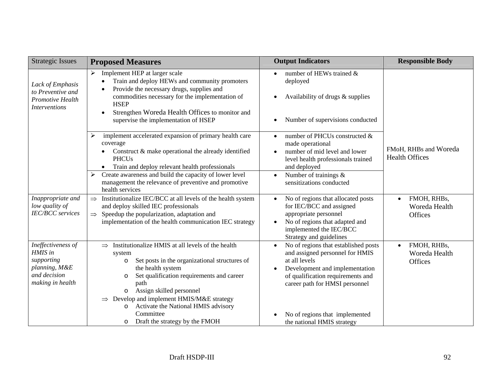| <b>Strategic Issues</b>                                                                          | <b>Proposed Measures</b>                                                                                                                                                                                                                                                                                                                                                                     | <b>Output Indicators</b>                                                                                                                                                                                                   | <b>Responsible Body</b>                                     |
|--------------------------------------------------------------------------------------------------|----------------------------------------------------------------------------------------------------------------------------------------------------------------------------------------------------------------------------------------------------------------------------------------------------------------------------------------------------------------------------------------------|----------------------------------------------------------------------------------------------------------------------------------------------------------------------------------------------------------------------------|-------------------------------------------------------------|
| Lack of Emphasis<br>to Preventive and<br>Promotive Health<br><i>Interventions</i>                | Implement HEP at larger scale<br>$\triangleright$<br>Train and deploy HEWs and community promoters<br>$\bullet$<br>Provide the necessary drugs, supplies and<br>$\bullet$<br>commodities necessary for the implementation of<br><b>HSEP</b><br>Strengthen Woreda Health Offices to monitor and<br>$\bullet$<br>supervise the implementation of HSEP                                          | number of HEWs trained &<br>deployed<br>Availability of drugs & supplies<br>$\bullet$<br>Number of supervisions conducted<br>$\bullet$                                                                                     |                                                             |
|                                                                                                  | implement accelerated expansion of primary health care<br>≻<br>coverage<br>Construct & make operational the already identified<br><b>PHCUs</b><br>Train and deploy relevant health professionals<br>$\bullet$<br>Create awareness and build the capacity of lower level<br>➤<br>management the relevance of preventive and promotive<br>health services                                      | number of PHCUs constructed &<br>$\bullet$<br>made operational<br>number of mid level and lower<br>level health professionals trained<br>and deployed<br>Number of trainings $\&$<br>$\bullet$<br>sensitizations conducted | FMoH, RHBs and Woreda<br><b>Health Offices</b>              |
| Inappropriate and<br>low quality of<br><b>IEC/BCC</b> services                                   | $\Rightarrow$ Institutionalize IEC/BCC at all levels of the health system<br>and deploy skilled IEC professionals<br>$\Rightarrow$ Speedup the popularization, adaptation and<br>implementation of the health communication IEC strategy                                                                                                                                                     | No of regions that allocated posts<br>$\bullet$<br>for IEC/BCC and assigned<br>appropriate personnel<br>No of regions that adapted and<br>implemented the IEC/BCC<br>Strategy and guidelines                               | FMOH, RHBs,<br>$\bullet$<br>Woreda Health<br><b>Offices</b> |
| Ineffectiveness of<br>HMIS in<br>supporting<br>planning, M&E<br>and decision<br>making in health | Institutionalize HMIS at all levels of the health<br>$\Rightarrow$<br>system<br>Set posts in the organizational structures of<br>$\circ$<br>the health system<br>Set qualification requirements and career<br>$\circ$<br>path<br>Assign skilled personnel<br>$\circ$<br>$\Rightarrow$ Develop and implement HMIS/M&E strategy<br>Activate the National HMIS advisory<br>$\circ$<br>Committee | No of regions that established posts<br>$\bullet$<br>and assigned personnel for HMIS<br>at all levels<br>Development and implementation<br>of qualification requirements and<br>career path for HMSI personnel             | FMOH, RHBs,<br>$\bullet$<br>Woreda Health<br>Offices        |
|                                                                                                  | Draft the strategy by the FMOH<br>$\circ$                                                                                                                                                                                                                                                                                                                                                    | No of regions that implemented<br>the national HMIS strategy                                                                                                                                                               |                                                             |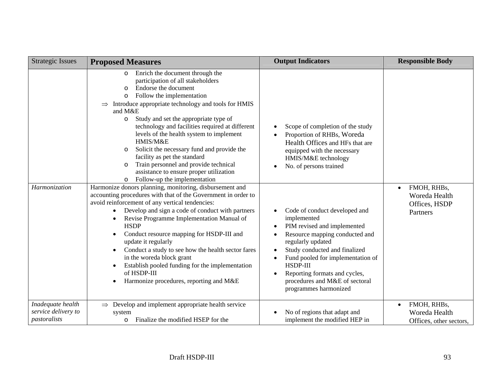| <b>Strategic Issues</b>                                  | <b>Proposed Measures</b>                                                                                                                                                                                                                                                                                                                                                                                                                                                                                                                                                                                                                                                                                                                                                                                                                                                                                                                                                                                                                                                                                                                                                                                                        | <b>Output Indicators</b>                                                                                                                                                                                                                                                                                                                                                                                                                                                                              | <b>Responsible Body</b>                                                |
|----------------------------------------------------------|---------------------------------------------------------------------------------------------------------------------------------------------------------------------------------------------------------------------------------------------------------------------------------------------------------------------------------------------------------------------------------------------------------------------------------------------------------------------------------------------------------------------------------------------------------------------------------------------------------------------------------------------------------------------------------------------------------------------------------------------------------------------------------------------------------------------------------------------------------------------------------------------------------------------------------------------------------------------------------------------------------------------------------------------------------------------------------------------------------------------------------------------------------------------------------------------------------------------------------|-------------------------------------------------------------------------------------------------------------------------------------------------------------------------------------------------------------------------------------------------------------------------------------------------------------------------------------------------------------------------------------------------------------------------------------------------------------------------------------------------------|------------------------------------------------------------------------|
| Harmonization                                            | Enrich the document through the<br>participation of all stakeholders<br>Endorse the document<br>$\circ$<br>Follow the implementation<br>$\circ$<br>Introduce appropriate technology and tools for HMIS<br>and M&E<br>Study and set the appropriate type of<br>$\circ$<br>technology and facilities required at different<br>levels of the health system to implement<br>HMIS/M&E<br>Solicit the necessary fund and provide the<br>facility as pet the standard<br>Train personnel and provide technical<br>$\circ$<br>assistance to ensure proper utilization<br>Follow-up the implementation<br>$\circ$<br>Harmonize donors planning, monitoring, disbursement and<br>accounting procedures with that of the Government in order to<br>avoid reinforcement of any vertical tendencies:<br>Develop and sign a code of conduct with partners<br>$\bullet$<br>Revise Programme Implementation Manual of<br>$\bullet$<br><b>HSDP</b><br>Conduct resource mapping for HSDP-III and<br>$\bullet$<br>update it regularly<br>Conduct a study to see how the health sector fares<br>in the woreda block grant<br>Establish pooled funding for the implementation<br>of HSDP-III<br>Harmonize procedures, reporting and M&E<br>$\bullet$ | Scope of completion of the study<br>Proportion of RHBs, Woreda<br>Health Offices and HFs that are<br>equipped with the necessary<br>HMIS/M&E technology<br>No. of persons trained<br>Code of conduct developed and<br>implemented<br>PIM revised and implemented<br>Resource mapping conducted and<br>regularly updated<br>Study conducted and finalized<br>Fund pooled for implementation of<br>HSDP-III<br>Reporting formats and cycles,<br>procedures and M&E of sectoral<br>programmes harmonized | FMOH, RHBs,<br>$\bullet$<br>Woreda Health<br>Offices, HSDP<br>Partners |
| Inadequate health<br>service delivery to<br>pastoralists | $\Rightarrow$ Develop and implement appropriate health service<br>system<br>Finalize the modified HSEP for the<br>$\circ$                                                                                                                                                                                                                                                                                                                                                                                                                                                                                                                                                                                                                                                                                                                                                                                                                                                                                                                                                                                                                                                                                                       | No of regions that adapt and<br>implement the modified HEP in                                                                                                                                                                                                                                                                                                                                                                                                                                         | FMOH, RHBs,<br>$\bullet$<br>Woreda Health<br>Offices, other sectors,   |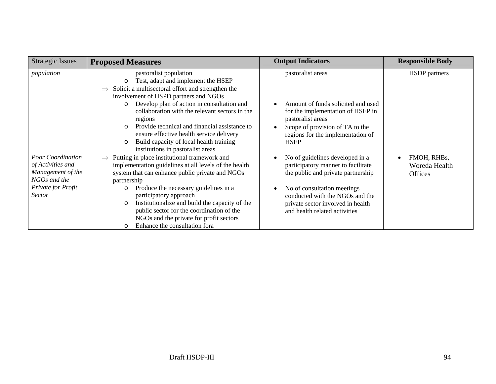| <b>Strategic Issues</b>                                                                                                   | <b>Proposed Measures</b>                                                                                                                                                                                                                                                                                                                                                                                                                                                                                         | <b>Output Indicators</b>                                                                                                                                                                                                                                         | <b>Responsible Body</b>                        |
|---------------------------------------------------------------------------------------------------------------------------|------------------------------------------------------------------------------------------------------------------------------------------------------------------------------------------------------------------------------------------------------------------------------------------------------------------------------------------------------------------------------------------------------------------------------------------------------------------------------------------------------------------|------------------------------------------------------------------------------------------------------------------------------------------------------------------------------------------------------------------------------------------------------------------|------------------------------------------------|
| population                                                                                                                | pastoralist population<br>Test, adapt and implement the HSEP<br>$\circ$<br>Solicit a multisectoral effort and strengthen the<br>$\Rightarrow$<br>involvement of HSPD partners and NGOs<br>Develop plan of action in consultation and<br>$\circ$<br>collaboration with the relevant sectors in the<br>regions<br>Provide technical and financial assistance to<br>$\Omega$<br>ensure effective health service delivery<br>Build capacity of local health training<br>$\circ$<br>institutions in pastoralist areas | pastoralist areas<br>Amount of funds solicited and used<br>for the implementation of HSEP in<br>pastoralist areas<br>Scope of provision of TA to the<br>regions for the implementation of<br><b>HSEP</b>                                                         | HSDP partners                                  |
| <b>Poor Coordination</b><br>of Activities and<br>Management of the<br>NGOs and the<br>Private for Profit<br><i>Sector</i> | Putting in place institutional framework and<br>$\Rightarrow$<br>implementation guidelines at all levels of the health<br>system that can enhance public private and NGOs<br>partnership<br>Produce the necessary guidelines in a<br>$\circ$<br>participatory approach<br>Institutionalize and build the capacity of the<br>$\circ$<br>public sector for the coordination of the<br>NGOs and the private for profit sectors<br>Enhance the consultation fora<br>$\circ$                                          | No of guidelines developed in a<br>$\bullet$<br>participatory manner to facilitate<br>the public and private partnership<br>No of consultation meetings<br>conducted with the NGOs and the<br>private sector involved in health<br>and health related activities | FMOH, RHBs,<br>Woreda Health<br><b>Offices</b> |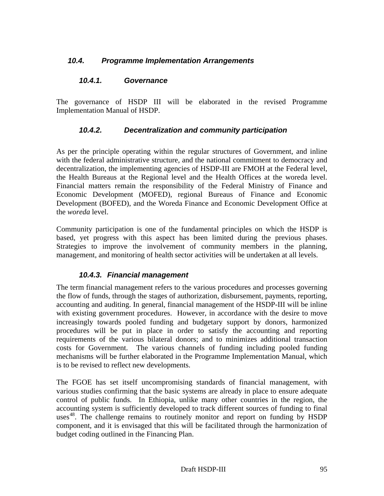# *10.4. Programme Implementation Arrangements*

### *10.4.1. Governance*

The governance of HSDP III will be elaborated in the revised Programme Implementation Manual of HSDP.

# *10.4.2. Decentralization and community participation*

As per the principle operating within the regular structures of Government, and inline with the federal administrative structure, and the national commitment to democracy and decentralization, the implementing agencies of HSDP-III are FMOH at the Federal level, the Health Bureaus at the Regional level and the Health Offices at the woreda level. Financial matters remain the responsibility of the Federal Ministry of Finance and Economic Development (MOFED), regional Bureaus of Finance and Economic Development (BOFED), and the Woreda Finance and Economic Development Office at the *woreda* level.

Community participation is one of the fundamental principles on which the HSDP is based, yet progress with this aspect has been limited during the previous phases. Strategies to improve the involvement of community members in the planning, management, and monitoring of health sector activities will be undertaken at all levels.

# *10.4.3. Financial management*

The term financial management refers to the various procedures and processes governing the flow of funds, through the stages of authorization, disbursement, payments, reporting, accounting and auditing. In general, financial management of the HSDP-III will be inline with existing government procedures. However, in accordance with the desire to move increasingly towards pooled funding and budgetary support by donors, harmonized procedures will be put in place in order to satisfy the accounting and reporting requirements of the various bilateral donors; and to minimizes additional transaction costs for Government. The various channels of funding including pooled funding mechanisms will be further elaborated in the Programme Implementation Manual, which is to be revised to reflect new developments.

The FGOE has set itself uncompromising standards of financial management, with various studies confirming that the basic systems are already in place to ensure adequate control of public funds. In Ethiopia, unlike many other countries in the region, the accounting system is sufficiently developed to track different sources of funding to final uses<sup>48</sup>. The challenge remains to routinely monitor and report on funding by  $HSDP$ component, and it is envisaged that this will be facilitated through the harmonization of budget coding outlined in the Financing Plan.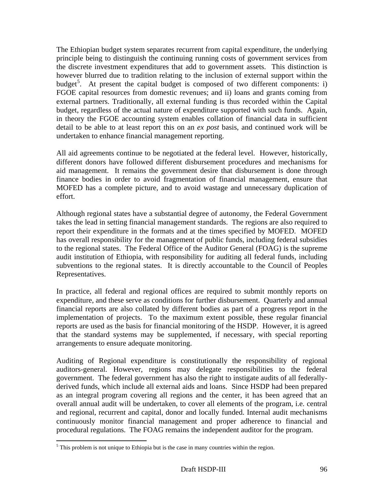The Ethiopian budget system separates recurrent from capital expenditure, the underlying principle being to distinguish the continuing running costs of government services from the discrete investment expenditures that add to government assets. This distinction is however blurred due to tradition relating to the inclusion of external support within the budget<sup>5</sup>. At present the capital budget is composed of two different components: i) FGOE capital resources from domestic revenues; and ii) loans and grants coming from external partners. Traditionally, all external funding is thus recorded within the Capital budget, regardless of the actual nature of expenditure supported with such funds. Again, in theory the FGOE accounting system enables collation of financial data in sufficient detail to be able to at least report this on an *ex post* basis, and continued work will be undertaken to enhance financial management reporting.

All aid agreements continue to be negotiated at the federal level. However, historically, different donors have followed different disbursement procedures and mechanisms for aid management. It remains the government desire that disbursement is done through finance bodies in order to avoid fragmentation of financial management, ensure that MOFED has a complete picture, and to avoid wastage and unnecessary duplication of effort.

Although regional states have a substantial degree of autonomy, the Federal Government takes the lead in setting financial management standards. The regions are also required to report their expenditure in the formats and at the times specified by MOFED. MOFED has overall responsibility for the management of public funds, including federal subsidies to the regional states. The Federal Office of the Auditor General (FOAG) is the supreme audit institution of Ethiopia, with responsibility for auditing all federal funds, including subventions to the regional states. It is directly accountable to the Council of Peoples Representatives.

In practice, all federal and regional offices are required to submit monthly reports on expenditure, and these serve as conditions for further disbursement. Quarterly and annual financial reports are also collated by different bodies as part of a progress report in the implementation of projects. To the maximum extent possible, these regular financial reports are used as the basis for financial monitoring of the HSDP. However, it is agreed that the standard systems may be supplemented, if necessary, with special reporting arrangements to ensure adequate monitoring.

Auditing of Regional expenditure is constitutionally the responsibility of regional auditors-general. However, regions may delegate responsibilities to the federal government. The federal government has also the right to instigate audits of all federallyderived funds, which include all external aids and loans. Since HSDP had been prepared as an integral program covering all regions and the center, it has been agreed that an overall annual audit will be undertaken, to cover all elements of the program, i.e. central and regional, recurrent and capital, donor and locally funded. Internal audit mechanisms continuously monitor financial management and proper adherence to financial and procedural regulations. The FOAG remains the independent auditor for the program.

 $\overline{\phantom{a}}$ 

 $<sup>5</sup>$  This problem is not unique to Ethiopia but is the case in many countries within the region.</sup>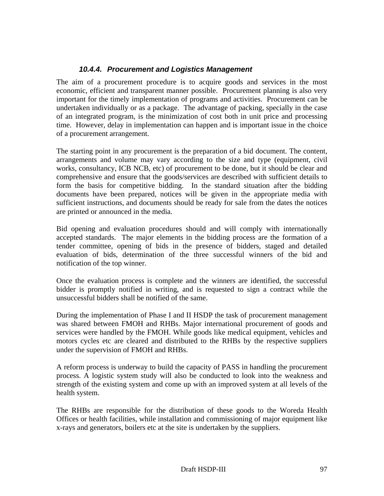# *10.4.4. Procurement and Logistics Management*

The aim of a procurement procedure is to acquire goods and services in the most economic, efficient and transparent manner possible. Procurement planning is also very important for the timely implementation of programs and activities. Procurement can be undertaken individually or as a package. The advantage of packing, specially in the case of an integrated program, is the minimization of cost both in unit price and processing time. However, delay in implementation can happen and is important issue in the choice of a procurement arrangement.

The starting point in any procurement is the preparation of a bid document. The content, arrangements and volume may vary according to the size and type (equipment, civil works, consultancy, ICB NCB, etc) of procurement to be done, but it should be clear and comprehensive and ensure that the goods/services are described with sufficient details to form the basis for competitive bidding. In the standard situation after the bidding documents have been prepared, notices will be given in the appropriate media with sufficient instructions, and documents should be ready for sale from the dates the notices are printed or announced in the media.

Bid opening and evaluation procedures should and will comply with internationally accepted standards. The major elements in the bidding process are the formation of a tender committee, opening of bids in the presence of bidders, staged and detailed evaluation of bids, determination of the three successful winners of the bid and notification of the top winner.

Once the evaluation process is complete and the winners are identified, the successful bidder is promptly notified in writing, and is requested to sign a contract while the unsuccessful bidders shall be notified of the same.

During the implementation of Phase I and II HSDP the task of procurement management was shared between FMOH and RHBs. Major international procurement of goods and services were handled by the FMOH. While goods like medical equipment, vehicles and motors cycles etc are cleared and distributed to the RHBs by the respective suppliers under the supervision of FMOH and RHBs.

A reform process is underway to build the capacity of PASS in handling the procurement process. A logistic system study will also be conducted to look into the weakness and strength of the existing system and come up with an improved system at all levels of the health system.

The RHBs are responsible for the distribution of these goods to the Woreda Health Offices or health facilities, while installation and commissioning of major equipment like x-rays and generators, boilers etc at the site is undertaken by the suppliers.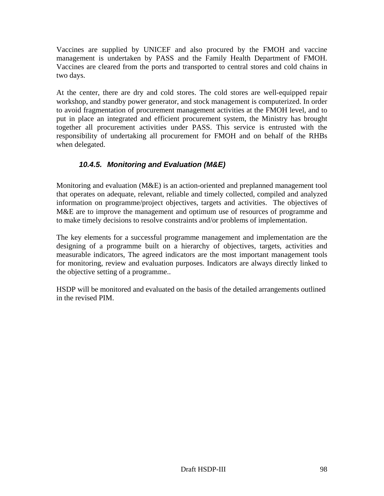Vaccines are supplied by UNICEF and also procured by the FMOH and vaccine management is undertaken by PASS and the Family Health Department of FMOH. Vaccines are cleared from the ports and transported to central stores and cold chains in two days.

At the center, there are dry and cold stores. The cold stores are well-equipped repair workshop, and standby power generator, and stock management is computerized. In order to avoid fragmentation of procurement management activities at the FMOH level, and to put in place an integrated and efficient procurement system, the Ministry has brought together all procurement activities under PASS. This service is entrusted with the responsibility of undertaking all procurement for FMOH and on behalf of the RHBs when delegated.

# *10.4.5. Monitoring and Evaluation (M&E)*

Monitoring and evaluation (M&E) is an action-oriented and preplanned management tool that operates on adequate, relevant, reliable and timely collected, compiled and analyzed information on programme/project objectives, targets and activities. The objectives of M&E are to improve the management and optimum use of resources of programme and to make timely decisions to resolve constraints and/or problems of implementation.

The key elements for a successful programme management and implementation are the designing of a programme built on a hierarchy of objectives, targets, activities and measurable indicators, The agreed indicators are the most important management tools for monitoring, review and evaluation purposes. Indicators are always directly linked to the objective setting of a programme..

HSDP will be monitored and evaluated on the basis of the detailed arrangements outlined in the revised PIM.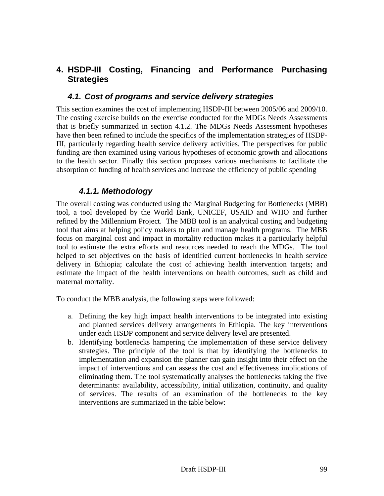# **4. HSDP-III Costing, Financing and Performance Purchasing Strategies**

# *4.1. Cost of programs and service delivery strategies*

This section examines the cost of implementing HSDP-III between 2005/06 and 2009/10. The costing exercise builds on the exercise conducted for the MDGs Needs Assessments that is briefly summarized in section 4.1.2. The MDGs Needs Assessment hypotheses have then been refined to include the specifics of the implementation strategies of HSDP-III, particularly regarding health service delivery activities. The perspectives for public funding are then examined using various hypotheses of economic growth and allocations to the health sector. Finally this section proposes various mechanisms to facilitate the absorption of funding of health services and increase the efficiency of public spending

# *4.1.1. Methodology*

The overall costing was conducted using the Marginal Budgeting for Bottlenecks (MBB) tool, a tool developed by the World Bank, UNICEF, USAID and WHO and further refined by the Millennium Project. The MBB tool is an analytical costing and budgeting tool that aims at helping policy makers to plan and manage health programs. The MBB focus on marginal cost and impact in mortality reduction makes it a particularly helpful tool to estimate the extra efforts and resources needed to reach the MDGs. The tool helped to set objectives on the basis of identified current bottlenecks in health service delivery in Ethiopia; calculate the cost of achieving health intervention targets; and estimate the impact of the health interventions on health outcomes, such as child and maternal mortality.

To conduct the MBB analysis, the following steps were followed:

- a. Defining the key high impact health interventions to be integrated into existing and planned services delivery arrangements in Ethiopia. The key interventions under each HSDP component and service delivery level are presented.
- b. Identifying bottlenecks hampering the implementation of these service delivery strategies. The principle of the tool is that by identifying the bottlenecks to implementation and expansion the planner can gain insight into their effect on the impact of interventions and can assess the cost and effectiveness implications of eliminating them. The tool systematically analyses the bottlenecks taking the five determinants: availability, accessibility, initial utilization, continuity, and quality of services. The results of an examination of the bottlenecks to the key interventions are summarized in the table below: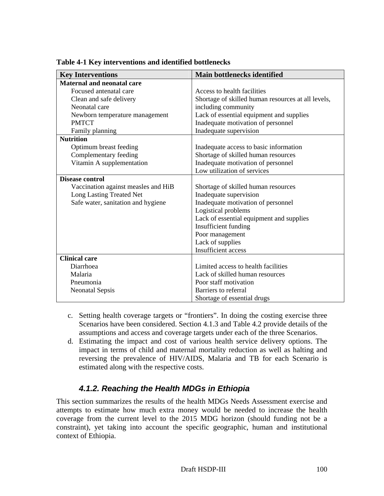| <b>Key Interventions</b>            | Main bottlenecks identified                        |
|-------------------------------------|----------------------------------------------------|
| <b>Maternal and neonatal care</b>   |                                                    |
| Focused antenatal care              | Access to health facilities                        |
| Clean and safe delivery             | Shortage of skilled human resources at all levels, |
| Neonatal care                       | including community                                |
| Newborn temperature management      | Lack of essential equipment and supplies           |
| <b>PMTCT</b>                        | Inadequate motivation of personnel                 |
| Family planning                     | Inadequate supervision                             |
| <b>Nutrition</b>                    |                                                    |
| Optimum breast feeding              | Inadequate access to basic information             |
| Complementary feeding               | Shortage of skilled human resources                |
| Vitamin A supplementation           | Inadequate motivation of personnel                 |
|                                     | Low utilization of services                        |
| <b>Disease control</b>              |                                                    |
| Vaccination against measles and HiB | Shortage of skilled human resources                |
| Long Lasting Treated Net            | Inadequate supervision                             |
| Safe water, sanitation and hygiene  | Inadequate motivation of personnel                 |
|                                     | Logistical problems                                |
|                                     | Lack of essential equipment and supplies           |
|                                     | Insufficient funding                               |
|                                     | Poor management                                    |
|                                     | Lack of supplies                                   |
|                                     | Insufficient access                                |
| <b>Clinical care</b>                |                                                    |
| Diarrhoea                           | Limited access to health facilities                |
| Malaria                             | Lack of skilled human resources                    |
| Pneumonia                           | Poor staff motivation                              |
| <b>Neonatal Sepsis</b>              | Barriers to referral                               |
|                                     | Shortage of essential drugs                        |

**Table 4-1 Key interventions and identified bottlenecks** 

- c. Setting health coverage targets or "frontiers". In doing the costing exercise three Scenarios have been considered. Section 4.1.3 and Table 4.2 provide details of the assumptions and access and coverage targets under each of the three Scenarios.
- d. Estimating the impact and cost of various health service delivery options. The impact in terms of child and maternal mortality reduction as well as halting and reversing the prevalence of HIV/AIDS, Malaria and TB for each Scenario is estimated along with the respective costs.

# *4.1.2. Reaching the Health MDGs in Ethiopia*

This section summarizes the results of the health MDGs Needs Assessment exercise and attempts to estimate how much extra money would be needed to increase the health coverage from the current level to the 2015 MDG horizon (should funding not be a constraint), yet taking into account the specific geographic, human and institutional context of Ethiopia.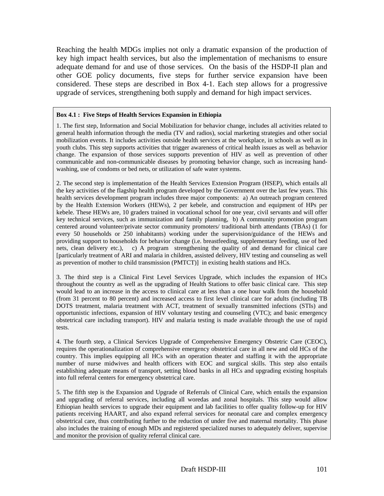Reaching the health MDGs implies not only a dramatic expansion of the production of key high impact health services, but also the implementation of mechanisms to ensure adequate demand for and use of those services. On the basis of the HSDP-II plan and other GOE policy documents, five steps for further service expansion have been considered. These steps are described in Box 4-1. Each step allows for a progressive upgrade of services, strengthening both supply and demand for high impact services.

#### **Box 4.1 : Five Steps of Health Services Expansion in Ethiopia**

1. The first step, Information and Social Mobilization for behavior change, includes all activities related to general health information through the media (TV and radios), social marketing strategies and other social mobilization events. It includes activities outside health services at the workplace, in schools as well as in youth clubs. This step supports activities that trigger awareness of critical health issues as well as behavior change. The expansion of those services supports prevention of HIV as well as prevention of other communicable and non-communicable diseases by promoting behavior change, such as increasing handwashing, use of condoms or bed nets, or utilization of safe water systems.

2. The second step is implementation of the Health Services Extension Program (HSEP), which entails all the key activities of the flagship health program developed by the Government over the last few years. This health services development program includes three major components: a) An outreach program centered by the Health Extension Workers (HEWs), 2 per kebele, and construction and equipment of HPs per kebele. These HEWs are, 10 graders trained in vocational school for one year, civil servants and will offer key technical services, such as immunization and family planning, b) A community promotion program centered around volunteer/private sector community promoters/ traditional birth attendants (TBAs) (1 for every 50 households or 250 inhabitants) working under the supervision/guidance of the HEWs and providing support to households for behavior change (i.e. breastfeeding, supplementary feeding, use of bed nets, clean delivery etc.), c) A program strengthening the quality of and demand for clinical care [particularly treatment of ARI and malaria in children, assisted delivery, HIV testing and counseling as well as prevention of mother to child transmission (PMTCT)] in existing health stations and HCs.

3. The third step is a Clinical First Level Services Upgrade, which includes the expansion of HCs throughout the country as well as the upgrading of Health Stations to offer basic clinical care. This step would lead to an increase in the access to clinical care at less than a one hour walk from the household (from 31 percent to 80 percent) and increased access to first level clinical care for adults (including TB DOTS treatment, malaria treatment with ACT, treatment of sexually transmitted infections (STIs) and opportunistic infections, expansion of HIV voluntary testing and counseling (VTC); and basic emergency obstetrical care including transport). HIV and malaria testing is made available through the use of rapid tests.

4. The fourth step, a Clinical Services Upgrade of Comprehensive Emergency Obstetric Care (CEOC), requires the operationalization of comprehensive emergency obstetrical care in all new and old HCs of the country. This implies equipping all HCs with an operation theater and staffing it with the appropriate number of nurse midwives and health officers with EOC and surgical skills. This step also entails establishing adequate means of transport, setting blood banks in all HCs and upgrading existing hospitals into full referral centers for emergency obstetrical care.

5. The fifth step is the Expansion and Upgrade of Referrals of Clinical Care, which entails the expansion and upgrading of referral services, including all woredas and zonal hospitals. This step would allow Ethiopian health services to upgrade their equipment and lab facilities to offer quality follow-up for HIV patients receiving HAART, and also expand referral services for neonatal care and complex emergency obstetrical care, thus contributing further to the reduction of under five and maternal mortality. This phase also includes the training of enough MDs and registered specialized nurses to adequately deliver, supervise and monitor the provision of quality referral clinical care.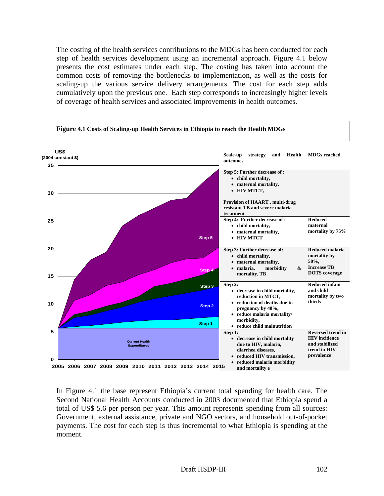The costing of the health services contributions to the MDGs has been conducted for each step of health services development using an incremental approach. Figure 4.1 below presents the cost estimates under each step. The costing has taken into account the common costs of removing the bottlenecks to implementation, as well as the costs for scaling-up the various service delivery arrangements. The cost for each step adds cumulatively upon the previous one. Each step corresponds to increasingly higher levels of coverage of health services and associated improvements in health outcomes.



#### **Figure 4.1 Costs of Scaling-up Health Services in Ethiopia to reach the Health MDGs**

In Figure 4.1 the base represent Ethiopia's current total spending for health care. The Second National Health Accounts conducted in 2003 documented that Ethiopia spend a total of US\$ 5.6 per person per year. This amount represents spending from all sources: Government, external assistance, private and NGO sectors, and household out-of-pocket payments. The cost for each step is thus incremental to what Ethiopia is spending at the moment.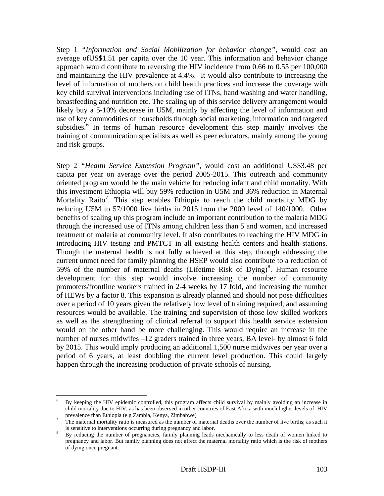Step 1 *"Information and Social Mobilization for behavior change",* would cost an average ofUS\$1.51 per capita over the 10 year. This information and behavior change approach would contribute to reversing the HIV incidence from 0.66 to 0.55 per 100,000 and maintaining the HIV prevalence at 4.4%. It would also contribute to increasing the level of information of mothers on child health practices and increase the coverage with key child survival interventions including use of ITNs, hand washing and water handling, breastfeeding and nutrition etc. The scaling up of this service delivery arrangement would likely buy a 5-10% decrease in U5M, mainly by affecting the level of information and use of key commodities of households through social marketing, information and targeted subsidies.<sup>6</sup> In terms of human resource development this step mainly involves the training of communication specialists as well as peer educators, mainly among the young and risk groups.

Step 2 *"Health Service Extension Program",* would cost an additional US\$3.48 per capita per year on average over the period 2005-2015. This outreach and community oriented program would be the main vehicle for reducing infant and child mortality. With this investment Ethiopia will buy 59% reduction in U5M and 36% reduction in Maternal Mortality Raito<sup>7</sup>. This step enables Ethiopia to reach the child mortality MDG by reducing U5M to 57/1000 live births in 2015 from the 2000 level of 140/1000. Other benefits of scaling up this program include an important contribution to the malaria MDG through the increased use of ITNs among children less than 5 and women, and increased treatment of malaria at community level. It also contributes to reaching the HIV MDG in introducing HIV testing and PMTCT in all existing health centers and health stations. Though the maternal health is not fully achieved at this step, through addressing the current unmet need for family planning the HSEP would also contribute to a reduction of 59% of the number of maternal deaths (Lifetime Risk of Dying)<sup>8</sup>. Human resource development for this step would involve increasing the number of community promoters/frontline workers trained in 2-4 weeks by 17 fold, and increasing the number of HEWs by a factor 8. This expansion is already planned and should not pose difficulties over a period of 10 years given the relatively low level of training required, and assuming resources would be available. The training and supervision of those low skilled workers as well as the strengthening of clinical referral to support this health service extension would on the other hand be more challenging. This would require an increase in the number of nurses midwifes –12 graders trained in three years, BA level- by almost 6 fold by 2015. This would imply producing an additional 1,500 nurse midwives per year over a period of 6 years, at least doubling the current level production. This could largely happen through the increasing production of private schools of nursing.

 6 By keeping the HIV epidemic controlled, this program affects child survival by mainly avoiding an increase in child mortality due to HIV, as has been observed in other countries of East Africa with much higher levels of HIV prevalence than Ethiopia (e.g Zambia, Kenya, Zimbabwe) 7

 $\frac{7}{10}$  The maternal mortality ratio is measured as the number of maternal deaths over the number of live births; as such it is sensitive to interventions occurring during pregnancy and labor.

By reducing the number of pregnancies, family planning leads mechanically to less death of women linked to pregnancy and labor. But family planning does not affect the maternal mortality ratio which is the risk of mothers of dying once pregnant.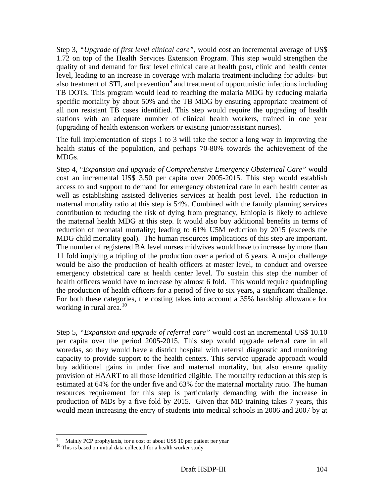Step 3, *"Upgrade of first level clinical care",* would cost an incremental average of US\$ 1.72 on top of the Health Services Extension Program. This step would strengthen the quality of and demand for first level clinical care at health post, clinic and health center level, leading to an increase in coverage with malaria treatment-including for adults- but also treatment of STI, and prevention<sup>9</sup> and treatment of opportunistic infections including TB DOTs. This program would lead to reaching the malaria MDG by reducing malaria specific mortality by about 50% and the TB MDG by ensuring appropriate treatment of all non resistant TB cases identified. This step would require the upgrading of health stations with an adequate number of clinical health workers, trained in one year (upgrading of health extension workers or existing junior/assistant nurses).

The full implementation of steps 1 to 3 will take the sector a long way in improving the health status of the population, and perhaps 70-80% towards the achievement of the MDGs.

Step 4, "*Expansion and upgrade of Comprehensive Emergency Obstetrical Care"* would cost an incremental US\$ 3.50 per capita over 2005-2015. This step would establish access to and support to demand for emergency obstetrical care in each health center as well as establishing assisted deliveries services at health post level. The reduction in maternal mortality ratio at this step is 54%. Combined with the family planning services contribution to reducing the risk of dying from pregnancy, Ethiopia is likely to achieve the maternal health MDG at this step. It would also buy additional benefits in terms of reduction of neonatal mortality; leading to 61% U5M reduction by 2015 (exceeds the MDG child mortality goal). The human resources implications of this step are important. The number of registered BA level nurses midwives would have to increase by more than 11 fold implying a tripling of the production over a period of 6 years. A major challenge would be also the production of health officers at master level, to conduct and oversee emergency obstetrical care at health center level. To sustain this step the number of health officers would have to increase by almost 6 fold. This would require quadrupling the production of health officers for a period of five to six years, a significant challenge. For both these categories, the costing takes into account a 35% hardship allowance for working in rural area. $10<sup>10</sup>$ 

Step 5, *"Expansion and upgrade of referral care"* would cost an incremental US\$ 10.10 per capita over the period 2005-2015. This step would upgrade referral care in all woredas, so they would have a district hospital with referral diagnostic and monitoring capacity to provide support to the health centers. This service upgrade approach would buy additional gains in under five and maternal mortality, but also ensure quality provision of HAART to all those identified eligible. The mortality reduction at this step is estimated at 64% for the under five and 63% for the maternal mortality ratio. The human resources requirement for this step is particularly demanding with the increase in production of MDs by a five fold by 2015. Given that MD training takes 7 years, this would mean increasing the entry of students into medical schools in 2006 and 2007 by at

 $\overline{\phantom{a}}$ 

<sup>9</sup> Mainly PCP prophylaxis, for a cost of about US\$ 10 per patient per year

<sup>&</sup>lt;sup>10</sup> This is based on initial data collected for a health worker study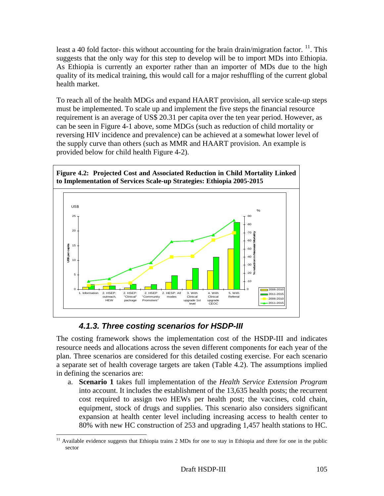least a 40 fold factor- this without accounting for the brain drain/migration factor.  $^{11}$ . This suggests that the only way for this step to develop will be to import MDs into Ethiopia. As Ethiopia is currently an exporter rather than an importer of MDs due to the high quality of its medical training, this would call for a major reshuffling of the current global health market.

To reach all of the health MDGs and expand HAART provision, all service scale-up steps must be implemented. To scale up and implement the five steps the financial resource requirement is an average of US\$ 20.31 per capita over the ten year period. However, as can be seen in Figure 4-1 above, some MDGs (such as reduction of child mortality or reversing HIV incidence and prevalence) can be achieved at a somewhat lower level of the supply curve than others (such as MMR and HAART provision. An example is provided below for child health Figure 4-2).



# *4.1.3. Three costing scenarios for HSDP-III*

The costing framework shows the implementation cost of the HSDP-III and indicates resource needs and allocations across the seven different components for each year of the plan. Three scenarios are considered for this detailed costing exercise. For each scenario a separate set of health coverage targets are taken (Table 4.2). The assumptions implied in defining the scenarios are:

a. **Scenario 1** takes full implementation of the *Health Service Extension Program* into account. It includes the establishment of the 13,635 health posts; the recurrent cost required to assign two HEWs per health post; the vaccines, cold chain, equipment, stock of drugs and supplies. This scenario also considers significant expansion at health center level including increasing access to health center to 80% with new HC construction of 253 and upgrading 1,457 health stations to HC.

 $\overline{\phantom{a}}$  $11$  Available evidence suggests that Ethiopia trains 2 MDs for one to stay in Ethiopia and three for one in the public sector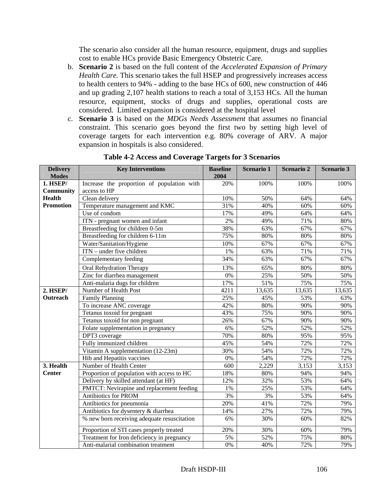The scenario also consider all the human resource, equipment, drugs and supplies cost to enable HCs provide Basic Emergency Obstetric Care.

- b. **Scenario 2** is based on the full content of the *Accelerated Expansion of Primary Health Care.* This scenario takes the full HSEP and progressively increases access to health centers to 94% - adding to the base HCs of 600, new construction of 446 and up grading 2,107 health stations to reach a total of 3,153 HCs. All the human resource, equipment, stocks of drugs and supplies, operational costs are considered. Limited expansion is considered at the hospital level
- c. **Scenario 3** is based on the *MDGs Needs Assessment* that assumes no financial constraint. This scenario goes beyond the first two by setting high level of coverage targets for each intervention e.g. 80% coverage of ARV. A major expansion in hospitals is also considered.

| <b>Delivery</b>          | <b>Key Interventions</b>                                   | <b>Baseline</b>  | Scenario 1 | <b>Scenario 2</b> | Scenario 3 |
|--------------------------|------------------------------------------------------------|------------------|------------|-------------------|------------|
| <b>Modes</b><br>1. HSEP/ |                                                            | 2004             |            |                   |            |
| <b>Community</b>         | Increase the proportion of population with<br>access to HP | 20%              | 100%       | 100%              | 100%       |
| <b>Health</b>            | Clean delivery                                             | 10%              | 50%        | 64%               | 64%        |
| <b>Promotion</b>         | Temperature management and KMC                             | 31%              | 40%        | 60%               | 60%        |
|                          | Use of condom                                              | 17%              | 49%        | 64%               | 64%        |
|                          | ITN - pregnant women and infant                            | 2%               | 49%        | 71%               | 80%        |
|                          | Breastfeeding for children 0-5m                            | 38%              | 63%        | 67%               | 67%        |
|                          | Breastfeeding for children 6-11m                           | 75%              | 80%        | 80%               | 80%        |
|                          | Water/Sanitation/Hygiene                                   | 10%              | 67%        | 67%               | 67%        |
|                          | ITN - under five children                                  | 1%               | 63%        | 71%               | 71%        |
|                          | Complementary feeding                                      | 34%              | 63%        | 67%               | 67%        |
|                          | <b>Oral Rehydration Therapy</b>                            | 13%              | 65%        | 80%               | 80%        |
|                          | Zinc for diarrhea management                               | 0%               | 25%        | 50%               | 50%        |
|                          | Anti-malaria dugs for children                             | 17%              | 51%        | 75%               | 75%        |
| <b>2. HSEP/</b>          | Number of Health Post                                      | 4211             | 13,635     | 13,635            | 13,635     |
| Outreach                 | <b>Family Planning</b>                                     | 25%              | 45%        | 53%               | 63%        |
|                          | To increase ANC coverage                                   | 42%              | 80%        | 90%               | 90%        |
|                          | Tetanus toxoid for pregnant                                | 43%              | 75%        | 90%               | 90%        |
|                          | Tetanus toxoid for non pregnant                            | 26%              | 67%        | 90%               | 90%        |
|                          | Folate supplementation in pregnancy                        | 6%               | 52%        | 52%               | 52%        |
|                          | DPT3 coverage                                              | 70%              | 80%        | 95%               | 95%        |
|                          | Fully immunized children                                   | 45%              | 54%        | 72%               | 72%        |
|                          | Vitamin A supplementation (12-23m)                         | 30%              | 54%        | 72%               | 72%        |
|                          | Hib and Hepatitis vaccines                                 | 0%               | 54%        | 72%               | 72%        |
| 3. Health                | Number of Health Center                                    | 600              | 2,229      | 3,153             | 3,153      |
| <b>Center</b>            | Proportion of population with access to HC                 | 18%              | 80%        | 94%               | 94%        |
|                          | Delivery by skilled attendant (at HF)                      | 12%              | 32%        | 53%               | 64%        |
|                          | PMTCT: Nevirapine and replacement feeding                  | 1%               | 25%        | 53%               | 64%        |
|                          | Antibiotics for PROM                                       | 3%               | 3%         | 53%               | 64%        |
|                          | Antibiotics for pneumonia                                  | 20%              | 41%        | 72%               | 79%        |
|                          | Antibiotics for dysentery & diarrhea                       | 14%              | 27%        | 72%               | 79%        |
|                          | % new born receiving adequate resuscitation                | 6%               | 30%        | 60%               | 82%        |
|                          | Proportion of STI cases properly treated                   | 20%              | 30%        | 60%               | 79%        |
|                          | Treatment for Iron deficiency in pregnancy                 | 5%               | 52%        | 75%               | 80%        |
|                          | Anti-malarial combination treatment                        | $\overline{0\%}$ | 40%        | 72%               | 79%        |

**Table 4-2 Access and Coverage Targets for 3 Scenarios**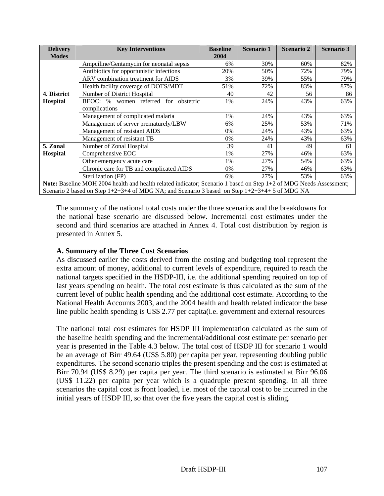| <b>Delivery</b> | <b>Key Interventions</b>                                                                                           | <b>Baseline</b> | <b>Scenario 1</b> | <b>Scenario 2</b> | <b>Scenario 3</b> |
|-----------------|--------------------------------------------------------------------------------------------------------------------|-----------------|-------------------|-------------------|-------------------|
| <b>Modes</b>    |                                                                                                                    | 2004            |                   |                   |                   |
|                 | Ampciline/Gentamycin for neonatal sepsis                                                                           | 6%              | 30%               | 60%               | 82%               |
|                 | Antibiotics for opportunistic infections                                                                           | 20%             | 50%               | 72%               | 79%               |
|                 | ARV combination treatment for AIDS                                                                                 | 3%              | 39%               | 55%               | 79%               |
|                 | Health facility coverage of DOTS/MDT                                                                               | 51%             | 72%               | 83%               | 87%               |
| 4. District     | Number of District Hospital                                                                                        | 40              | 42                | 56                | 86                |
| <b>Hospital</b> | BEOC: % women referred for obstetric                                                                               | 1%              | 24%               | 43%               | 63%               |
|                 | complications                                                                                                      |                 |                   |                   |                   |
|                 | Management of complicated malaria                                                                                  | 1%              | 24%               | 43%               | 63%               |
|                 | Management of server prematurely/LBW                                                                               | 6%              | 25%               | 53%               | 71%               |
|                 | Management of resistant AIDS                                                                                       | 0%              | 24%               | 43%               | 63%               |
|                 | Management of resistant TB                                                                                         | 0%              | 24%               | 43%               | 63%               |
| 5. Zonal        | Number of Zonal Hospital                                                                                           | 39              | 41                | 49                | 61                |
| <b>Hospital</b> | Comprehensive EOC                                                                                                  | 1%              | 27%               | 46%               | 63%               |
|                 | Other emergency acute care                                                                                         | 1%              | 27%               | 54%               | 63%               |
|                 | Chronic care for TB and complicated AIDS                                                                           | 0%              | 27%               | 46%               | 63%               |
|                 | Sterilization (FP)                                                                                                 | 6%              | 27%               | 53%               | 63%               |
|                 | Note: Baseline MOH 2004 health and health related indicator; Scenario 1 based on Step 1+2 of MDG Needs Assessment; |                 |                   |                   |                   |
|                 | Scenario 2 based on Step $1+2+3+4$ of MDG NA; and Scenario 3 based on Step $1+2+3+4+5$ of MDG NA                   |                 |                   |                   |                   |

The summary of the national total costs under the three scenarios and the breakdowns for the national base scenario are discussed below. Incremental cost estimates under the second and third scenarios are attached in Annex 4. Total cost distribution by region is presented in Annex 5.

# **A. Summary of the Three Cost Scenarios**

As discussed earlier the costs derived from the costing and budgeting tool represent the extra amount of money, additional to current levels of expenditure, required to reach the national targets specified in the HSDP-III, i.e. the additional spending required on top of last years spending on health. The total cost estimate is thus calculated as the sum of the current level of public health spending and the additional cost estimate. According to the National Health Accounts 2003, and the 2004 health and health related indicator the base line public health spending is US\$ 2.77 per capita(i.e. government and external resources

The national total cost estimates for HSDP III implementation calculated as the sum of the baseline health spending and the incremental/additional cost estimate per scenario per year is presented in the Table 4.3 below. The total cost of HSDP III for scenario 1 would be an average of Birr 49.64 (US\$ 5.80) per capita per year, representing doubling public expenditures. The second scenario triples the present spending and the cost is estimated at Birr 70.94 (US\$ 8.29) per capita per year. The third scenario is estimated at Birr 96.06 (US\$ 11.22) per capita per year which is a quadruple present spending. In all three scenarios the capital cost is front loaded, i.e. most of the capital cost to be incurred in the initial years of HSDP III, so that over the five years the capital cost is sliding.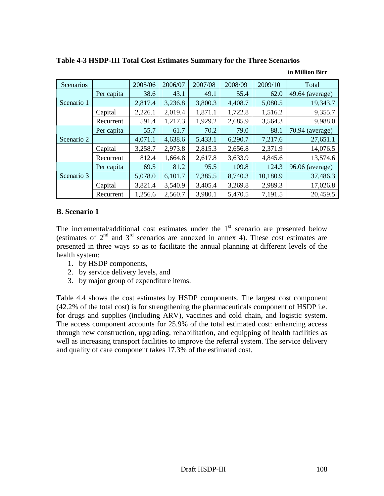| <b>Scenarios</b> |            | 2005/06 | 2006/07 | 2007/08 | 2008/09 | 2009/10  | Total             |
|------------------|------------|---------|---------|---------|---------|----------|-------------------|
|                  | Per capita | 38.6    | 43.1    | 49.1    | 55.4    | 62.0     | 49.64 (average)   |
| Scenario 1       |            | 2,817.4 | 3,236.8 | 3,800.3 | 4,408.7 | 5,080.5  | 19,343.7          |
|                  | Capital    | 2,226.1 | 2,019.4 | 1,871.1 | 1,722.8 | 1,516.2  | 9,355.7           |
|                  | Recurrent  | 591.4   | 1,217.3 | 1,929.2 | 2,685.9 | 3,564.3  | 9,988.0           |
|                  | Per capita | 55.7    | 61.7    | 70.2    | 79.0    | 88.1     | $70.94$ (average) |
| Scenario 2       |            | 4,071.1 | 4,638.6 | 5,433.1 | 6,290.7 | 7,217.6  | 27,651.1          |
|                  | Capital    | 3,258.7 | 2,973.8 | 2,815.3 | 2,656.8 | 2,371.9  | 14,076.5          |
|                  | Recurrent  | 812.4   | 1,664.8 | 2,617.8 | 3,633.9 | 4,845.6  | 13,574.6          |
|                  | Per capita | 69.5    | 81.2    | 95.5    | 109.8   | 124.3    | 96.06 (average)   |
| Scenario 3       |            | 5,078.0 | 6,101.7 | 7,385.5 | 8,740.3 | 10,180.9 | 37,486.3          |
|                  | Capital    | 3,821.4 | 3,540.9 | 3,405.4 | 3,269.8 | 2,989.3  | 17,026.8          |
|                  | Recurrent  | 1,256.6 | 2,560.7 | 3,980.1 | 5,470.5 | 7,191.5  | 20,459.5          |

**Table 4-3 HSDP-III Total Cost Estimates Summary for the Three Scenarios** 

#### **B. Scenario 1**

The incremental/additional cost estimates under the  $1<sup>st</sup>$  scenario are presented below (estimates of  $2<sup>nd</sup>$  and  $3<sup>rd</sup>$  scenarios are annexed in annex 4). These cost estimates are presented in three ways so as to facilitate the annual planning at different levels of the health system:

- 1. by HSDP components,
- 2. by service delivery levels, and
- 3. by major group of expenditure items.

Table 4.4 shows the cost estimates by HSDP components. The largest cost component (42.2% of the total cost) is for strengthening the pharmaceuticals component of HSDP i.e. for drugs and supplies (including ARV), vaccines and cold chain, and logistic system. The access component accounts for 25.9% of the total estimated cost: enhancing access through new construction, upgrading, rehabilitation, and equipping of health facilities as well as increasing transport facilities to improve the referral system. The service delivery and quality of care component takes 17.3% of the estimated cost.

**'in Million Birr**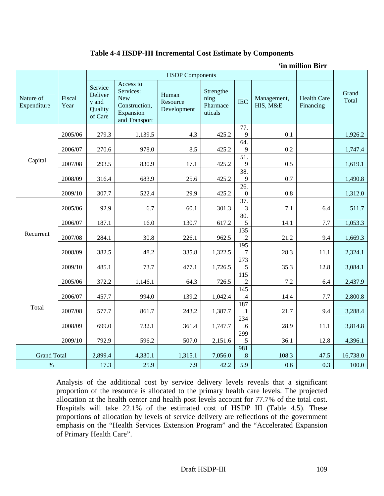# **Table 4-4 HSDP-III Incremental Cost Estimate by Components**

**'in million Birr** 

|                          |                |                                                   |                                                                                     | <b>HSDP</b> Components           |                                          |                                       |                         |                                 |                |
|--------------------------|----------------|---------------------------------------------------|-------------------------------------------------------------------------------------|----------------------------------|------------------------------------------|---------------------------------------|-------------------------|---------------------------------|----------------|
| Nature of<br>Expenditure | Fiscal<br>Year | Service<br>Deliver<br>y and<br>Quality<br>of Care | Access to<br>Services:<br><b>New</b><br>Construction,<br>Expansion<br>and Transport | Human<br>Resource<br>Development | Strengthe<br>ning<br>Pharmace<br>uticals | <b>IEC</b>                            | Management,<br>HIS, M&E | <b>Health Care</b><br>Financing | Grand<br>Total |
|                          | 2005/06        | 279.3                                             | 1,139.5                                                                             | 4.3                              | 425.2                                    | 77.<br>9                              | 0.1                     |                                 | 1,926.2        |
|                          |                |                                                   |                                                                                     |                                  |                                          | 64.                                   |                         |                                 |                |
|                          | 2006/07        | 270.6                                             | 978.0                                                                               | 8.5                              | 425.2                                    | 9                                     | 0.2                     |                                 | 1,747.4        |
| Capital                  | 2007/08        | 293.5                                             | 830.9                                                                               | 17.1                             | 425.2                                    | $\overline{51}$ .<br>9                | 0.5                     |                                 | 1,619.1        |
|                          | 2008/09        | 316.4                                             | 683.9                                                                               | 25.6                             | 425.2                                    | 38.<br>9                              | 0.7                     |                                 | 1,490.8        |
|                          | 2009/10        | 307.7                                             | 522.4                                                                               | 29.9                             | 425.2                                    | $\overline{26}$ .<br>$\boldsymbol{0}$ | 0.8                     |                                 | 1,312.0        |
|                          | 2005/06        | 92.9                                              | 6.7                                                                                 | 60.1                             | 301.3                                    | 37.<br>3                              | 7.1                     | 6.4                             | 511.7          |
|                          | 2006/07        | 187.1                                             | 16.0                                                                                | 130.7                            | 617.2                                    | 80.<br>$\sqrt{5}$                     | 14.1                    | 7.7                             | 1,053.3        |
| Recurrent                | 2007/08        | 284.1                                             | 30.8                                                                                | 226.1                            | 962.5                                    | $\overline{135}$<br>$\cdot$           | 21.2                    | 9.4                             | 1,669.3        |
|                          | 2008/09        | 382.5                                             | 48.2                                                                                | 335.8                            | 1,322.5                                  | 195<br>.7                             | 28.3                    | 11.1                            | 2,324.1        |
|                          | 2009/10        | 485.1                                             | 73.7                                                                                | 477.1                            | 1,726.5                                  | 273<br>$.5\,$                         | 35.3                    | 12.8                            | 3,084.1        |
|                          | 2005/06        | 372.2                                             | 1,146.1                                                                             | 64.3                             | 726.5                                    | $\overline{115}$<br>$\cdot$           | 7.2                     | 6.4                             | 2,437.9        |
|                          | 2006/07        | 457.7                                             | 994.0                                                                               | 139.2                            | 1,042.4                                  | 145<br>$\mathcal{A}$                  | 14.4                    | 7.7                             | 2,800.8        |
| Total                    | 2007/08        | 577.7                                             | 861.7                                                                               | 243.2                            | 1,387.7                                  | 187<br>$\cdot$ 1                      | 21.7                    | 9.4                             | 3,288.4        |
|                          | 2008/09        | 699.0                                             | 732.1                                                                               | 361.4                            | 1,747.7                                  | 234<br>.6                             | 28.9                    | 11.1                            | 3,814.8        |
|                          | 2009/10        | 792.9                                             | 596.2                                                                               | 507.0                            | 2,151.6                                  | 299<br>.5                             | 36.1                    | 12.8                            | 4,396.1        |
| <b>Grand Total</b>       |                | 2,899.4                                           | 4,330.1                                                                             | 1,315.1                          | 7,056.0                                  | 981<br>$.8\,$                         | 108.3                   | 47.5                            | 16,738.0       |
| $\%$                     |                | 17.3                                              | 25.9                                                                                | 7.9                              | 42.2                                     | 5.9                                   | 0.6                     | 0.3                             | 100.0          |

Analysis of the additional cost by service delivery levels reveals that a significant proportion of the resource is allocated to the primary health care levels. The projected allocation at the health center and health post levels account for 77.7% of the total cost. Hospitals will take 22.1% of the estimated cost of HSDP III (Table 4.5). These proportions of allocation by levels of service delivery are reflections of the government emphasis on the "Health Services Extension Program" and the "Accelerated Expansion of Primary Health Care".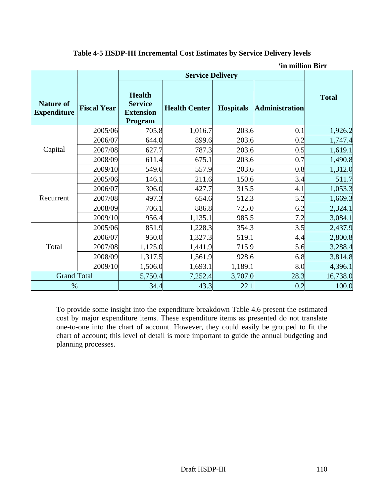| <b>Nature of</b><br><b>Expenditure</b> | <b>Fiscal Year</b> | <b>Health</b><br><b>Service</b><br><b>Extension</b><br>Program | <b>Health Center</b> | <b>Hospitals</b> | <b>Administration</b> | <b>Total</b> |
|----------------------------------------|--------------------|----------------------------------------------------------------|----------------------|------------------|-----------------------|--------------|
|                                        | 2005/06            | 705.8                                                          | 1,016.7              | 203.6            | 0.1                   | 1,926.2      |
|                                        | 2006/07            | 644.0                                                          | 899.6                | 203.6            | 0.2                   | 1,747.4      |
| Capital                                | 2007/08            | 627.7                                                          | 787.3                | 203.6            | 0.5                   | 1,619.1      |
|                                        | 2008/09            | 611.4                                                          | 675.1                | 203.6            | 0.7                   | 1,490.8      |
|                                        | 2009/10            | 549.6                                                          | 557.9                | 203.6            | 0.8                   | 1,312.0      |
|                                        | 2005/06            | 146.1                                                          | 211.6                | 150.6            | 3.4                   | 511.7        |
|                                        | 2006/07            | 306.0                                                          | 427.7                | 315.5            | 4.1                   | 1,053.3      |
| Recurrent                              | 2007/08            | 497.3                                                          | 654.6                | 512.3            | 5.2                   | 1,669.3      |
|                                        | 2008/09            | 706.1                                                          | 886.8                | 725.0            | 6.2                   | 2,324.1      |
|                                        | 2009/10            | 956.4                                                          | 1,135.1              | 985.5            | 7.2                   | 3,084.1      |
|                                        | 2005/06            | 851.9                                                          | 1,228.3              | 354.3            | 3.5                   | 2,437.9      |
|                                        | 2006/07            | 950.0                                                          | 1,327.3              | 519.1            | 4.4                   | 2,800.8      |
| Total                                  | 2007/08            | 1,125.0                                                        | 1,441.9              | 715.9            | 5.6                   | 3,288.4      |
|                                        | 2008/09            | 1,317.5                                                        | 1,561.9              | 928.6            | 6.8                   | 3,814.8      |
|                                        | 2009/10            | 1,506.0                                                        | 1,693.1              | 1,189.1          | 8.0                   | 4,396.1      |
| <b>Grand Total</b>                     |                    | 5,750.4                                                        | 7,252.4              | 3,707.0          | 28.3                  | 16,738.0     |
| %                                      |                    | 34.4                                                           | 43.3                 | 22.1             | 0.2                   | 100.0        |

# **Table 4-5 HSDP-III Incremental Cost Estimates by Service Delivery levels**

**'in million Birr** 

To provide some insight into the expenditure breakdown Table 4.6 present the estimated cost by major expenditure items. These expenditure items as presented do not translate one-to-one into the chart of account. However, they could easily be grouped to fit the chart of account; this level of detail is more important to guide the annual budgeting and planning processes.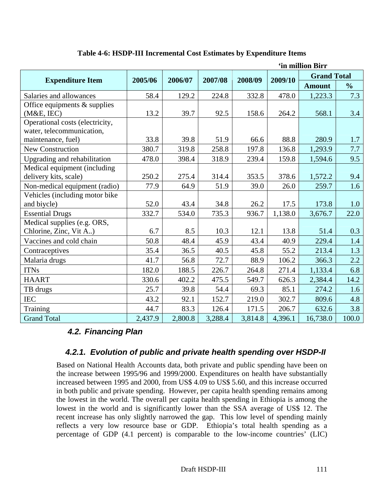| 'in million Birr                |         |         |         |         |         |                    |               |  |
|---------------------------------|---------|---------|---------|---------|---------|--------------------|---------------|--|
| <b>Expenditure Item</b>         | 2005/06 | 2006/07 | 2007/08 | 2008/09 | 2009/10 | <b>Grand Total</b> |               |  |
|                                 |         |         |         |         |         | <b>Amount</b>      | $\frac{0}{0}$ |  |
| Salaries and allowances         | 58.4    | 129.2   | 224.8   | 332.8   | 478.0   | 1,223.3            | 7.3           |  |
| Office equipments $&$ supplies  |         |         |         |         |         |                    |               |  |
| (M&E, IEC)                      | 13.2    | 39.7    | 92.5    | 158.6   | 264.2   | 568.1              | 3.4           |  |
| Operational costs (electricity, |         |         |         |         |         |                    |               |  |
| water, telecommunication,       |         |         |         |         |         |                    |               |  |
| maintenance, fuel)              | 33.8    | 39.8    | 51.9    | 66.6    | 88.8    | 280.9              | 1.7           |  |
| <b>New Construction</b>         | 380.7   | 319.8   | 258.8   | 197.8   | 136.8   | 1,293.9            | 7.7           |  |
| Upgrading and rehabilitation    | 478.0   | 398.4   | 318.9   | 239.4   | 159.8   | 1,594.6            | 9.5           |  |
| Medical equipment (including    |         |         |         |         |         |                    |               |  |
| delivery kits, scale)           | 250.2   | 275.4   | 314.4   | 353.5   | 378.6   | 1,572.2            | 9.4           |  |
| Non-medical equipment (radio)   | 77.9    | 64.9    | 51.9    | 39.0    | 26.0    | 259.7              | 1.6           |  |
| Vehicles (including motor bike  |         |         |         |         |         |                    |               |  |
| and biycle)                     | 52.0    | 43.4    | 34.8    | 26.2    | 17.5    | 173.8              | 1.0           |  |
| <b>Essential Drugs</b>          | 332.7   | 534.0   | 735.3   | 936.7   | 1,138.0 | 3,676.7            | 22.0          |  |
| Medical supplies (e.g. ORS,     |         |         |         |         |         |                    |               |  |
| Chlorine, Zinc, Vit A)          | 6.7     | 8.5     | 10.3    | 12.1    | 13.8    | 51.4               | 0.3           |  |
| Vaccines and cold chain         | 50.8    | 48.4    | 45.9    | 43.4    | 40.9    | 229.4              | 1.4           |  |
| Contraceptives                  | 35.4    | 36.5    | 40.5    | 45.8    | 55.2    | 213.4              | 1.3           |  |
| Malaria drugs                   | 41.7    | 56.8    | 72.7    | 88.9    | 106.2   | 366.3              | 2.2           |  |
| <b>ITNs</b>                     | 182.0   | 188.5   | 226.7   | 264.8   | 271.4   | 1,133.4            | 6.8           |  |
| <b>HAART</b>                    | 330.6   | 402.2   | 475.5   | 549.7   | 626.3   | 2,384.4            | 14.2          |  |
| TB drugs                        | 25.7    | 39.8    | 54.4    | 69.3    | 85.1    | 274.2              | 1.6           |  |
| <b>IEC</b>                      | 43.2    | 92.1    | 152.7   | 219.0   | 302.7   | 809.6              | 4.8           |  |
| Training                        | 44.7    | 83.3    | 126.4   | 171.5   | 206.7   | 632.6              | 3.8           |  |
| <b>Grand Total</b>              | 2,437.9 | 2,800.8 | 3,288.4 | 3,814.8 | 4,396.1 | 16,738.0           | 100.0         |  |

# **Table 4-6: HSDP-III Incremental Cost Estimates by Expenditure Items**

# *4.2. Financing Plan*

# *4.2.1. Evolution of public and private health spending over HSDP-II*

Based on National Health Accounts data, both private and public spending have been on the increase between 1995/96 and 1999/2000. Expenditures on health have substantially increased between 1995 and 2000, from US\$ 4.09 to US\$ 5.60, and this increase occurred in both public and private spending. However, per capita health spending remains among the lowest in the world. The overall per capita health spending in Ethiopia is among the lowest in the world and is significantly lower than the SSA average of US\$ 12. The recent increase has only slightly narrowed the gap. This low level of spending mainly reflects a very low resource base or GDP. Ethiopia's total health spending as a percentage of GDP (4.1 percent) is comparable to the low-income countries' (LIC)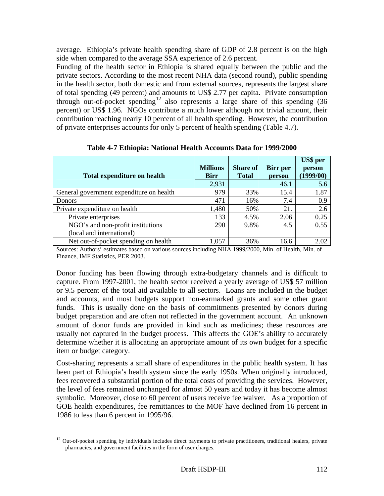average. Ethiopia's private health spending share of GDP of 2.8 percent is on the high side when compared to the average SSA experience of 2.6 percent.

Funding of the health sector in Ethiopia is shared equally between the public and the private sectors. According to the most recent NHA data (second round), public spending in the health sector, both domestic and from external sources, represents the largest share of total spending (49 percent) and amounts to US\$ 2.77 per capita. Private consumption through out-of-pocket spending<sup>12</sup> also represents a large share of this spending  $(36)$ percent) or US\$ 1.96. NGOs contribute a much lower although not trivial amount, their contribution reaching nearly 10 percent of all health spending. However, the contribution of private enterprises accounts for only 5 percent of health spending (Table 4.7).

| <b>Total expenditure on health</b>       | <b>Millions</b><br><b>Birr</b> | <b>Share of</b><br><b>Total</b> | <b>Birr</b> per<br>person | <b>US\$</b> per<br>person<br>(1999/00) |
|------------------------------------------|--------------------------------|---------------------------------|---------------------------|----------------------------------------|
|                                          | 2,931                          |                                 | 46.1                      | 5.6                                    |
| General government expenditure on health | 979                            | 33%                             | 15.4                      | 1.87                                   |
| <b>Donors</b>                            | 471                            | 16%                             | 7.4                       | 0.9                                    |
| Private expenditure on health            | 1,480                          | 50%                             | 21.                       | 2.6                                    |
| Private enterprises                      | 133                            | 4.5%                            | 2.06                      | 0.25                                   |
| NGO's and non-profit institutions        | 290                            | 9.8%                            | 4.5                       | 0.55                                   |
| (local and international)                |                                |                                 |                           |                                        |
| Net out-of-pocket spending on health     | 1,057                          | 36%                             | 16.6                      | 2.02                                   |

**Table 4-7 Ethiopia: National Health Accounts Data for 1999/2000** 

Sources: Authors' estimates based on various sources including NHA 1999/2000, Min. of Health, Min. of Finance, IMF Statistics, PER 2003.

Donor funding has been flowing through extra-budgetary channels and is difficult to capture. From 1997-2001, the health sector received a yearly average of US\$ 57 million or 9.5 percent of the total aid available to all sectors. Loans are included in the budget and accounts, and most budgets support non-earmarked grants and some other grant funds. This is usually done on the basis of commitments presented by donors during budget preparation and are often not reflected in the government account. An unknown amount of donor funds are provided in kind such as medicines; these resources are usually not captured in the budget process. This affects the GOE's ability to accurately determine whether it is allocating an appropriate amount of its own budget for a specific item or budget category.

Cost-sharing represents a small share of expenditures in the public health system. It has been part of Ethiopia's health system since the early 1950s. When originally introduced, fees recovered a substantial portion of the total costs of providing the services. However, the level of fees remained unchanged for almost 50 years and today it has become almost symbolic. Moreover, close to 60 percent of users receive fee waiver. As a proportion of GOE health expenditures, fee remittances to the MOF have declined from 16 percent in 1986 to less than 6 percent in 1995/96.

l

 $12$  Out-of-pocket spending by individuals includes direct payments to private practitioners, traditional healers, private pharmacies, and government facilities in the form of user charges.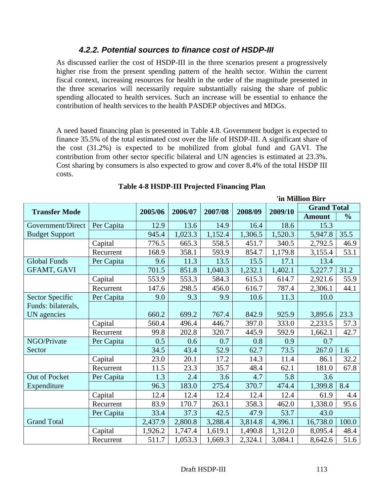# *4.2.2. Potential sources to finance cost of HSDP-III*

As discussed earlier the cost of HSDP-III in the three scenarios present a progressively higher rise from the present spending pattern of the health sector. Within the current fiscal context, increasing resources for health in the order of the magnitude presented in the three scenarios will necessarily require substantially raising the share of public spending allocated to health services. Such an increase will be essential to enhance the contribution of health services to the health PASDEP objectives and MDGs.

A need based financing plan is presented in Table 4.8. Government budget is expected to finance 35.5% of the total estimated cost over the life of HSDP-III. A significant share of the cost (31.2%) is expected to be mobilized from global fund and GAVI. The contribution from other sector specific bilateral and UN agencies is estimated at 23.3%. Cost sharing by consumers is also expected to grow and cover 8.4% of the total HSDP III costs.

|                       |            |         |         |         |         | 'in Million Birr              |               |               |
|-----------------------|------------|---------|---------|---------|---------|-------------------------------|---------------|---------------|
| <b>Transfer Mode</b>  |            | 2005/06 | 2006/07 | 2007/08 | 2008/09 | <b>Grand Total</b><br>2009/10 |               |               |
|                       |            |         |         |         |         |                               | <b>Amount</b> | $\frac{0}{0}$ |
| Government/Direct     | Per Capita | 12.9    | 13.6    | 14.9    | 16.4    | 18.6                          | 15.3          |               |
| <b>Budget Support</b> |            | 945.4   | 1,023.3 | 1,152.4 | 1,306.5 | 1,520.3                       | 5,947.8       | 35.5          |
|                       | Capital    | 776.5   | 665.3   | 558.5   | 451.7   | 340.5                         | 2,792.5       | 46.9          |
|                       | Recurrent  | 168.9   | 358.1   | 593.9   | 854.7   | 1,179.8                       | 3,155.4       | 53.1          |
| <b>Global Funds</b>   | Per Capita | 9.6     | 11.3    | 13.5    | 15.5    | 17.1                          | 13.4          |               |
| <b>GFAMT, GAVI</b>    |            | 701.5   | 851.8   | 1,040.3 | 1,232.1 | 1,402.1                       | 5,227.7       | 31.2          |
|                       | Capital    | 553.9   | 553.3   | 584.3   | 615.3   | 614.7                         | 2,921.6       | 55.9          |
|                       | Recurrent  | 147.6   | 298.5   | 456.0   | 616.7   | 787.4                         | 2,306.1       | 44.1          |
| Sector Specific       | Per Capita | 9.0     | 9.3     | 9.9     | 10.6    | 11.3                          | 10.0          |               |
| Funds: bilaterals,    |            |         |         |         |         |                               |               |               |
| UN agencies           |            | 660.2   | 699.2   | 767.4   | 842.9   | 925.9                         | 3,895.6       | 23.3          |
|                       | Capital    | 560.4   | 496.4   | 446.7   | 397.0   | 333.0                         | 2,233.5       | 57.3          |
|                       | Recurrent  | 99.8    | 202.8   | 320.7   | 445.9   | 592.9                         | 1,662.1       | 42.7          |
| NGO/Private           | Per Capita | 0.5     | 0.6     | 0.7     | 0.8     | 0.9                           | 0.7           |               |
| Sector                |            | 34.5    | 43.4    | 52.9    | 62.7    | 73.5                          | 267.0         | 1.6           |
|                       | Capital    | 23.0    | 20.1    | 17.2    | 14.3    | 11.4                          | 86.1          | 32.2          |
|                       | Recurrent  | 11.5    | 23.3    | 35.7    | 48.4    | 62.1                          | 181.0         | 67.8          |
| Out of Pocket         | Per Capita | 1.3     | 2.4     | 3.6     | 4.7     | 5.8                           | 3.6           |               |
| Expenditure           |            | 96.3    | 183.0   | 275.4   | 370.7   | 474.4                         | 1,399.8       | 8.4           |
|                       | Capital    | 12.4    | 12.4    | 12.4    | 12.4    | 12.4                          | 61.9          | 4.4           |
|                       | Recurrent  | 83.9    | 170.7   | 263.1   | 358.3   | 462.0                         | 1,338.0       | 95.6          |
|                       | Per Capita | 33.4    | 37.3    | 42.5    | 47.9    | 53.7                          | 43.0          |               |
| <b>Grand Total</b>    |            | 2,437.9 | 2,800.8 | 3,288.4 | 3,814.8 | 4,396.1                       | 16,738.0      | 100.0         |
|                       | Capital    | 1,926.2 | 1,747.4 | 1,619.1 | 1,490.8 | 1,312.0                       | 8,095.4       | 48.4          |
|                       | Recurrent  | 511.7   | 1,053.3 | 1,669.3 | 2,324.1 | 3,084.1                       | 8,642.6       | 51.6          |

# **Table 4-8 HSDP-III Projected Financing Plan**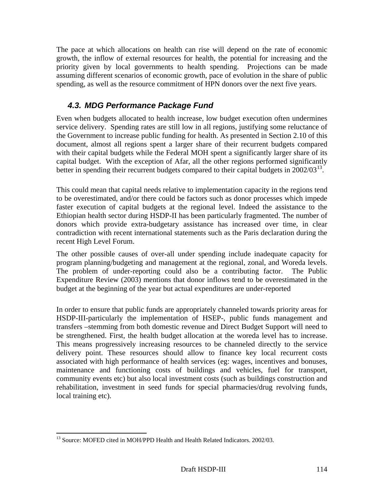The pace at which allocations on health can rise will depend on the rate of economic growth, the inflow of external resources for health, the potential for increasing and the priority given by local governments to health spending. Projections can be made assuming different scenarios of economic growth, pace of evolution in the share of public spending, as well as the resource commitment of HPN donors over the next five years.

# *4.3. MDG Performance Package Fund*

Even when budgets allocated to health increase, low budget execution often undermines service delivery. Spending rates are still low in all regions, justifying some reluctance of the Government to increase public funding for health. As presented in Section 2.10 of this document, almost all regions spent a larger share of their recurrent budgets compared with their capital budgets while the Federal MOH spent a significantly larger share of its capital budget. With the exception of Afar, all the other regions performed significantly better in spending their recurrent budgets compared to their capital budgets in  $2002/03^{13}$ .

This could mean that capital needs relative to implementation capacity in the regions tend to be overestimated, and/or there could be factors such as donor processes which impede faster execution of capital budgets at the regional level. Indeed the assistance to the Ethiopian health sector during HSDP-II has been particularly fragmented. The number of donors which provide extra-budgetary assistance has increased over time, in clear contradiction with recent international statements such as the Paris declaration during the recent High Level Forum.

The other possible causes of over-all under spending include inadequate capacity for program planning/budgeting and management at the regional, zonal, and Woreda levels. The problem of under-reporting could also be a contributing factor. The Public Expenditure Review (2003) mentions that donor inflows tend to be overestimated in the budget at the beginning of the year but actual expenditures are under-reported

In order to ensure that public funds are appropriately channeled towards priority areas for HSDP-III-particularly the implementation of HSEP-, public funds management and transfers –stemming from both domestic revenue and Direct Budget Support will need to be strengthened. First, the health budget allocation at the woreda level has to increase. This means progressively increasing resources to be channeled directly to the service delivery point. These resources should allow to finance key local recurrent costs associated with high performance of health services (eg: wages, incentives and bonuses, maintenance and functioning costs of buildings and vehicles, fuel for transport, community events etc) but also local investment costs (such as buildings construction and rehabilitation, investment in seed funds for special pharmacies/drug revolving funds, local training etc).

 <sup>13</sup> Source: MOFED cited in MOH/PPD Health and Health Related Indicators. 2002/03.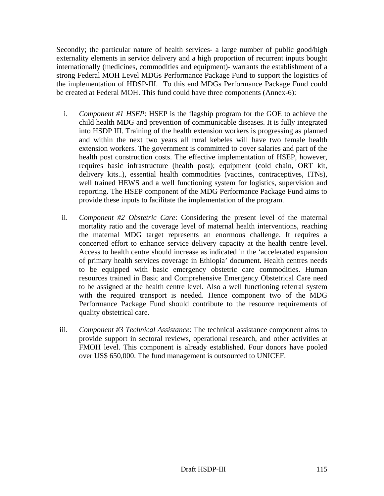Secondly; the particular nature of health services- a large number of public good/high externality elements in service delivery and a high proportion of recurrent inputs bought internationally (medicines, commodities and equipment)- warrants the establishment of a strong Federal MOH Level MDGs Performance Package Fund to support the logistics of the implementation of HDSP-III. To this end MDGs Performance Package Fund could be created at Federal MOH. This fund could have three components (Annex-6):

- i. *Component #1 HSEP*: HSEP is the flagship program for the GOE to achieve the child health MDG and prevention of communicable diseases. It is fully integrated into HSDP III. Training of the health extension workers is progressing as planned and within the next two years all rural kebeles will have two female health extension workers. The government is committed to cover salaries and part of the health post construction costs. The effective implementation of HSEP, however, requires basic infrastructure (health post); equipment (cold chain, ORT kit, delivery kits..), essential health commodities (vaccines, contraceptives, ITNs), well trained HEWS and a well functioning system for logistics, supervision and reporting. The HSEP component of the MDG Performance Package Fund aims to provide these inputs to facilitate the implementation of the program.
- ii. *Component #2 Obstetric Care*: Considering the present level of the maternal mortality ratio and the coverage level of maternal health interventions, reaching the maternal MDG target represents an enormous challenge. It requires a concerted effort to enhance service delivery capacity at the health centre level. Access to health centre should increase as indicated in the 'accelerated expansion of primary health services coverage in Ethiopia' document. Health centres needs to be equipped with basic emergency obstetric care commodities. Human resources trained in Basic and Comprehensive Emergency Obstetrical Care need to be assigned at the health centre level. Also a well functioning referral system with the required transport is needed. Hence component two of the MDG Performance Package Fund should contribute to the resource requirements of quality obstetrical care.
- iii. *Component #3 Technical Assistance*: The technical assistance component aims to provide support in sectoral reviews, operational research, and other activities at FMOH level. This component is already established. Four donors have pooled over US\$ 650,000. The fund management is outsourced to UNICEF.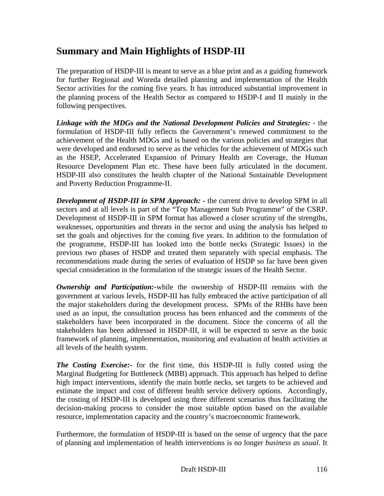# **Summary and Main Highlights of HSDP-III**

The preparation of HSDP-III is meant to serve as a blue print and as a guiding framework for further Regional and Woreda detailed planning and implementation of the Health Sector activities for the coming five years. It has introduced substantial improvement in the planning process of the Health Sector as compared to HSDP-I and II mainly in the following perspectives.

*Linkage with the MDGs and the National Development Policies and Strategies:* - the formulation of HSDP-III fully reflects the Government's renewed commitment to the achievement of the Health MDGs and is based on the various policies and strategies that were developed and endorsed to serve as the vehicles for the achievement of MDGs such as the HSEP, Accelerated Expansion of Primary Health are Coverage, the Human Resource Development Plan etc. These have been fully articulated in the document. HSDP-III also constitutes the health chapter of the National Sustainable Development and Poverty Reduction Programme-II.

**Development of HSDP-III in SPM Approach:** - the current drive to develop SPM in all sectors and at all levels is part of the "Top Management Sub Programme" of the CSRP. Development of HSDP-III in SPM format has allowed a closer scrutiny of the strengths, weaknesses, opportunities and threats in the sector and using the analysis has helped to set the goals and objectives for the coming five years. In addition to the formulation of the programme, HSDP-III has looked into the bottle necks (Strategic Issues) in the previous two phases of HSDP and treated them separately with special emphasis. The recommendations made during the series of evaluation of HSDP so far have been given special consideration in the formulation of the strategic issues of the Health Sector.

*Ownership and Participation:-*while the ownership of HSDP-III remains with the government at various levels, HSDP-III has fully embraced the active participation of all the major stakeholders during the development process. SPMs of the RHBs have been used as an input, the consultation process has been enhanced and the comments of the stakeholders have been incorporated in the document. Since the concerns of all the stakeholders has been addressed in HSDP-III, it will be expected to serve as the basic framework of planning, implementation, monitoring and evaluation of health activities at all levels of the health system.

*The Costing Exercise:-* for the first time, this HSDP-III is fully costed using the Marginal Budgeting for Bottleneck (MBB) approach. This approach has helped to define high impact interventions, identify the main bottle necks, set targets to be achieved and estimate the impact and cost of different health service delivery options. Accordingly, the costing of HSDP-III is developed using three different scenarios thus facilitating the decision-making process to consider the most suitable option based on the available resource, implementation capacity and the country's macroeconomic framework.

Furthermore, the formulation of HSDP-III is based on the sense of urgency that the pace of planning and implementation of health interventions is no longer *business as usual.* It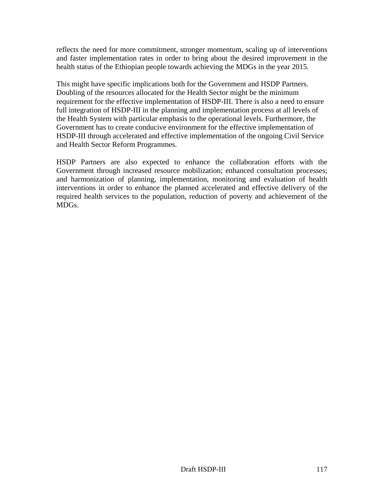reflects the need for more commitment, stronger momentum, scaling up of interventions and faster implementation rates in order to bring about the desired improvement in the health status of the Ethiopian people towards achieving the MDGs in the year 2015.

This might have specific implications both for the Government and HSDP Partners. Doubling of the resources allocated for the Health Sector might be the minimum requirement for the effective implementation of HSDP-III. There is also a need to ensure full integration of HSDP-III in the planning and implementation process at all levels of the Health System with particular emphasis to the operational levels. Furthermore, the Government has to create conducive environment for the effective implementation of HSDP-III through accelerated and effective implementation of the ongoing Civil Service and Health Sector Reform Programmes.

HSDP Partners are also expected to enhance the collaboration efforts with the Government through increased resource mobilization; enhanced consultation processes; and harmonization of planning, implementation, monitoring and evaluation of health interventions in order to enhance the planned accelerated and effective delivery of the required health services to the population, reduction of poverty and achievement of the MDGs.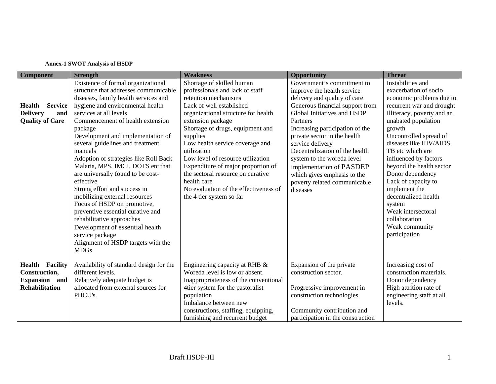#### **Annex-1 SWOT Analysis of HSDP**

| <b>Component</b>                 | <b>Strength</b>                         | <b>Weakness</b>                       | <b>Opportunity</b>                | <b>Threat</b>              |
|----------------------------------|-----------------------------------------|---------------------------------------|-----------------------------------|----------------------------|
|                                  | Existence of formal organizational      | Shortage of skilled human             | Government's commitment to        | Instabilities and          |
|                                  | structure that addresses communicable   | professionals and lack of staff       | improve the health service        | exacerbation of socio      |
|                                  | diseases, family health services and    | retention mechanisms                  | delivery and quality of care      | economic problems due to   |
| <b>Service</b><br><b>Health</b>  | hygiene and environmental health        | Lack of well established              | Generous financial support from   | recurrent war and drought  |
| <b>Delivery</b><br>and           | services at all levels                  | organizational structure for health   | Global Initiatives and HSDP       | Illiteracy, poverty and an |
| <b>Quality of Care</b>           | Commencement of health extension        | extension package                     | Partners                          | unabated population        |
|                                  | package                                 | Shortage of drugs, equipment and      | Increasing participation of the   | growth                     |
|                                  | Development and implementation of       | supplies                              | private sector in the health      | Uncontrolled spread of     |
|                                  | several guidelines and treatment        | Low health service coverage and       | service delivery                  | diseases like HIV/AIDS,    |
|                                  | manuals                                 | utilization                           | Decentralization of the health    | TB etc which are           |
|                                  | Adoption of strategies like Roll Back   | Low level of resource utilization     | system to the woreda level        | influenced by factors      |
|                                  | Malaria, MPS, IMCI, DOTS etc that       | Expenditure of major proportion of    | <b>Implementation of PASDEP</b>   | beyond the health sector   |
|                                  | are universally found to be cost-       | the sectoral resource on curative     | which gives emphasis to the       | Donor dependency           |
|                                  | effective                               | health care                           | poverty related communicable      | Lack of capacity to        |
|                                  | Strong effort and success in            | No evaluation of the effectiveness of | diseases                          | implement the              |
|                                  | mobilizing external resources           | the 4 tier system so far              |                                   | decentralized health       |
|                                  | Focus of HSDP on promotive,             |                                       |                                   | system                     |
|                                  | preventive essential curative and       |                                       |                                   | Weak intersectoral         |
|                                  | rehabilitative approaches               |                                       |                                   | collaboration              |
|                                  | Development of essential health         |                                       |                                   | Weak community             |
|                                  | service package                         |                                       |                                   | participation              |
|                                  | Alignment of HSDP targets with the      |                                       |                                   |                            |
|                                  | <b>MDGs</b>                             |                                       |                                   |                            |
| <b>Health</b><br><b>Facility</b> | Availability of standard design for the | Engineering capacity at RHB &         | Expansion of the private          | Increasing cost of         |
| Construction,                    | different levels.                       | Woreda level is low or absent.        | construction sector.              | construction materials.    |
| <b>Expansion</b><br>and          | Relatively adequate budget is           | Inappropriateness of the conventional |                                   | Donor dependency           |
| <b>Rehabilitation</b>            | allocated from external sources for     | 4tier system for the pastoralist      | Progressive improvement in        | High attrition rate of     |
|                                  | PHCU's.                                 | population                            | construction technologies         | engineering staff at all   |
|                                  |                                         | Imbalance between new                 |                                   | levels.                    |
|                                  |                                         | constructions, staffing, equipping,   | Community contribution and        |                            |
|                                  |                                         | furnishing and recurrent budget       | participation in the construction |                            |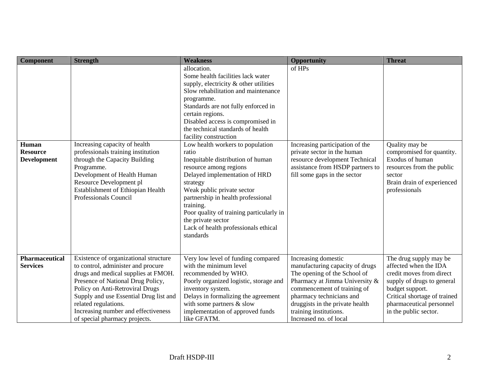| Component                                      | <b>Strength</b>                                                                                                                                                                                                                                                                                                                      | <b>Weakness</b>                                                                                                                                                                                                                                                                                                                                               | <b>Opportunity</b>                                                                                                                                                                                                                                                         | <b>Threat</b>                                                                                                                                                                                                     |
|------------------------------------------------|--------------------------------------------------------------------------------------------------------------------------------------------------------------------------------------------------------------------------------------------------------------------------------------------------------------------------------------|---------------------------------------------------------------------------------------------------------------------------------------------------------------------------------------------------------------------------------------------------------------------------------------------------------------------------------------------------------------|----------------------------------------------------------------------------------------------------------------------------------------------------------------------------------------------------------------------------------------------------------------------------|-------------------------------------------------------------------------------------------------------------------------------------------------------------------------------------------------------------------|
|                                                |                                                                                                                                                                                                                                                                                                                                      | allocation.<br>Some health facilities lack water<br>supply, electricity & other utilities<br>Slow rehabilitation and maintenance<br>programme.<br>Standards are not fully enforced in<br>certain regions.<br>Disabled access is compromised in<br>the technical standards of health<br>facility construction                                                  | of HPs                                                                                                                                                                                                                                                                     |                                                                                                                                                                                                                   |
| Human<br><b>Resource</b><br><b>Development</b> | Increasing capacity of health<br>professionals training institution<br>through the Capacity Building<br>Programme.<br>Development of Health Human<br>Resource Development pl<br>Establishment of Ethiopian Health<br>Professionals Council                                                                                           | Low health workers to population<br>ratio<br>Inequitable distribution of human<br>resource among regions<br>Delayed implementation of HRD<br>strategy<br>Weak public private sector<br>partnership in health professional<br>training.<br>Poor quality of training particularly in<br>the private sector<br>Lack of health professionals ethical<br>standards | Increasing participation of the<br>private sector in the human<br>resource development Technical<br>assistance from HSDP partners to<br>fill some gaps in the sector                                                                                                       | Quality may be<br>compromised for quantity.<br>Exodus of human<br>resources from the public<br>sector<br>Brain drain of experienced<br>professionals                                                              |
| <b>Pharmaceutical</b><br><b>Services</b>       | Existence of organizational structure<br>to control, administer and procure<br>drugs and medical supplies at FMOH.<br>Presence of National Drug Policy,<br>Policy on Anti-Retroviral Drugs<br>Supply and use Essential Drug list and<br>related regulations.<br>Increasing number and effectiveness<br>of special pharmacy projects. | Very low level of funding compared<br>with the minimum level<br>recommended by WHO.<br>Poorly organized logistic, storage and<br>inventory system.<br>Delays in formalizing the agreement<br>with some partners $&$ slow<br>implementation of approved funds<br>like GFATM.                                                                                   | Increasing domestic<br>manufacturing capacity of drugs<br>The opening of the School of<br>Pharmacy at Jimma University &<br>commencement of training of<br>pharmacy technicians and<br>druggists in the private health<br>training institutions.<br>Increased no. of local | The drug supply may be<br>affected when the IDA<br>credit moves from direct<br>supply of drugs to general<br>budget support.<br>Critical shortage of trained<br>pharmaceutical personnel<br>in the public sector. |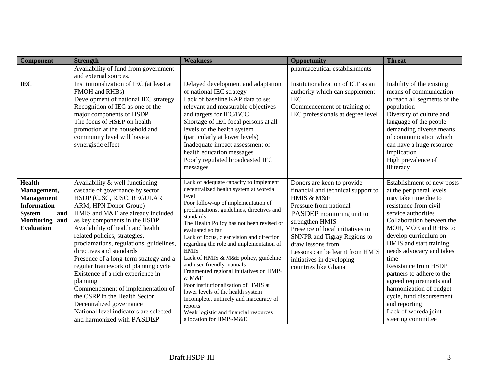| <b>Component</b>                                                                                                                                 | <b>Strength</b>                                                                                                                                                                                                                                                                                                                                                                                                                                                                                                                                                                                                                                         | <b>Weakness</b>                                                                                                                                                                                                                                                                                                                                                                                                                                                                                                                                                                                                                                                                                   | <b>Opportunity</b>                                                                                                                                                                                                                                                                                                                       | <b>Threat</b>                                                                                                                                                                                                                                                                                                                                                                                                                                                                            |
|--------------------------------------------------------------------------------------------------------------------------------------------------|---------------------------------------------------------------------------------------------------------------------------------------------------------------------------------------------------------------------------------------------------------------------------------------------------------------------------------------------------------------------------------------------------------------------------------------------------------------------------------------------------------------------------------------------------------------------------------------------------------------------------------------------------------|---------------------------------------------------------------------------------------------------------------------------------------------------------------------------------------------------------------------------------------------------------------------------------------------------------------------------------------------------------------------------------------------------------------------------------------------------------------------------------------------------------------------------------------------------------------------------------------------------------------------------------------------------------------------------------------------------|------------------------------------------------------------------------------------------------------------------------------------------------------------------------------------------------------------------------------------------------------------------------------------------------------------------------------------------|------------------------------------------------------------------------------------------------------------------------------------------------------------------------------------------------------------------------------------------------------------------------------------------------------------------------------------------------------------------------------------------------------------------------------------------------------------------------------------------|
|                                                                                                                                                  | Availability of fund from government<br>and external sources.                                                                                                                                                                                                                                                                                                                                                                                                                                                                                                                                                                                           |                                                                                                                                                                                                                                                                                                                                                                                                                                                                                                                                                                                                                                                                                                   | pharmaceutical establishments                                                                                                                                                                                                                                                                                                            |                                                                                                                                                                                                                                                                                                                                                                                                                                                                                          |
| <b>IEC</b>                                                                                                                                       | Institutionalization of IEC (at least at<br>FMOH and RHBs)<br>Development of national IEC strategy<br>Recognition of IEC as one of the<br>major components of HSDP<br>The focus of HSEP on health<br>promotion at the household and<br>community level will have a<br>synergistic effect                                                                                                                                                                                                                                                                                                                                                                | Delayed development and adaptation<br>of national IEC strategy<br>Lack of baseline KAP data to set<br>relevant and measurable objectives<br>and targets for IEC/BCC<br>Shortage of IEC focal persons at all<br>levels of the health system<br>(particularly at lower levels)<br>Inadequate impact assessment of<br>health education messages<br>Poorly regulated broadcasted IEC<br>messages                                                                                                                                                                                                                                                                                                      | Institutionalization of ICT as an<br>authority which can supplement<br><b>IEC</b><br>Commencement of training of<br>IEC professionals at degree level                                                                                                                                                                                    | Inability of the existing<br>means of communication<br>to reach all segments of the<br>population<br>Diversity of culture and<br>language of the people<br>demanding diverse means<br>of communication which<br>can have a huge resource<br>implication<br>High prevalence of<br>illiteracy                                                                                                                                                                                              |
| <b>Health</b><br>Management,<br><b>Management</b><br><b>Information</b><br><b>System</b><br>and<br><b>Monitoring</b><br>and<br><b>Evaluation</b> | Availability & well functioning<br>cascade of governance by sector<br>HSDP (CJSC, RJSC, REGULAR<br>ARM, HPN Donor Group)<br>HMIS and M&E are already included<br>as key components in the HSDP<br>Availability of health and health<br>related policies, strategies,<br>proclamations, regulations, guidelines,<br>directives and standards<br>Presence of a long-term strategy and a<br>regular framework of planning cycle<br>Existence of a rich experience in<br>planning<br>Commencement of implementation of<br>the CSRP in the Health Sector<br>Decentralized governance<br>National level indicators are selected<br>and harmonized with PASDEP | Lack of adequate capacity to implement<br>decentralized health system at woreda<br>level<br>Poor follow-up of implementation of<br>proclamations, guidelines, directives and<br>standards<br>The Health Policy has not been revised or<br>evaluated so far<br>Lack of focus, clear vision and direction<br>regarding the role and implementation of<br><b>HMIS</b><br>Lack of HMIS & M&E policy, guideline<br>and user-friendly manuals<br>Fragmented regional initiatives on HMIS<br>& M&E<br>Poor institutionalization of HMIS at<br>lower levels of the health system<br>Incomplete, untimely and inaccuracy of<br>reports<br>Weak logistic and financial resources<br>allocation for HMIS/M&E | Donors are keen to provide<br>financial and technical support to<br>HMIS & M&E<br>Pressure from national<br>PASDEP monitoring unit to<br>strengthen HMIS<br>Presence of local initiatives in<br>SNNPR and Tigray Regions to<br>draw lessons from<br>Lessons can be learnt from HMIS<br>initiatives in developing<br>countries like Ghana | Establishment of new posts<br>at the peripheral levels<br>may take time due to<br>resistance from civil<br>service authorities<br>Collaboration between the<br>MOH, MOE and RHBs to<br>develop curriculum on<br>HMIS and start training<br>needs advocacy and takes<br>time<br><b>Resistance from HSDP</b><br>partners to adhere to the<br>agreed requirements and<br>harmonization of budget<br>cycle, fund disbursement<br>and reporting<br>Lack of woreda joint<br>steering committee |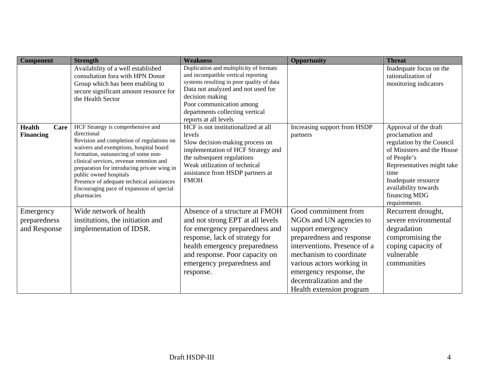| <b>Component</b>                          | <b>Strength</b>                                                                                                                                                                                                                                                                                                                                                                                             | <b>Weakness</b>                                                                                                                                                                                                                                                              | <b>Opportunity</b>                                                                                                                                                                                                                                                           | <b>Threat</b>                                                                                                                                                                                                                             |
|-------------------------------------------|-------------------------------------------------------------------------------------------------------------------------------------------------------------------------------------------------------------------------------------------------------------------------------------------------------------------------------------------------------------------------------------------------------------|------------------------------------------------------------------------------------------------------------------------------------------------------------------------------------------------------------------------------------------------------------------------------|------------------------------------------------------------------------------------------------------------------------------------------------------------------------------------------------------------------------------------------------------------------------------|-------------------------------------------------------------------------------------------------------------------------------------------------------------------------------------------------------------------------------------------|
|                                           | Availability of a well established<br>consultation fora with HPN Donor<br>Group which has been enabling to<br>secure significant amount resource for<br>the Health Sector                                                                                                                                                                                                                                   | Duplication and multiplicity of formats<br>and incompatible vertical reporting<br>systems resulting in poor quality of data<br>Data not analyzed and not used for<br>decision making<br>Poor communication among<br>departments collecting vertical<br>reports at all levels |                                                                                                                                                                                                                                                                              | Inadequate focus on the<br>rationalization of<br>monitoring indicators                                                                                                                                                                    |
| <b>Health</b><br>Care<br><b>Financing</b> | HCF Strategy is comprehensive and<br>directional<br>Revision and completion of regulations on<br>waivers and exemptions, hospital board<br>formation, outsourcing of some non-<br>clinical services, revenue retention and<br>preparation for introducing private wing in<br>public owned hospitals<br>Presence of adequate technical assistances<br>Encouraging pace of expansion of special<br>pharmacies | HCF is not institutionalized at all<br>levels<br>Slow decision-making process on<br>implementation of HCF Strategy and<br>the subsequent regulations<br>Weak utilization of technical<br>assistance from HSDP partners at<br><b>FMOH</b>                                     | Increasing support from HSDP<br>partners                                                                                                                                                                                                                                     | Approval of the draft<br>proclamation and<br>regulation by the Council<br>of Ministers and the House<br>of People's<br>Representatives might take<br>time<br>Inadequate resource<br>availability towards<br>financing MDG<br>requirements |
| Emergency<br>preparedness<br>and Response | Wide network of health<br>institutions, the initiation and<br>implementation of IDSR.                                                                                                                                                                                                                                                                                                                       | Absence of a structure at FMOH<br>and not strong EPT at all levels<br>for emergency preparedness and<br>response, lack of strategy for<br>health emergency preparedness<br>and response. Poor capacity on<br>emergency preparedness and<br>response.                         | Good commitment from<br>NGOs and UN agencies to<br>support emergency<br>preparedness and response<br>interventions. Presence of a<br>mechanism to coordinate<br>various actors working in<br>emergency response, the<br>decentralization and the<br>Health extension program | Recurrent drought,<br>severe environmental<br>degradation<br>compromising the<br>coping capacity of<br>vulnerable<br>communities                                                                                                          |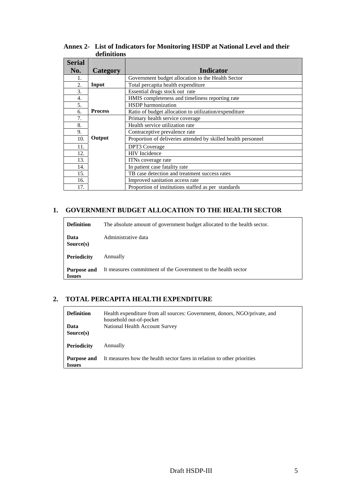| <b>Serial</b> |                |                                                               |
|---------------|----------------|---------------------------------------------------------------|
| No.           | Category       | <b>Indicator</b>                                              |
| 1.            |                | Government budget allocation to the Health Sector             |
| 2.            | Input          | Total percapita health expenditure                            |
| 3.            |                | Essential drugs stock out rate                                |
| 4.            |                | HMIS completeness and timeliness reporting rate               |
| 5.            |                | <b>HSDP</b> harmonization                                     |
| б.            | <b>Process</b> | Ratio of budget allocation to utilization/expenditure         |
| 7.            |                | Primary health service coverage                               |
| 8.            |                | Health service utilization rate                               |
| 9.            |                | Contraceptive prevalence rate                                 |
| 10.           | Output         | Proportion of deliveries attended by skilled health personnel |
| 11.           |                | <b>DPT3</b> Coverage                                          |
| 12.           |                | <b>HIV</b> Incidence                                          |
| 13.           |                | ITNs coverage rate                                            |
| 14.           |                | In patient case fatality rate                                 |
| 15.           |                | TB case detection and treatment success rates                 |
| 16.           |                | Improved sanitation access rate                               |
| 17.           |                | Proportion of institutions staffed as per standards           |

**Annex 2- List of Indicators for Monitoring HSDP at National Level and their definitions** 

# **1. GOVERNMENT BUDGET ALLOCATION TO THE HEALTH SECTOR**

| <b>Definition</b>     | The absolute amount of government budget allocated to the health sector. |
|-----------------------|--------------------------------------------------------------------------|
| Data<br>Source(s)     | Administrative data                                                      |
| <b>Periodicity</b>    | Annually                                                                 |
| Purpose and<br>Issues | It measures commitment of the Government to the health sector            |

# **2. TOTAL PERCAPITA HEALTH EXPENDITURE**

| <b>Definition</b><br>Data<br>Source(s) | Health expenditure from all sources: Government, donors, NGO/private, and<br>household out-of-pocket<br>National Health Account Survey |
|----------------------------------------|----------------------------------------------------------------------------------------------------------------------------------------|
| <b>Periodicity</b>                     | Annually                                                                                                                               |
| Purpose and<br><b>Issues</b>           | It measures how the health sector fares in relation to other priorities                                                                |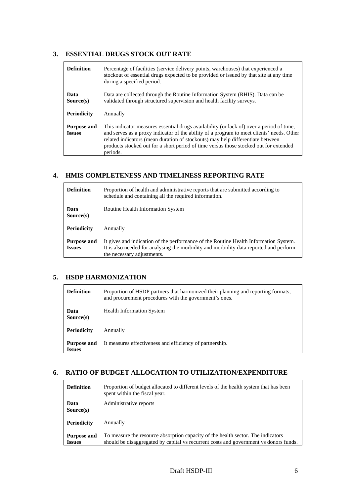#### **3. ESSENTIAL DRUGS STOCK OUT RATE**

| <b>Definition</b>                   | Percentage of facilities (service delivery points, warehouses) that experienced a<br>stockout of essential drugs expected to be provided or issued by that site at any time<br>during a specified period.                                                                                                                                                                    |
|-------------------------------------|------------------------------------------------------------------------------------------------------------------------------------------------------------------------------------------------------------------------------------------------------------------------------------------------------------------------------------------------------------------------------|
| Data<br>Source(s)                   | Data are collected through the Routine Information System (RHIS). Data can be<br>validated through structured supervision and health facility surveys.                                                                                                                                                                                                                       |
| <b>Periodicity</b>                  | Annually                                                                                                                                                                                                                                                                                                                                                                     |
| <b>Purpose and</b><br><b>Issues</b> | This indicator measures essential drugs availability (or lack of) over a period of time,<br>and serves as a proxy indicator of the ability of a program to meet clients' needs. Other<br>related indicators (mean duration of stockouts) may help differentiate between<br>products stocked out for a short period of time versus those stocked out for extended<br>periods. |

# **4. HMIS COMPLETENESS AND TIMELINESS REPORTING RATE**

| <b>Definition</b>                   | Proportion of health and administrative reports that are submitted according to<br>schedule and containing all the required information.                                                                    |
|-------------------------------------|-------------------------------------------------------------------------------------------------------------------------------------------------------------------------------------------------------------|
| Data<br>Source(s)                   | Routine Health Information System                                                                                                                                                                           |
| <b>Periodicity</b>                  | Annually                                                                                                                                                                                                    |
| <b>Purpose and</b><br><b>Issues</b> | It gives and indication of the performance of the Routine Health Information System.<br>It is also needed for analysing the morbidity and morbidity data reported and perform<br>the necessary adjustments. |

# **5. HSDP HARMONIZATION**

| <b>Definition</b>            | Proportion of HSDP partners that harmonized their planning and reporting formats;<br>and procurement procedures with the government's ones. |
|------------------------------|---------------------------------------------------------------------------------------------------------------------------------------------|
| Data<br>Source(s)            | <b>Health Information System</b>                                                                                                            |
| <b>Periodicity</b>           | Annually                                                                                                                                    |
| Purpose and<br><b>Issues</b> | It measures effectiveness and efficiency of partnership.                                                                                    |

#### **6. RATIO OF BUDGET ALLOCATION TO UTILIZATION/EXPENDITURE**

| <b>Definition</b>  | Proportion of budget allocated to different levels of the health system that has been<br>spent within the fiscal year. |
|--------------------|------------------------------------------------------------------------------------------------------------------------|
| Data<br>Source(s)  | Administrative reports                                                                                                 |
| <b>Periodicity</b> | Annually                                                                                                               |
| <b>Purpose and</b> | To measure the resource absorption capacity of the health sector. The indicators                                       |
| <b>Issues</b>      | should be disaggregated by capital vs recurrent costs and government vs donors funds.                                  |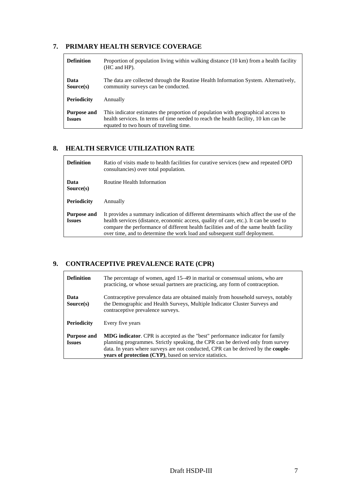# **7. PRIMARY HEALTH SERVICE COVERAGE**

| <b>Definition</b>                   | Proportion of population living within walking distance (10 km) from a health facility<br>(HC and HP).                                                                                                              |
|-------------------------------------|---------------------------------------------------------------------------------------------------------------------------------------------------------------------------------------------------------------------|
| Data<br>Source(s)                   | The data are collected through the Routine Health Information System. Alternatively,<br>community surveys can be conducted.                                                                                         |
| <b>Periodicity</b>                  | Annually                                                                                                                                                                                                            |
| <b>Purpose and</b><br><b>Issues</b> | This indicator estimates the proportion of population with geographical access to<br>health services. In terms of time needed to reach the health facility, 10 km can be<br>equated to two hours of traveling time. |

# **8. HEALTH SERVICE UTILIZATION RATE**

| <b>Definition</b>                   | Ratio of visits made to health facilities for curative services (new and repeated OPD)<br>consultancies) over total population.                                                                                                                                                                                                                         |
|-------------------------------------|---------------------------------------------------------------------------------------------------------------------------------------------------------------------------------------------------------------------------------------------------------------------------------------------------------------------------------------------------------|
| Data<br>Source(s)                   | Routine Health Information                                                                                                                                                                                                                                                                                                                              |
| <b>Periodicity</b>                  | Annually                                                                                                                                                                                                                                                                                                                                                |
| <b>Purpose and</b><br><b>Issues</b> | It provides a summary indication of different determinants which affect the use of the<br>health services (distance, economic access, quality of care, etc.). It can be used to<br>compare the performance of different health facilities and of the same health facility<br>over time, and to determine the work load and subsequent staff deployment. |

# **9. CONTRACEPTIVE PREVALENCE RATE (CPR)**

| <b>Definition</b>                   | The percentage of women, aged 15–49 in marital or consensual unions, who are<br>practicing, or whose sexual partners are practicing, any form of contraception.                                                                                                                                                                        |
|-------------------------------------|----------------------------------------------------------------------------------------------------------------------------------------------------------------------------------------------------------------------------------------------------------------------------------------------------------------------------------------|
| Data<br>Source(s)                   | Contraceptive prevalence data are obtained mainly from household surveys, notably<br>the Demographic and Health Surveys, Multiple Indicator Cluster Surveys and<br>contraceptive prevalence surveys.                                                                                                                                   |
| <b>Periodicity</b>                  | Every five years                                                                                                                                                                                                                                                                                                                       |
| <b>Purpose and</b><br><b>Issues</b> | <b>MDG indicator.</b> CPR is accepted as the "best" performance indicator for family<br>planning programmes. Strictly speaking, the CPR can be derived only from survey<br>data. In years where surveys are not conducted, CPR can be derived by the <b>couple-</b><br><b>years of protection (CYP)</b> , based on service statistics. |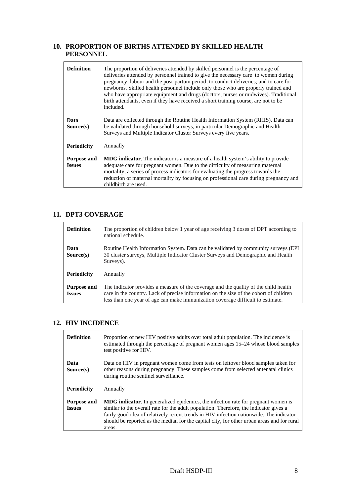# **10. PROPORTION OF BIRTHS ATTENDED BY SKILLED HEALTH PERSONNEL**

| <b>Definition</b>                   | The proportion of deliveries attended by skilled personnel is the percentage of<br>deliveries attended by personnel trained to give the necessary care to women during<br>pregnancy, labour and the post-partum period; to conduct deliveries; and to care for<br>newborns. Skilled health personnel include only those who are properly trained and<br>who have appropriate equipment and drugs (doctors, nurses or midwives). Traditional<br>birth attendants, even if they have received a short training course, are not to be<br>included. |
|-------------------------------------|-------------------------------------------------------------------------------------------------------------------------------------------------------------------------------------------------------------------------------------------------------------------------------------------------------------------------------------------------------------------------------------------------------------------------------------------------------------------------------------------------------------------------------------------------|
| Data<br>Source(s)                   | Data are collected through the Routine Health Information System (RHIS). Data can<br>be validated through household surveys, in particular Demographic and Health<br>Surveys and Multiple Indicator Cluster Surveys every five years.                                                                                                                                                                                                                                                                                                           |
| <b>Periodicity</b>                  | Annually                                                                                                                                                                                                                                                                                                                                                                                                                                                                                                                                        |
| <b>Purpose and</b><br><b>Issues</b> | <b>MDG</b> indicator. The indicator is a measure of a health system's ability to provide<br>adequate care for pregnant women. Due to the difficulty of measuring maternal<br>mortality, a series of process indicators for evaluating the progress towards the<br>reduction of maternal mortality by focusing on professional care during pregnancy and<br>childbirth are used.                                                                                                                                                                 |

## **11. DPT3 COVERAGE**

| <b>Definition</b>                   | The proportion of children below 1 year of age receiving 3 doses of DPT according to<br>national schedule.                                                                                                                                                        |
|-------------------------------------|-------------------------------------------------------------------------------------------------------------------------------------------------------------------------------------------------------------------------------------------------------------------|
| Data<br>Source(s)                   | Routine Health Information System. Data can be validated by community surveys (EPI)<br>30 cluster surveys, Multiple Indicator Cluster Surveys and Demographic and Health<br>Surveys).                                                                             |
| <b>Periodicity</b>                  | Annually                                                                                                                                                                                                                                                          |
| <b>Purpose and</b><br><b>Issues</b> | The indicator provides a measure of the coverage and the quality of the child health<br>care in the country. Lack of precise information on the size of the cohort of children<br>less than one year of age can make immunization coverage difficult to estimate. |

#### **12. HIV INCIDENCE**

| <b>Definition</b>                   | Proportion of new HIV positive adults over total adult population. The incidence is<br>estimated through the percentage of pregnant women ages 15-24 whose blood samples<br>test positive for HIV.                                                                                                                                                                                    |
|-------------------------------------|---------------------------------------------------------------------------------------------------------------------------------------------------------------------------------------------------------------------------------------------------------------------------------------------------------------------------------------------------------------------------------------|
| Data<br>Source(s)                   | Data on HIV in pregnant women come from tests on leftover blood samples taken for<br>other reasons during pregnancy. These samples come from selected antenatal clinics<br>during routine sentinel surveillance.                                                                                                                                                                      |
| <b>Periodicity</b>                  | Annually                                                                                                                                                                                                                                                                                                                                                                              |
| <b>Purpose and</b><br><b>Issues</b> | <b>MDG indicator.</b> In generalized epidemics, the infection rate for pregnant women is<br>similar to the overall rate for the adult population. Therefore, the indicator gives a<br>fairly good idea of relatively recent trends in HIV infection nationwide. The indicator<br>should be reported as the median for the capital city, for other urban areas and for rural<br>areas. |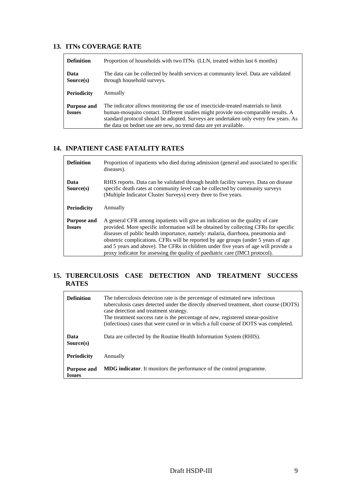### **13. ITNs COVERAGE RATE**

| <b>Definition</b>                   | Proportion of households with two ITNs (LLN, treated within last 6 months)                                                                                                                                                                                                                                                         |
|-------------------------------------|------------------------------------------------------------------------------------------------------------------------------------------------------------------------------------------------------------------------------------------------------------------------------------------------------------------------------------|
| Data<br>Source(s)                   | The data can be collected by health services at community level. Data are validated<br>through household surveys.                                                                                                                                                                                                                  |
| <b>Periodicity</b>                  | Annually                                                                                                                                                                                                                                                                                                                           |
| <b>Purpose and</b><br><b>Issues</b> | The indicator allows monitoring the use of insecticide-treated materials to limit<br>human-mosquito contact. Different studies might provide non-comparable results. A<br>standard protocol should be adopted. Surveys are undertaken only every few years. As<br>the data on bednet use are new, no trend data are yet available. |

### **14. INPATIENT CASE FATALITY RATES**

| <b>Definition</b>                   | Proportion of inpatients who died during admission (general and associated to specific<br>diseases).                                                                                                                                                                                                                                                                                                                                                                                                                   |
|-------------------------------------|------------------------------------------------------------------------------------------------------------------------------------------------------------------------------------------------------------------------------------------------------------------------------------------------------------------------------------------------------------------------------------------------------------------------------------------------------------------------------------------------------------------------|
| Data<br>Source(s)                   | RHIS reports. Data can be validated through health facility surveys. Data on disease<br>specific death rates at community level can be collected by community surveys<br>(Multiple Indicator Cluster Surveys) every three to five years.                                                                                                                                                                                                                                                                               |
| <b>Periodicity</b>                  | Annually                                                                                                                                                                                                                                                                                                                                                                                                                                                                                                               |
| <b>Purpose and</b><br><b>Issues</b> | A general CFR among inpatients will give an indication on the quality of care<br>provided. More specific information will be obtained by collecting CFRs for specific<br>diseases of public health importance, namely: malaria, diarrhoea, pneumonia and<br>obstetric complications. CFRs will be reported by age groups (under 5 years of age<br>and 5 years and above). The CFRs in children under five years of age will provide a<br>proxy indicator for assessing the quality of paediatric care (IMCI protocol). |

### **15. TUBERCULOSIS CASE DETECTION AND TREATMENT SUCCESS RATES**

| <b>Definition</b>                   | The tuberculosis detection rate is the percentage of estimated new infectious<br>tuberculosis cases detected under the directly observed treatment, short course (DOTS)<br>case detection and treatment strategy.<br>The treatment success rate is the percentage of new, registered smear-positive<br>(infectious) cases that were cured or in which a full course of DOTS was completed. |
|-------------------------------------|--------------------------------------------------------------------------------------------------------------------------------------------------------------------------------------------------------------------------------------------------------------------------------------------------------------------------------------------------------------------------------------------|
| Data<br>Source(s)                   | Data are collected by the Routine Health Information System (RHIS).                                                                                                                                                                                                                                                                                                                        |
| <b>Periodicity</b>                  | Annually                                                                                                                                                                                                                                                                                                                                                                                   |
| <b>Purpose and</b><br><b>Issues</b> | <b>MDG</b> indicator. It monitors the performance of the control programme.                                                                                                                                                                                                                                                                                                                |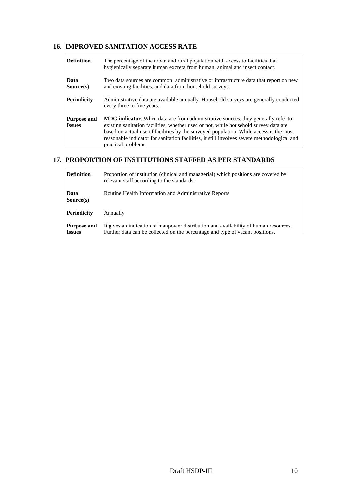### **16. IMPROVED SANITATION ACCESS RATE**

| <b>Definition</b>                   | The percentage of the urban and rural population with access to facilities that<br>hygienically separate human excreta from human, animal and insect contact.                                                                                                                                                                                                                                    |
|-------------------------------------|--------------------------------------------------------------------------------------------------------------------------------------------------------------------------------------------------------------------------------------------------------------------------------------------------------------------------------------------------------------------------------------------------|
| Data<br>Source(s)                   | Two data sources are common: administrative or infrastructure data that report on new<br>and existing facilities, and data from household surveys.                                                                                                                                                                                                                                               |
| Periodicity                         | Administrative data are available annually. Household surveys are generally conducted<br>every three to five years.                                                                                                                                                                                                                                                                              |
| <b>Purpose and</b><br><b>Issues</b> | <b>MDG indicator.</b> When data are from administrative sources, they generally refer to<br>existing sanitation facilities, whether used or not, while household survey data are<br>based on actual use of facilities by the surveyed population. While access is the most<br>reasonable indicator for sanitation facilities, it still involves severe methodological and<br>practical problems. |

## **17. PROPORTION OF INSTITUTIONS STAFFED AS PER STANDARDS**

| <b>Definition</b>                   | Proportion of institution (clinical and managerial) which positions are covered by<br>relevant staff according to the standards.                                      |
|-------------------------------------|-----------------------------------------------------------------------------------------------------------------------------------------------------------------------|
| Data<br>Source(s)                   | Routine Health Information and Administrative Reports                                                                                                                 |
| <b>Periodicity</b>                  | Annually                                                                                                                                                              |
| <b>Purpose and</b><br><b>Issues</b> | It gives an indication of manpower distribution and availability of human resources.<br>Further data can be collected on the percentage and type of vacant positions. |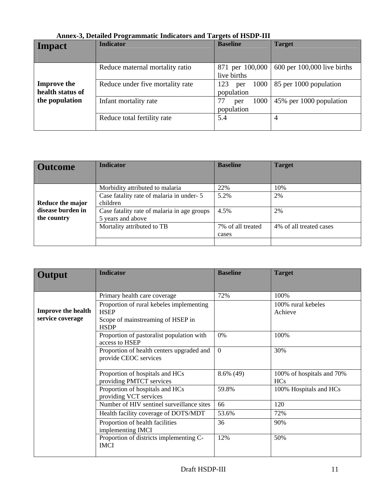| Impact                                 | <b>Indicator</b>                 | <b>Baseline</b>                  | <b>Target</b>                   |
|----------------------------------------|----------------------------------|----------------------------------|---------------------------------|
|                                        | Reduce maternal mortality ratio  | 871 per 100,000<br>live births   | $600$ per $100,000$ live births |
| <b>Improve the</b><br>health status of | Reduce under five mortality rate | 1000<br>123<br>per<br>population | 85 per 1000 population          |
| the population                         | Infant mortality rate            | 1000<br>77<br>per<br>population  | 45% per 1000 population         |
|                                        | Reduce total fertility rate      | 5.4                              | 4                               |

# **Annex-3, Detailed Programmatic Indicators and Targets of HSDP-III**

| <b>Outcome</b>                   | <b>Indicator</b>                                                 | <b>Baseline</b>            | <b>Target</b>           |
|----------------------------------|------------------------------------------------------------------|----------------------------|-------------------------|
|                                  | Morbidity attributed to malaria                                  | 22%                        | 10%                     |
| Reduce the major                 | Case fatality rate of malaria in under-5<br>children             | 5.2%                       | 2%                      |
| disease burden in<br>the country | Case fatality rate of malaria in age groups<br>5 years and above | 4.5%                       | 2%                      |
|                                  | Mortality attributed to TB                                       | 7% of all treated<br>cases | 4% of all treated cases |
|                                  |                                                                  |                            |                         |

| Output                                        | <b>Indicator</b>                                                                                            | <b>Baseline</b> | <b>Target</b>                           |
|-----------------------------------------------|-------------------------------------------------------------------------------------------------------------|-----------------|-----------------------------------------|
|                                               | Primary health care coverage                                                                                | 72%             | 100%                                    |
| <b>Improve the health</b><br>service coverage | Proportion of rural kebeles implementing<br><b>HSEP</b><br>Scope of mainstreaming of HSEP in<br><b>HSDP</b> |                 | 100% rural kebeles<br>Achieve           |
|                                               | Proportion of pastoralist population with<br>access to HSEP                                                 | 0%              | 100%                                    |
|                                               | Proportion of health centers upgraded and<br>provide CEOC services                                          | $\theta$        | 30%                                     |
|                                               | Proportion of hospitals and HCs<br>providing PMTCT services                                                 | $8.6\%$ (49)    | 100% of hospitals and 70%<br><b>HCs</b> |
|                                               | Proportion of hospitals and HCs<br>providing VCT services                                                   | 59.8%           | 100% Hospitals and HCs                  |
|                                               | Number of HIV sentinel surveillance sites                                                                   | 66              | 120                                     |
|                                               | Health facility coverage of DOTS/MDT                                                                        | 53.6%           | 72%                                     |
|                                               | Proportion of health facilities<br>implementing IMCI                                                        | 36              | 90%                                     |
|                                               | Proportion of districts implementing C-<br><b>IMCI</b>                                                      | 12%             | 50%                                     |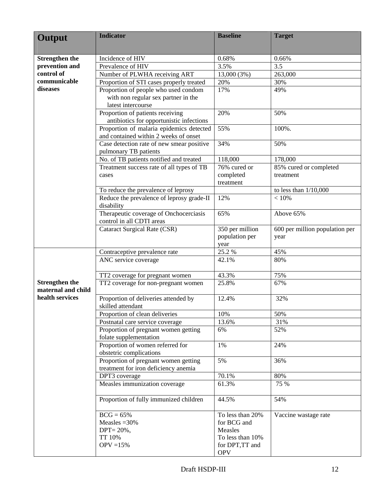| Output                                      | <b>Indicator</b>                                                                  | <b>Baseline</b>                                                | <b>Target</b>                          |
|---------------------------------------------|-----------------------------------------------------------------------------------|----------------------------------------------------------------|----------------------------------------|
| <b>Strengthen the</b>                       | Incidence of HIV                                                                  | 0.68%                                                          | 0.66%                                  |
| prevention and                              | Prevalence of HIV                                                                 | 3.5%                                                           | 3.5                                    |
| control of                                  | Number of PLWHA receiving ART                                                     | 13,000 (3%)                                                    | 263,000                                |
| communicable                                | Proportion of STI cases properly treated                                          | 20%                                                            | 30%                                    |
| diseases                                    | Proportion of people who used condom                                              | 17%                                                            | 49%                                    |
|                                             | with non regular sex partner in the<br>latest intercourse                         |                                                                |                                        |
|                                             | Proportion of patients receiving<br>antibiotics for opportunistic infections      | 20%                                                            | 50%                                    |
|                                             | Proportion of malaria epidemics detected<br>and contained within 2 weeks of onset | 55%                                                            | 100%.                                  |
|                                             | Case detection rate of new smear positive<br>pulmonary TB patients                | 34%                                                            | 50%                                    |
|                                             | No. of TB patients notified and treated                                           | 118,000                                                        | 178,000                                |
|                                             | Treatment success rate of all types of TB<br>cases                                | 76% cured or<br>completed<br>treatment                         | 85% cured or completed<br>treatment    |
|                                             | To reduce the prevalence of leprosy                                               |                                                                | to less than $1/10,000$                |
|                                             | Reduce the prevalence of leprosy grade-II<br>disability                           | 12%                                                            | < 10%                                  |
|                                             | Therapeutic coverage of Onchocerciasis<br>control in all CDTI areas               | 65%                                                            | Above 65%                              |
|                                             | <b>Cataract Surgical Rate (CSR)</b>                                               | 350 per million<br>population per<br>year                      | 600 per million population per<br>year |
|                                             | Contraceptive prevalence rate                                                     | 25.2 %                                                         | 45%                                    |
|                                             | ANC service coverage                                                              | 42.1%                                                          | 80%                                    |
|                                             | TT2 coverage for pregnant women                                                   | 43.3%                                                          | 75%                                    |
| <b>Strengthen the</b><br>maternal and child | TT2 coverage for non-pregnant women                                               | 25.8%                                                          | 67%                                    |
| health services                             | Proportion of deliveries attended by<br>skilled attendant                         | 12.4%                                                          | 32%                                    |
|                                             | Proportion of clean deliveries                                                    | 10%                                                            | 50%                                    |
|                                             | Postnatal care service coverage                                                   | 13.6%                                                          | 31%                                    |
|                                             | Proportion of pregnant women getting<br>folate supplementation                    | 6%                                                             | 52%                                    |
|                                             | Proportion of women referred for<br>obstetric complications                       | 1%                                                             | 24%                                    |
|                                             | Proportion of pregnant women getting<br>treatment for iron deficiency anemia      | 5%                                                             | 36%                                    |
|                                             | DPT3 coverage                                                                     | 70.1%                                                          | 80%                                    |
|                                             | Measles immunization coverage                                                     | 61.3%                                                          | 75 %                                   |
|                                             | Proportion of fully immunized children                                            | 44.5%                                                          | 54%                                    |
|                                             | $BCG = 65%$<br>Measles $=30\%$<br>$DPT = 20\%,$<br>TT 10%                         | To less than 20%<br>for BCG and<br>Measles<br>To less than 10% | Vaccine wastage rate                   |
|                                             | $OPV = 15%$                                                                       | for DPT,TT and<br><b>OPV</b>                                   |                                        |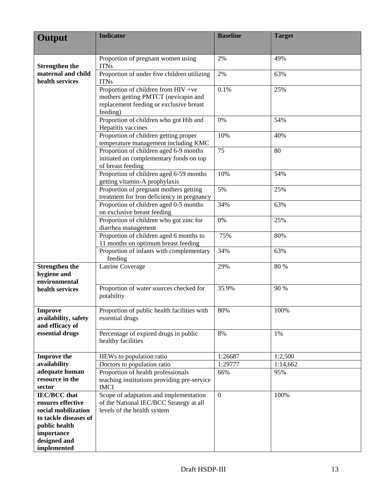| Output                                                    | <b>Indicator</b>                                                                                                                   | <b>Baseline</b>  | <b>Target</b> |
|-----------------------------------------------------------|------------------------------------------------------------------------------------------------------------------------------------|------------------|---------------|
|                                                           |                                                                                                                                    |                  |               |
|                                                           | Proportion of pregnant women using                                                                                                 | 2%               | 49%           |
| <b>Strengthen the</b>                                     | <b>ITNs</b>                                                                                                                        |                  |               |
| maternal and child<br>health services                     | Proportion of under five children utilizing<br><b>ITNs</b>                                                                         | 2%               | 63%           |
|                                                           | Proportion of children from HIV +ve<br>mothers getting PMTCT (nevirapin and<br>replacement feeding or exclusive breast<br>feeding) | 0.1%             | 25%           |
|                                                           | Proportion of children who got Hib and<br>Hepatitis vaccines                                                                       | 0%               | 54%           |
|                                                           | Proportion of children getting proper<br>temperature management including KMC                                                      | 10%              | 40%           |
|                                                           | Proportion of children aged 6-9 months<br>initiated on complementary foods on top<br>of breast feeding                             | 75               | 80            |
|                                                           | Proportion of children aged 6-59 months<br>getting vitamin-A prophylaxis                                                           | 10%              | 54%           |
|                                                           | Proportion of pregnant mothers getting<br>treatment for Iron deficiency in pregnancy                                               | 5%               | 25%           |
|                                                           | Proportion of children aged 0-5 months<br>on exclusive breast feeding                                                              | 34%              | 63%           |
|                                                           | Proportion of children who got zinc for<br>diarrhea management                                                                     | 0%               | 25%           |
|                                                           | Proportion of children aged 6 months to<br>11 months on optimum breast feeding                                                     | 75%              | 80%           |
|                                                           | Proportion of infants with complementary<br>feeding                                                                                | 34%              | 63%           |
| <b>Strengthen the</b><br>hygiene and<br>environmental     | Latrine Coverage                                                                                                                   | 29%              | 80 %          |
| health services                                           | Proportion of water sources checked for<br>potabiltiy                                                                              | 35.9%            | 90 %          |
| <b>Improve</b><br>availability, safety<br>and efficacy of | Proportion of public health facilities with<br>essential drugs                                                                     | 80%              | 100%          |
| essential drugs                                           | Percentage of expired drugs in public<br>healthy facilities                                                                        | 8%               | 1%            |
| <b>Improve the</b>                                        | HEWs to population ratio                                                                                                           | 1:26687          | 1:2,500       |
| availability                                              | Doctors to population ratio                                                                                                        | 1:29777          | 1:14,662      |
| adequate human<br>resource in the                         | Proportion of health professionals<br>teaching institutions providing pre-service                                                  | 66%              | 95%           |
| sector<br><b>IEC/BCC</b> that                             | <b>IMCI</b><br>Scope of adaptation and implementation                                                                              | $\boldsymbol{0}$ | 100%          |
| ensures effective                                         | of the National IEC/BCC Strategy at all                                                                                            |                  |               |
| social mobilization                                       | levels of the health system                                                                                                        |                  |               |
| to tackle diseases of                                     |                                                                                                                                    |                  |               |
| public health                                             |                                                                                                                                    |                  |               |
| importance                                                |                                                                                                                                    |                  |               |
| designed and                                              |                                                                                                                                    |                  |               |
| implemented                                               |                                                                                                                                    |                  |               |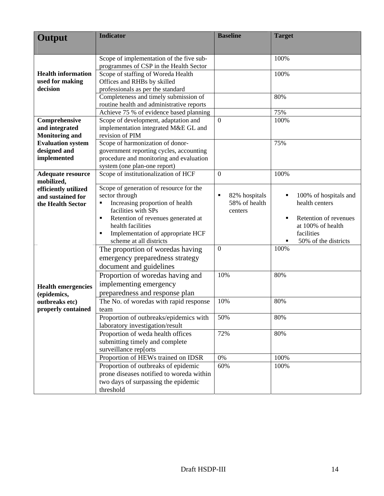| Output                                              | <b>Indicator</b>                                                                                                                                                                                                                                                                                                                                                                                                                                                                                                                                                                                                                                                                                                                                                                                  | <b>Baseline</b>                                                                      | <b>Target</b>                                                                                                                                                                   |
|-----------------------------------------------------|---------------------------------------------------------------------------------------------------------------------------------------------------------------------------------------------------------------------------------------------------------------------------------------------------------------------------------------------------------------------------------------------------------------------------------------------------------------------------------------------------------------------------------------------------------------------------------------------------------------------------------------------------------------------------------------------------------------------------------------------------------------------------------------------------|--------------------------------------------------------------------------------------|---------------------------------------------------------------------------------------------------------------------------------------------------------------------------------|
|                                                     |                                                                                                                                                                                                                                                                                                                                                                                                                                                                                                                                                                                                                                                                                                                                                                                                   |                                                                                      |                                                                                                                                                                                 |
|                                                     | Scope of implementation of the five sub-                                                                                                                                                                                                                                                                                                                                                                                                                                                                                                                                                                                                                                                                                                                                                          |                                                                                      | 100%                                                                                                                                                                            |
|                                                     | programmes of CSP in the Health Sector                                                                                                                                                                                                                                                                                                                                                                                                                                                                                                                                                                                                                                                                                                                                                            |                                                                                      |                                                                                                                                                                                 |
| <b>Health information</b>                           | Scope of staffing of Woreda Health                                                                                                                                                                                                                                                                                                                                                                                                                                                                                                                                                                                                                                                                                                                                                                |                                                                                      | 100%                                                                                                                                                                            |
| used for making                                     | Offices and RHBs by skilled                                                                                                                                                                                                                                                                                                                                                                                                                                                                                                                                                                                                                                                                                                                                                                       |                                                                                      |                                                                                                                                                                                 |
| decision                                            | professionals as per the standard                                                                                                                                                                                                                                                                                                                                                                                                                                                                                                                                                                                                                                                                                                                                                                 |                                                                                      |                                                                                                                                                                                 |
|                                                     | Completeness and timely submission of                                                                                                                                                                                                                                                                                                                                                                                                                                                                                                                                                                                                                                                                                                                                                             |                                                                                      | 80%                                                                                                                                                                             |
|                                                     | routine health and administrative reports                                                                                                                                                                                                                                                                                                                                                                                                                                                                                                                                                                                                                                                                                                                                                         |                                                                                      |                                                                                                                                                                                 |
|                                                     | Achieve 75 % of evidence based planning                                                                                                                                                                                                                                                                                                                                                                                                                                                                                                                                                                                                                                                                                                                                                           |                                                                                      | 75%                                                                                                                                                                             |
| Comprehensive                                       | Scope of development, adaptation and                                                                                                                                                                                                                                                                                                                                                                                                                                                                                                                                                                                                                                                                                                                                                              | $\boldsymbol{0}$                                                                     | 100%                                                                                                                                                                            |
| and integrated<br><b>Monitoring and</b>             | implementation integrated M&E GL and<br>revision of PIM                                                                                                                                                                                                                                                                                                                                                                                                                                                                                                                                                                                                                                                                                                                                           |                                                                                      |                                                                                                                                                                                 |
| <b>Evaluation system</b>                            | Scope of harmonization of donor-                                                                                                                                                                                                                                                                                                                                                                                                                                                                                                                                                                                                                                                                                                                                                                  |                                                                                      | 75%                                                                                                                                                                             |
| designed and                                        | government reporting cycles, accounting                                                                                                                                                                                                                                                                                                                                                                                                                                                                                                                                                                                                                                                                                                                                                           |                                                                                      |                                                                                                                                                                                 |
| implemented                                         | procedure and monitoring and evaluation                                                                                                                                                                                                                                                                                                                                                                                                                                                                                                                                                                                                                                                                                                                                                           |                                                                                      |                                                                                                                                                                                 |
|                                                     | system (one plan-one report)                                                                                                                                                                                                                                                                                                                                                                                                                                                                                                                                                                                                                                                                                                                                                                      |                                                                                      |                                                                                                                                                                                 |
| <b>Adequate resource</b>                            | Scope of institutionalization of HCF                                                                                                                                                                                                                                                                                                                                                                                                                                                                                                                                                                                                                                                                                                                                                              | $\mathbf{0}$                                                                         | 100%                                                                                                                                                                            |
| mobilized,                                          |                                                                                                                                                                                                                                                                                                                                                                                                                                                                                                                                                                                                                                                                                                                                                                                                   |                                                                                      |                                                                                                                                                                                 |
| efficiently utilized                                | Scope of generation of resource for the                                                                                                                                                                                                                                                                                                                                                                                                                                                                                                                                                                                                                                                                                                                                                           |                                                                                      |                                                                                                                                                                                 |
| and sustained for                                   | sector through                                                                                                                                                                                                                                                                                                                                                                                                                                                                                                                                                                                                                                                                                                                                                                                    | 82% hospitals<br>Е                                                                   |                                                                                                                                                                                 |
| the Health Sector                                   | Ξ                                                                                                                                                                                                                                                                                                                                                                                                                                                                                                                                                                                                                                                                                                                                                                                                 |                                                                                      |                                                                                                                                                                                 |
|                                                     |                                                                                                                                                                                                                                                                                                                                                                                                                                                                                                                                                                                                                                                                                                                                                                                                   |                                                                                      |                                                                                                                                                                                 |
|                                                     |                                                                                                                                                                                                                                                                                                                                                                                                                                                                                                                                                                                                                                                                                                                                                                                                   |                                                                                      |                                                                                                                                                                                 |
|                                                     |                                                                                                                                                                                                                                                                                                                                                                                                                                                                                                                                                                                                                                                                                                                                                                                                   |                                                                                      |                                                                                                                                                                                 |
|                                                     |                                                                                                                                                                                                                                                                                                                                                                                                                                                                                                                                                                                                                                                                                                                                                                                                   |                                                                                      |                                                                                                                                                                                 |
|                                                     |                                                                                                                                                                                                                                                                                                                                                                                                                                                                                                                                                                                                                                                                                                                                                                                                   |                                                                                      |                                                                                                                                                                                 |
|                                                     |                                                                                                                                                                                                                                                                                                                                                                                                                                                                                                                                                                                                                                                                                                                                                                                                   |                                                                                      |                                                                                                                                                                                 |
|                                                     |                                                                                                                                                                                                                                                                                                                                                                                                                                                                                                                                                                                                                                                                                                                                                                                                   |                                                                                      |                                                                                                                                                                                 |
|                                                     |                                                                                                                                                                                                                                                                                                                                                                                                                                                                                                                                                                                                                                                                                                                                                                                                   |                                                                                      |                                                                                                                                                                                 |
|                                                     |                                                                                                                                                                                                                                                                                                                                                                                                                                                                                                                                                                                                                                                                                                                                                                                                   |                                                                                      |                                                                                                                                                                                 |
| <b>Health emergencies</b>                           |                                                                                                                                                                                                                                                                                                                                                                                                                                                                                                                                                                                                                                                                                                                                                                                                   |                                                                                      |                                                                                                                                                                                 |
|                                                     |                                                                                                                                                                                                                                                                                                                                                                                                                                                                                                                                                                                                                                                                                                                                                                                                   |                                                                                      |                                                                                                                                                                                 |
|                                                     |                                                                                                                                                                                                                                                                                                                                                                                                                                                                                                                                                                                                                                                                                                                                                                                                   |                                                                                      |                                                                                                                                                                                 |
|                                                     | team                                                                                                                                                                                                                                                                                                                                                                                                                                                                                                                                                                                                                                                                                                                                                                                              |                                                                                      |                                                                                                                                                                                 |
|                                                     |                                                                                                                                                                                                                                                                                                                                                                                                                                                                                                                                                                                                                                                                                                                                                                                                   |                                                                                      |                                                                                                                                                                                 |
|                                                     |                                                                                                                                                                                                                                                                                                                                                                                                                                                                                                                                                                                                                                                                                                                                                                                                   |                                                                                      |                                                                                                                                                                                 |
|                                                     |                                                                                                                                                                                                                                                                                                                                                                                                                                                                                                                                                                                                                                                                                                                                                                                                   |                                                                                      |                                                                                                                                                                                 |
|                                                     |                                                                                                                                                                                                                                                                                                                                                                                                                                                                                                                                                                                                                                                                                                                                                                                                   |                                                                                      |                                                                                                                                                                                 |
|                                                     |                                                                                                                                                                                                                                                                                                                                                                                                                                                                                                                                                                                                                                                                                                                                                                                                   |                                                                                      |                                                                                                                                                                                 |
|                                                     |                                                                                                                                                                                                                                                                                                                                                                                                                                                                                                                                                                                                                                                                                                                                                                                                   |                                                                                      |                                                                                                                                                                                 |
|                                                     |                                                                                                                                                                                                                                                                                                                                                                                                                                                                                                                                                                                                                                                                                                                                                                                                   |                                                                                      |                                                                                                                                                                                 |
|                                                     |                                                                                                                                                                                                                                                                                                                                                                                                                                                                                                                                                                                                                                                                                                                                                                                                   |                                                                                      |                                                                                                                                                                                 |
|                                                     |                                                                                                                                                                                                                                                                                                                                                                                                                                                                                                                                                                                                                                                                                                                                                                                                   |                                                                                      |                                                                                                                                                                                 |
| (epidemics,<br>outbreaks etc)<br>properly contained | Increasing proportion of health<br>facilities with SPs<br>Retention of revenues generated at<br>٠<br>health facilities<br>Implementation of appropriate HCF<br>Е<br>scheme at all districts<br>The proportion of woredas having<br>emergency preparedness strategy<br>document and guidelines<br>Proportion of woredas having and<br>implementing emergency<br>preparedness and response plan<br>The No. of woredas with rapid response<br>Proportion of outbreaks/epidemics with<br>laboratory investigation/result<br>Proportion of weda health offices<br>submitting timely and complete<br>surveillance rep[orts<br>Proportion of HEWs trained on IDSR<br>Proportion of outbreaks of epidemic<br>prone diseases notified to woreda within<br>two days of surpassing the epidemic<br>threshold | 58% of health<br>centers<br>$\mathbf{0}$<br>10%<br>10%<br>50%<br>72%<br>$0\%$<br>60% | 100% of hospitals and<br>health centers<br>Retention of revenues<br>at 100% of health<br>facilities<br>50% of the districts<br>100%<br>80%<br>80%<br>80%<br>80%<br>100%<br>100% |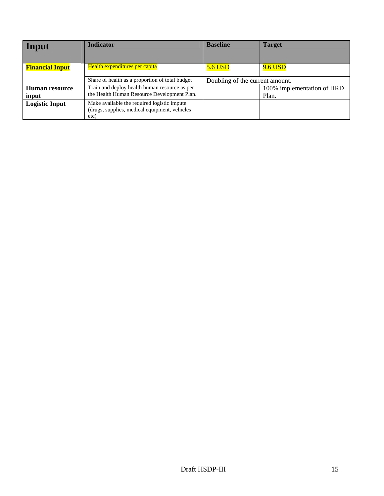| Input                  | <b>Indicator</b>                                                                                     | <b>Baseline</b>                 | <b>Target</b>              |
|------------------------|------------------------------------------------------------------------------------------------------|---------------------------------|----------------------------|
| <b>Financial Input</b> | Health expenditures per capita                                                                       | <b>5.6 USD</b>                  | <b>9.6 USD</b>             |
|                        | Share of health as a proportion of total budget                                                      | Doubling of the current amount. |                            |
| <b>Human resource</b>  | Train and deploy health human resource as per                                                        |                                 | 100% implementation of HRD |
| input                  | the Health Human Resource Development Plan.                                                          |                                 | Plan.                      |
| <b>Logistic Input</b>  | Make available the required logistic impute<br>(drugs, supplies, medical equipment, vehicles<br>etc) |                                 |                            |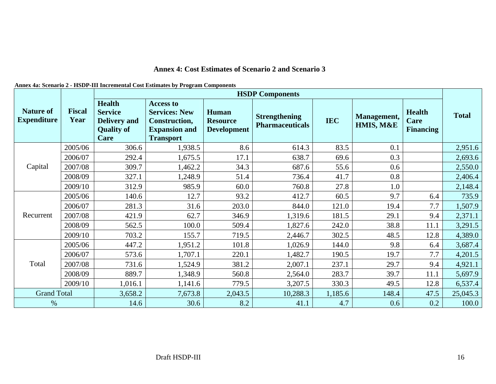#### **Annex 4: Cost Estimates of Scenario 2 and Scenario 3**

| Annex 4a: Scenario 2 - HSDP-III Incremental Cost Estimates by Program Components |  |
|----------------------------------------------------------------------------------|--|
|----------------------------------------------------------------------------------|--|

|                                        |                       |                                                                                     |                                                                                                       |                                                | <b>HSDP Components</b>                         |            |                          |                                           |              |
|----------------------------------------|-----------------------|-------------------------------------------------------------------------------------|-------------------------------------------------------------------------------------------------------|------------------------------------------------|------------------------------------------------|------------|--------------------------|-------------------------------------------|--------------|
| <b>Nature of</b><br><b>Expenditure</b> | <b>Fiscal</b><br>Year | <b>Health</b><br><b>Service</b><br><b>Delivery and</b><br><b>Quality of</b><br>Care | <b>Access to</b><br><b>Services: New</b><br>Construction,<br><b>Expansion and</b><br><b>Transport</b> | Human<br><b>Resource</b><br><b>Development</b> | <b>Strengthening</b><br><b>Pharmaceuticals</b> | <b>IEC</b> | Management,<br>HMIS, M&E | <b>Health</b><br>Care<br><b>Financing</b> | <b>Total</b> |
|                                        | 2005/06               | 306.6                                                                               | 1,938.5                                                                                               | 8.6                                            | 614.3                                          | 83.5       | 0.1                      |                                           | 2,951.6      |
|                                        | 2006/07               | 292.4                                                                               | 1,675.5                                                                                               | 17.1                                           | 638.7                                          | 69.6       | 0.3                      |                                           | 2,693.6      |
| Capital                                | 2007/08               | 309.7                                                                               | 1,462.2                                                                                               | 34.3                                           | 687.6                                          | 55.6       | 0.6                      |                                           | 2,550.0      |
|                                        | 2008/09               | 327.1                                                                               | 1,248.9                                                                                               | 51.4                                           | 736.4                                          | 41.7       | 0.8                      |                                           | 2,406.4      |
|                                        | 2009/10               | 312.9                                                                               | 985.9                                                                                                 | 60.0                                           | 760.8                                          | 27.8       | 1.0                      |                                           | 2,148.4      |
|                                        | 2005/06               | 140.6                                                                               | 12.7                                                                                                  | 93.2                                           | 412.7                                          | 60.5       | 9.7                      | 6.4                                       | 735.9        |
|                                        | 2006/07               | 281.3                                                                               | 31.6                                                                                                  | 203.0                                          | 844.0                                          | 121.0      | 19.4                     | 7.7                                       | 1,507.9      |
| Recurrent                              | 2007/08               | 421.9                                                                               | 62.7                                                                                                  | 346.9                                          | 1,319.6                                        | 181.5      | 29.1                     | 9.4                                       | 2,371.1      |
|                                        | 2008/09               | 562.5                                                                               | 100.0                                                                                                 | 509.4                                          | 1,827.6                                        | 242.0      | 38.8                     | 11.1                                      | 3,291.5      |
|                                        | 2009/10               | 703.2                                                                               | 155.7                                                                                                 | 719.5                                          | 2,446.7                                        | 302.5      | 48.5                     | 12.8                                      | 4,389.0      |
|                                        | 2005/06               | 447.2                                                                               | 1,951.2                                                                                               | 101.8                                          | 1,026.9                                        | 144.0      | 9.8                      | 6.4                                       | 3,687.4      |
|                                        | 2006/07               | 573.6                                                                               | 1,707.1                                                                                               | 220.1                                          | 1,482.7                                        | 190.5      | 19.7                     | 7.7                                       | 4,201.5      |
| Total                                  | 2007/08               | 731.6                                                                               | 1,524.9                                                                                               | 381.2                                          | 2,007.1                                        | 237.1      | 29.7                     | 9.4                                       | 4,921.1      |
|                                        | 2008/09               | 889.7                                                                               | 1,348.9                                                                                               | 560.8                                          | 2,564.0                                        | 283.7      | 39.7                     | 11.1                                      | 5,697.9      |
|                                        | 2009/10               | 1,016.1                                                                             | 1,141.6                                                                                               | 779.5                                          | 3,207.5                                        | 330.3      | 49.5                     | 12.8                                      | 6,537.4      |
| <b>Grand Total</b>                     |                       | 3,658.2                                                                             | 7,673.8                                                                                               | 2,043.5                                        | 10,288.3                                       | 1,185.6    | 148.4                    | 47.5                                      | 25,045.3     |
| $\%$                                   |                       | 14.6                                                                                | 30.6                                                                                                  | 8.2                                            | 41.1                                           | 4.7        | 0.6                      | 0.2                                       | 100.0        |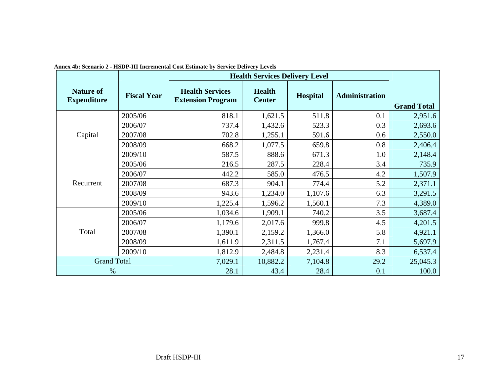|                                        |                    | rincs 40. Sechario 2 - risdi -rii merementar Cost Estimate by Service Denvery Elevels | <b>Health Services Delivery Level</b> |                 |                       |                    |
|----------------------------------------|--------------------|---------------------------------------------------------------------------------------|---------------------------------------|-----------------|-----------------------|--------------------|
| <b>Nature of</b><br><b>Expenditure</b> | <b>Fiscal Year</b> | <b>Health Services</b><br><b>Extension Program</b>                                    | <b>Health</b><br><b>Center</b>        | <b>Hospital</b> | <b>Administration</b> | <b>Grand Total</b> |
|                                        | 2005/06            | 818.1                                                                                 | 1,621.5                               | 511.8           | 0.1                   | 2,951.6            |
|                                        | 2006/07            | 737.4                                                                                 | 1,432.6                               | 523.3           | 0.3                   | 2,693.6            |
| Capital                                | 2007/08            | 702.8                                                                                 | 1,255.1                               | 591.6           | 0.6                   | 2,550.0            |
|                                        | 2008/09            | 668.2                                                                                 | 1,077.5                               | 659.8           | 0.8                   | 2,406.4            |
|                                        | 2009/10            | 587.5                                                                                 | 888.6                                 | 671.3           | 1.0                   | 2,148.4            |
|                                        | 2005/06            | 216.5                                                                                 | 287.5                                 | 228.4           | 3.4                   | 735.9              |
|                                        | 2006/07            | 442.2                                                                                 | 585.0                                 | 476.5           | 4.2                   | 1,507.9            |
| Recurrent                              | 2007/08            | 687.3                                                                                 | 904.1                                 | 774.4           | 5.2                   | 2,371.1            |
|                                        | 2008/09            | 943.6                                                                                 | 1,234.0                               | 1,107.6         | 6.3                   | 3,291.5            |
|                                        | 2009/10            | 1,225.4                                                                               | 1,596.2                               | 1,560.1         | 7.3                   | 4,389.0            |
|                                        | 2005/06            | 1,034.6                                                                               | 1,909.1                               | 740.2           | 3.5                   | 3,687.4            |
|                                        | 2006/07            | 1,179.6                                                                               | 2,017.6                               | 999.8           | 4.5                   | 4,201.5            |
| Total                                  | 2007/08            | 1,390.1                                                                               | 2,159.2                               | 1,366.0         | 5.8                   | 4,921.1            |
|                                        | 2008/09            | 1,611.9                                                                               | 2,311.5                               | 1,767.4         | 7.1                   | 5,697.9            |
|                                        | 2009/10            | 1,812.9                                                                               | 2,484.8                               | 2,231.4         | 8.3                   | 6,537.4            |
| <b>Grand Total</b>                     |                    | 7,029.1                                                                               | 10,882.2                              | 7,104.8         | 29.2                  | 25,045.3           |
| $\%$                                   |                    | 28.1                                                                                  | 43.4                                  | 28.4            | 0.1                   | 100.0              |

**Annex 4b: Scenario 2 - HSDP-III Incremental Cost Estimate by Service Delivery Levels**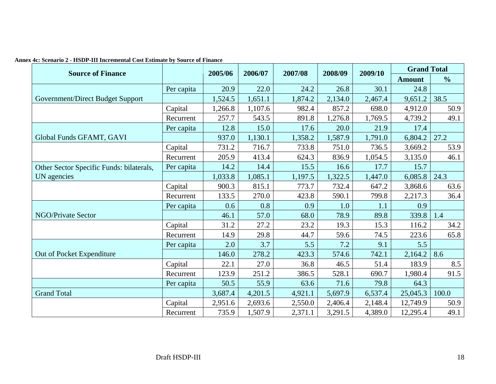| <b>Source of Finance</b>                 |            | 2005/06 | 2006/07 | 2007/08 | 2008/09 | 2009/10 | <b>Grand Total</b> |               |
|------------------------------------------|------------|---------|---------|---------|---------|---------|--------------------|---------------|
|                                          |            |         |         |         |         |         | <b>Amount</b>      | $\frac{6}{6}$ |
|                                          | Per capita | 20.9    | 22.0    | 24.2    | 26.8    | 30.1    | 24.8               |               |
| Government/Direct Budget Support         |            | 1,524.5 | 1,651.1 | 1,874.2 | 2,134.0 | 2,467.4 | 9,651.2            | 38.5          |
|                                          | Capital    | 1,266.8 | 1,107.6 | 982.4   | 857.2   | 698.0   | 4,912.0            | 50.9          |
|                                          | Recurrent  | 257.7   | 543.5   | 891.8   | 1,276.8 | 1,769.5 | 4,739.2            | 49.1          |
|                                          | Per capita | 12.8    | 15.0    | 17.6    | 20.0    | 21.9    | 17.4               |               |
| Global Funds GFAMT, GAVI                 |            | 937.0   | 1,130.1 | 1,358.2 | 1,587.9 | 1,791.0 | 6,804.2            | 27.2          |
|                                          | Capital    | 731.2   | 716.7   | 733.8   | 751.0   | 736.5   | 3,669.2            | 53.9          |
|                                          | Recurrent  | 205.9   | 413.4   | 624.3   | 836.9   | 1,054.5 | 3,135.0            | 46.1          |
| Other Sector Specific Funds: bilaterals, | Per capita | 14.2    | 14.4    | 15.5    | 16.6    | 17.7    | 15.7               |               |
| UN agencies                              |            | 1,033.8 | 1,085.1 | 1,197.5 | 1,322.5 | 1,447.0 | 6,085.8            | 24.3          |
|                                          | Capital    | 900.3   | 815.1   | 773.7   | 732.4   | 647.2   | 3,868.6            | 63.6          |
|                                          | Recurrent  | 133.5   | 270.0   | 423.8   | 590.1   | 799.8   | 2,217.3            | 36.4          |
|                                          | Per capita | 0.6     | 0.8     | 0.9     | 1.0     | 1.1     | 0.9                |               |
| <b>NGO/Private Sector</b>                |            | 46.1    | 57.0    | 68.0    | 78.9    | 89.8    | 339.8              | 1.4           |
|                                          | Capital    | 31.2    | 27.2    | 23.2    | 19.3    | 15.3    | 116.2              | 34.2          |
|                                          | Recurrent  | 14.9    | 29.8    | 44.7    | 59.6    | 74.5    | 223.6              | 65.8          |
|                                          | Per capita | 2.0     | 3.7     | 5.5     | 7.2     | 9.1     | 5.5                |               |
| Out of Pocket Expenditure                |            | 146.0   | 278.2   | 423.3   | 574.6   | 742.1   | 2,164.2            | 8.6           |
|                                          | Capital    | 22.1    | 27.0    | 36.8    | 46.5    | 51.4    | 183.9              | 8.5           |
|                                          | Recurrent  | 123.9   | 251.2   | 386.5   | 528.1   | 690.7   | 1,980.4            | 91.5          |
|                                          | Per capita | 50.5    | 55.9    | 63.6    | 71.6    | 79.8    | 64.3               |               |
| <b>Grand Total</b>                       |            | 3,687.4 | 4,201.5 | 4,921.1 | 5,697.9 | 6,537.4 | 25,045.3           | 100.0         |
|                                          | Capital    | 2,951.6 | 2,693.6 | 2,550.0 | 2,406.4 | 2,148.4 | 12,749.9           | 50.9          |
|                                          | Recurrent  | 735.9   | 1,507.9 | 2,371.1 | 3,291.5 | 4,389.0 | 12,295.4           | 49.1          |

**Annex 4c: Scenario 2 - HSDP-III Incremental Cost Estimate by Source of Finance**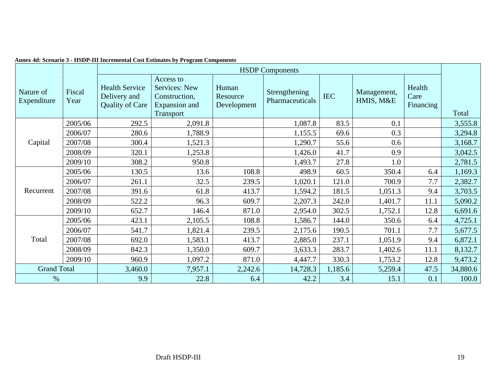|                          |                |                                                                 | <b>HSDP</b> Components<br>Access to<br>Services: New<br>Human<br>Health<br>Strengthening<br>Management,<br><b>IEC</b><br>Care<br>Construction,<br>Resource<br>HMIS, M&E<br>Pharmaceuticals<br>Expansion and<br>Development<br>Financing<br>Transport<br>2,091.8<br>1,087.8<br>83.5<br>0.1<br>1,788.9<br>0.3<br>1,155.5<br>69.6<br>1,290.7<br>0.6<br>1,521.3<br>55.6<br>1,253.8<br>0.9<br>1,426.0<br>41.7<br>950.8<br>27.8<br>1,493.7<br>1.0<br>13.6<br>108.8<br>498.9<br>60.5<br>350.4<br>6.4<br>32.5<br>239.5<br>121.0<br>700.9<br>7.7<br>1,020.1<br>413.7<br>61.8<br>181.5<br>1,594.2<br>1,051.3<br>9.4<br>96.3<br>609.7<br>2,207.3<br>242.0<br>1,401.7<br>11.1<br>146.4<br>871.0<br>302.5<br>12.8<br>2,954.0<br>1,752.1 |         |          |         |         |      |          |  |  |  |  |
|--------------------------|----------------|-----------------------------------------------------------------|----------------------------------------------------------------------------------------------------------------------------------------------------------------------------------------------------------------------------------------------------------------------------------------------------------------------------------------------------------------------------------------------------------------------------------------------------------------------------------------------------------------------------------------------------------------------------------------------------------------------------------------------------------------------------------------------------------------------------|---------|----------|---------|---------|------|----------|--|--|--|--|
| Nature of<br>Expenditure | Fiscal<br>Year | <b>Health Service</b><br>Delivery and<br><b>Quality of Care</b> |                                                                                                                                                                                                                                                                                                                                                                                                                                                                                                                                                                                                                                                                                                                            |         |          |         |         |      | Total    |  |  |  |  |
|                          | 2005/06        | 292.5                                                           |                                                                                                                                                                                                                                                                                                                                                                                                                                                                                                                                                                                                                                                                                                                            |         |          |         |         |      | 3,555.8  |  |  |  |  |
|                          | 2006/07        | 280.6                                                           |                                                                                                                                                                                                                                                                                                                                                                                                                                                                                                                                                                                                                                                                                                                            |         |          |         |         |      | 3,294.8  |  |  |  |  |
| Capital                  | 2007/08        | 300.4                                                           |                                                                                                                                                                                                                                                                                                                                                                                                                                                                                                                                                                                                                                                                                                                            |         |          |         |         |      | 3,168.7  |  |  |  |  |
|                          | 2008/09        | 320.1                                                           |                                                                                                                                                                                                                                                                                                                                                                                                                                                                                                                                                                                                                                                                                                                            |         |          |         |         |      | 3,042.5  |  |  |  |  |
|                          | 2009/10        | 308.2                                                           |                                                                                                                                                                                                                                                                                                                                                                                                                                                                                                                                                                                                                                                                                                                            |         |          |         |         |      | 2,781.5  |  |  |  |  |
|                          | 2005/06        | 130.5                                                           |                                                                                                                                                                                                                                                                                                                                                                                                                                                                                                                                                                                                                                                                                                                            |         |          |         |         |      | 1,169.3  |  |  |  |  |
|                          | 2006/07        | 261.1                                                           |                                                                                                                                                                                                                                                                                                                                                                                                                                                                                                                                                                                                                                                                                                                            |         |          |         |         |      | 2,382.7  |  |  |  |  |
| Recurrent                | 2007/08        | 391.6                                                           |                                                                                                                                                                                                                                                                                                                                                                                                                                                                                                                                                                                                                                                                                                                            |         |          |         |         |      | 3,703.5  |  |  |  |  |
|                          | 2008/09        | 522.2                                                           |                                                                                                                                                                                                                                                                                                                                                                                                                                                                                                                                                                                                                                                                                                                            |         |          |         |         |      | 5,090.2  |  |  |  |  |
|                          | 2009/10        | 652.7                                                           |                                                                                                                                                                                                                                                                                                                                                                                                                                                                                                                                                                                                                                                                                                                            |         |          |         |         |      | 6,691.6  |  |  |  |  |
|                          | 2005/06        | 423.1                                                           | 2,105.5                                                                                                                                                                                                                                                                                                                                                                                                                                                                                                                                                                                                                                                                                                                    | 108.8   | 1,586.7  | 144.0   | 350.6   | 6.4  | 4,725.1  |  |  |  |  |
|                          | 2006/07        | 541.7                                                           | 1,821.4                                                                                                                                                                                                                                                                                                                                                                                                                                                                                                                                                                                                                                                                                                                    | 239.5   | 2,175.6  | 190.5   | 701.1   | 7.7  | 5,677.5  |  |  |  |  |
| Total                    | 2007/08        | 692.0                                                           | 1,583.1                                                                                                                                                                                                                                                                                                                                                                                                                                                                                                                                                                                                                                                                                                                    | 413.7   | 2,885.0  | 237.1   | 1,051.9 | 9.4  | 6,872.1  |  |  |  |  |
|                          | 2008/09        | 842.3                                                           | 1,350.0                                                                                                                                                                                                                                                                                                                                                                                                                                                                                                                                                                                                                                                                                                                    | 609.7   | 3,633.3  | 283.7   | 1,402.6 | 11.1 | 8,132.7  |  |  |  |  |
|                          | 2009/10        | 960.9                                                           | 1,097.2                                                                                                                                                                                                                                                                                                                                                                                                                                                                                                                                                                                                                                                                                                                    | 871.0   | 4,447.7  | 330.3   | 1,753.2 | 12.8 | 9,473.2  |  |  |  |  |
| <b>Grand Total</b>       |                | 3,460.0                                                         | 7,957.1                                                                                                                                                                                                                                                                                                                                                                                                                                                                                                                                                                                                                                                                                                                    | 2,242.6 | 14,728.3 | 1,185.6 | 5,259.4 | 47.5 | 34,880.6 |  |  |  |  |
| $\%$                     |                | 9.9                                                             | 22.8                                                                                                                                                                                                                                                                                                                                                                                                                                                                                                                                                                                                                                                                                                                       | 6.4     | 42.2     | 3.4     | 15.1    | 0.1  | 100.0    |  |  |  |  |

|  |  | Annex 4d: Scenario 3 - HSDP-III Incremental Cost Estimates by Program Components |  |  |  |
|--|--|----------------------------------------------------------------------------------|--|--|--|
|--|--|----------------------------------------------------------------------------------|--|--|--|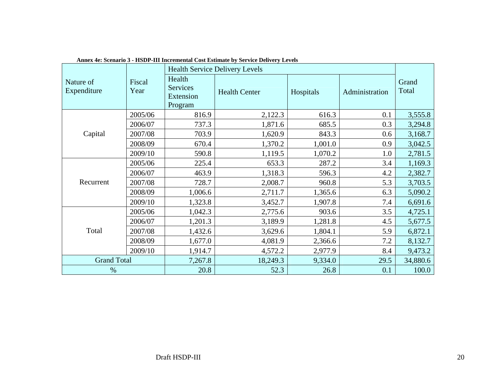|                          |                |                                                   | $\alpha$ and $\alpha$ , because $\beta$ - the $D_1$ - and then emerging $\beta$ as a parameter $\beta$ bet vice $D$ chavel $\beta$ develops<br><b>Health Service Delivery Levels</b> |           |                |                |
|--------------------------|----------------|---------------------------------------------------|--------------------------------------------------------------------------------------------------------------------------------------------------------------------------------------|-----------|----------------|----------------|
| Nature of<br>Expenditure | Fiscal<br>Year | Health<br><b>Services</b><br>Extension<br>Program | <b>Health Center</b>                                                                                                                                                                 | Hospitals | Administration | Grand<br>Total |
|                          | 2005/06        | 816.9                                             | 2,122.3                                                                                                                                                                              | 616.3     | 0.1            | 3,555.8        |
|                          | 2006/07        | 737.3                                             | 1,871.6                                                                                                                                                                              | 685.5     | 0.3            | 3,294.8        |
| Capital                  | 2007/08        | 703.9                                             | 1,620.9                                                                                                                                                                              | 843.3     | 0.6            | 3,168.7        |
|                          | 2008/09        | 670.4                                             | 1,370.2                                                                                                                                                                              | 1,001.0   | 0.9            | 3,042.5        |
|                          | 2009/10        | 590.8                                             | 1,119.5                                                                                                                                                                              | 1,070.2   | 1.0            | 2,781.5        |
|                          | 2005/06        | 225.4                                             | 653.3                                                                                                                                                                                | 287.2     | 3.4            | 1,169.3        |
|                          | 2006/07        | 463.9                                             | 1,318.3                                                                                                                                                                              | 596.3     | 4.2            | 2,382.7        |
| Recurrent                | 2007/08        | 728.7                                             | 2,008.7                                                                                                                                                                              | 960.8     | 5.3            | 3,703.5        |
|                          | 2008/09        | 1,006.6                                           | 2,711.7                                                                                                                                                                              | 1,365.6   | 6.3            | 5,090.2        |
|                          | 2009/10        | 1,323.8                                           | 3,452.7                                                                                                                                                                              | 1,907.8   | 7.4            | 6,691.6        |
|                          | 2005/06        | 1,042.3                                           | 2,775.6                                                                                                                                                                              | 903.6     | 3.5            | 4,725.1        |
|                          | 2006/07        | 1,201.3                                           | 3,189.9                                                                                                                                                                              | 1,281.8   | 4.5            | 5,677.5        |
| Total                    | 2007/08        | 1,432.6                                           | 3,629.6                                                                                                                                                                              | 1,804.1   | 5.9            | 6,872.1        |
|                          | 2008/09        | 1,677.0                                           | 4,081.9                                                                                                                                                                              | 2,366.6   | 7.2            | 8,132.7        |
|                          | 2009/10        | 1,914.7                                           | 4,572.2                                                                                                                                                                              | 2,977.9   | 8.4            | 9,473.2        |
| <b>Grand Total</b>       |                | 7,267.8                                           | 18,249.3                                                                                                                                                                             | 9,334.0   | 29.5           | 34,880.6       |
| $\%$                     |                | 20.8                                              | 52.3                                                                                                                                                                                 | 26.8      | 0.1            | 100.0          |

| Annex 4e: Scenario 3 - HSDP-III Incremental Cost Estimate by Service Delivery Levels |  |
|--------------------------------------------------------------------------------------|--|
|--------------------------------------------------------------------------------------|--|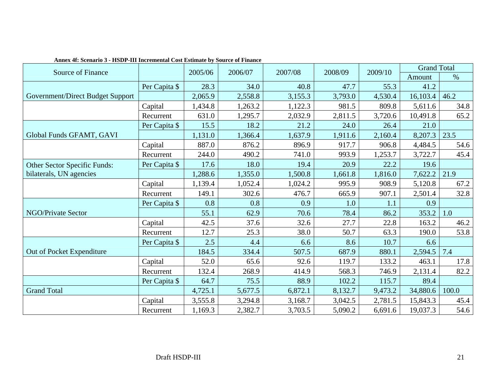| Source of Finance                |               | 2005/06 | 2006/07 | 2007/08 | 2008/09 | 2009/10 | <b>Grand Total</b> |       |
|----------------------------------|---------------|---------|---------|---------|---------|---------|--------------------|-------|
|                                  |               |         |         |         |         |         | Amount             | $\%$  |
|                                  | Per Capita \$ | 28.3    | 34.0    | 40.8    | 47.7    | 55.3    | 41.2               |       |
| Government/Direct Budget Support |               | 2,065.9 | 2,558.8 | 3,155.3 | 3,793.0 | 4,530.4 | 16,103.4           | 46.2  |
|                                  | Capital       | 1,434.8 | 1,263.2 | 1,122.3 | 981.5   | 809.8   | 5,611.6            | 34.8  |
|                                  | Recurrent     | 631.0   | 1,295.7 | 2,032.9 | 2,811.5 | 3,720.6 | 10,491.8           | 65.2  |
|                                  | Per Capita \$ | 15.5    | 18.2    | 21.2    | 24.0    | 26.4    | 21.0               |       |
| Global Funds GFAMT, GAVI         |               | 1,131.0 | 1,366.4 | 1,637.9 | 1,911.6 | 2,160.4 | 8,207.3            | 23.5  |
|                                  | Capital       | 887.0   | 876.2   | 896.9   | 917.7   | 906.8   | 4,484.5            | 54.6  |
|                                  | Recurrent     | 244.0   | 490.2   | 741.0   | 993.9   | 1,253.7 | 3,722.7            | 45.4  |
| Other Sector Specific Funds:     | Per Capita \$ | 17.6    | 18.0    | 19.4    | 20.9    | 22.2    | 19.6               |       |
| bilaterals, UN agencies          |               | 1,288.6 | 1,355.0 | 1,500.8 | 1,661.8 | 1,816.0 | 7,622.2            | 21.9  |
|                                  | Capital       | 1,139.4 | 1,052.4 | 1,024.2 | 995.9   | 908.9   | 5,120.8            | 67.2  |
|                                  | Recurrent     | 149.1   | 302.6   | 476.7   | 665.9   | 907.1   | 2,501.4            | 32.8  |
|                                  | Per Capita \$ | 0.8     | 0.8     | 0.9     | 1.0     | 1.1     | 0.9                |       |
| NGO/Private Sector               |               | 55.1    | 62.9    | 70.6    | 78.4    | 86.2    | 353.2              | 1.0   |
|                                  | Capital       | 42.5    | 37.6    | 32.6    | 27.7    | 22.8    | 163.2              | 46.2  |
|                                  | Recurrent     | 12.7    | 25.3    | 38.0    | 50.7    | 63.3    | 190.0              | 53.8  |
|                                  | Per Capita \$ | 2.5     | 4.4     | 6.6     | 8.6     | 10.7    | 6.6                |       |
| Out of Pocket Expenditure        |               | 184.5   | 334.4   | 507.5   | 687.9   | 880.1   | 2,594.5            | 7.4   |
|                                  | Capital       | 52.0    | 65.6    | 92.6    | 119.7   | 133.2   | 463.1              | 17.8  |
|                                  | Recurrent     | 132.4   | 268.9   | 414.9   | 568.3   | 746.9   | 2,131.4            | 82.2  |
|                                  | Per Capita \$ | 64.7    | 75.5    | 88.9    | 102.2   | 115.7   | 89.4               |       |
| <b>Grand Total</b>               |               | 4,725.1 | 5,677.5 | 6,872.1 | 8,132.7 | 9,473.2 | 34,880.6           | 100.0 |
|                                  | Capital       | 3,555.8 | 3,294.8 | 3,168.7 | 3,042.5 | 2,781.5 | 15,843.3           | 45.4  |
|                                  | Recurrent     | 1,169.3 | 2,382.7 | 3,703.5 | 5,090.2 | 6,691.6 | 19,037.3           | 54.6  |

**Annex 4f: Scenario 3 - HSDP-III Incremental Cost Estimate by Source of Finance**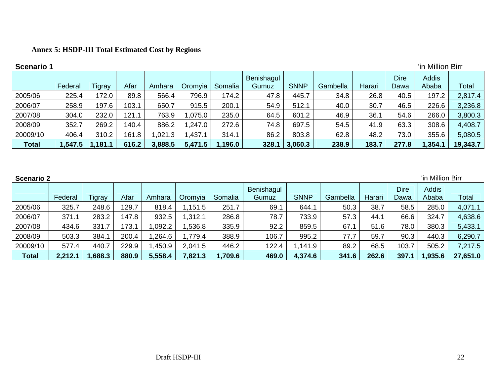# **Annex 5: HSDP-III Total Estimated Cost by Regions**

| <b>Scenario 1</b> |            |        |       |         |         |         |                     |             |          |        |                     | 'in Million Birr |              |
|-------------------|------------|--------|-------|---------|---------|---------|---------------------|-------------|----------|--------|---------------------|------------------|--------------|
|                   | Federal    | Tigray | Afar  | Amhara  | Oromyia | Somalia | Benishagul<br>Gumuz | <b>SNNP</b> | Gambella | Harari | <b>Dire</b><br>Dawa | Addis<br>Ababa   | <b>Total</b> |
| 2005/06           | 225.4      | 172.0  | 89.8  | 566.4   | 796.9   | 174.2   | 47.8                | 445.7       | 34.8     | 26.8   | 40.5                | 197.2            | 2,817.4      |
| 2006/07           | 258.9      | 197.6  | 103.1 | 650.7   | 915.5   | 200.1   | 54.9                | 512.1       | 40.0     | 30.7   | 46.5                | 226.6            | 3,236.8      |
| 2007/08           | 304.0      | 232.0  | 121.1 | 763.9   | .075.0  | 235.0   | 64.5                | 601.2       | 46.9     | 36.1   | 54.6                | 266.0            | 3,800.3      |
| 2008/09           | 352.7      | 269.2  | 140.4 | 886.2   | 1,247.0 | 272.6   | 74.8                | 697.5       | 54.5     | 41.9   | 63.3                | 308.6            | 4,408.7      |
| 20009/10          | 406.4      | 310.2  | 161.8 | ,021.3  | 1,437.1 | 314.1   | 86.2                | 803.8       | 62.8     | 48.2   | 73.0                | 355.6            | 5,080.5      |
| <b>Total</b>      | ا 547.5, ا | ,181.1 | 616.2 | 3,888.5 | 5,471.5 | 1,196.0 | 328.1               | 3,060.3     | 238.9    | 183.7  | 277.8               | 1,354.1          | 19,343.7     |

| <b>Scenario 2</b> |         |        |       |         |         |         |                     |             |          | 'in Million Birr |                     |                       |              |
|-------------------|---------|--------|-------|---------|---------|---------|---------------------|-------------|----------|------------------|---------------------|-----------------------|--------------|
|                   | Federal | Figray | Afar  | Amhara  | Oromyia | Somalia | Benishagul<br>Gumuz | <b>SNNP</b> | Gambella | Harari           | <b>Dire</b><br>Dawa | <b>Addis</b><br>Ababa | <b>Total</b> |
| 2005/06           | 325.7   | 248.6  | 29.7  | 818.4   | .151.5  | 251.7   | 69.1                | 644.1       | 50.3     | 38.7             | 58.5                | 285.0                 | 4,071.1      |
| 2006/07           | 371.1   | 283.2  | 147.8 | 932.5   | ,312.1  | 286.8   | 78.7                | 733.9       | 57.3     | 44.1             | 66.6                | 324.7                 | 4,638.6      |
| 2007/08           | 434.6   | 331.7  | 73.1  | ,092.2  | ,536.8  | 335.9   | 92.2                | 859.5       | 67.1     | 51.6             | 78.0                | 380.3                 | 5,433.1      |
| 2008/09           | 503.3   | 384.1  | 200.4 | .264.6  | 1,779.4 | 388.9   | 106.7               | 995.2       | 77.7     | 59.7             | 90.3                | 440.3                 | 6,290.7      |
| 20009/10          | 577.4   | 440.   | 229.9 | ,450.9  | 2,041.5 | 446.2   | 122.4               | ,141.9      | 89.2     | 68.5             | 103.7               | 505.2                 | 7,217.5      |
| <b>Total</b>      | 2,212.1 | .688.3 | 880.9 | 5,558.4 | 7,821.3 | 1,709.6 | 469.0               | 4,374.6     | 341.6    | 262.6            | 397.                | 1,935.6               | 27,651.0     |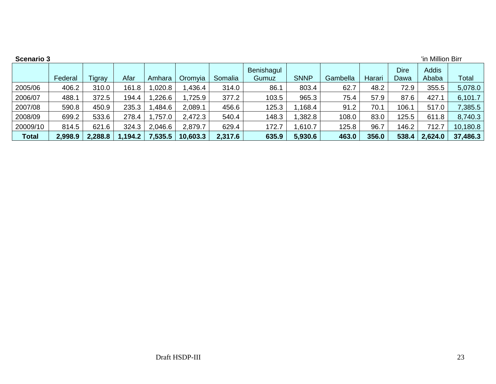| <b>Scenario 3</b> |         |         |         |         |          |         |                     |             |          |        |                     | 'in Million Birr |          |
|-------------------|---------|---------|---------|---------|----------|---------|---------------------|-------------|----------|--------|---------------------|------------------|----------|
|                   | Federal | igray   | Afar    | Amhara  | Oromyia  | Somalia | Benishagul<br>Gumuz | <b>SNNP</b> | Gambella | Harari | <b>Dire</b><br>Dawa | Addis<br>Ababa   | Total    |
| 2005/06           | 406.2   | 310.0   | 161.8   | 0.020.8 | ,436.4   | 314.0   | 86.1                | 803.4       | 62.7     | 48.2   | 72.9                | 355.5            | 5,078.0  |
| 2006/07           | 488.1   | 372.5   | 194.4   | .226.6  | 1,725.9  | 377.2   | 103.5               | 965.3       | 75.4     | 57.9   | 87.6                | 427.1            | 6,101.7  |
| 2007/08           | 590.8   | 450.9   | 235.3   | ,484.6  | 2,089.1  | 456.6   | 125.3               | 1,168.4     | 91.2     | 70.1   | 106.1               | 517.0            | 7,385.5  |
| 2008/09           | 699.2   | 533.6   | 278.4   | ,757.0  | 2,472.3  | 540.4   | 148.3               | ,382.8      | 108.0    | 83.0   | 125.5               | 611.8            | 8,740.3  |
| 20009/10          | 814.5   | 621.6   | 324.3   | 2,046.6 | 2,879.7  | 629.4   | 172.7               | 1,610.7     | 125.8    | 96.7   | 146.2               | 712.7            | 10,180.8 |
| <b>Total</b>      | 2,998.9 | 2,288.8 | 1,194.2 | 7,535.5 | 10,603.3 | 2,317.6 | 635.9               | 5,930.6     | 463.0    | 356.0  | 538.4               | 2,624.0          | 37,486.3 |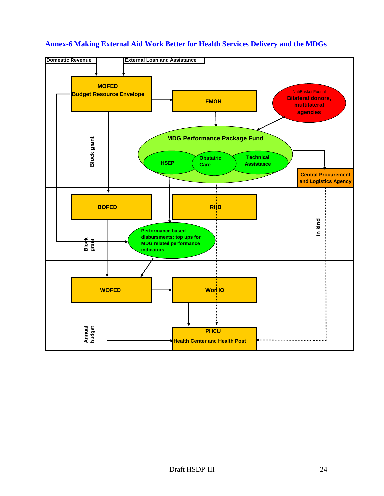

### **Annex-6 Making External Aid Work Better for Health Services Delivery and the MDGs**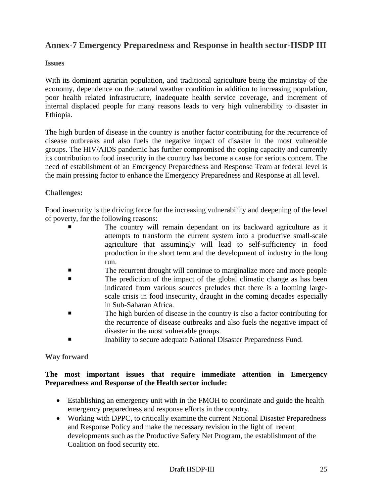# **Annex-7 Emergency Preparedness and Response in health sector-HSDP III**

### **Issues**

With its dominant agrarian population, and traditional agriculture being the mainstay of the economy, dependence on the natural weather condition in addition to increasing population, poor health related infrastructure, inadequate health service coverage, and increment of internal displaced people for many reasons leads to very high vulnerability to disaster in Ethiopia.

The high burden of disease in the country is another factor contributing for the recurrence of disease outbreaks and also fuels the negative impact of disaster in the most vulnerable groups. The HIV/AIDS pandemic has further compromised the coping capacity and currently its contribution to food insecurity in the country has become a cause for serious concern. The need of establishment of an Emergency Preparedness and Response Team at federal level is the main pressing factor to enhance the Emergency Preparedness and Response at all level.

### **Challenges:**

Food insecurity is the driving force for the increasing vulnerability and deepening of the level of poverty, for the following reasons:

- The country will remain dependant on its backward agriculture as it attempts to transform the current system into a productive small-scale agriculture that assumingly will lead to self-sufficiency in food production in the short term and the development of industry in the long run.
- The recurrent drought will continue to marginalize more and more people
- The prediction of the impact of the global climatic change as has been indicated from various sources preludes that there is a looming largescale crisis in food insecurity, draught in the coming decades especially in Sub-Saharan Africa.
- The high burden of disease in the country is also a factor contributing for the recurrence of disease outbreaks and also fuels the negative impact of disaster in the most vulnerable groups.
- Inability to secure adequate National Disaster Preparedness Fund.

### **Way forward**

### **The most important issues that require immediate attention in Emergency Preparedness and Response of the Health sector include:**

- Establishing an emergency unit with in the FMOH to coordinate and guide the health emergency preparedness and response efforts in the country.
- Working with DPPC, to critically examine the current National Disaster Preparedness and Response Policy and make the necessary revision in the light of recent developments such as the Productive Safety Net Program, the establishment of the Coalition on food security etc.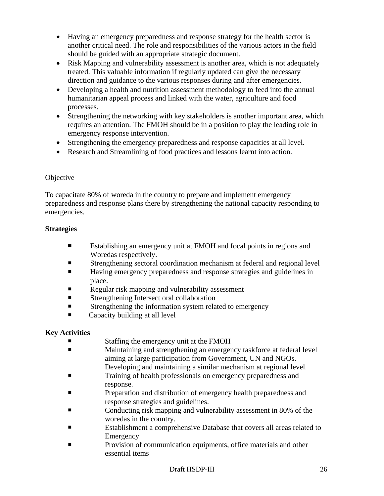- Having an emergency preparedness and response strategy for the health sector is another critical need. The role and responsibilities of the various actors in the field should be guided with an appropriate strategic document.
- Risk Mapping and vulnerability assessment is another area, which is not adequately treated. This valuable information if regularly updated can give the necessary direction and guidance to the various responses during and after emergencies.
- Developing a health and nutrition assessment methodology to feed into the annual humanitarian appeal process and linked with the water, agriculture and food processes.
- Strengthening the networking with key stakeholders is another important area, which requires an attention. The FMOH should be in a position to play the leading role in emergency response intervention.
- Strengthening the emergency preparedness and response capacities at all level.
- Research and Streamlining of food practices and lessons learnt into action.

## **Objective**

To capacitate 80% of woreda in the country to prepare and implement emergency preparedness and response plans there by strengthening the national capacity responding to emergencies.

# **Strategies**

- Establishing an emergency unit at FMOH and focal points in regions and Woredas respectively.
- Strengthening sectoral coordination mechanism at federal and regional level
- Having emergency preparedness and response strategies and guidelines in place.
- Regular risk mapping and vulnerability assessment
- **Strengthening Intersect oral collaboration**
- **Example 1** Strengthening the information system related to emergency
- Capacity building at all level

# **Key Activities**

- Staffing the emergency unit at the FMOH
- Maintaining and strengthening an emergency taskforce at federal level aiming at large participation from Government, UN and NGOs. Developing and maintaining a similar mechanism at regional level.
- Training of health professionals on emergency preparedness and response.
- **Preparation and distribution of emergency health preparedness and** response strategies and guidelines.
- Conducting risk mapping and vulnerability assessment in 80% of the woredas in the country.
- Establishment a comprehensive Database that covers all areas related to **Emergency**
- **Provision of communication equipments, office materials and other** essential items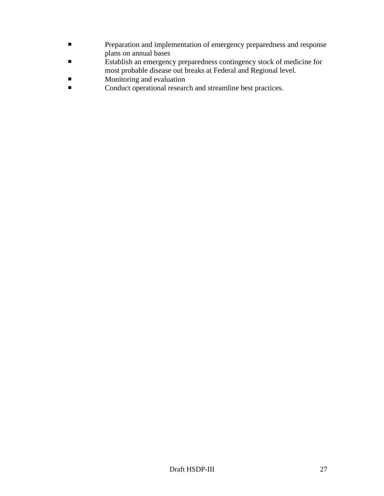- **Preparation and implementation of emergency preparedness and response** plans on annual bases
- Establish an emergency preparedness contingency stock of medicine for most probable disease out breaks at Federal and Regional level.
- **Monitoring and evaluation**
- Conduct operational research and streamline best practices.